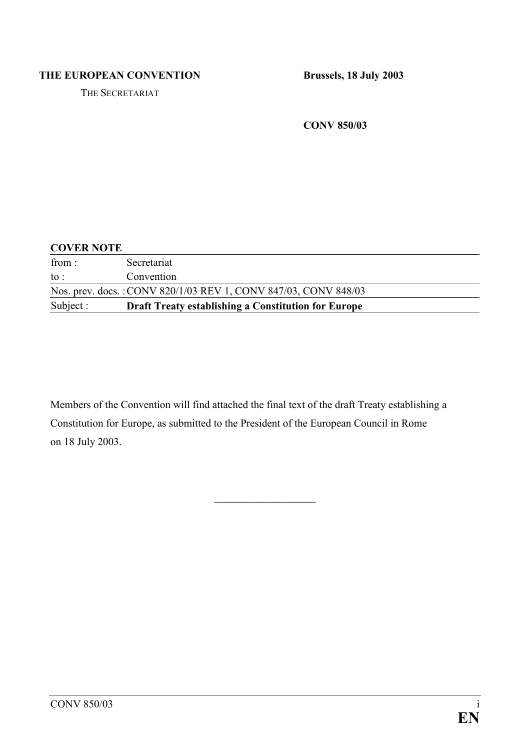#### **THE EUROPEAN CONVENTION**

**Brussels, 18 July 2003**

THE SECRETARIAT

**CONV 850/03**

#### **COVER NOTE**

| from :    | Secretariat                                                     |
|-----------|-----------------------------------------------------------------|
| to :      | Convention                                                      |
|           | Nos. prev. docs.: CONV 820/1/03 REV 1, CONV 847/03, CONV 848/03 |
| Subject : | <b>Draft Treaty establishing a Constitution for Europe</b>      |

Members of the Convention will find attached the final text of the draft Treaty establishing a Constitution for Europe, as submitted to the President of the European Council in Rome on 18 July 2003.

 $\overline{\phantom{a}}$  , where  $\overline{\phantom{a}}$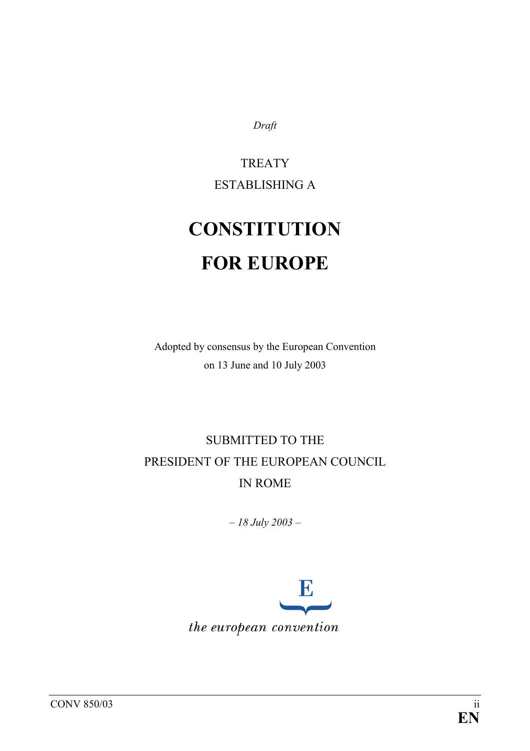*Draft*

# **TREATY** ESTABLISHING A

# **CONSTITUTION FOR EUROPE**

Adopted by consensus by the European Convention on 13 June and 10 July 2003

# SUBMITTED TO THE PRESIDENT OF THE EUROPEAN COUNCIL IN ROME

 $-18$  *July* 2003  $-$ 

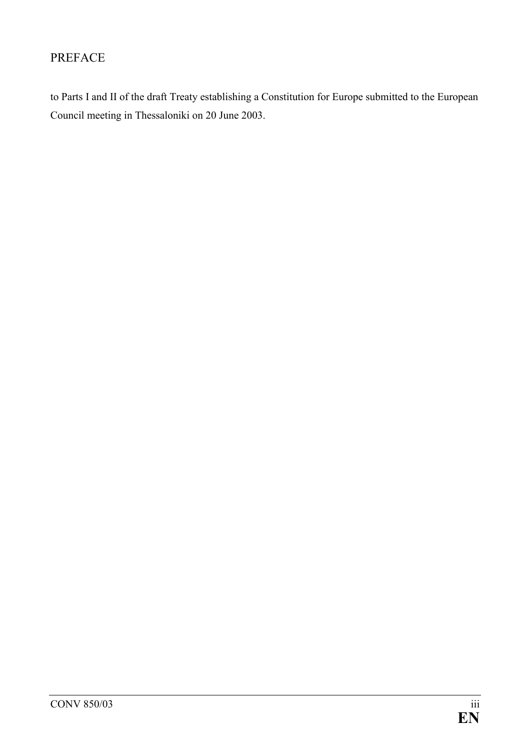# PREFACE

to Parts I and II of the draft Treaty establishing a Constitution for Europe submitted to the European Council meeting in Thessaloniki on 20 June 2003.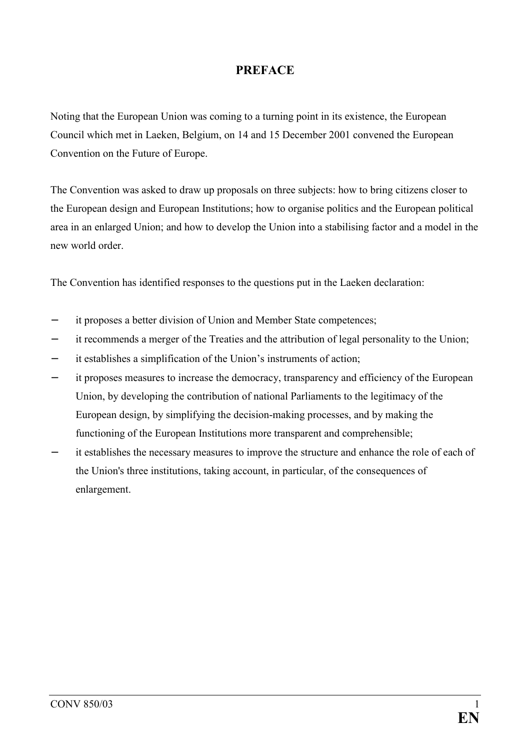# **PREFACE**

Noting that the European Union was coming to a turning point in its existence, the European Council which met in Laeken, Belgium, on 14 and 15 December 2001 convened the European Convention on the Future of Europe.

The Convention was asked to draw up proposals on three subjects: how to bring citizens closer to the European design and European Institutions; how to organise politics and the European political area in an enlarged Union; and how to develop the Union into a stabilising factor and a model in the new world order.

The Convention has identified responses to the questions put in the Laeken declaration:

- it proposes a better division of Union and Member State competences;
- it recommends a merger of the Treaties and the attribution of legal personality to the Union;
- − it establishes a simplification of the Union's instruments of action:
- − it proposes measures to increase the democracy, transparency and efficiency of the European Union, by developing the contribution of national Parliaments to the legitimacy of the European design, by simplifying the decision-making processes, and by making the functioning of the European Institutions more transparent and comprehensible;
- it establishes the necessary measures to improve the structure and enhance the role of each of the Union's three institutions, taking account, in particular, of the consequences of enlargement.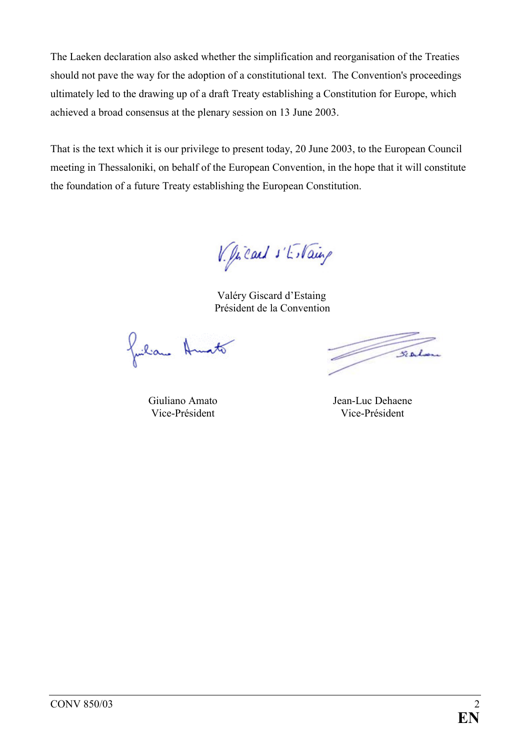The Laeken declaration also asked whether the simplification and reorganisation of the Treaties should not pave the way for the adoption of a constitutional text. The Convention's proceedings ultimately led to the drawing up of a draft Treaty establishing a Constitution for Europe, which achieved a broad consensus at the plenary session on 13 June 2003.

That is the text which it is our privilege to present today, 20 June 2003, to the European Council meeting in Thessaloniki, on behalf of the European Convention, in the hope that it will constitute the foundation of a future Treaty establishing the European Constitution.

V. Dicard s'Estaing

Valéry Giscard d'Estaing Président de la Convention

fila Hunto

Simbon

Giuliano Amato **Imperiente Sean-Luc Dehaene** Vice-Président Vice-Président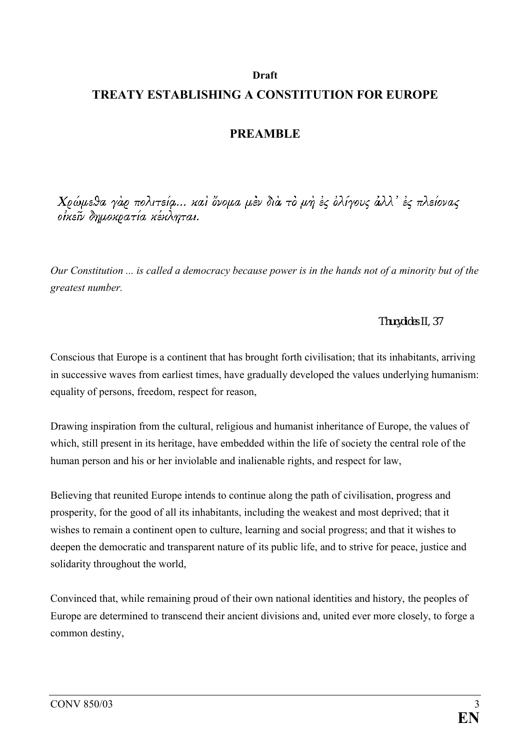#### **Draft**

## **TREATY ESTABLISHING A CONSTITUTION FOR EUROPE**

## **PREAMBLE**

Χρώμεθα γάρ πολιτεία... και όνομα μεν διά το μή ές ολίγους άλλ' ές πλείονας οίκεϊν δημοκρατία κέκληται.

*Our Constitution ... is called a democracy because power is in the hands not of a minority but of the greatest number.*

#### *Thucydides II, 37*

Conscious that Europe is a continent that has brought forth civilisation; that its inhabitants, arriving in successive waves from earliest times, have gradually developed the values underlying humanism: equality of persons, freedom, respect for reason,

Drawing inspiration from the cultural, religious and humanist inheritance of Europe, the values of which, still present in its heritage, have embedded within the life of society the central role of the human person and his or her inviolable and inalienable rights, and respect for law,

Believing that reunited Europe intends to continue along the path of civilisation, progress and prosperity, for the good of all its inhabitants, including the weakest and most deprived; that it wishes to remain a continent open to culture, learning and social progress; and that it wishes to deepen the democratic and transparent nature of its public life, and to strive for peace, justice and solidarity throughout the world,

Convinced that, while remaining proud of their own national identities and history, the peoples of Europe are determined to transcend their ancient divisions and, united ever more closely, to forge a common destiny,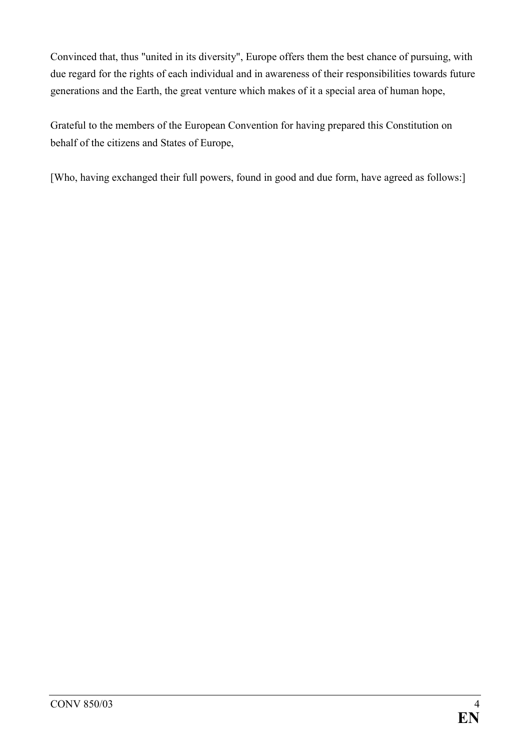Convinced that, thus "united in its diversity", Europe offers them the best chance of pursuing, with due regard for the rights of each individual and in awareness of their responsibilities towards future generations and the Earth, the great venture which makes of it a special area of human hope,

Grateful to the members of the European Convention for having prepared this Constitution on behalf of the citizens and States of Europe,

[Who, having exchanged their full powers, found in good and due form, have agreed as follows:]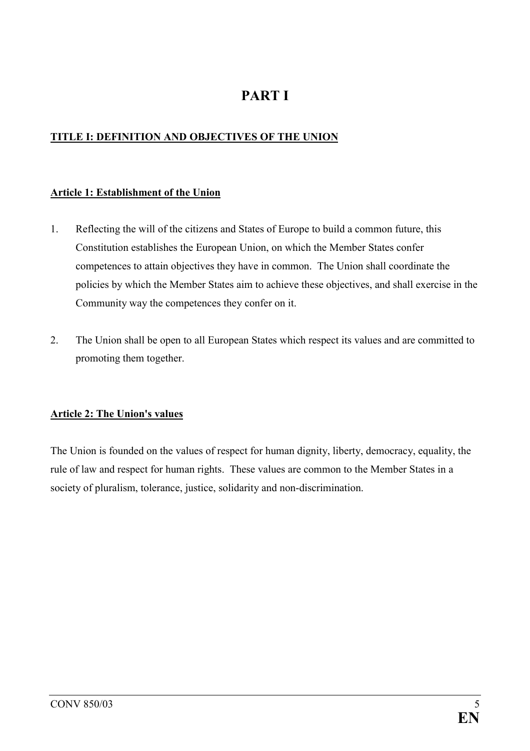# **PART I**

## **TITLE I: DEFINITION AND OBJECTIVES OF THE UNION**

#### **Article 1: Establishment of the Union**

- 1. Reflecting the will of the citizens and States of Europe to build a common future, this Constitution establishes the European Union, on which the Member States confer competences to attain objectives they have in common. The Union shall coordinate the policies by which the Member States aim to achieve these objectives, and shall exercise in the Community way the competences they confer on it.
- 2. The Union shall be open to all European States which respect its values and are committed to promoting them together.

#### **Article 2: The Union's values**

The Union is founded on the values of respect for human dignity, liberty, democracy, equality, the rule of law and respect for human rights. These values are common to the Member States in a society of pluralism, tolerance, justice, solidarity and non-discrimination.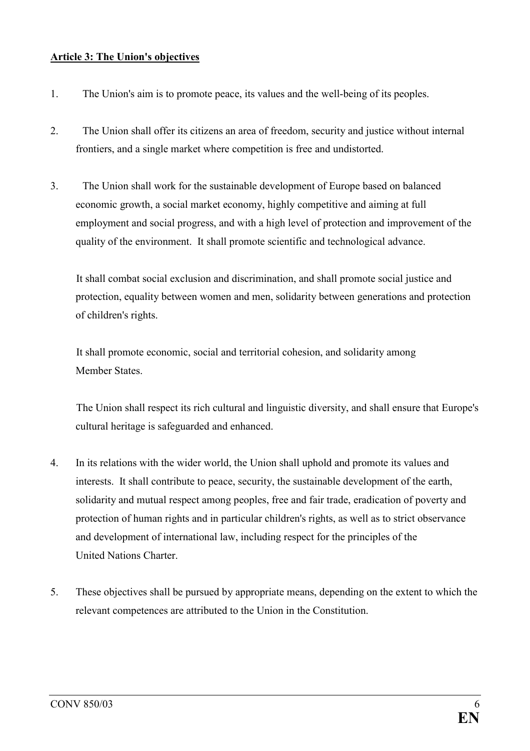#### **Article 3: The Union's objectives**

- 1. The Union's aim is to promote peace, its values and the well-being of its peoples.
- 2. The Union shall offer its citizens an area of freedom, security and justice without internal frontiers, and a single market where competition is free and undistorted.
- 3. The Union shall work for the sustainable development of Europe based on balanced economic growth, a social market economy, highly competitive and aiming at full employment and social progress, and with a high level of protection and improvement of the quality of the environment. It shall promote scientific and technological advance.

It shall combat social exclusion and discrimination, and shall promote social justice and protection, equality between women and men, solidarity between generations and protection of children's rights.

It shall promote economic, social and territorial cohesion, and solidarity among Member States.

The Union shall respect its rich cultural and linguistic diversity, and shall ensure that Europe's cultural heritage is safeguarded and enhanced.

- 4. In its relations with the wider world, the Union shall uphold and promote its values and interests. It shall contribute to peace, security, the sustainable development of the earth, solidarity and mutual respect among peoples, free and fair trade, eradication of poverty and protection of human rights and in particular children's rights, as well as to strict observance and development of international law, including respect for the principles of the United Nations Charter.
- 5. These objectives shall be pursued by appropriate means, depending on the extent to which the relevant competences are attributed to the Union in the Constitution.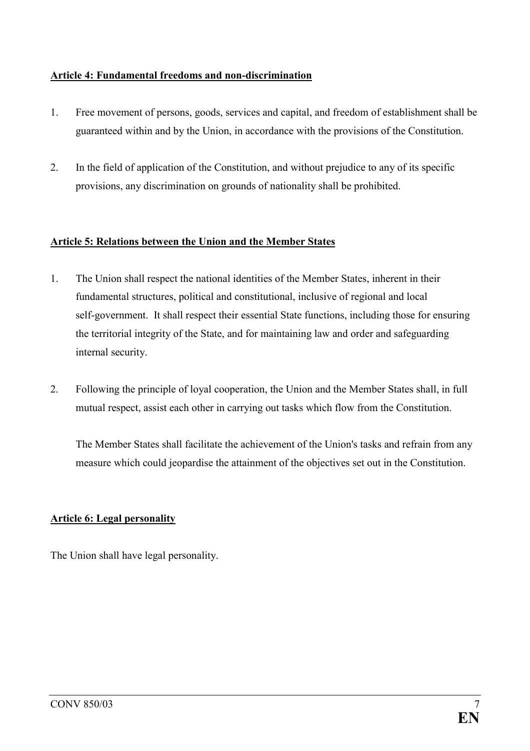#### **Article 4: Fundamental freedoms and non-discrimination**

- 1. Free movement of persons, goods, services and capital, and freedom of establishment shall be guaranteed within and by the Union, in accordance with the provisions of the Constitution.
- 2. In the field of application of the Constitution, and without prejudice to any of its specific provisions, any discrimination on grounds of nationality shall be prohibited.

#### **Article 5: Relations between the Union and the Member States**

- 1. The Union shall respect the national identities of the Member States, inherent in their fundamental structures, political and constitutional, inclusive of regional and local self-government. It shall respect their essential State functions, including those for ensuring the territorial integrity of the State, and for maintaining law and order and safeguarding internal security.
- 2. Following the principle of loyal cooperation, the Union and the Member States shall, in full mutual respect, assist each other in carrying out tasks which flow from the Constitution.

The Member States shall facilitate the achievement of the Union's tasks and refrain from any measure which could jeopardise the attainment of the objectives set out in the Constitution.

#### **Article 6: Legal personality**

The Union shall have legal personality.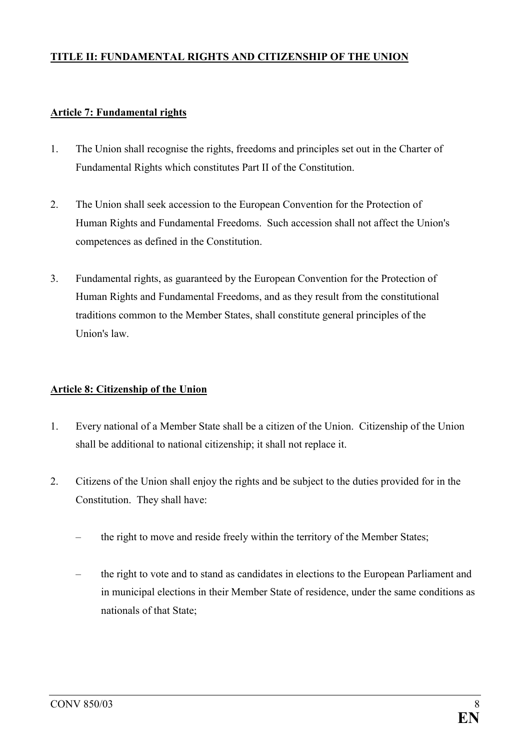#### **TITLE II: FUNDAMENTAL RIGHTS AND CITIZENSHIP OF THE UNION**

#### **Article 7: Fundamental rights**

- 1. The Union shall recognise the rights, freedoms and principles set out in the Charter of Fundamental Rights which constitutes Part II of the Constitution.
- 2. The Union shall seek accession to the European Convention for the Protection of Human Rights and Fundamental Freedoms. Such accession shall not affect the Union's competences as defined in the Constitution.
- 3. Fundamental rights, as guaranteed by the European Convention for the Protection of Human Rights and Fundamental Freedoms, and as they result from the constitutional traditions common to the Member States, shall constitute general principles of the Union's law.

#### **Article 8: Citizenship of the Union**

- 1. Every national of a Member State shall be a citizen of the Union. Citizenship of the Union shall be additional to national citizenship; it shall not replace it.
- 2. Citizens of the Union shall enjoy the rights and be subject to the duties provided for in the Constitution. They shall have:
	- the right to move and reside freely within the territory of the Member States;
	- the right to vote and to stand as candidates in elections to the European Parliament and in municipal elections in their Member State of residence, under the same conditions as nationals of that State;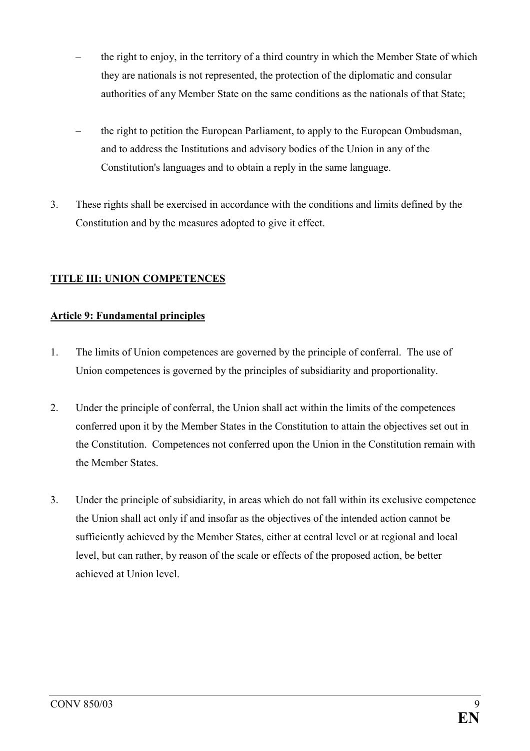- the right to enjoy, in the territory of a third country in which the Member State of which they are nationals is not represented, the protection of the diplomatic and consular authorities of any Member State on the same conditions as the nationals of that State;
- the right to petition the European Parliament, to apply to the European Ombudsman, and to address the Institutions and advisory bodies of the Union in any of the Constitution's languages and to obtain a reply in the same language.
- 3. These rights shall be exercised in accordance with the conditions and limits defined by the Constitution and by the measures adopted to give it effect.

### **TITLE III: UNION COMPETENCES**

#### **Article 9: Fundamental principles**

- 1. The limits of Union competences are governed by the principle of conferral. The use of Union competences is governed by the principles of subsidiarity and proportionality.
- 2. Under the principle of conferral, the Union shall act within the limits of the competences conferred upon it by the Member States in the Constitution to attain the objectives set out in the Constitution. Competences not conferred upon the Union in the Constitution remain with the Member States.
- 3. Under the principle of subsidiarity, in areas which do not fall within its exclusive competence the Union shall act only if and insofar as the objectives of the intended action cannot be sufficiently achieved by the Member States, either at central level or at regional and local level, but can rather, by reason of the scale or effects of the proposed action, be better achieved at Union level.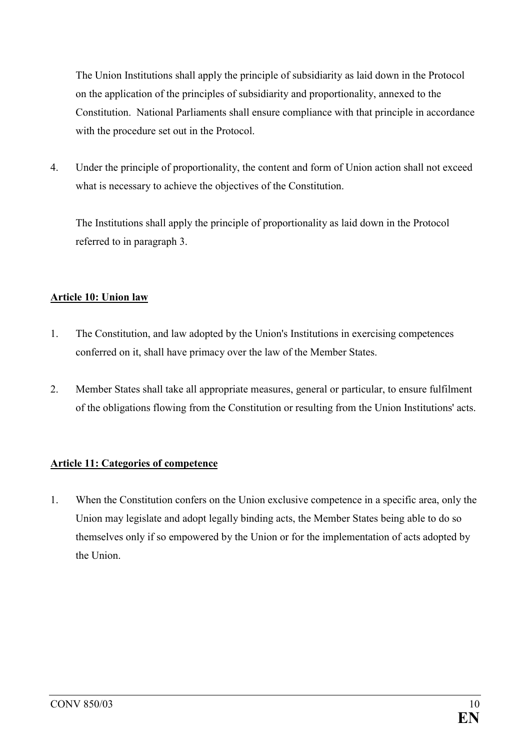The Union Institutions shall apply the principle of subsidiarity as laid down in the Protocol on the application of the principles of subsidiarity and proportionality, annexed to the Constitution. National Parliaments shall ensure compliance with that principle in accordance with the procedure set out in the Protocol.

4. Under the principle of proportionality, the content and form of Union action shall not exceed what is necessary to achieve the objectives of the Constitution.

The Institutions shall apply the principle of proportionality as laid down in the Protocol referred to in paragraph 3.

#### **Article 10: Union law**

- 1. The Constitution, and law adopted by the Union's Institutions in exercising competences conferred on it, shall have primacy over the law of the Member States.
- 2. Member States shall take all appropriate measures, general or particular, to ensure fulfilment of the obligations flowing from the Constitution or resulting from the Union Institutions' acts.

#### **Article 11: Categories of competence**

1. When the Constitution confers on the Union exclusive competence in a specific area, only the Union may legislate and adopt legally binding acts, the Member States being able to do so themselves only if so empowered by the Union or for the implementation of acts adopted by the Union.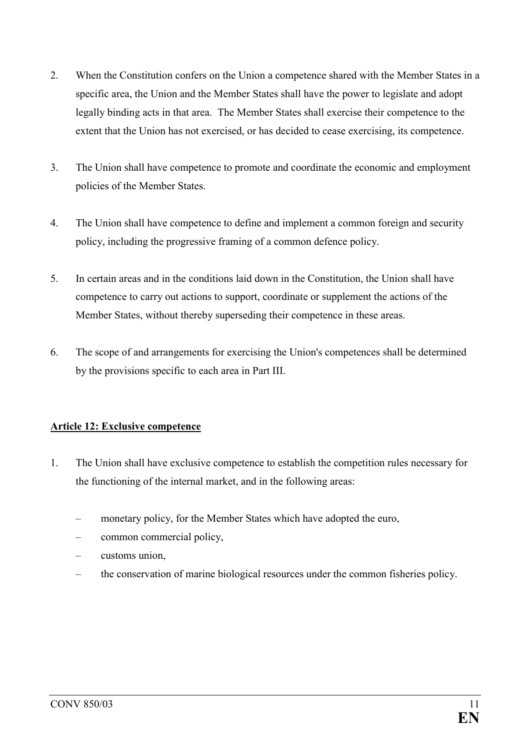- 2. When the Constitution confers on the Union a competence shared with the Member States in a specific area, the Union and the Member States shall have the power to legislate and adopt legally binding acts in that area. The Member States shall exercise their competence to the extent that the Union has not exercised, or has decided to cease exercising, its competence.
- 3. The Union shall have competence to promote and coordinate the economic and employment policies of the Member States.
- 4. The Union shall have competence to define and implement a common foreign and security policy, including the progressive framing of a common defence policy.
- 5. In certain areas and in the conditions laid down in the Constitution, the Union shall have competence to carry out actions to support, coordinate or supplement the actions of the Member States, without thereby superseding their competence in these areas.
- 6. The scope of and arrangements for exercising the Union's competences shall be determined by the provisions specific to each area in Part III.

#### **Article 12: Exclusive competence**

- 1. The Union shall have exclusive competence to establish the competition rules necessary for the functioning of the internal market, and in the following areas:
	- monetary policy, for the Member States which have adopted the euro,
	- common commercial policy,
	- customs union.
	- the conservation of marine biological resources under the common fisheries policy.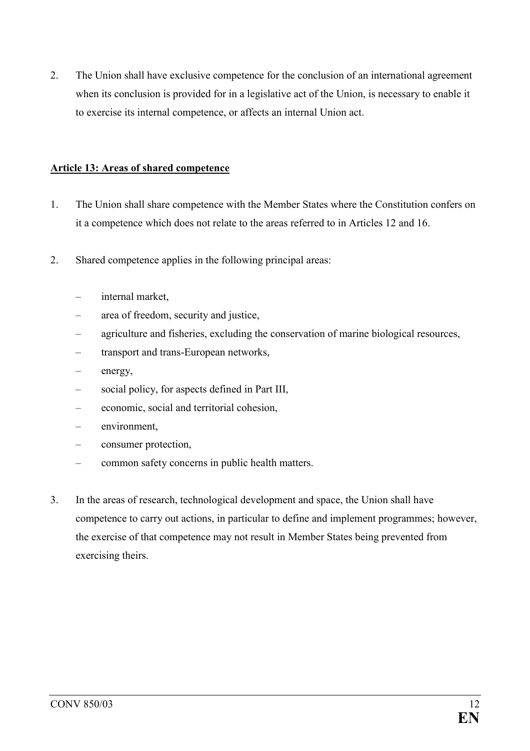2. The Union shall have exclusive competence for the conclusion of an international agreement when its conclusion is provided for in a legislative act of the Union, is necessary to enable it to exercise its internal competence, or affects an internal Union act.

#### **Article 13: Areas of shared competence**

- 1. The Union shall share competence with the Member States where the Constitution confers on it a competence which does not relate to the areas referred to in Articles 12 and 16.
- 2. Shared competence applies in the following principal areas:
	- $\overline{-}$  internal market,
	- area of freedom, security and justice,
	- agriculture and fisheries, excluding the conservation of marine biological resources,
	- transport and trans-European networks,
	- energy,
	- $\overline{\phantom{a}}$  social policy, for aspects defined in Part III,
	- economic, social and territorial cohesion,
	- $\equiv$  environment
	- consumer protection,
	- common safety concerns in public health matters.
- 3. In the areas of research, technological development and space, the Union shall have competence to carry out actions, in particular to define and implement programmes; however, the exercise of that competence may not result in Member States being prevented from exercising theirs.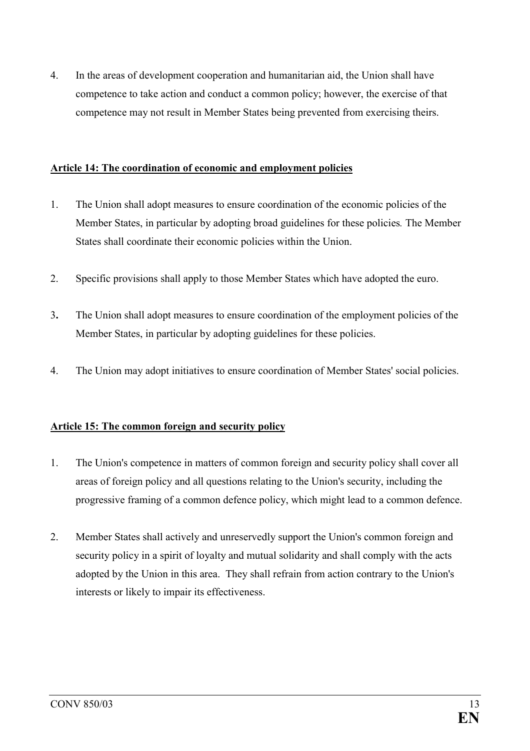4. In the areas of development cooperation and humanitarian aid, the Union shall have competence to take action and conduct a common policy; however, the exercise of that competence may not result in Member States being prevented from exercising theirs.

#### **Article 14: The coordination of economic and employment policies**

- 1. The Union shall adopt measures to ensure coordination of the economic policies of the Member States, in particular by adopting broad guidelines for these policies*.* The Member States shall coordinate their economic policies within the Union.
- 2. Specific provisions shall apply to those Member States which have adopted the euro.
- 3**.** The Union shall adopt measures to ensure coordination of the employment policies of the Member States, in particular by adopting guidelines for these policies.
- 4. The Union may adopt initiatives to ensure coordination of Member States' social policies.

#### **Article 15: The common foreign and security policy**

- 1. The Union's competence in matters of common foreign and security policy shall cover all areas of foreign policy and all questions relating to the Union's security, including the progressive framing of a common defence policy, which might lead to a common defence.
- 2. Member States shall actively and unreservedly support the Union's common foreign and security policy in a spirit of loyalty and mutual solidarity and shall comply with the acts adopted by the Union in this area. They shall refrain from action contrary to the Union's interests or likely to impair its effectiveness.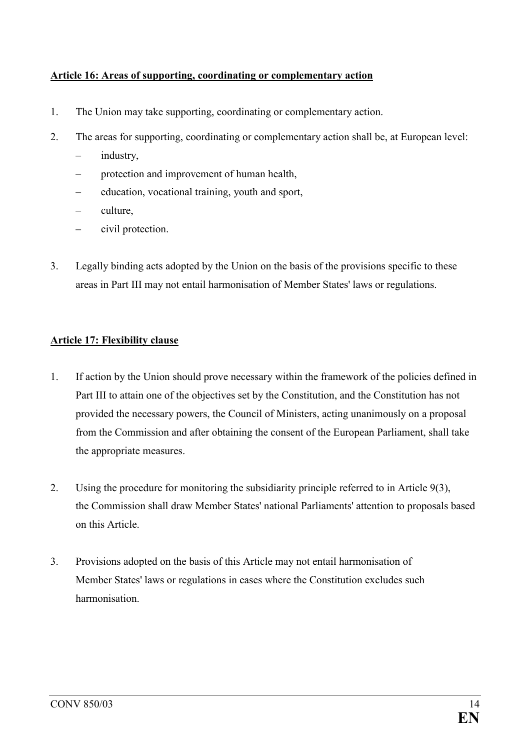#### **Article 16: Areas of supporting, coordinating or complementary action**

- 1. The Union may take supporting, coordinating or complementary action.
- 2. The areas for supporting, coordinating or complementary action shall be, at European level:
	- $-$  industry,
	- protection and improvement of human health,
	- education, vocational training, youth and sport,
	- culture
	- $-$  civil protection.
- 3. Legally binding acts adopted by the Union on the basis of the provisions specific to these areas in Part III may not entail harmonisation of Member States' laws or regulations.

#### **Article 17: Flexibility clause**

- 1. If action by the Union should prove necessary within the framework of the policies defined in Part III to attain one of the objectives set by the Constitution, and the Constitution has not provided the necessary powers, the Council of Ministers, acting unanimously on a proposal from the Commission and after obtaining the consent of the European Parliament, shall take the appropriate measures.
- 2. Using the procedure for monitoring the subsidiarity principle referred to in Article 9(3), the Commission shall draw Member States' national Parliaments' attention to proposals based on this Article.
- 3. Provisions adopted on the basis of this Article may not entail harmonisation of Member States' laws or regulations in cases where the Constitution excludes such harmonisation.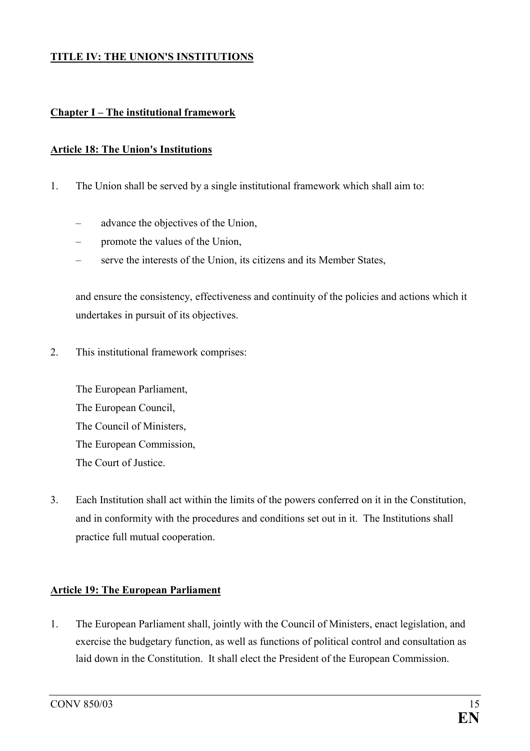#### **TITLE IV: THE UNION'S INSTITUTIONS**

#### **Chapter I – The institutional framework**

#### **Article 18: The Union's Institutions**

- 1. The Union shall be served by a single institutional framework which shall aim to:
	- advance the objectives of the Union,
	- $\blacksquare$  promote the values of the Union,
	- serve the interests of the Union, its citizens and its Member States,

and ensure the consistency, effectiveness and continuity of the policies and actions which it undertakes in pursuit of its objectives.

- 2. This institutional framework comprises:
	- The European Parliament, The European Council, The Council of Ministers, The European Commission, The Court of Justice.
- 3. Each Institution shall act within the limits of the powers conferred on it in the Constitution, and in conformity with the procedures and conditions set out in it. The Institutions shall practice full mutual cooperation.

#### **Article 19: The European Parliament**

1. The European Parliament shall, jointly with the Council of Ministers, enact legislation, and exercise the budgetary function, as well as functions of political control and consultation as laid down in the Constitution. It shall elect the President of the European Commission.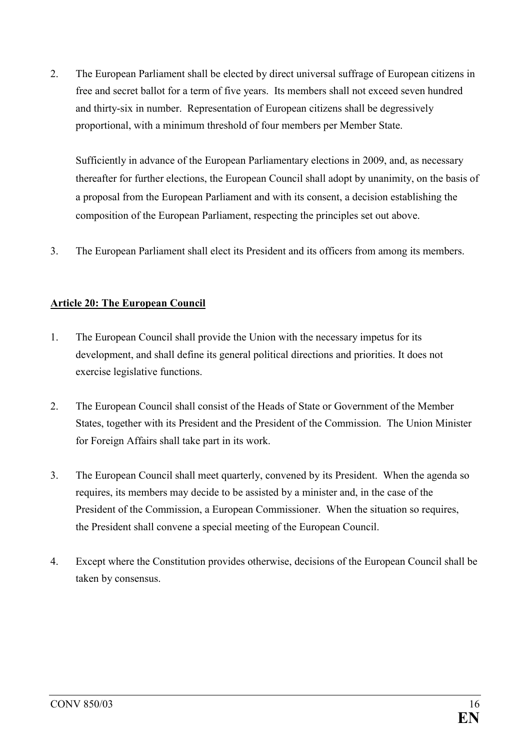2. The European Parliament shall be elected by direct universal suffrage of European citizens in free and secret ballot for a term of five years. Its members shall not exceed seven hundred and thirty-six in number. Representation of European citizens shall be degressively proportional, with a minimum threshold of four members per Member State.

Sufficiently in advance of the European Parliamentary elections in 2009, and, as necessary thereafter for further elections, the European Council shall adopt by unanimity, on the basis of a proposal from the European Parliament and with its consent, a decision establishing the composition of the European Parliament, respecting the principles set out above.

3. The European Parliament shall elect its President and its officers from among its members.

#### **Article 20: The European Council**

- 1. The European Council shall provide the Union with the necessary impetus for its development, and shall define its general political directions and priorities. It does not exercise legislative functions.
- 2. The European Council shall consist of the Heads of State or Government of the Member States, together with its President and the President of the Commission. The Union Minister for Foreign Affairs shall take part in its work.
- 3. The European Council shall meet quarterly, convened by its President. When the agenda so requires, its members may decide to be assisted by a minister and, in the case of the President of the Commission, a European Commissioner. When the situation so requires, the President shall convene a special meeting of the European Council.
- 4. Except where the Constitution provides otherwise, decisions of the European Council shall be taken by consensus.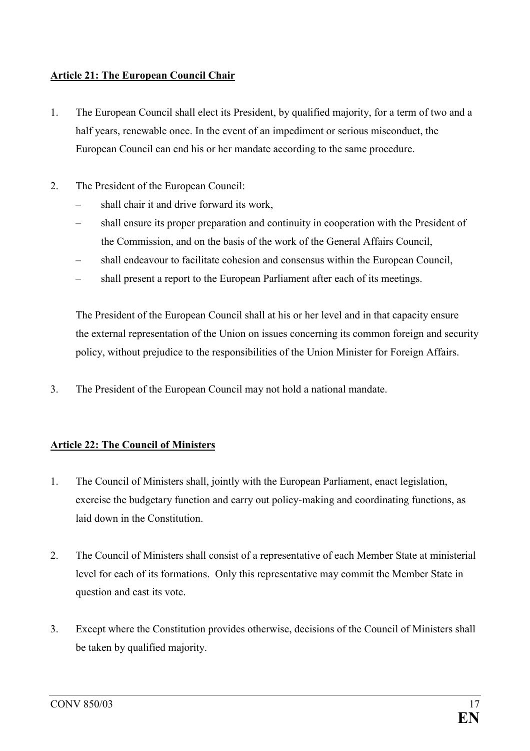#### **Article 21: The European Council Chair**

- 1. The European Council shall elect its President, by qualified majority, for a term of two and a half years, renewable once. In the event of an impediment or serious misconduct, the European Council can end his or her mandate according to the same procedure.
- 2. The President of the European Council:
	- shall chair it and drive forward its work,
	- shall ensure its proper preparation and continuity in cooperation with the President of the Commission, and on the basis of the work of the General Affairs Council,
	- shall endeavour to facilitate cohesion and consensus within the European Council,
	- shall present a report to the European Parliament after each of its meetings.

The President of the European Council shall at his or her level and in that capacity ensure the external representation of the Union on issues concerning its common foreign and security policy, without prejudice to the responsibilities of the Union Minister for Foreign Affairs.

3. The President of the European Council may not hold a national mandate.

#### **Article 22: The Council of Ministers**

- 1. The Council of Ministers shall, jointly with the European Parliament, enact legislation, exercise the budgetary function and carry out policy-making and coordinating functions, as laid down in the Constitution.
- 2. The Council of Ministers shall consist of a representative of each Member State at ministerial level for each of its formations. Only this representative may commit the Member State in question and cast its vote.
- 3. Except where the Constitution provides otherwise, decisions of the Council of Ministers shall be taken by qualified majority.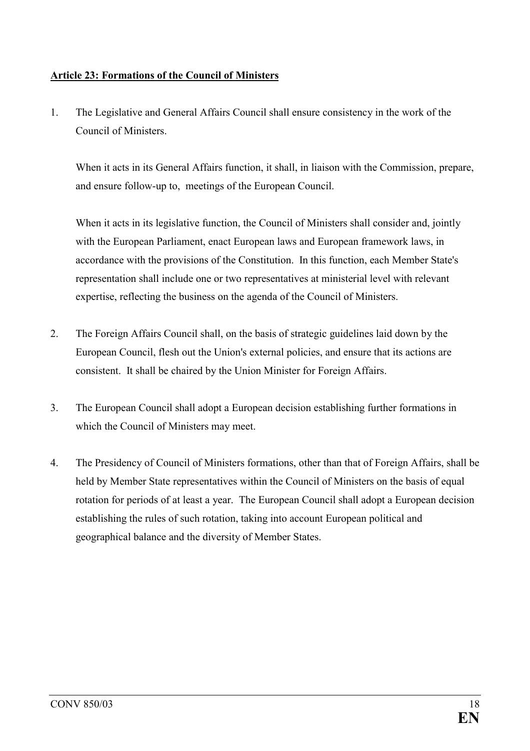#### **Article 23: Formations of the Council of Ministers**

1. The Legislative and General Affairs Council shall ensure consistency in the work of the Council of Ministers.

When it acts in its General Affairs function, it shall, in liaison with the Commission, prepare, and ensure follow-up to, meetings of the European Council.

When it acts in its legislative function, the Council of Ministers shall consider and, jointly with the European Parliament, enact European laws and European framework laws, in accordance with the provisions of the Constitution. In this function, each Member State's representation shall include one or two representatives at ministerial level with relevant expertise, reflecting the business on the agenda of the Council of Ministers.

- 2. The Foreign Affairs Council shall, on the basis of strategic guidelines laid down by the European Council, flesh out the Union's external policies, and ensure that its actions are consistent. It shall be chaired by the Union Minister for Foreign Affairs.
- 3. The European Council shall adopt a European decision establishing further formations in which the Council of Ministers may meet.
- 4. The Presidency of Council of Ministers formations, other than that of Foreign Affairs, shall be held by Member State representatives within the Council of Ministers on the basis of equal rotation for periods of at least a year. The European Council shall adopt a European decision establishing the rules of such rotation, taking into account European political and geographical balance and the diversity of Member States.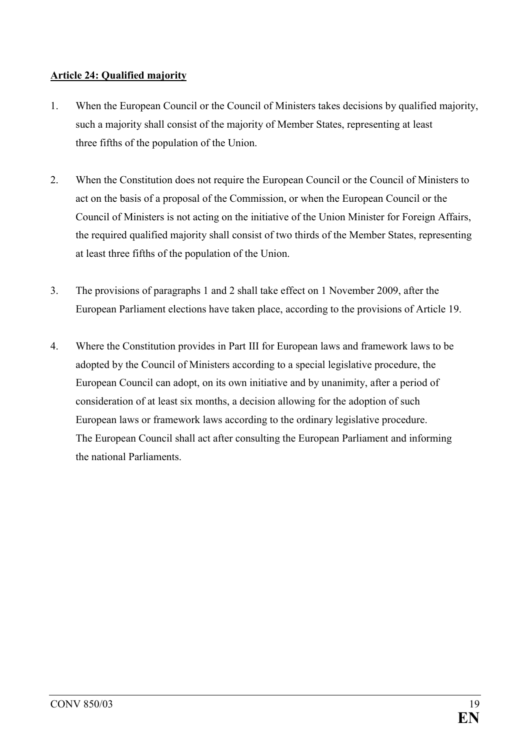#### **Article 24: Qualified majority**

- 1. When the European Council or the Council of Ministers takes decisions by qualified majority, such a majority shall consist of the majority of Member States, representing at least three fifths of the population of the Union.
- 2. When the Constitution does not require the European Council or the Council of Ministers to act on the basis of a proposal of the Commission, or when the European Council or the Council of Ministers is not acting on the initiative of the Union Minister for Foreign Affairs, the required qualified majority shall consist of two thirds of the Member States, representing at least three fifths of the population of the Union.
- 3. The provisions of paragraphs 1 and 2 shall take effect on 1 November 2009, after the European Parliament elections have taken place, according to the provisions of Article 19.
- 4. Where the Constitution provides in Part III for European laws and framework laws to be adopted by the Council of Ministers according to a special legislative procedure, the European Council can adopt, on its own initiative and by unanimity, after a period of consideration of at least six months, a decision allowing for the adoption of such European laws or framework laws according to the ordinary legislative procedure. The European Council shall act after consulting the European Parliament and informing the national Parliaments.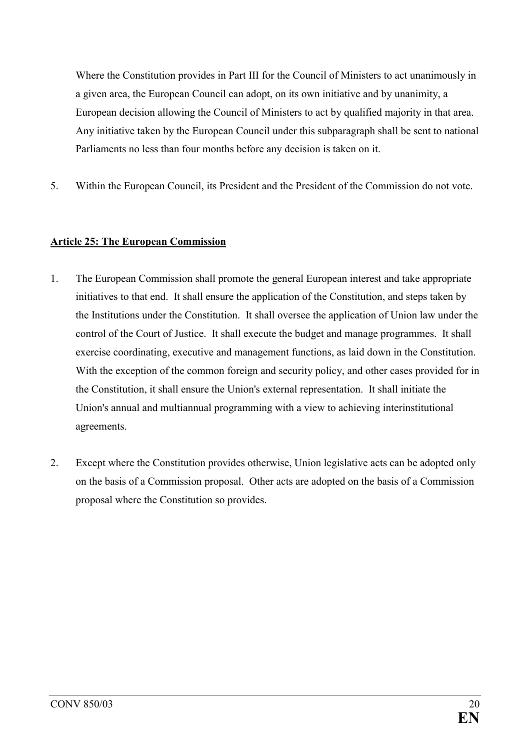Where the Constitution provides in Part III for the Council of Ministers to act unanimously in a given area, the European Council can adopt, on its own initiative and by unanimity, a European decision allowing the Council of Ministers to act by qualified majority in that area. Any initiative taken by the European Council under this subparagraph shall be sent to national Parliaments no less than four months before any decision is taken on it.

5. Within the European Council, its President and the President of the Commission do not vote.

#### **Article 25: The European Commission**

- 1. The European Commission shall promote the general European interest and take appropriate initiatives to that end. It shall ensure the application of the Constitution, and steps taken by the Institutions under the Constitution. It shall oversee the application of Union law under the control of the Court of Justice. It shall execute the budget and manage programmes. It shall exercise coordinating, executive and management functions, as laid down in the Constitution. With the exception of the common foreign and security policy, and other cases provided for in the Constitution, it shall ensure the Union's external representation. It shall initiate the Union's annual and multiannual programming with a view to achieving interinstitutional agreements.
- 2. Except where the Constitution provides otherwise, Union legislative acts can be adopted only on the basis of a Commission proposal. Other acts are adopted on the basis of a Commission proposal where the Constitution so provides.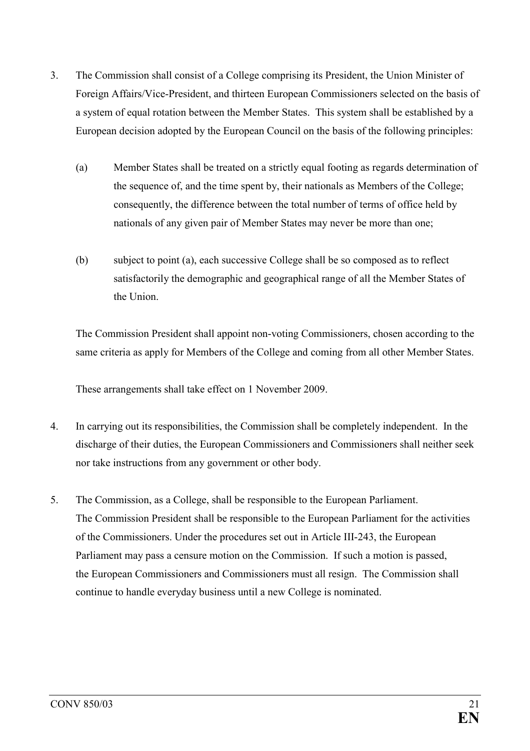- 3. The Commission shall consist of a College comprising its President, the Union Minister of Foreign Affairs/Vice-President, and thirteen European Commissioners selected on the basis of a system of equal rotation between the Member States. This system shall be established by a European decision adopted by the European Council on the basis of the following principles:
	- (a) Member States shall be treated on a strictly equal footing as regards determination of the sequence of, and the time spent by, their nationals as Members of the College; consequently, the difference between the total number of terms of office held by nationals of any given pair of Member States may never be more than one;
	- (b) subject to point (a), each successive College shall be so composed as to reflect satisfactorily the demographic and geographical range of all the Member States of the Union.

The Commission President shall appoint non-voting Commissioners, chosen according to the same criteria as apply for Members of the College and coming from all other Member States.

These arrangements shall take effect on 1 November 2009.

- 4. In carrying out its responsibilities, the Commission shall be completely independent. In the discharge of their duties, the European Commissioners and Commissioners shall neither seek nor take instructions from any government or other body.
- 5. The Commission, as a College, shall be responsible to the European Parliament. The Commission President shall be responsible to the European Parliament for the activities of the Commissioners. Under the procedures set out in Article III-243, the European Parliament may pass a censure motion on the Commission. If such a motion is passed, the European Commissioners and Commissioners must all resign. The Commission shall continue to handle everyday business until a new College is nominated.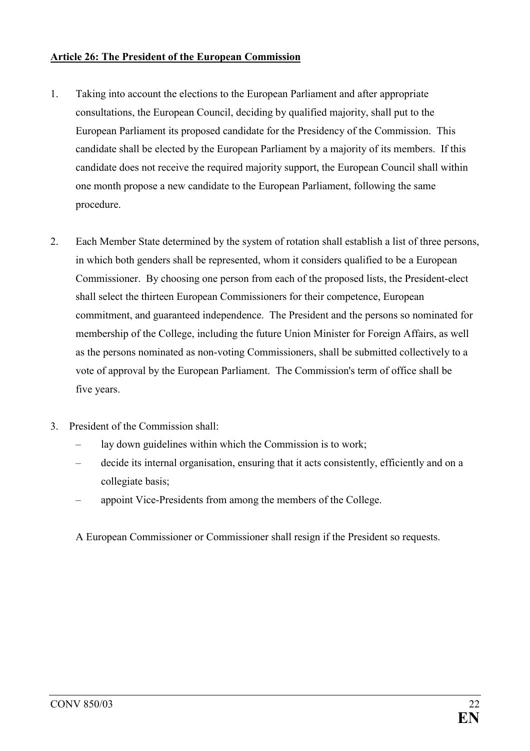#### **Article 26: The President of the European Commission**

- 1. Taking into account the elections to the European Parliament and after appropriate consultations, the European Council, deciding by qualified majority, shall put to the European Parliament its proposed candidate for the Presidency of the Commission. This candidate shall be elected by the European Parliament by a majority of its members. If this candidate does not receive the required majority support, the European Council shall within one month propose a new candidate to the European Parliament, following the same procedure.
- 2. Each Member State determined by the system of rotation shall establish a list of three persons, in which both genders shall be represented, whom it considers qualified to be a European Commissioner. By choosing one person from each of the proposed lists, the President-elect shall select the thirteen European Commissioners for their competence, European commitment, and guaranteed independence. The President and the persons so nominated for membership of the College, including the future Union Minister for Foreign Affairs, as well as the persons nominated as non-voting Commissioners, shall be submitted collectively to a vote of approval by the European Parliament. The Commission's term of office shall be five years.
- 3. President of the Commission shall:
	- lay down guidelines within which the Commission is to work;
	- decide its internal organisation, ensuring that it acts consistently, efficiently and on a collegiate basis;
	- appoint Vice-Presidents from among the members of the College.

A European Commissioner or Commissioner shall resign if the President so requests.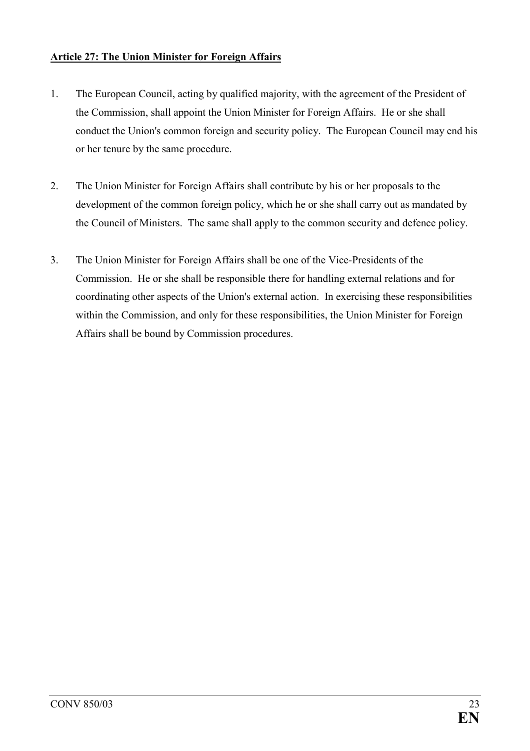#### **Article 27: The Union Minister for Foreign Affairs**

- 1. The European Council, acting by qualified majority, with the agreement of the President of the Commission, shall appoint the Union Minister for Foreign Affairs. He or she shall conduct the Union's common foreign and security policy. The European Council may end his or her tenure by the same procedure.
- 2. The Union Minister for Foreign Affairs shall contribute by his or her proposals to the development of the common foreign policy, which he or she shall carry out as mandated by the Council of Ministers. The same shall apply to the common security and defence policy.
- 3. The Union Minister for Foreign Affairs shall be one of the Vice-Presidents of the Commission. He or she shall be responsible there for handling external relations and for coordinating other aspects of the Union's external action. In exercising these responsibilities within the Commission, and only for these responsibilities, the Union Minister for Foreign Affairs shall be bound by Commission procedures.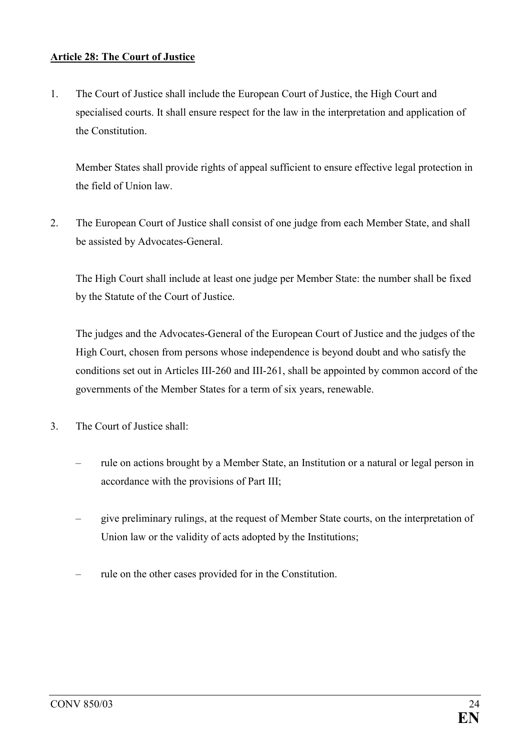#### **Article 28: The Court of Justice**

1. The Court of Justice shall include the European Court of Justice, the High Court and specialised courts. It shall ensure respect for the law in the interpretation and application of the Constitution.

Member States shall provide rights of appeal sufficient to ensure effective legal protection in the field of Union law.

2. The European Court of Justice shall consist of one judge from each Member State, and shall be assisted by Advocates-General.

The High Court shall include at least one judge per Member State: the number shall be fixed by the Statute of the Court of Justice.

The judges and the Advocates-General of the European Court of Justice and the judges of the High Court, chosen from persons whose independence is beyond doubt and who satisfy the conditions set out in Articles III-260 and III-261, shall be appointed by common accord of the governments of the Member States for a term of six years, renewable.

- 3. The Court of Justice shall:
	- rule on actions brought by a Member State, an Institution or a natural or legal person in accordance with the provisions of Part III;
	- ñ give preliminary rulings, at the request of Member State courts, on the interpretation of Union law or the validity of acts adopted by the Institutions;
	- rule on the other cases provided for in the Constitution.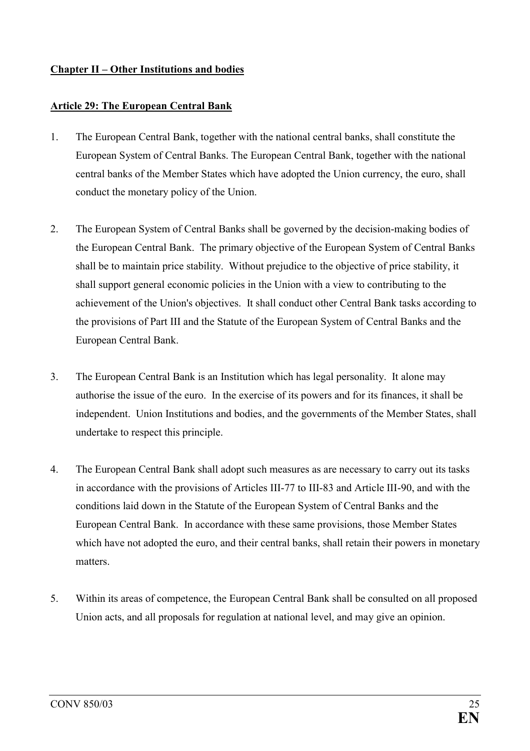#### **Chapter II – Other Institutions and bodies**

#### **Article 29: The European Central Bank**

- 1. The European Central Bank, together with the national central banks, shall constitute the European System of Central Banks. The European Central Bank, together with the national central banks of the Member States which have adopted the Union currency, the euro, shall conduct the monetary policy of the Union.
- 2. The European System of Central Banks shall be governed by the decision-making bodies of the European Central Bank. The primary objective of the European System of Central Banks shall be to maintain price stability. Without prejudice to the objective of price stability, it shall support general economic policies in the Union with a view to contributing to the achievement of the Union's objectives. It shall conduct other Central Bank tasks according to the provisions of Part III and the Statute of the European System of Central Banks and the European Central Bank.
- 3. The European Central Bank is an Institution which has legal personality. It alone may authorise the issue of the euro. In the exercise of its powers and for its finances, it shall be independent. Union Institutions and bodies, and the governments of the Member States, shall undertake to respect this principle.
- 4. The European Central Bank shall adopt such measures as are necessary to carry out its tasks in accordance with the provisions of Articles III-77 to III-83 and Article III-90, and with the conditions laid down in the Statute of the European System of Central Banks and the European Central Bank. In accordance with these same provisions, those Member States which have not adopted the euro, and their central banks, shall retain their powers in monetary matters.
- 5. Within its areas of competence, the European Central Bank shall be consulted on all proposed Union acts, and all proposals for regulation at national level, and may give an opinion.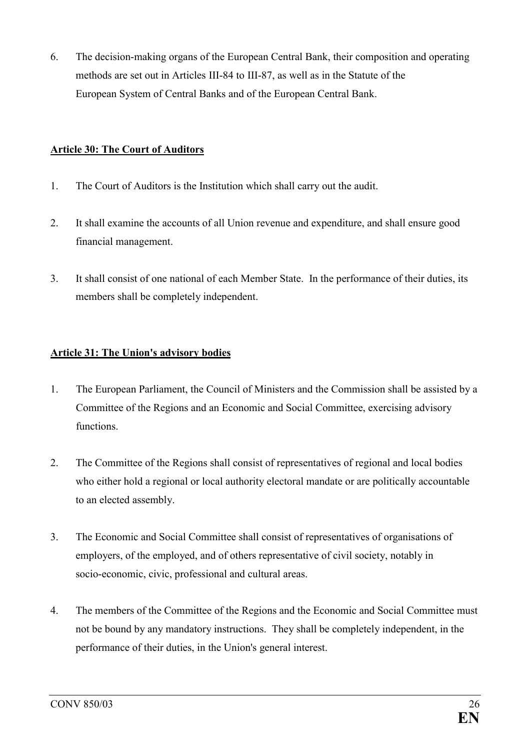6. The decision-making organs of the European Central Bank, their composition and operating methods are set out in Articles III-84 to III-87, as well as in the Statute of the European System of Central Banks and of the European Central Bank.

#### **Article 30: The Court of Auditors**

- 1. The Court of Auditors is the Institution which shall carry out the audit.
- 2. It shall examine the accounts of all Union revenue and expenditure, and shall ensure good financial management.
- 3. It shall consist of one national of each Member State. In the performance of their duties, its members shall be completely independent.

#### **Article 31: The Union's advisory bodies**

- 1. The European Parliament, the Council of Ministers and the Commission shall be assisted by a Committee of the Regions and an Economic and Social Committee, exercising advisory functions.
- 2. The Committee of the Regions shall consist of representatives of regional and local bodies who either hold a regional or local authority electoral mandate or are politically accountable to an elected assembly.
- 3. The Economic and Social Committee shall consist of representatives of organisations of employers, of the employed, and of others representative of civil society, notably in socio-economic, civic, professional and cultural areas.
- 4. The members of the Committee of the Regions and the Economic and Social Committee must not be bound by any mandatory instructions. They shall be completely independent, in the performance of their duties, in the Union's general interest.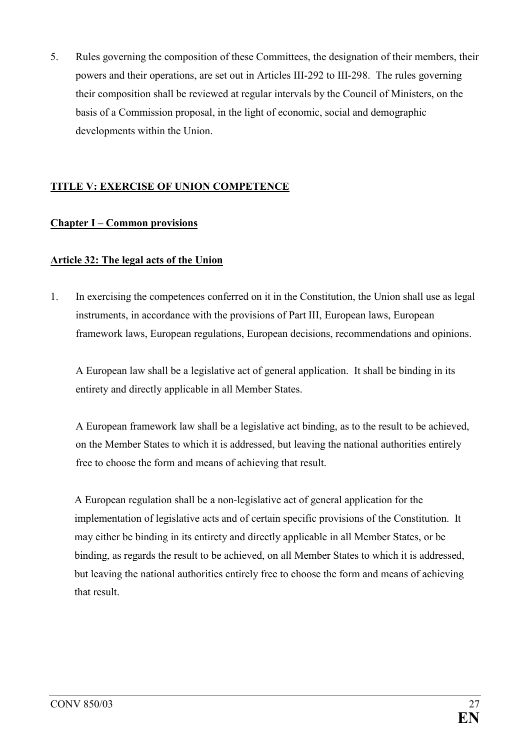5. Rules governing the composition of these Committees, the designation of their members, their powers and their operations, are set out in Articles III-292 to III-298. The rules governing their composition shall be reviewed at regular intervals by the Council of Ministers, on the basis of a Commission proposal, in the light of economic, social and demographic developments within the Union.

#### **TITLE V: EXERCISE OF UNION COMPETENCE**

#### **Chapter I – Common provisions**

#### **Article 32: The legal acts of the Union**

1. In exercising the competences conferred on it in the Constitution, the Union shall use as legal instruments, in accordance with the provisions of Part III, European laws, European framework laws, European regulations, European decisions, recommendations and opinions.

A European law shall be a legislative act of general application. It shall be binding in its entirety and directly applicable in all Member States.

A European framework law shall be a legislative act binding, as to the result to be achieved, on the Member States to which it is addressed, but leaving the national authorities entirely free to choose the form and means of achieving that result.

A European regulation shall be a non-legislative act of general application for the implementation of legislative acts and of certain specific provisions of the Constitution. It may either be binding in its entirety and directly applicable in all Member States, or be binding, as regards the result to be achieved, on all Member States to which it is addressed, but leaving the national authorities entirely free to choose the form and means of achieving that result.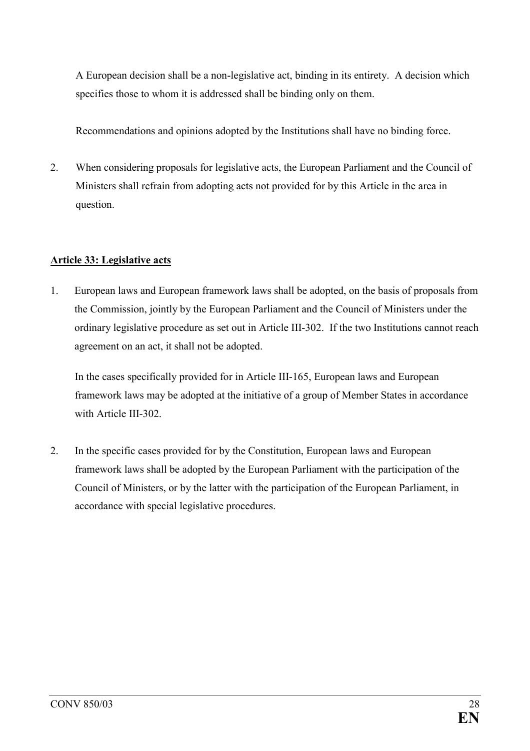A European decision shall be a non-legislative act, binding in its entirety. A decision which specifies those to whom it is addressed shall be binding only on them.

Recommendations and opinions adopted by the Institutions shall have no binding force.

2. When considering proposals for legislative acts, the European Parliament and the Council of Ministers shall refrain from adopting acts not provided for by this Article in the area in question.

#### **Article 33: Legislative acts**

1. European laws and European framework laws shall be adopted, on the basis of proposals from the Commission, jointly by the European Parliament and the Council of Ministers under the ordinary legislative procedure as set out in Article III-302. If the two Institutions cannot reach agreement on an act, it shall not be adopted.

In the cases specifically provided for in Article III-165, European laws and European framework laws may be adopted at the initiative of a group of Member States in accordance with Article III-302.

2. In the specific cases provided for by the Constitution, European laws and European framework laws shall be adopted by the European Parliament with the participation of the Council of Ministers, or by the latter with the participation of the European Parliament, in accordance with special legislative procedures.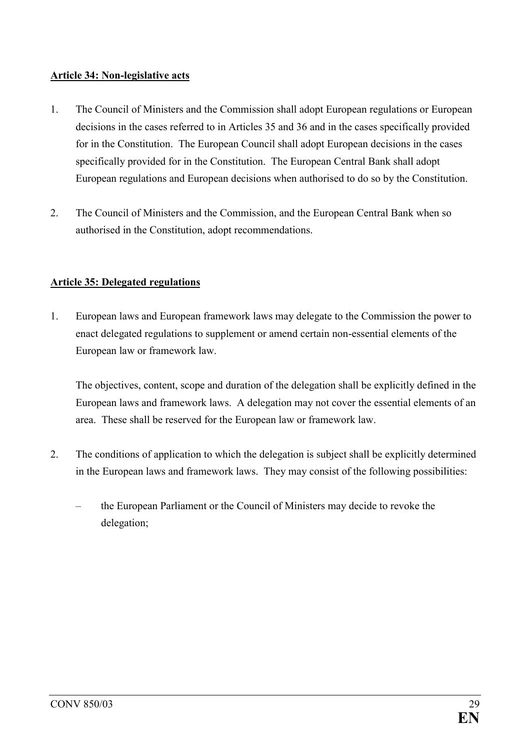#### **Article 34: Non-legislative acts**

- 1. The Council of Ministers and the Commission shall adopt European regulations or European decisions in the cases referred to in Articles 35 and 36 and in the cases specifically provided for in the Constitution. The European Council shall adopt European decisions in the cases specifically provided for in the Constitution. The European Central Bank shall adopt European regulations and European decisions when authorised to do so by the Constitution.
- 2. The Council of Ministers and the Commission, and the European Central Bank when so authorised in the Constitution, adopt recommendations.

#### **Article 35: Delegated regulations**

1. European laws and European framework laws may delegate to the Commission the power to enact delegated regulations to supplement or amend certain non-essential elements of the European law or framework law.

The objectives, content, scope and duration of the delegation shall be explicitly defined in the European laws and framework laws. A delegation may not cover the essential elements of an area. These shall be reserved for the European law or framework law.

- 2. The conditions of application to which the delegation is subject shall be explicitly determined in the European laws and framework laws. They may consist of the following possibilities:
	- the European Parliament or the Council of Ministers may decide to revoke the delegation;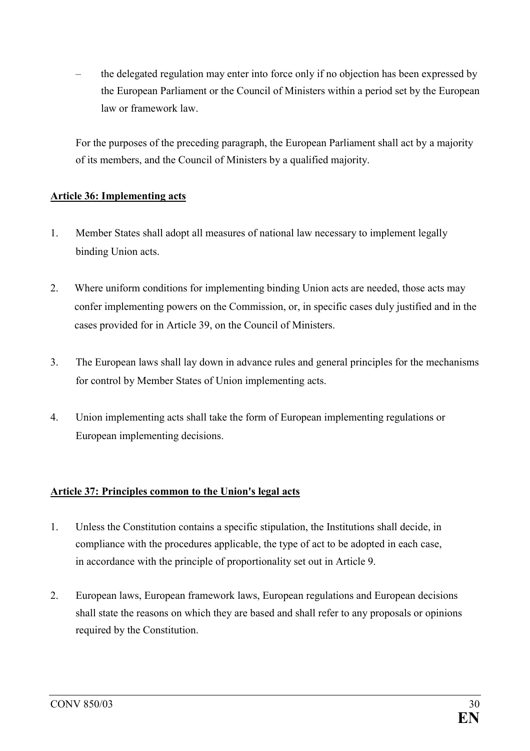the delegated regulation may enter into force only if no objection has been expressed by the European Parliament or the Council of Ministers within a period set by the European law or framework law.

For the purposes of the preceding paragraph, the European Parliament shall act by a majority of its members, and the Council of Ministers by a qualified majority.

#### **Article 36: Implementing acts**

- 1. Member States shall adopt all measures of national law necessary to implement legally binding Union acts.
- 2. Where uniform conditions for implementing binding Union acts are needed, those acts may confer implementing powers on the Commission, or, in specific cases duly justified and in the cases provided for in Article 39, on the Council of Ministers.
- 3. The European laws shall lay down in advance rules and general principles for the mechanisms for control by Member States of Union implementing acts.
- 4. Union implementing acts shall take the form of European implementing regulations or European implementing decisions.

#### **Article 37: Principles common to the Union's legal acts**

- 1. Unless the Constitution contains a specific stipulation, the Institutions shall decide, in compliance with the procedures applicable, the type of act to be adopted in each case, in accordance with the principle of proportionality set out in Article 9.
- 2. European laws, European framework laws, European regulations and European decisions shall state the reasons on which they are based and shall refer to any proposals or opinions required by the Constitution.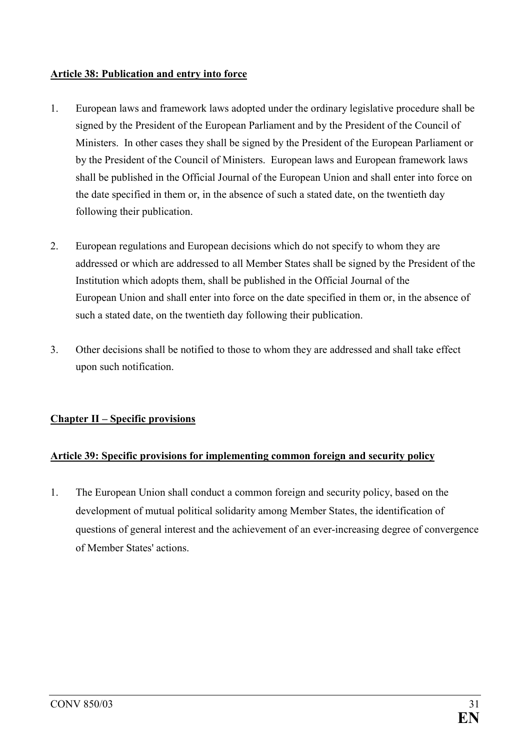#### **Article 38: Publication and entry into force**

- 1. European laws and framework laws adopted under the ordinary legislative procedure shall be signed by the President of the European Parliament and by the President of the Council of Ministers. In other cases they shall be signed by the President of the European Parliament or by the President of the Council of Ministers. European laws and European framework laws shall be published in the Official Journal of the European Union and shall enter into force on the date specified in them or, in the absence of such a stated date, on the twentieth day following their publication.
- 2. European regulations and European decisions which do not specify to whom they are addressed or which are addressed to all Member States shall be signed by the President of the Institution which adopts them, shall be published in the Official Journal of the European Union and shall enter into force on the date specified in them or, in the absence of such a stated date, on the twentieth day following their publication.
- 3. Other decisions shall be notified to those to whom they are addressed and shall take effect upon such notification.

#### **Chapter II – Specific provisions**

#### **Article 39: Specific provisions for implementing common foreign and security policy**

1. The European Union shall conduct a common foreign and security policy, based on the development of mutual political solidarity among Member States, the identification of questions of general interest and the achievement of an ever-increasing degree of convergence of Member States' actions.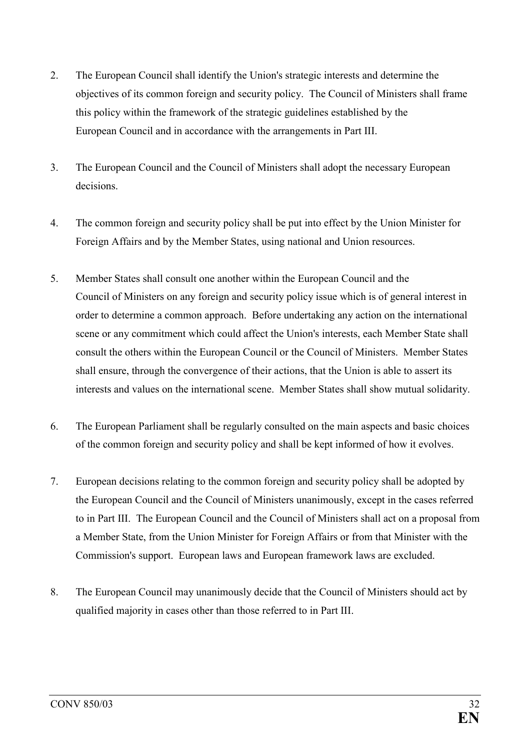- 2. The European Council shall identify the Union's strategic interests and determine the objectives of its common foreign and security policy. The Council of Ministers shall frame this policy within the framework of the strategic guidelines established by the European Council and in accordance with the arrangements in Part III.
- 3. The European Council and the Council of Ministers shall adopt the necessary European decisions.
- 4. The common foreign and security policy shall be put into effect by the Union Minister for Foreign Affairs and by the Member States, using national and Union resources.
- 5. Member States shall consult one another within the European Council and the Council of Ministers on any foreign and security policy issue which is of general interest in order to determine a common approach. Before undertaking any action on the international scene or any commitment which could affect the Union's interests, each Member State shall consult the others within the European Council or the Council of Ministers. Member States shall ensure, through the convergence of their actions, that the Union is able to assert its interests and values on the international scene. Member States shall show mutual solidarity.
- 6. The European Parliament shall be regularly consulted on the main aspects and basic choices of the common foreign and security policy and shall be kept informed of how it evolves.
- 7. European decisions relating to the common foreign and security policy shall be adopted by the European Council and the Council of Ministers unanimously, except in the cases referred to in Part III. The European Council and the Council of Ministers shall act on a proposal from a Member State, from the Union Minister for Foreign Affairs or from that Minister with the Commission's support.European laws and European framework laws are excluded.
- 8. The European Council may unanimously decide that the Council of Ministers should act by qualified majority in cases other than those referred to in Part III.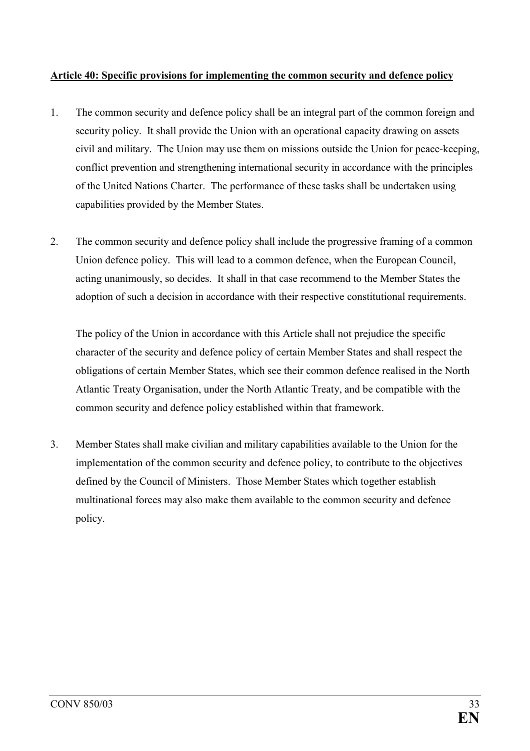#### **Article 40: Specific provisions for implementing the common security and defence policy**

- 1. The common security and defence policy shall be an integral part of the common foreign and security policy. It shall provide the Union with an operational capacity drawing on assets civil and military. The Union may use them on missions outside the Union for peace-keeping, conflict prevention and strengthening international security in accordance with the principles of the United Nations Charter. The performance of these tasks shall be undertaken using capabilities provided by the Member States.
- 2. The common security and defence policy shall include the progressive framing of a common Union defence policy. This will lead to a common defence, when the European Council, acting unanimously, so decides. It shall in that case recommend to the Member States the adoption of such a decision in accordance with their respective constitutional requirements.

The policy of the Union in accordance with this Article shall not prejudice the specific character of the security and defence policy of certain Member States and shall respect the obligations of certain Member States, which see their common defence realised in the North Atlantic Treaty Organisation, under the North Atlantic Treaty, and be compatible with the common security and defence policy established within that framework.

3. Member States shall make civilian and military capabilities available to the Union for the implementation of the common security and defence policy, to contribute to the objectives defined by the Council of Ministers. Those Member States which together establish multinational forces may also make them available to the common security and defence policy.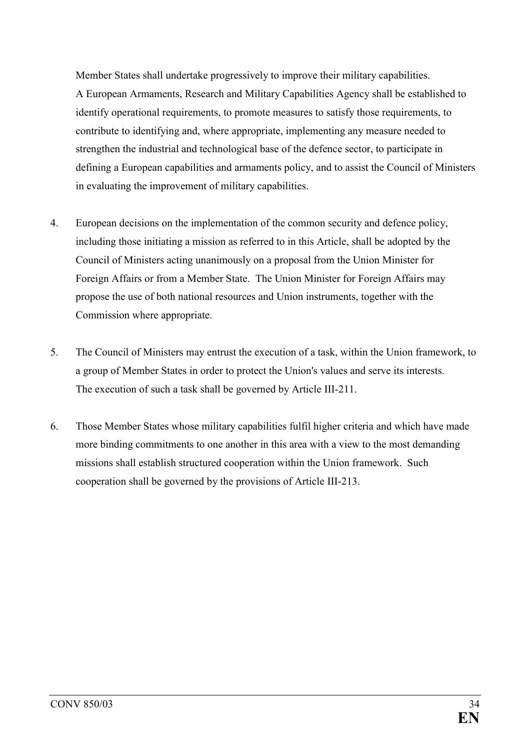Member States shall undertake progressively to improve their military capabilities. A European Armaments, Research and Military Capabilities Agency shall be established to identify operational requirements, to promote measures to satisfy those requirements, to contribute to identifying and, where appropriate, implementing any measure needed to strengthen the industrial and technological base of the defence sector, to participate in defining a European capabilities and armaments policy, and to assist the Council of Ministers in evaluating the improvement of military capabilities.

- 4. European decisions on the implementation of the common security and defence policy, including those initiating a mission as referred to in this Article, shall be adopted by the Council of Ministers acting unanimously on a proposal from the Union Minister for Foreign Affairs or from a Member State. The Union Minister for Foreign Affairs may propose the use of both national resources and Union instruments, together with the Commission where appropriate.
- 5. The Council of Ministers may entrust the execution of a task, within the Union framework, to a group of Member States in order to protect the Union's values and serve its interests. The execution of such a task shall be governed by Article III-211.
- 6. Those Member States whose military capabilities fulfil higher criteria and which have made more binding commitments to one another in this area with a view to the most demanding missions shall establish structured cooperation within the Union framework. Such cooperation shall be governed by the provisions of Article III-213.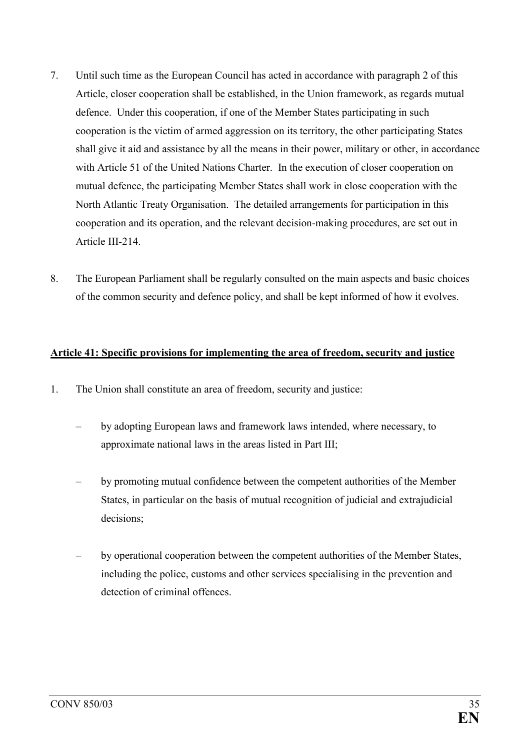- 7. Until such time as the European Council has acted in accordance with paragraph 2 of this Article, closer cooperation shall be established, in the Union framework, as regards mutual defence. Under this cooperation, if one of the Member States participating in such cooperation is the victim of armed aggression on its territory, the other participating States shall give it aid and assistance by all the means in their power, military or other, in accordance with Article 51 of the United Nations Charter. In the execution of closer cooperation on mutual defence, the participating Member States shall work in close cooperation with the North Atlantic Treaty Organisation. The detailed arrangements for participation in this cooperation and its operation, and the relevant decision-making procedures, are set out in Article III-214.
- 8. The European Parliament shall be regularly consulted on the main aspects and basic choices of the common security and defence policy, and shall be kept informed of how it evolves.

## **Article 41: Specific provisions for implementing the area of freedom, security and justice**

- 1. The Union shall constitute an area of freedom, security and justice:
	- by adopting European laws and framework laws intended, where necessary, to approximate national laws in the areas listed in Part III;
	- by promoting mutual confidence between the competent authorities of the Member States, in particular on the basis of mutual recognition of judicial and extrajudicial decisions;
	- by operational cooperation between the competent authorities of the Member States, including the police, customs and other services specialising in the prevention and detection of criminal offences.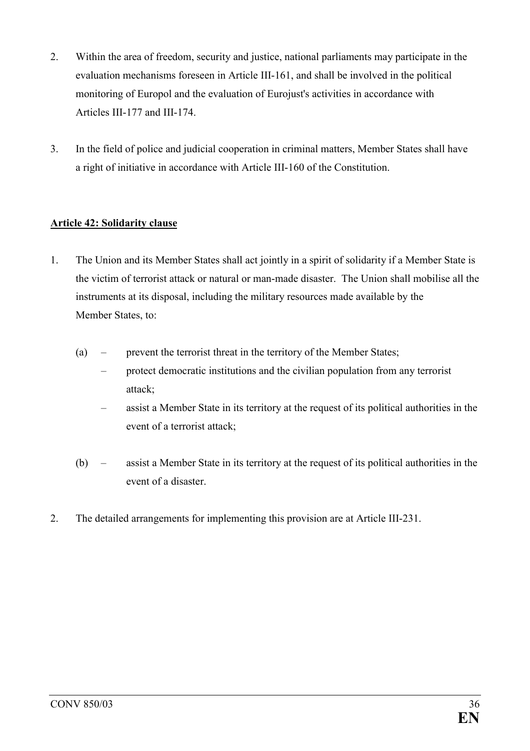- 2. Within the area of freedom, security and justice, national parliaments may participate in the evaluation mechanisms foreseen in Article III-161, and shall be involved in the political monitoring of Europol and the evaluation of Eurojust's activities in accordance with Articles III-177 and III-174.
- 3. In the field of police and judicial cooperation in criminal matters, Member States shall have a right of initiative in accordance with Article III-160 of the Constitution.

# **Article 42: Solidarity clause**

- 1. The Union and its Member States shall act jointly in a spirit of solidarity if a Member State is the victim of terrorist attack or natural or man-made disaster. The Union shall mobilise all the instruments at its disposal, including the military resources made available by the Member States, to:
	- (a)  $\blacksquare$  prevent the terrorist threat in the territory of the Member States;
		- protect democratic institutions and the civilian population from any terrorist attack;
		- $\overline{\phantom{a}}$  assist a Member State in its territory at the request of its political authorities in the event of a terrorist attack;
	- $(b)$  assist a Member State in its territory at the request of its political authorities in the event of a disaster.
- 2. The detailed arrangements for implementing this provision are at Article III-231.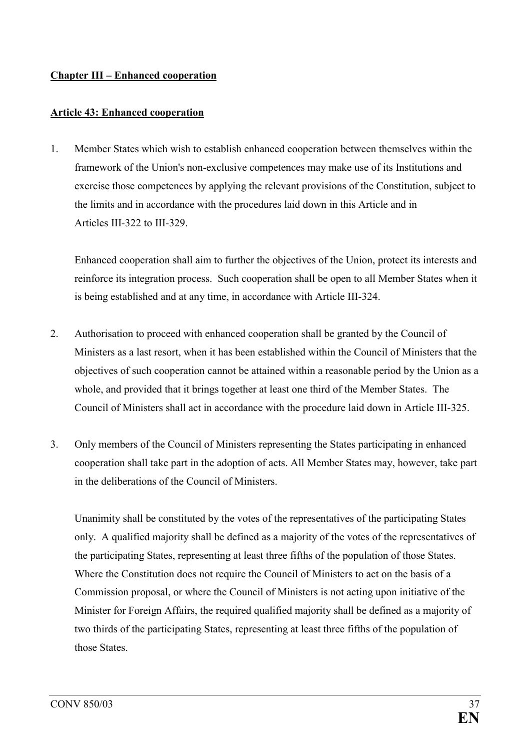# **Chapter III – Enhanced cooperation**

#### **Article 43: Enhanced cooperation**

1. Member States which wish to establish enhanced cooperation between themselves within the framework of the Union's non-exclusive competences may make use of its Institutions and exercise those competences by applying the relevant provisions of the Constitution, subject to the limits and in accordance with the procedures laid down in this Article and in Articles III-322 to III-329.

Enhanced cooperation shall aim to further the objectives of the Union, protect its interests and reinforce its integration process. Such cooperation shall be open to all Member States when it is being established and at any time, in accordance with Article III-324.

- 2. Authorisation to proceed with enhanced cooperation shall be granted by the Council of Ministers as a last resort, when it has been established within the Council of Ministers that the objectives of such cooperation cannot be attained within a reasonable period by the Union as a whole, and provided that it brings together at least one third of the Member States. The Council of Ministers shall act in accordance with the procedure laid down in Article III-325.
- 3. Only members of the Council of Ministers representing the States participating in enhanced cooperation shall take part in the adoption of acts. All Member States may, however, take part in the deliberations of the Council of Ministers.

Unanimity shall be constituted by the votes of the representatives of the participating States only. A qualified majority shall be defined as a majority of the votes of the representatives of the participating States, representing at least three fifths of the population of those States. Where the Constitution does not require the Council of Ministers to act on the basis of a Commission proposal, or where the Council of Ministers is not acting upon initiative of the Minister for Foreign Affairs, the required qualified majority shall be defined as a majority of two thirds of the participating States, representing at least three fifths of the population of those States.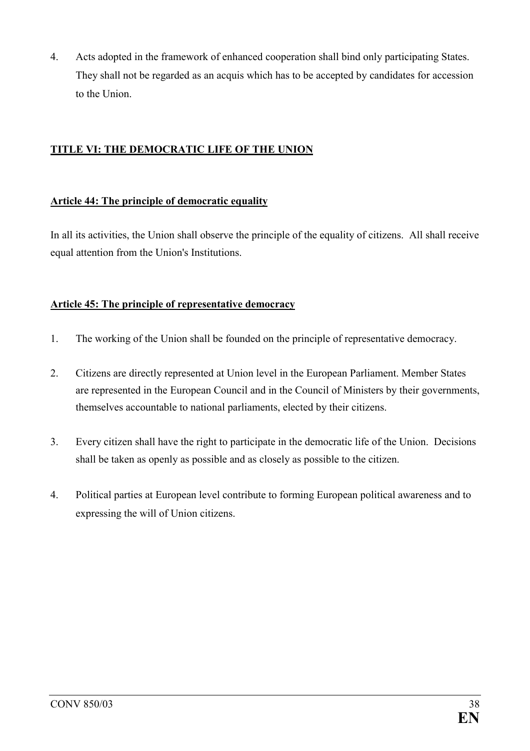4. Acts adopted in the framework of enhanced cooperation shall bind only participating States. They shall not be regarded as an acquis which has to be accepted by candidates for accession to the Union.

# **TITLE VI: THE DEMOCRATIC LIFE OF THE UNION**

# **Article 44: The principle of democratic equality**

In all its activities, the Union shall observe the principle of the equality of citizens. All shall receive equal attention from the Union's Institutions.

# **Article 45: The principle of representative democracy**

- 1. The working of the Union shall be founded on the principle of representative democracy.
- 2. Citizens are directly represented at Union level in the European Parliament. Member States are represented in the European Council and in the Council of Ministers by their governments, themselves accountable to national parliaments, elected by their citizens.
- 3. Every citizen shall have the right to participate in the democratic life of the Union. Decisions shall be taken as openly as possible and as closely as possible to the citizen.
- 4. Political parties at European level contribute to forming European political awareness and to expressing the will of Union citizens.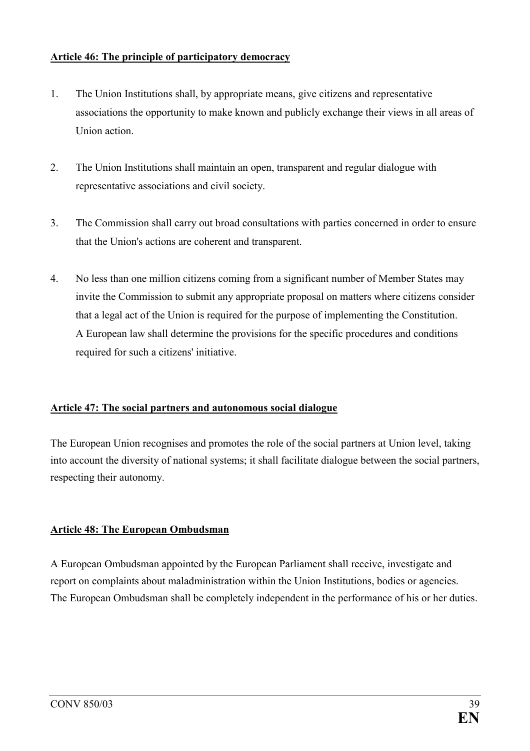# **Article 46: The principle of participatory democracy**

- 1. The Union Institutions shall, by appropriate means, give citizens and representative associations the opportunity to make known and publicly exchange their views in all areas of Union action.
- 2. The Union Institutions shall maintain an open, transparent and regular dialogue with representative associations and civil society.
- 3. The Commission shall carry out broad consultations with parties concerned in order to ensure that the Union's actions are coherent and transparent.
- 4. No less than one million citizens coming from a significant number of Member States may invite the Commission to submit any appropriate proposal on matters where citizens consider that a legal act of the Union is required for the purpose of implementing the Constitution. A European law shall determine the provisions for the specific procedures and conditions required for such a citizens' initiative.

# **Article 47: The social partners and autonomous social dialogue**

The European Union recognises and promotes the role of the social partners at Union level, taking into account the diversity of national systems; it shall facilitate dialogue between the social partners, respecting their autonomy.

# **Article 48: The European Ombudsman**

A European Ombudsman appointed by the European Parliament shall receive, investigate and report on complaints about maladministration within the Union Institutions, bodies or agencies. The European Ombudsman shall be completely independent in the performance of his or her duties.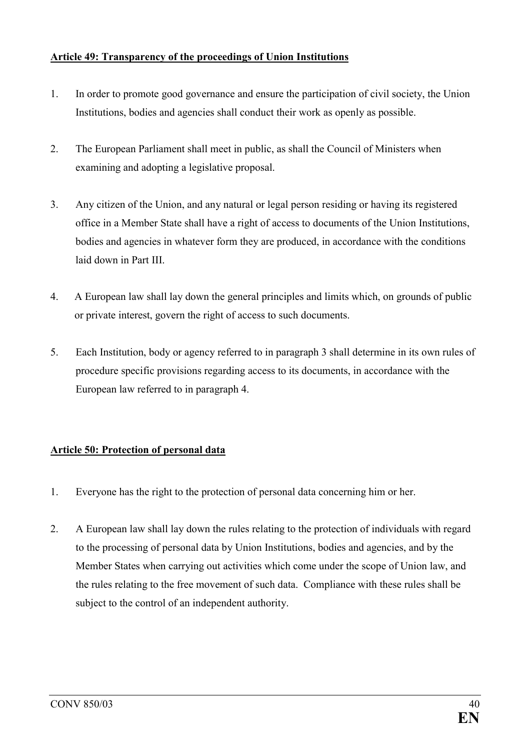# **Article 49: Transparency of the proceedings of Union Institutions**

- 1. In order to promote good governance and ensure the participation of civil society, the Union Institutions, bodies and agencies shall conduct their work as openly as possible.
- 2. The European Parliament shall meet in public, as shall the Council of Ministers when examining and adopting a legislative proposal.
- 3. Any citizen of the Union, and any natural or legal person residing or having its registered office in a Member State shall have a right of access to documents of the Union Institutions, bodies and agencies in whatever form they are produced, in accordance with the conditions laid down in Part III.
- 4. A European law shall lay down the general principles and limits which, on grounds of public or private interest, govern the right of access to such documents.
- 5. Each Institution, body or agency referred to in paragraph 3 shall determine in its own rules of procedure specific provisions regarding access to its documents, in accordance with the European law referred to in paragraph 4.

# **Article 50: Protection of personal data**

- 1. Everyone has the right to the protection of personal data concerning him or her.
- 2. A European law shall lay down the rules relating to the protection of individuals with regard to the processing of personal data by Union Institutions, bodies and agencies, and by the Member States when carrying out activities which come under the scope of Union law, and the rules relating to the free movement of such data. Compliance with these rules shall be subject to the control of an independent authority.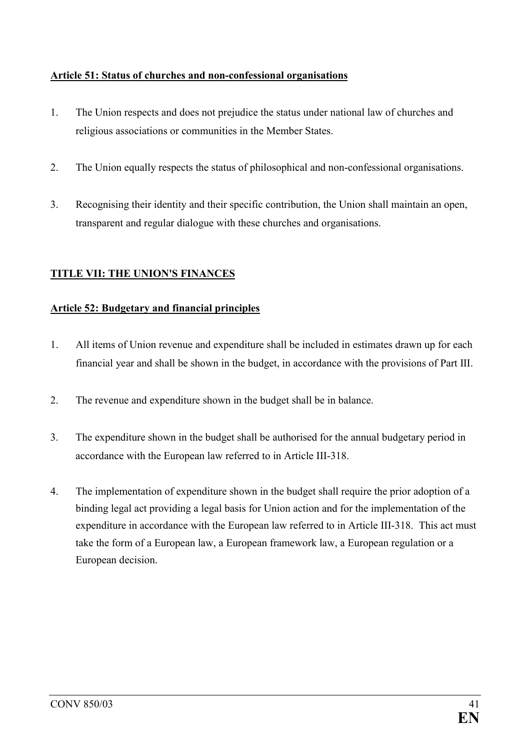# **Article 51: Status of churches and non-confessional organisations**

- 1. The Union respects and does not prejudice the status under national law of churches and religious associations or communities in the Member States.
- 2. The Union equally respects the status of philosophical and non-confessional organisations.
- 3. Recognising their identity and their specific contribution, the Union shall maintain an open, transparent and regular dialogue with these churches and organisations.

# **TITLE VII: THE UNION'S FINANCES**

# **Article 52: Budgetary and financial principles**

- 1. All items of Union revenue and expenditure shall be included in estimates drawn up for each financial year and shall be shown in the budget, in accordance with the provisions of Part III.
- 2. The revenue and expenditure shown in the budget shall be in balance.
- 3. The expenditure shown in the budget shall be authorised for the annual budgetary period in accordance with the European law referred to in Article III-318.
- 4. The implementation of expenditure shown in the budget shall require the prior adoption of a binding legal act providing a legal basis for Union action and for the implementation of the expenditure in accordance with the European law referred to in Article III-318. This act must take the form of a European law, a European framework law, a European regulation or a European decision.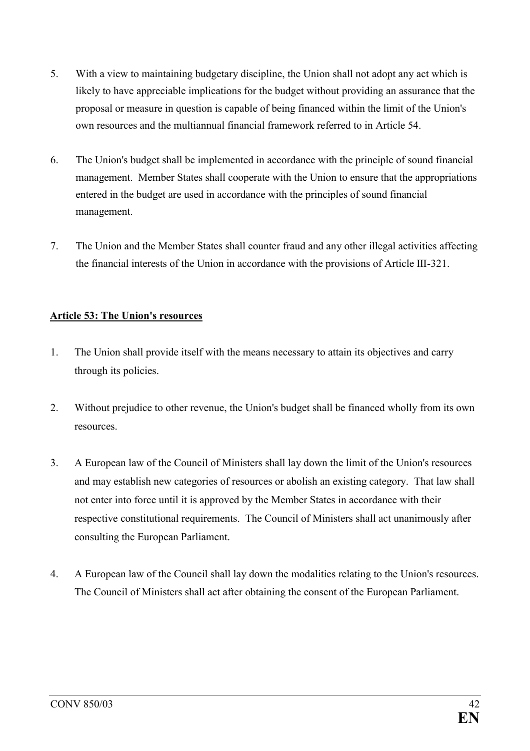- 5. With a view to maintaining budgetary discipline, the Union shall not adopt any act which is likely to have appreciable implications for the budget without providing an assurance that the proposal or measure in question is capable of being financed within the limit of the Union's own resources and the multiannual financial framework referred to in Article 54.
- 6. The Union's budget shall be implemented in accordance with the principle of sound financial management. Member States shall cooperate with the Union to ensure that the appropriations entered in the budget are used in accordance with the principles of sound financial management.
- 7. The Union and the Member States shall counter fraud and any other illegal activities affecting the financial interests of the Union in accordance with the provisions of Article III-321.

# **Article 53: The Union's resources**

- 1. The Union shall provide itself with the means necessary to attain its objectives and carry through its policies.
- 2. Without prejudice to other revenue, the Union's budget shall be financed wholly from its own resources.
- 3. A European law of the Council of Ministers shall lay down the limit of the Union's resources and may establish new categories of resources or abolish an existing category. That law shall not enter into force until it is approved by the Member States in accordance with their respective constitutional requirements. The Council of Ministers shall act unanimously after consulting the European Parliament.
- 4. A European law of the Council shall lay down the modalities relating to the Union's resources. The Council of Ministers shall act after obtaining the consent of the European Parliament.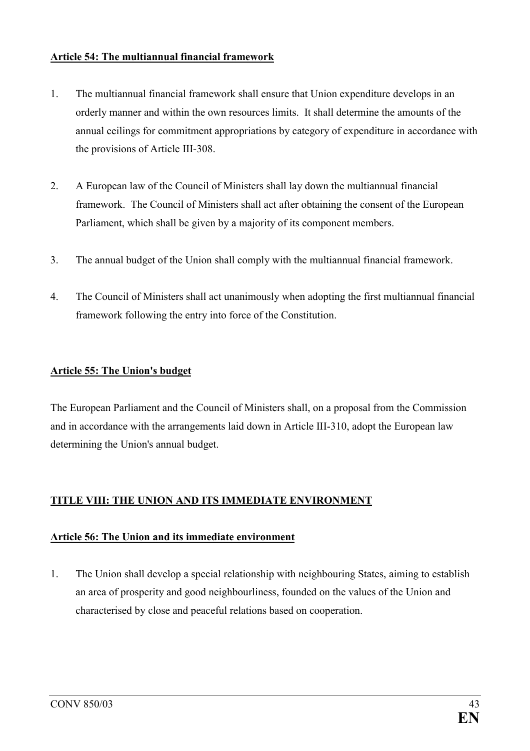## **Article 54: The multiannual financial framework**

- 1. The multiannual financial framework shall ensure that Union expenditure develops in an orderly manner and within the own resources limits. It shall determine the amounts of the annual ceilings for commitment appropriations by category of expenditure in accordance with the provisions of Article III-308.
- 2. A European law of the Council of Ministers shall lay down the multiannual financial framework. The Council of Ministers shall act after obtaining the consent of the European Parliament, which shall be given by a majority of its component members.
- 3. The annual budget of the Union shall comply with the multiannual financial framework.
- 4. The Council of Ministers shall act unanimously when adopting the first multiannual financial framework following the entry into force of the Constitution.

# **Article 55: The Union's budget**

The European Parliament and the Council of Ministers shall, on a proposal from the Commission and in accordance with the arrangements laid down in Article III-310, adopt the European law determining the Union's annual budget.

# **TITLE VIII: THE UNION AND ITS IMMEDIATE ENVIRONMENT**

# **Article 56: The Union and its immediate environment**

1. The Union shall develop a special relationship with neighbouring States, aiming to establish an area of prosperity and good neighbourliness, founded on the values of the Union and characterised by close and peaceful relations based on cooperation.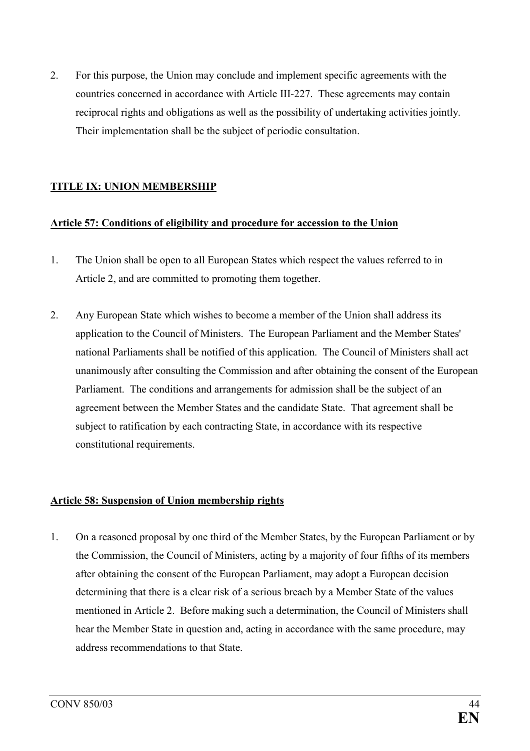2. For this purpose, the Union may conclude and implement specific agreements with the countries concerned in accordance with Article III-227. These agreements may contain reciprocal rights and obligations as well as the possibility of undertaking activities jointly. Their implementation shall be the subject of periodic consultation.

# **TITLE IX: UNION MEMBERSHIP**

## **Article 57: Conditions of eligibility and procedure for accession to the Union**

- 1. The Union shall be open to all European States which respect the values referred to in Article 2, and are committed to promoting them together.
- 2. Any European State which wishes to become a member of the Union shall address its application to the Council of Ministers. The European Parliament and the Member States' national Parliaments shall be notified of this application. The Council of Ministers shall act unanimously after consulting the Commission and after obtaining the consent of the European Parliament. The conditions and arrangements for admission shall be the subject of an agreement between the Member States and the candidate State. That agreement shall be subject to ratification by each contracting State, in accordance with its respective constitutional requirements.

# **Article 58: Suspension of Union membership rights**

1. On a reasoned proposal by one third of the Member States, by the European Parliament or by the Commission, the Council of Ministers, acting by a majority of four fifths of its members after obtaining the consent of the European Parliament, may adopt a European decision determining that there is a clear risk of a serious breach by a Member State of the values mentioned in Article 2. Before making such a determination, the Council of Ministers shall hear the Member State in question and, acting in accordance with the same procedure, may address recommendations to that State.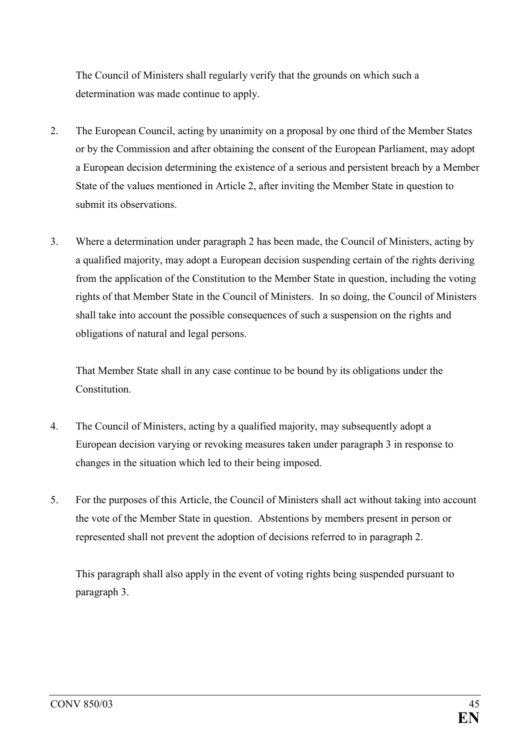The Council of Ministers shall regularly verify that the grounds on which such a determination was made continue to apply.

- 2. The European Council, acting by unanimity on a proposal by one third of the Member States or by the Commission and after obtaining the consent of the European Parliament, may adopt a European decision determining the existence of a serious and persistent breach by a Member State of the values mentioned in Article 2, after inviting the Member State in question to submit its observations.
- 3. Where a determination under paragraph 2 has been made, the Council of Ministers, acting by a qualified majority, may adopt a European decision suspending certain of the rights deriving from the application of the Constitution to the Member State in question, including the voting rights of that Member State in the Council of Ministers. In so doing, the Council of Ministers shall take into account the possible consequences of such a suspension on the rights and obligations of natural and legal persons.

That Member State shall in any case continue to be bound by its obligations under the **Constitution** 

- 4. The Council of Ministers, acting by a qualified majority, may subsequently adopt a European decision varying or revoking measures taken under paragraph 3 in response to changes in the situation which led to their being imposed.
- 5. For the purposes of this Article, the Council of Ministers shall act without taking into account the vote of the Member State in question. Abstentions by members present in person or represented shall not prevent the adoption of decisions referred to in paragraph 2.

This paragraph shall also apply in the event of voting rights being suspended pursuant to paragraph 3.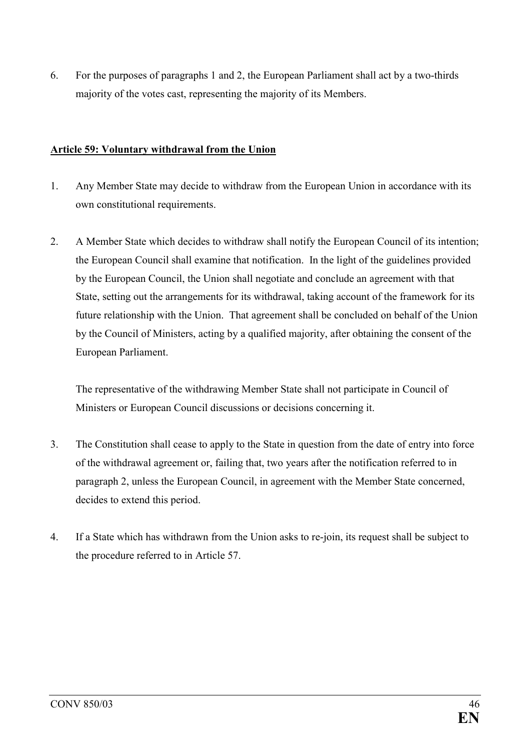6. For the purposes of paragraphs 1 and 2, the European Parliament shall act by a two-thirds majority of the votes cast, representing the majority of its Members.

# **Article 59: Voluntary withdrawal from the Union**

- 1. Any Member State may decide to withdraw from the European Union in accordance with its own constitutional requirements.
- 2. A Member State which decides to withdraw shall notify the European Council of its intention; the European Council shall examine that notification. In the light of the guidelines provided by the European Council, the Union shall negotiate and conclude an agreement with that State, setting out the arrangements for its withdrawal, taking account of the framework for its future relationship with the Union. That agreement shall be concluded on behalf of the Union by the Council of Ministers, acting by a qualified majority, after obtaining the consent of the European Parliament.

The representative of the withdrawing Member State shall not participate in Council of Ministers or European Council discussions or decisions concerning it.

- 3. The Constitution shall cease to apply to the State in question from the date of entry into force of the withdrawal agreement or, failing that, two years after the notification referred to in paragraph 2, unless the European Council, in agreement with the Member State concerned, decides to extend this period.
- 4. If a State which has withdrawn from the Union asks to re-join, its request shall be subject to the procedure referred to in Article 57.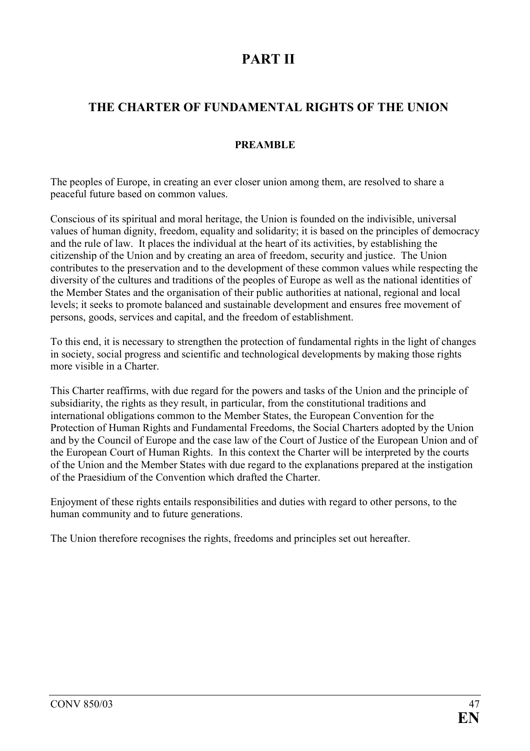# **PART II**

# **THE CHARTER OF FUNDAMENTAL RIGHTS OF THE UNION**

# **PREAMBLE**

The peoples of Europe, in creating an ever closer union among them, are resolved to share a peaceful future based on common values.

Conscious of its spiritual and moral heritage, the Union is founded on the indivisible, universal values of human dignity, freedom, equality and solidarity; it is based on the principles of democracy and the rule of law. It places the individual at the heart of its activities, by establishing the citizenship of the Union and by creating an area of freedom, security and justice. The Union contributes to the preservation and to the development of these common values while respecting the diversity of the cultures and traditions of the peoples of Europe as well as the national identities of the Member States and the organisation of their public authorities at national, regional and local levels; it seeks to promote balanced and sustainable development and ensures free movement of persons, goods, services and capital, and the freedom of establishment.

To this end, it is necessary to strengthen the protection of fundamental rights in the light of changes in society, social progress and scientific and technological developments by making those rights more visible in a Charter.

This Charter reaffirms, with due regard for the powers and tasks of the Union and the principle of subsidiarity, the rights as they result, in particular, from the constitutional traditions and international obligations common to the Member States, the European Convention for the Protection of Human Rights and Fundamental Freedoms, the Social Charters adopted by the Union and by the Council of Europe and the case law of the Court of Justice of the European Union and of the European Court of Human Rights. In this context the Charter will be interpreted by the courts of the Union and the Member States with due regard to the explanations prepared at the instigation of the Praesidium of the Convention which drafted the Charter.

Enjoyment of these rights entails responsibilities and duties with regard to other persons, to the human community and to future generations.

The Union therefore recognises the rights, freedoms and principles set out hereafter.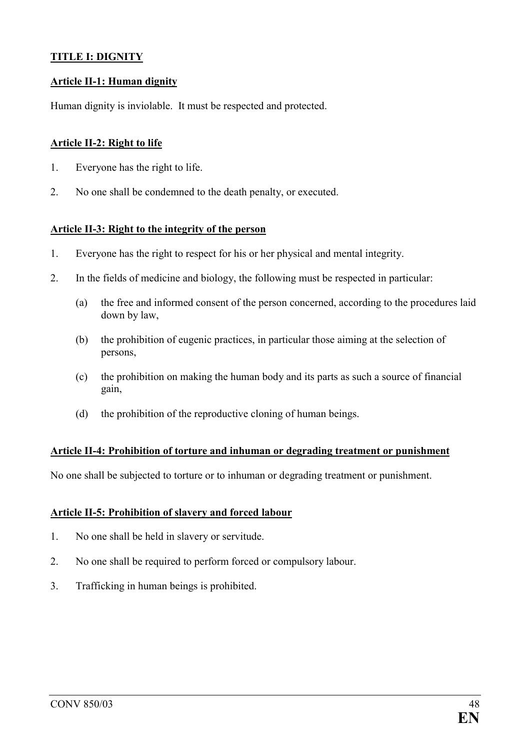# **TITLE I: DIGNITY**

## **Article II-1: Human dignity**

Human dignity is inviolable. It must be respected and protected.

## **Article II-2: Right to life**

- 1. Everyone has the right to life.
- 2. No one shall be condemned to the death penalty, or executed.

#### **Article II-3: Right to the integrity of the person**

- 1. Everyone has the right to respect for his or her physical and mental integrity.
- 2. In the fields of medicine and biology, the following must be respected in particular:
	- (a) the free and informed consent of the person concerned, according to the procedures laid down by law,
	- (b) the prohibition of eugenic practices, in particular those aiming at the selection of persons,
	- (c) the prohibition on making the human body and its parts as such a source of financial gain,
	- (d) the prohibition of the reproductive cloning of human beings.

#### **Article II-4: Prohibition of torture and inhuman or degrading treatment or punishment**

No one shall be subjected to torture or to inhuman or degrading treatment or punishment.

#### **Article II-5: Prohibition of slavery and forced labour**

- 1. No one shall be held in slavery or servitude.
- 2. No one shall be required to perform forced or compulsory labour.
- 3. Trafficking in human beings is prohibited.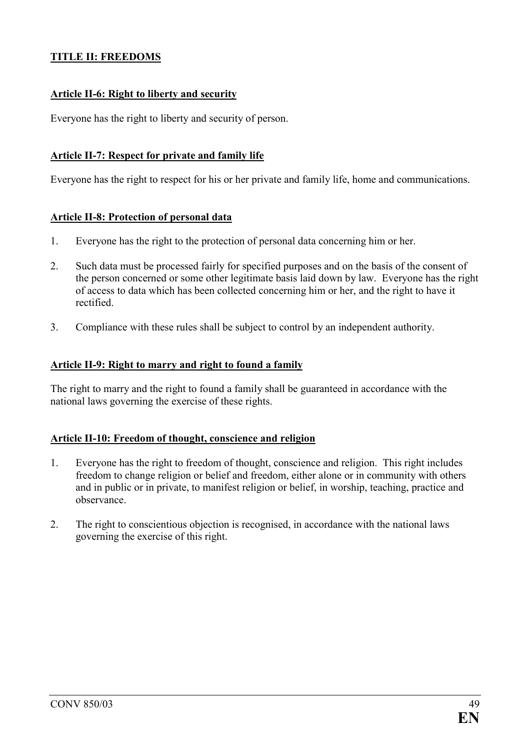# **TITLE II: FREEDOMS**

# **Article II-6: Right to liberty and security**

Everyone has the right to liberty and security of person.

# **Article II-7: Respect for private and family life**

Everyone has the right to respect for his or her private and family life, home and communications.

#### **Article II-8: Protection of personal data**

- 1. Everyone has the right to the protection of personal data concerning him or her.
- 2. Such data must be processed fairly for specified purposes and on the basis of the consent of the person concerned or some other legitimate basis laid down by law. Everyone has the right of access to data which has been collected concerning him or her, and the right to have it rectified.
- 3. Compliance with these rules shall be subject to control by an independent authority.

#### **Article II-9: Right to marry and right to found a family**

The right to marry and the right to found a family shall be guaranteed in accordance with the national laws governing the exercise of these rights.

#### **Article II-10: Freedom of thought, conscience and religion**

- 1. Everyone has the right to freedom of thought, conscience and religion. This right includes freedom to change religion or belief and freedom, either alone or in community with others and in public or in private, to manifest religion or belief, in worship, teaching, practice and observance.
- 2. The right to conscientious objection is recognised, in accordance with the national laws governing the exercise of this right.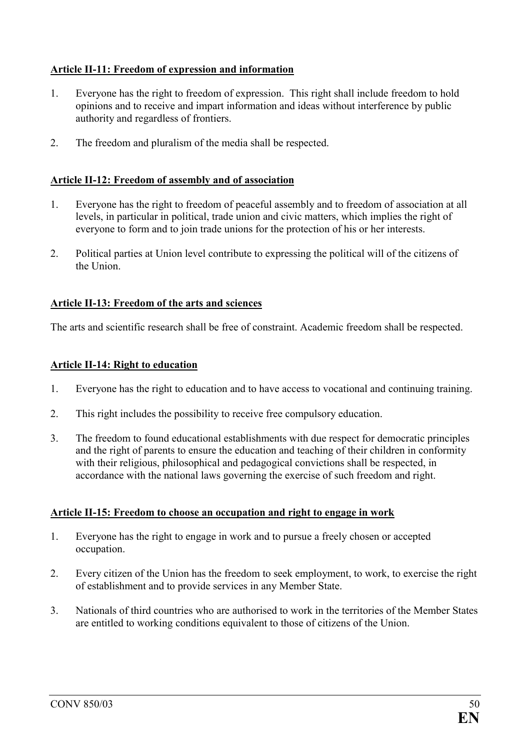# **Article II-11: Freedom of expression and information**

- 1. Everyone has the right to freedom of expression. This right shall include freedom to hold opinions and to receive and impart information and ideas without interference by public authority and regardless of frontiers.
- 2. The freedom and pluralism of the media shall be respected.

# **Article II-12: Freedom of assembly and of association**

- 1. Everyone has the right to freedom of peaceful assembly and to freedom of association at all levels, in particular in political, trade union and civic matters, which implies the right of everyone to form and to join trade unions for the protection of his or her interests.
- 2. Political parties at Union level contribute to expressing the political will of the citizens of the Union.

## **Article II-13: Freedom of the arts and sciences**

The arts and scientific research shall be free of constraint. Academic freedom shall be respected.

#### **Article II-14: Right to education**

- 1. Everyone has the right to education and to have access to vocational and continuing training.
- 2. This right includes the possibility to receive free compulsory education.
- 3. The freedom to found educational establishments with due respect for democratic principles and the right of parents to ensure the education and teaching of their children in conformity with their religious, philosophical and pedagogical convictions shall be respected, in accordance with the national laws governing the exercise of such freedom and right.

#### **Article II-15: Freedom to choose an occupation and right to engage in work**

- 1. Everyone has the right to engage in work and to pursue a freely chosen or accepted occupation.
- 2. Every citizen of the Union has the freedom to seek employment, to work, to exercise the right of establishment and to provide services in any Member State.
- 3. Nationals of third countries who are authorised to work in the territories of the Member States are entitled to working conditions equivalent to those of citizens of the Union.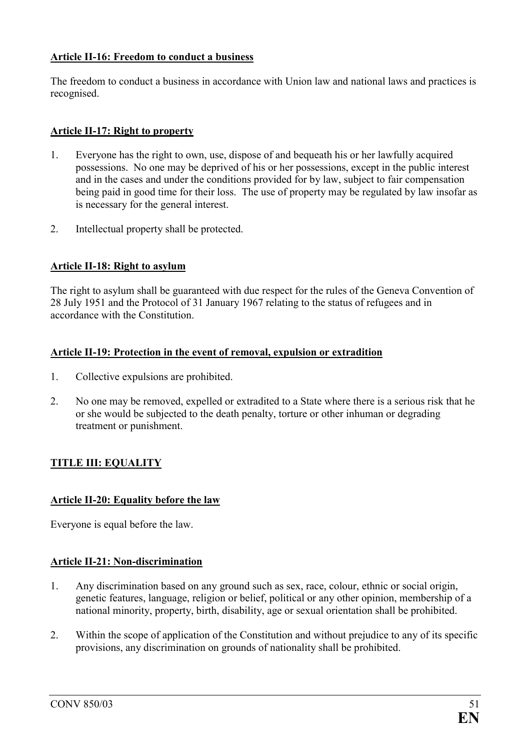# **Article II-16: Freedom to conduct a business**

The freedom to conduct a business in accordance with Union law and national laws and practices is recognised.

#### **Article II-17: Right to property**

- 1. Everyone has the right to own, use, dispose of and bequeath his or her lawfully acquired possessions. No one may be deprived of his or her possessions, except in the public interest and in the cases and under the conditions provided for by law, subject to fair compensation being paid in good time for their loss. The use of property may be regulated by law insofar as is necessary for the general interest.
- 2. Intellectual property shall be protected.

# **Article II-18: Right to asylum**

The right to asylum shall be guaranteed with due respect for the rules of the Geneva Convention of 28 July 1951 and the Protocol of 31 January 1967 relating to the status of refugees and in accordance with the Constitution.

## **Article II-19: Protection in the event of removal, expulsion or extradition**

- 1. Collective expulsions are prohibited.
- 2. No one may be removed, expelled or extradited to a State where there is a serious risk that he or she would be subjected to the death penalty, torture or other inhuman or degrading treatment or punishment.

# **TITLE III: EQUALITY**

#### **Article II-20: Equality before the law**

Everyone is equal before the law.

#### **Article II-21: Non-discrimination**

- 1. Any discrimination based on any ground such as sex, race, colour, ethnic or social origin, genetic features, language, religion or belief, political or any other opinion, membership of a national minority, property, birth, disability, age or sexual orientation shall be prohibited.
- 2. Within the scope of application of the Constitution and without prejudice to any of its specific provisions, any discrimination on grounds of nationality shall be prohibited.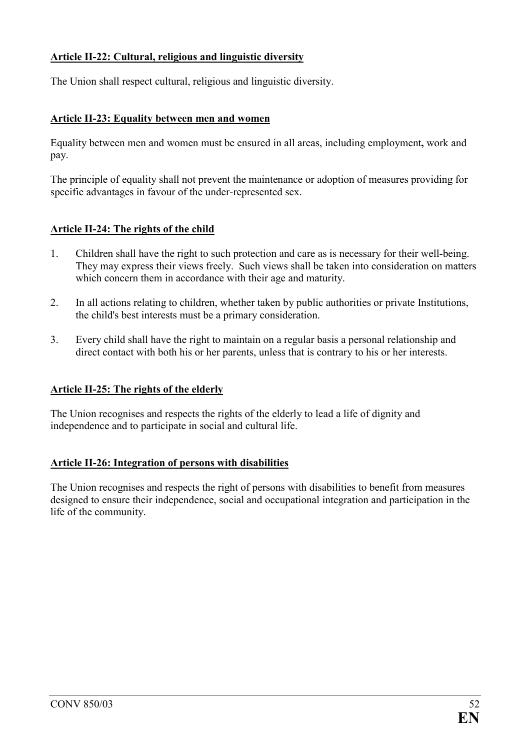# **Article II-22: Cultural, religious and linguistic diversity**

The Union shall respect cultural, religious and linguistic diversity.

# **Article II-23: Equality between men and women**

Equality between men and women must be ensured in all areas, including employment**,** work and pay.

The principle of equality shall not prevent the maintenance or adoption of measures providing for specific advantages in favour of the under-represented sex.

# **Article II-24: The rights of the child**

- 1. Children shall have the right to such protection and care as is necessary for their well-being. They may express their views freely. Such views shall be taken into consideration on matters which concern them in accordance with their age and maturity.
- 2. In all actions relating to children, whether taken by public authorities or private Institutions, the child's best interests must be a primary consideration.
- 3. Every child shall have the right to maintain on a regular basis a personal relationship and direct contact with both his or her parents, unless that is contrary to his or her interests.

# **Article II-25: The rights of the elderly**

The Union recognises and respects the rights of the elderly to lead a life of dignity and independence and to participate in social and cultural life.

# **Article II-26: Integration of persons with disabilities**

The Union recognises and respects the right of persons with disabilities to benefit from measures designed to ensure their independence, social and occupational integration and participation in the life of the community.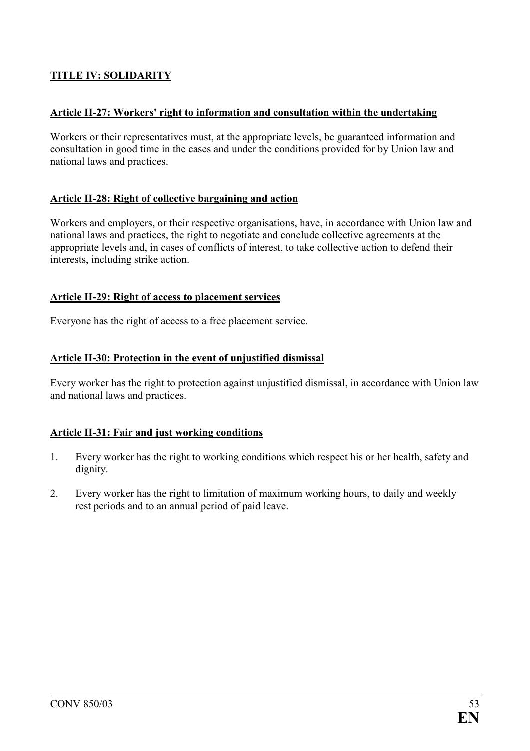# **TITLE IV: SOLIDARITY**

## **Article II-27: Workers' right to information and consultation within the undertaking**

Workers or their representatives must, at the appropriate levels, be guaranteed information and consultation in good time in the cases and under the conditions provided for by Union law and national laws and practices.

## **Article II-28: Right of collective bargaining and action**

Workers and employers, or their respective organisations, have, in accordance with Union law and national laws and practices, the right to negotiate and conclude collective agreements at the appropriate levels and, in cases of conflicts of interest, to take collective action to defend their interests, including strike action.

## **Article II-29: Right of access to placement services**

Everyone has the right of access to a free placement service.

## **Article II-30: Protection in the event of unjustified dismissal**

Every worker has the right to protection against unjustified dismissal, in accordance with Union law and national laws and practices.

#### **Article II-31: Fair and just working conditions**

- 1. Every worker has the right to working conditions which respect his or her health, safety and dignity.
- 2. Every worker has the right to limitation of maximum working hours, to daily and weekly rest periods and to an annual period of paid leave.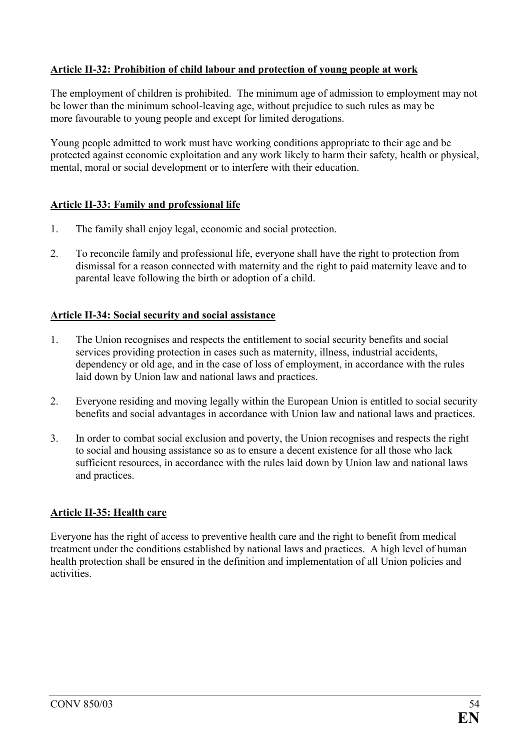# **Article II-32: Prohibition of child labour and protection of young people at work**

The employment of children is prohibited. The minimum age of admission to employment may not be lower than the minimum school-leaving age, without prejudice to such rules as may be more favourable to young people and except for limited derogations.

Young people admitted to work must have working conditions appropriate to their age and be protected against economic exploitation and any work likely to harm their safety, health or physical, mental, moral or social development or to interfere with their education.

# **Article II-33: Family and professional life**

- 1. The family shall enjoy legal, economic and social protection.
- 2. To reconcile family and professional life, everyone shall have the right to protection from dismissal for a reason connected with maternity and the right to paid maternity leave and to parental leave following the birth or adoption of a child.

## **Article II-34: Social security and social assistance**

- 1. The Union recognises and respects the entitlement to social security benefits and social services providing protection in cases such as maternity, illness, industrial accidents, dependency or old age, and in the case of loss of employment, in accordance with the rules laid down by Union law and national laws and practices.
- 2. Everyone residing and moving legally within the European Union is entitled to social security benefits and social advantages in accordance with Union law and national laws and practices.
- 3. In order to combat social exclusion and poverty, the Union recognises and respects the right to social and housing assistance so as to ensure a decent existence for all those who lack sufficient resources, in accordance with the rules laid down by Union law and national laws and practices.

#### **Article II-35: Health care**

Everyone has the right of access to preventive health care and the right to benefit from medical treatment under the conditions established by national laws and practices. A high level of human health protection shall be ensured in the definition and implementation of all Union policies and activities.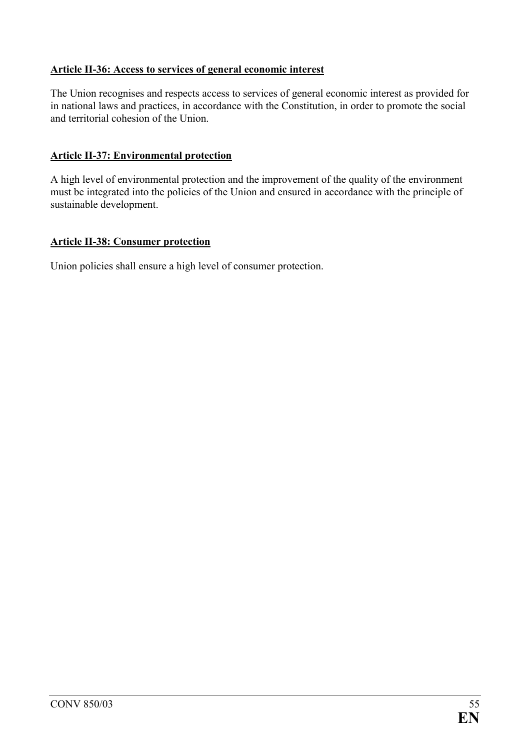# **Article II-36: Access to services of general economic interest**

The Union recognises and respects access to services of general economic interest as provided for in national laws and practices, in accordance with the Constitution, in order to promote the social and territorial cohesion of the Union.

## **Article II-37: Environmental protection**

A high level of environmental protection and the improvement of the quality of the environment must be integrated into the policies of the Union and ensured in accordance with the principle of sustainable development.

#### **Article II-38: Consumer protection**

Union policies shall ensure a high level of consumer protection.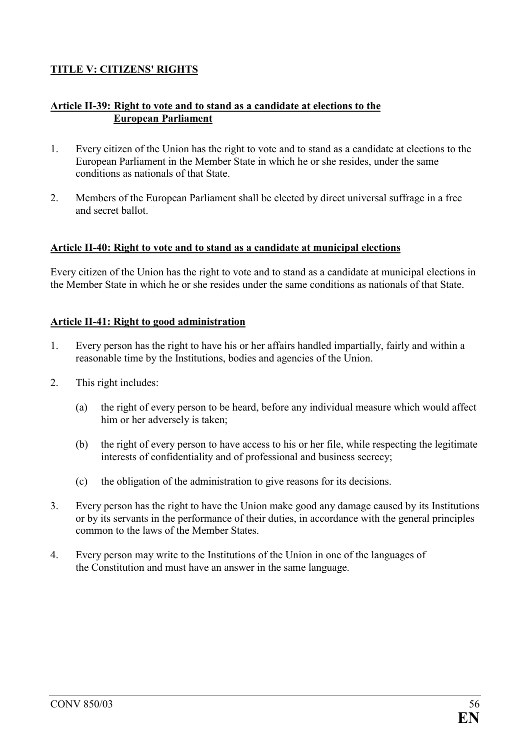# **TITLE V: CITIZENS' RIGHTS**

## **Article II-39: Right to vote and to stand as a candidate at elections to the European Parliament**

- 1. Every citizen of the Union has the right to vote and to stand as a candidate at elections to the European Parliament in the Member State in which he or she resides, under the same conditions as nationals of that State.
- 2. Members of the European Parliament shall be elected by direct universal suffrage in a free and secret ballot.

#### **Article II-40: Right to vote and to stand as a candidate at municipal elections**

Every citizen of the Union has the right to vote and to stand as a candidate at municipal elections in the Member State in which he or she resides under the same conditions as nationals of that State.

#### **Article II-41: Right to good administration**

- 1. Every person has the right to have his or her affairs handled impartially, fairly and within a reasonable time by the Institutions, bodies and agencies of the Union.
- 2. This right includes:
	- (a) the right of every person to be heard, before any individual measure which would affect him or her adversely is taken;
	- (b) the right of every person to have access to his or her file, while respecting the legitimate interests of confidentiality and of professional and business secrecy;
	- (c) the obligation of the administration to give reasons for its decisions.
- 3. Every person has the right to have the Union make good any damage caused by its Institutions or by its servants in the performance of their duties, in accordance with the general principles common to the laws of the Member States.
- 4. Every person may write to the Institutions of the Union in one of the languages of the Constitution and must have an answer in the same language.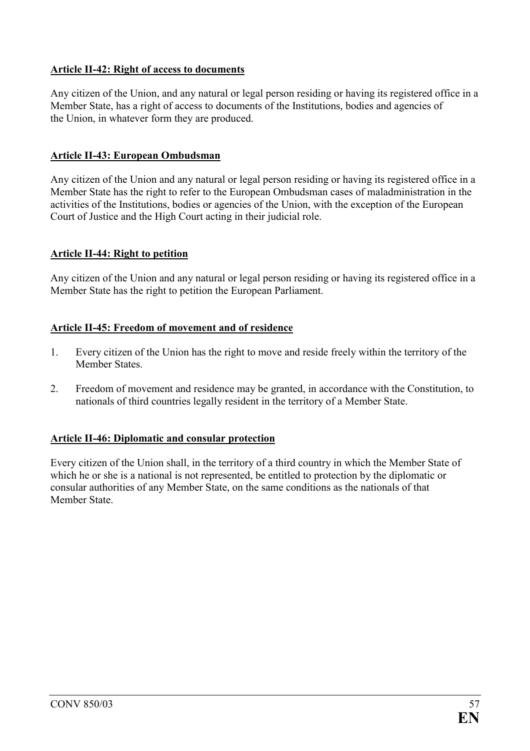# **Article II-42: Right of access to documents**

Any citizen of the Union, and any natural or legal person residing or having its registered office in a Member State, has a right of access to documents of the Institutions, bodies and agencies of the Union, in whatever form they are produced.

# **Article II-43: European Ombudsman**

Any citizen of the Union and any natural or legal person residing or having its registered office in a Member State has the right to refer to the European Ombudsman cases of maladministration in the activities of the Institutions, bodies or agencies of the Union, with the exception of the European Court of Justice and the High Court acting in their judicial role.

#### **Article II-44: Right to petition**

Any citizen of the Union and any natural or legal person residing or having its registered office in a Member State has the right to petition the European Parliament.

## **Article II-45: Freedom of movement and of residence**

- 1. Every citizen of the Union has the right to move and reside freely within the territory of the Member States.
- 2. Freedom of movement and residence may be granted, in accordance with the Constitution, to nationals of third countries legally resident in the territory of a Member State.

#### **Article II-46: Diplomatic and consular protection**

Every citizen of the Union shall, in the territory of a third country in which the Member State of which he or she is a national is not represented, be entitled to protection by the diplomatic or consular authorities of any Member State, on the same conditions as the nationals of that Member State.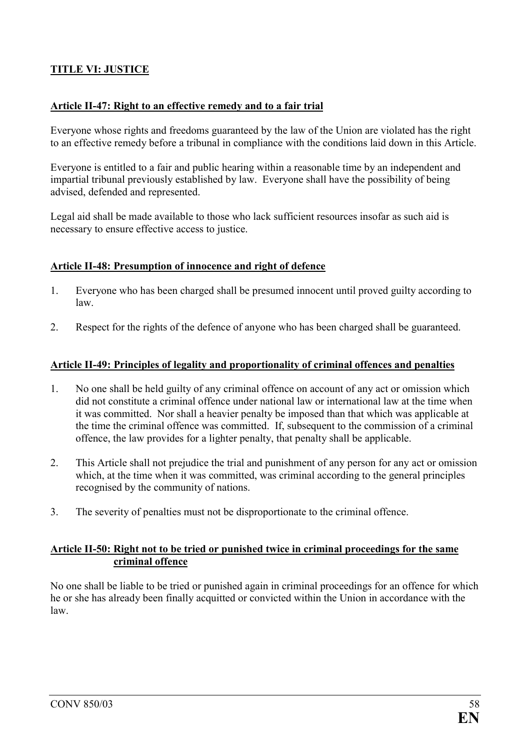# **TITLE VI: JUSTICE**

#### **Article II-47: Right to an effective remedy and to a fair trial**

Everyone whose rights and freedoms guaranteed by the law of the Union are violated has the right to an effective remedy before a tribunal in compliance with the conditions laid down in this Article.

Everyone is entitled to a fair and public hearing within a reasonable time by an independent and impartial tribunal previously established by law. Everyone shall have the possibility of being advised, defended and represented.

Legal aid shall be made available to those who lack sufficient resources insofar as such aid is necessary to ensure effective access to justice.

#### **Article II-48: Presumption of innocence and right of defence**

- 1. Everyone who has been charged shall be presumed innocent until proved guilty according to law.
- 2. Respect for the rights of the defence of anyone who has been charged shall be guaranteed.

#### **Article II-49: Principles of legality and proportionality of criminal offences and penalties**

- 1. No one shall be held guilty of any criminal offence on account of any act or omission which did not constitute a criminal offence under national law or international law at the time when it was committed. Nor shall a heavier penalty be imposed than that which was applicable at the time the criminal offence was committed. If, subsequent to the commission of a criminal offence, the law provides for a lighter penalty, that penalty shall be applicable.
- 2. This Article shall not prejudice the trial and punishment of any person for any act or omission which, at the time when it was committed, was criminal according to the general principles recognised by the community of nations.
- 3. The severity of penalties must not be disproportionate to the criminal offence.

#### **Article II-50: Right not to be tried or punished twice in criminal proceedings for the same criminal offence**

No one shall be liable to be tried or punished again in criminal proceedings for an offence for which he or she has already been finally acquitted or convicted within the Union in accordance with the law.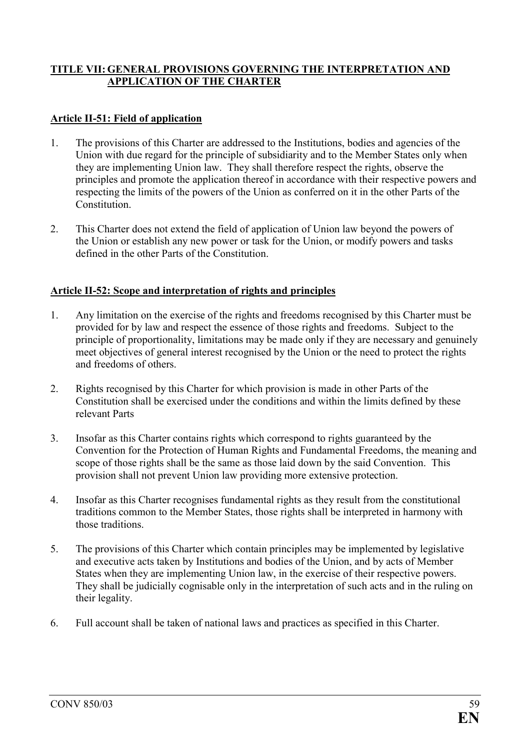# **TITLE VII: GENERAL PROVISIONS GOVERNING THE INTERPRETATION AND APPLICATION OF THE CHARTER**

# **Article II-51: Field of application**

- 1. The provisions of this Charter are addressed to the Institutions, bodies and agencies of the Union with due regard for the principle of subsidiarity and to the Member States only when they are implementing Union law. They shall therefore respect the rights, observe the principles and promote the application thereof in accordance with their respective powers and respecting the limits of the powers of the Union as conferred on it in the other Parts of the **Constitution**
- 2. This Charter does not extend the field of application of Union law beyond the powers of the Union or establish any new power or task for the Union, or modify powers and tasks defined in the other Parts of the Constitution.

#### **Article II-52: Scope and interpretation of rights and principles**

- 1. Any limitation on the exercise of the rights and freedoms recognised by this Charter must be provided for by law and respect the essence of those rights and freedoms. Subject to the principle of proportionality, limitations may be made only if they are necessary and genuinely meet objectives of general interest recognised by the Union or the need to protect the rights and freedoms of others.
- 2. Rights recognised by this Charter for which provision is made in other Parts of the Constitution shall be exercised under the conditions and within the limits defined by these relevant Parts
- 3. Insofar as this Charter contains rights which correspond to rights guaranteed by the Convention for the Protection of Human Rights and Fundamental Freedoms, the meaning and scope of those rights shall be the same as those laid down by the said Convention. This provision shall not prevent Union law providing more extensive protection.
- 4. Insofar as this Charter recognises fundamental rights as they result from the constitutional traditions common to the Member States, those rights shall be interpreted in harmony with those traditions.
- 5. The provisions of this Charter which contain principles may be implemented by legislative and executive acts taken by Institutions and bodies of the Union, and by acts of Member States when they are implementing Union law, in the exercise of their respective powers. They shall be judicially cognisable only in the interpretation of such acts and in the ruling on their legality.
- 6. Full account shall be taken of national laws and practices as specified in this Charter.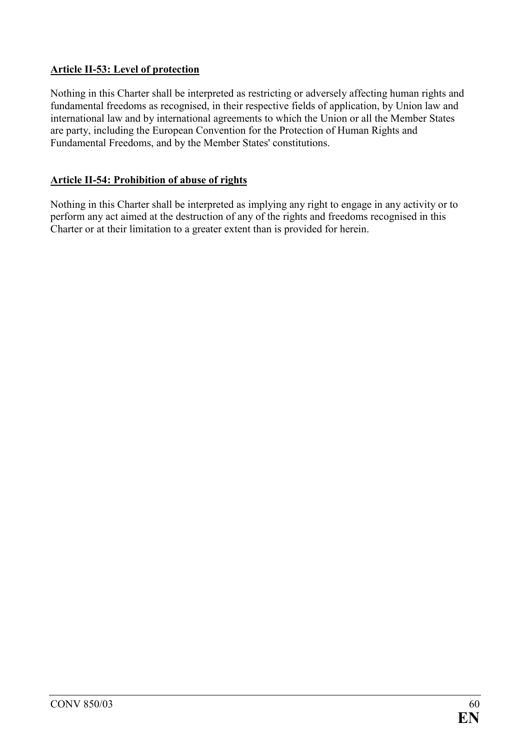# **Article II-53: Level of protection**

Nothing in this Charter shall be interpreted as restricting or adversely affecting human rights and fundamental freedoms as recognised, in their respective fields of application, by Union law and international law and by international agreements to which the Union or all the Member States are party, including the European Convention for the Protection of Human Rights and Fundamental Freedoms, and by the Member States' constitutions.

# **Article II-54: Prohibition of abuse of rights**

Nothing in this Charter shall be interpreted as implying any right to engage in any activity or to perform any act aimed at the destruction of any of the rights and freedoms recognised in this Charter or at their limitation to a greater extent than is provided for herein.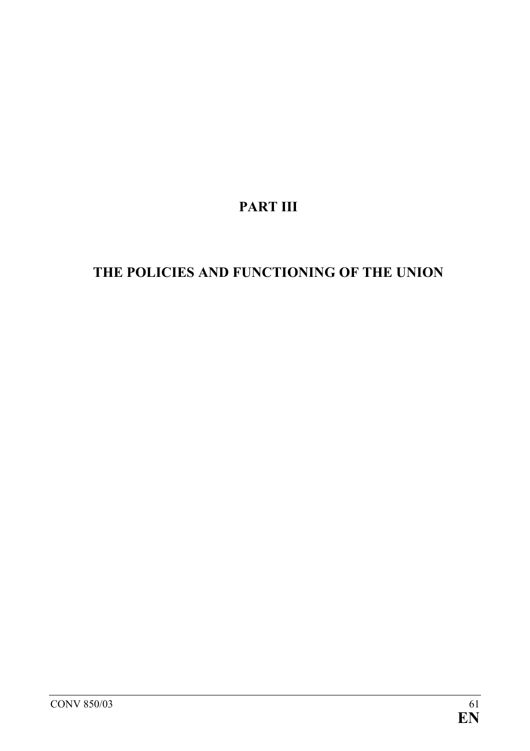# **PART III**

# **THE POLICIES AND FUNCTIONING OF THE UNION**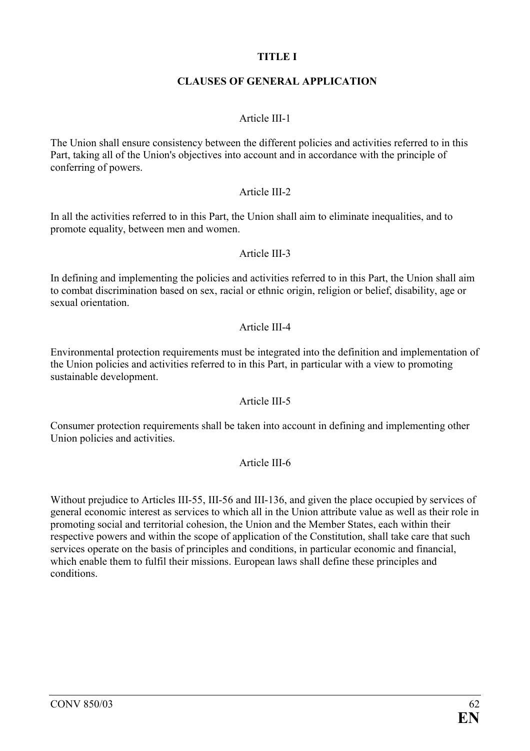# **TITLE I**

# **CLAUSES OF GENERAL APPLICATION**

# Article III-1

The Union shall ensure consistency between the different policies and activities referred to in this Part, taking all of the Union's objectives into account and in accordance with the principle of conferring of powers.

# Article III-2

In all the activities referred to in this Part, the Union shall aim to eliminate inequalities, and to promote equality, between men and women.

# Article III-3

In defining and implementing the policies and activities referred to in this Part, the Union shall aim to combat discrimination based on sex, racial or ethnic origin, religion or belief, disability, age or sexual orientation.

# Article III-4

Environmental protection requirements must be integrated into the definition and implementation of the Union policies and activities referred to in this Part, in particular with a view to promoting sustainable development.

# Article III-5

Consumer protection requirements shall be taken into account in defining and implementing other Union policies and activities.

# Article III-6

Without prejudice to Articles III-55, III-56 and III-136, and given the place occupied by services of general economic interest as services to which all in the Union attribute value as well as their role in promoting social and territorial cohesion, the Union and the Member States, each within their respective powers and within the scope of application of the Constitution, shall take care that such services operate on the basis of principles and conditions, in particular economic and financial, which enable them to fulfil their missions. European laws shall define these principles and conditions.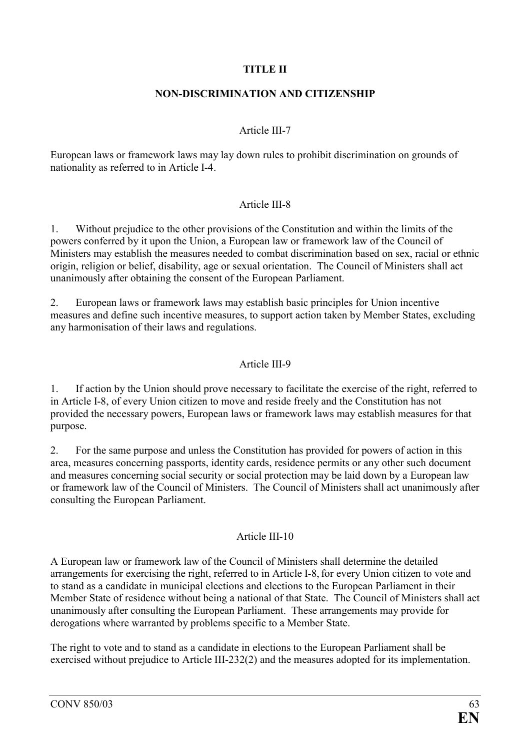# **TITLE II**

## **NON-DISCRIMINATION AND CITIZENSHIP**

# Article III-7

European laws or framework laws may lay down rules to prohibit discrimination on grounds of nationality as referred to in Article I-4.

# Article III-8

1. Without prejudice to the other provisions of the Constitution and within the limits of the powers conferred by it upon the Union, a European law or framework law of the Council of Ministers may establish the measures needed to combat discrimination based on sex, racial or ethnic origin, religion or belief, disability, age or sexual orientation. The Council of Ministers shall act unanimously after obtaining the consent of the European Parliament.

2. European laws or framework laws may establish basic principles for Union incentive measures and define such incentive measures, to support action taken by Member States, excluding any harmonisation of their laws and regulations.

#### Article III-9

1. If action by the Union should prove necessary to facilitate the exercise of the right, referred to in Article I-8, of every Union citizen to move and reside freely and the Constitution has not provided the necessary powers, European laws or framework laws may establish measures for that purpose.

2. For the same purpose and unless the Constitution has provided for powers of action in this area, measures concerning passports, identity cards, residence permits or any other such document and measures concerning social security or social protection may be laid down by a European law or framework law of the Council of Ministers. The Council of Ministers shall act unanimously after consulting the European Parliament.

#### Article III-10

A European law or framework law of the Council of Ministers shall determine the detailed arrangements for exercising the right, referred to in Article I-8,for every Union citizen to vote and to stand as a candidate in municipal elections and elections to the European Parliament in their Member State of residence without being a national of that State. The Council of Ministers shall act unanimously after consulting the European Parliament. These arrangements may provide for derogations where warranted by problems specific to a Member State.

The right to vote and to stand as a candidate in elections to the European Parliament shall be exercised without prejudice to Article III-232(2) and the measures adopted for its implementation.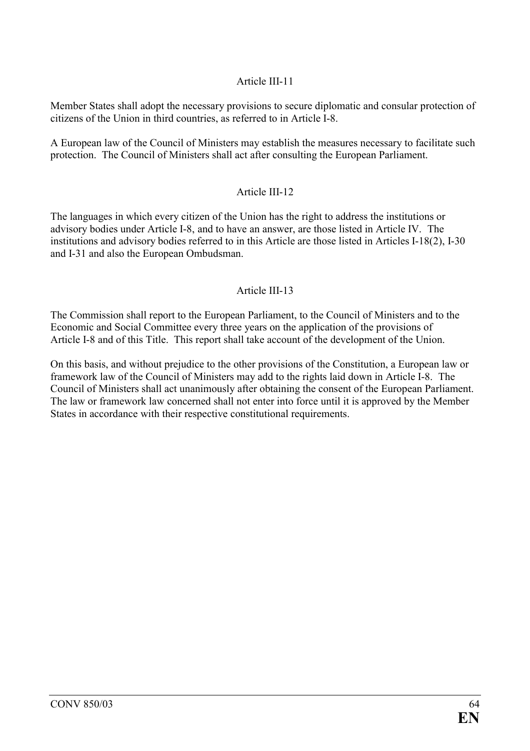Member States shall adopt the necessary provisions to secure diplomatic and consular protection of citizens of the Union in third countries, as referred to in Article I-8.

A European law of the Council of Ministers may establish the measures necessary to facilitate such protection. The Council of Ministers shall act after consulting the European Parliament.

# Article III-12

The languages in which every citizen of the Union has the right to address the institutions or advisory bodies under Article I-8, and to have an answer, are those listed in Article IV. The institutions and advisory bodies referred to in this Article are those listed in Articles I-18(2), I-30 and I-31 and also the European Ombudsman.

## Article III-13

The Commission shall report to the European Parliament, to the Council of Ministers and to the Economic and Social Committee every three years on the application of the provisions of Article I-8 and of this Title. This report shall take account of the development of the Union.

On this basis, and without prejudice to the other provisions of the Constitution, a European law or framework law of the Council of Ministers may add to the rights laid down in Article I-8. The Council of Ministers shall act unanimously after obtaining the consent of the European Parliament. The law or framework law concerned shall not enter into force until it is approved by the Member States in accordance with their respective constitutional requirements.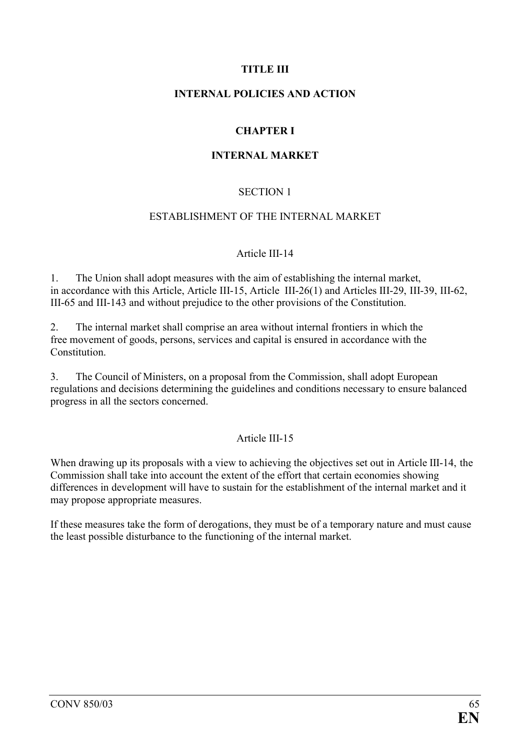# **TITLE III**

# **INTERNAL POLICIES AND ACTION**

# **CHAPTER I**

# **INTERNAL MARKET**

# SECTION 1

#### ESTABLISHMENT OF THE INTERNAL MARKET

## Article III-14

1. The Union shall adopt measures with the aim of establishing the internal market, in accordance with this Article, Article III-15, Article III-26(1) and Articles III-29, III-39, III-62, III-65 and III-143 and without prejudice to the other provisions of the Constitution.

2. The internal market shall comprise an area without internal frontiers in which the free movement of goods, persons, services and capital is ensured in accordance with the Constitution.

3. The Council of Ministers, on a proposal from the Commission, shall adopt European regulations and decisions determining the guidelines and conditions necessary to ensure balanced progress in all the sectors concerned.

# Article III-15

When drawing up its proposals with a view to achieving the objectives set out in Article III-14, the Commission shall take into account the extent of the effort that certain economies showing differences in development will have to sustain for the establishment of the internal market and it may propose appropriate measures.

If these measures take the form of derogations, they must be of a temporary nature and must cause the least possible disturbance to the functioning of the internal market.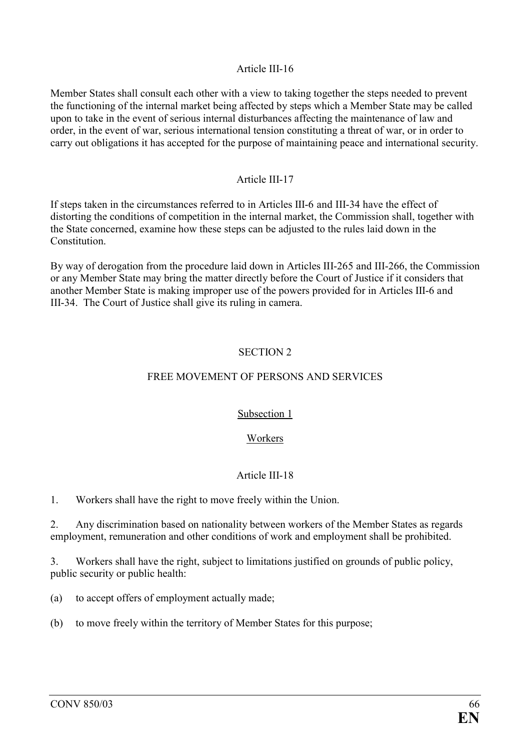Member States shall consult each other with a view to taking together the steps needed to prevent the functioning of the internal market being affected by steps which a Member State may be called upon to take in the event of serious internal disturbances affecting the maintenance of law and order, in the event of war, serious international tension constituting a threat of war, or in order to carry out obligations it has accepted for the purpose of maintaining peace and international security.

#### Article III-17

If steps taken in the circumstances referred to in Articles III-6 and III-34 have the effect of distorting the conditions of competition in the internal market, the Commission shall, together with the State concerned, examine how these steps can be adjusted to the rules laid down in the **Constitution** 

By way of derogation from the procedure laid down in Articles III-265 and III-266, the Commission or any Member State may bring the matter directly before the Court of Justice if it considers that another Member State is making improper use of the powers provided for in Articles III-6 and III-34. The Court of Justice shall give its ruling in camera.

# SECTION 2

# FREE MOVEMENT OF PERSONS AND SERVICES

# Subsection 1

# Workers

# Article III-18

1. Workers shall have the right to move freely within the Union.

2. Any discrimination based on nationality between workers of the Member States as regards employment, remuneration and other conditions of work and employment shall be prohibited.

3. Workers shall have the right, subject to limitations justified on grounds of public policy, public security or public health:

(a) to accept offers of employment actually made;

(b) to move freely within the territory of Member States for this purpose;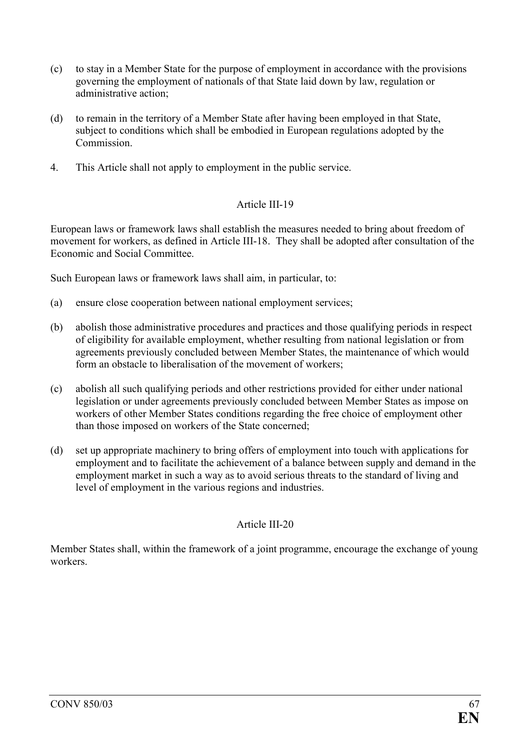- (c) to stay in a Member State for the purpose of employment in accordance with the provisions governing the employment of nationals of that State laid down by law, regulation or administrative action;
- (d) to remain in the territory of a Member State after having been employed in that State, subject to conditions which shall be embodied in European regulations adopted by the **Commission**
- 4. This Article shall not apply to employment in the public service.

European laws or framework laws shall establish the measures needed to bring about freedom of movement for workers, as defined in Article III-18. They shall be adopted after consultation of the Economic and Social Committee.

Such European laws or framework laws shall aim, in particular, to:

- (a) ensure close cooperation between national employment services;
- (b) abolish those administrative procedures and practices and those qualifying periods in respect of eligibility for available employment, whether resulting from national legislation or from agreements previously concluded between Member States, the maintenance of which would form an obstacle to liberalisation of the movement of workers;
- (c) abolish all such qualifying periods and other restrictions provided for either under national legislation or under agreements previously concluded between Member States as impose on workers of other Member States conditions regarding the free choice of employment other than those imposed on workers of the State concerned;
- (d) set up appropriate machinery to bring offers of employment into touch with applications for employment and to facilitate the achievement of a balance between supply and demand in the employment market in such a way as to avoid serious threats to the standard of living and level of employment in the various regions and industries.

#### Article III-20

Member States shall, within the framework of a joint programme, encourage the exchange of young workers.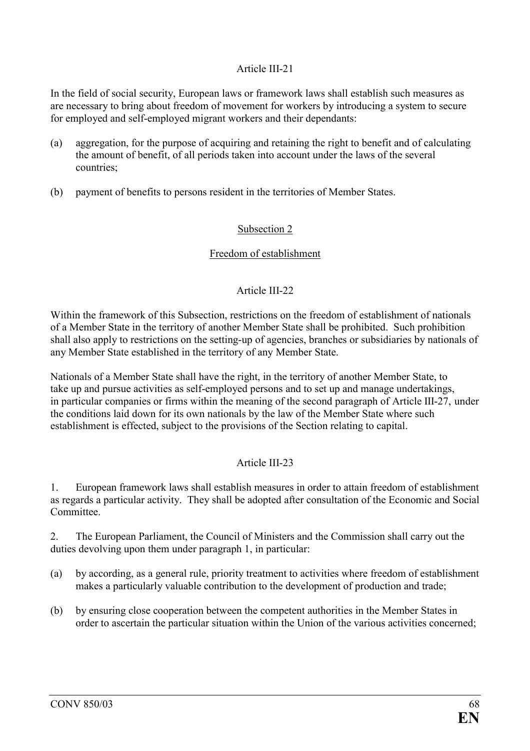In the field of social security, European laws or framework laws shall establish such measures as are necessary to bring about freedom of movement for workers by introducing a system to secure for employed and self-employed migrant workers and their dependants:

- (a) aggregation, for the purpose of acquiring and retaining the right to benefit and of calculating the amount of benefit, of all periods taken into account under the laws of the several countries;
- (b) payment of benefits to persons resident in the territories of Member States.

# Subsection 2

# Freedom of establishment

# Article III-22

Within the framework of this Subsection, restrictions on the freedom of establishment of nationals of a Member State in the territory of another Member State shall be prohibited. Such prohibition shall also apply to restrictions on the setting-up of agencies, branches or subsidiaries by nationals of any Member State established in the territory of any Member State.

Nationals of a Member State shall have the right, in the territory of another Member State, to take up and pursue activities as self-employed persons and to set up and manage undertakings, in particular companies or firms within the meaning of the second paragraph of Article III-27, under the conditions laid down for its own nationals by the law of the Member State where such establishment is effected, subject to the provisions of the Section relating to capital.

# Article III-23

1. European framework laws shall establish measures in order to attain freedom of establishment as regards a particular activity. They shall be adopted after consultation of the Economic and Social **Committee** 

2. The European Parliament, the Council of Ministers and the Commission shall carry out the duties devolving upon them under paragraph 1, in particular:

- (a) by according, as a general rule, priority treatment to activities where freedom of establishment makes a particularly valuable contribution to the development of production and trade;
- (b) by ensuring close cooperation between the competent authorities in the Member States in order to ascertain the particular situation within the Union of the various activities concerned;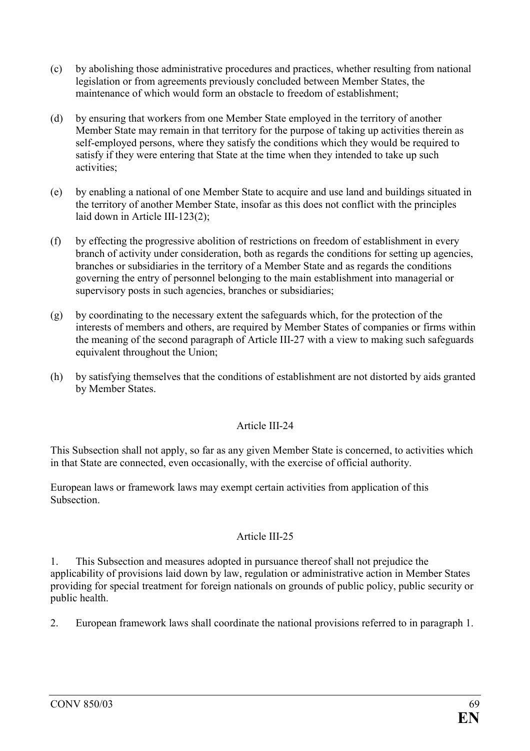- (c) by abolishing those administrative procedures and practices, whether resulting from national legislation or from agreements previously concluded between Member States, the maintenance of which would form an obstacle to freedom of establishment;
- (d) by ensuring that workers from one Member State employed in the territory of another Member State may remain in that territory for the purpose of taking up activities therein as self-employed persons, where they satisfy the conditions which they would be required to satisfy if they were entering that State at the time when they intended to take up such activities;
- (e) by enabling a national of one Member State to acquire and use land and buildings situated in the territory of another Member State, insofar as this does not conflict with the principles laid down in Article III-123(2);
- (f) by effecting the progressive abolition of restrictions on freedom of establishment in every branch of activity under consideration, both as regards the conditions for setting up agencies, branches or subsidiaries in the territory of a Member State and as regards the conditions governing the entry of personnel belonging to the main establishment into managerial or supervisory posts in such agencies, branches or subsidiaries;
- (g) by coordinating to the necessary extent the safeguards which, for the protection of the interests of members and others, are required by Member States of companies or firms within the meaning of the second paragraph of Article III-27 with a view to making such safeguards equivalent throughout the Union;
- (h) by satisfying themselves that the conditions of establishment are not distorted by aids granted by Member States.

This Subsection shall not apply, so far as any given Member State is concerned, to activities which in that State are connected, even occasionally, with the exercise of official authority.

European laws or framework laws may exempt certain activities from application of this Subsection.

# Article III-25

1. This Subsection and measures adopted in pursuance thereof shall not prejudice the applicability of provisions laid down by law, regulation or administrative action in Member States providing for special treatment for foreign nationals on grounds of public policy, public security or public health.

2. European framework laws shall coordinate the national provisions referred to in paragraph 1.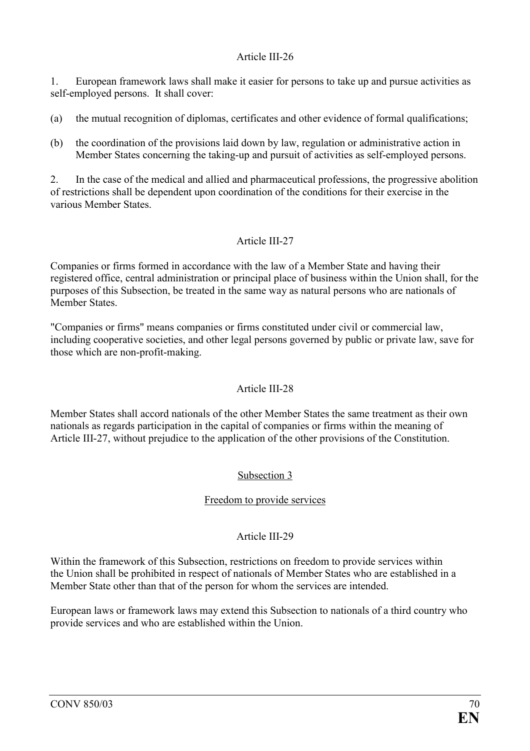1. European framework laws shall make it easier for persons to take up and pursue activities as self-employed persons. It shall cover:

- (a) the mutual recognition of diplomas, certificates and other evidence of formal qualifications;
- (b) the coordination of the provisions laid down by law, regulation or administrative action in Member States concerning the taking-up and pursuit of activities as self-employed persons.

2. In the case of the medical and allied and pharmaceutical professions, the progressive abolition of restrictions shall be dependent upon coordination of the conditions for their exercise in the various Member States.

## Article III-27

Companies or firms formed in accordance with the law of a Member State and having their registered office, central administration or principal place of business within the Union shall, for the purposes of this Subsection, be treated in the same way as natural persons who are nationals of Member States.

"Companies or firms" means companies or firms constituted under civil or commercial law, including cooperative societies, and other legal persons governed by public or private law, save for those which are non-profit-making.

### Article III-28

Member States shall accord nationals of the other Member States the same treatment as their own nationals as regards participation in the capital of companies or firms within the meaning of Article III-27, without prejudice to the application of the other provisions of the Constitution.

# Subsection 3

### Freedom to provide services

# Article III-29

Within the framework of this Subsection, restrictions on freedom to provide services within the Union shall be prohibited in respect of nationals of Member States who are established in a Member State other than that of the person for whom the services are intended.

European laws or framework laws may extend this Subsection to nationals of a third country who provide services and who are established within the Union.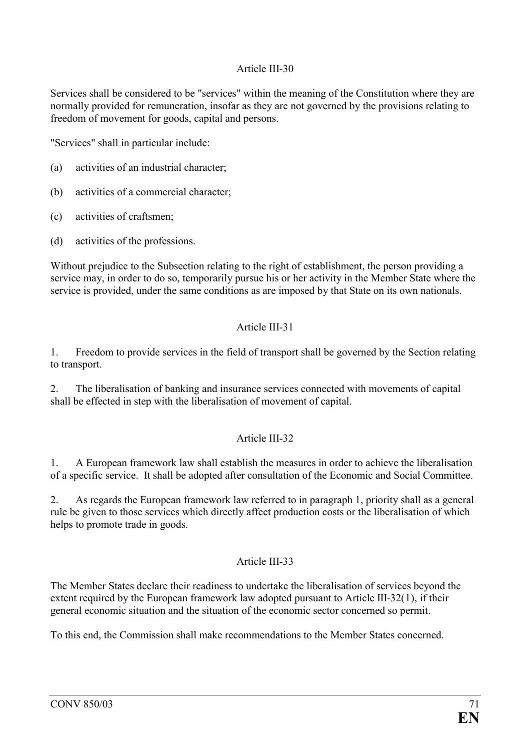Services shall be considered to be "services" within the meaning of the Constitution where they are normally provided for remuneration, insofar as they are not governed by the provisions relating to freedom of movement for goods, capital and persons.

"Services" shall in particular include:

- (a) activities of an industrial character;
- (b) activities of a commercial character;
- (c) activities of craftsmen;
- (d) activities of the professions.

Without prejudice to the Subsection relating to the right of establishment, the person providing a service may, in order to do so, temporarily pursue his or her activity in the Member State where the service is provided, under the same conditions as are imposed by that State on its own nationals.

## Article III-31

1. Freedom to provide services in the field of transport shall be governed by the Section relating to transport.

2. The liberalisation of banking and insurance services connected with movements of capital shall be effected in step with the liberalisation of movement of capital.

### Article III-32

1. A European framework law shall establish the measures in order to achieve the liberalisation of a specific service. It shall be adopted after consultation of the Economic and Social Committee.

2. As regards the European framework law referred to in paragraph 1, priority shall as a general rule be given to those services which directly affect production costs or the liberalisation of which helps to promote trade in goods.

### Article III-33

The Member States declare their readiness to undertake the liberalisation of services beyond the extent required by the European framework law adopted pursuant to Article III-32(1), if their general economic situation and the situation of the economic sector concerned so permit.

To this end, the Commission shall make recommendations to the Member States concerned.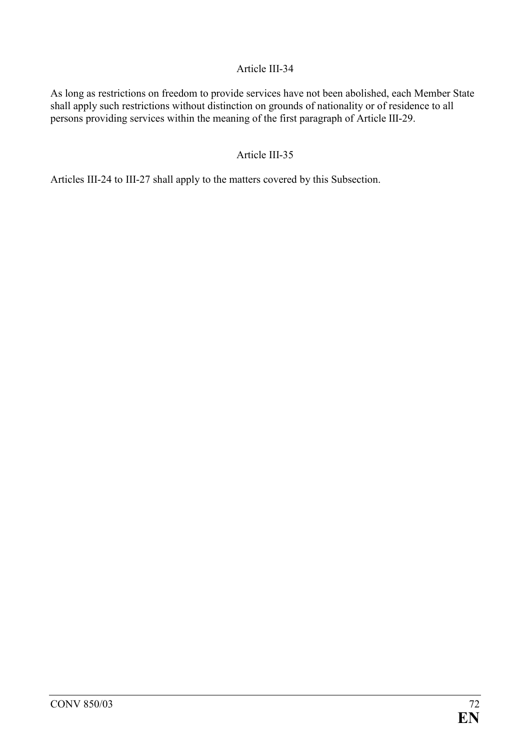As long as restrictions on freedom to provide services have not been abolished, each Member State shall apply such restrictions without distinction on grounds of nationality or of residence to all persons providing services within the meaning of the first paragraph of Article III-29.

### Article III-35

Articles III-24 to III-27 shall apply to the matters covered by this Subsection.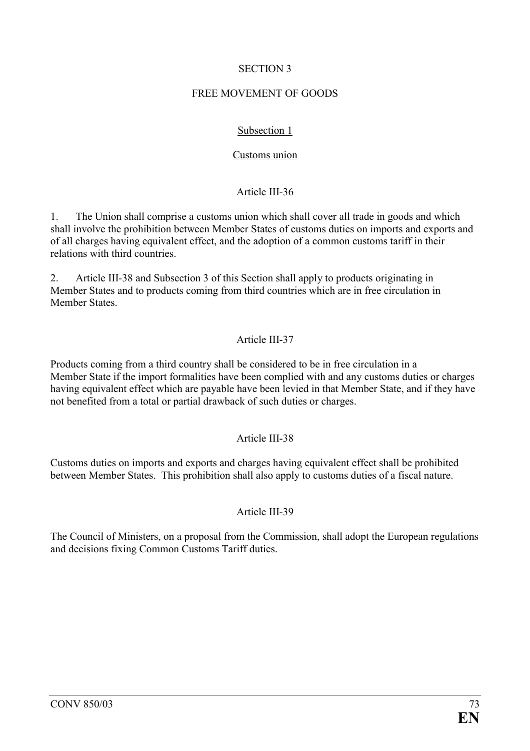# SECTION 3

### FREE MOVEMENT OF GOODS

### Subsection 1

### Customs union

### Article III-36

1. The Union shall comprise a customs union which shall cover all trade in goods and which shall involve the prohibition between Member States of customs duties on imports and exports and of all charges having equivalent effect, and the adoption of a common customs tariff in their relations with third countries.

2. Article III-38 and Subsection 3 of this Section shall apply to products originating in Member States and to products coming from third countries which are in free circulation in Member States.

### Article III-37

Products coming from a third country shall be considered to be in free circulation in a Member State if the import formalities have been complied with and any customs duties or charges having equivalent effect which are payable have been levied in that Member State, and if they have not benefited from a total or partial drawback of such duties or charges.

### Article III-38

Customs duties on imports and exports and charges having equivalent effect shall be prohibited between Member States. This prohibition shall also apply to customs duties of a fiscal nature.

#### Article III-39

The Council of Ministers, on a proposal from the Commission, shall adopt the European regulations and decisions fixing Common Customs Tariff duties.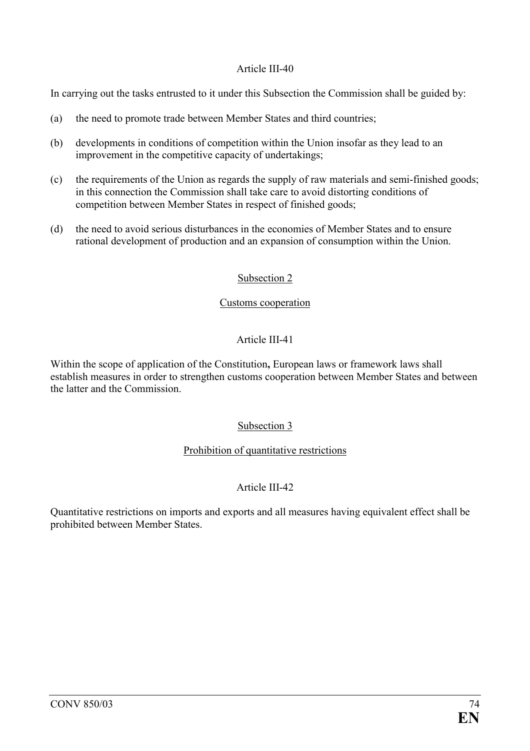In carrying out the tasks entrusted to it under this Subsection the Commission shall be guided by:

- (a) the need to promote trade between Member States and third countries;
- (b) developments in conditions of competition within the Union insofar as they lead to an improvement in the competitive capacity of undertakings;
- (c) the requirements of the Union as regards the supply of raw materials and semi-finished goods; in this connection the Commission shall take care to avoid distorting conditions of competition between Member States in respect of finished goods;
- (d) the need to avoid serious disturbances in the economies of Member States and to ensure rational development of production and an expansion of consumption within the Union.

### Subsection 2

### Customs cooperation

# Article III-41

Within the scope of application of the Constitution**,** European laws or framework laws shall establish measures in order to strengthen customs cooperation between Member States and between the latter and the Commission.

# Subsection 3

### Prohibition of quantitative restrictions

# Article III-42

Quantitative restrictions on imports and exports and all measures having equivalent effect shall be prohibited between Member States.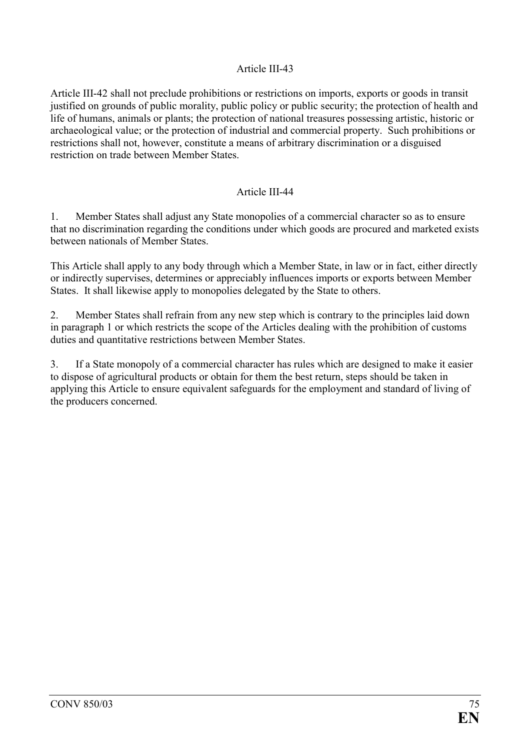Article III-42 shall not preclude prohibitions or restrictions on imports, exports or goods in transit justified on grounds of public morality, public policy or public security; the protection of health and life of humans, animals or plants; the protection of national treasures possessing artistic, historic or archaeological value; or the protection of industrial and commercial property. Such prohibitions or restrictions shall not, however, constitute a means of arbitrary discrimination or a disguised restriction on trade between Member States.

### Article III-44

1. Member States shall adjust any State monopolies of a commercial character so as to ensure that no discrimination regarding the conditions under which goods are procured and marketed exists between nationals of Member States.

This Article shall apply to any body through which a Member State, in law or in fact, either directly or indirectly supervises, determines or appreciably influences imports or exports between Member States. It shall likewise apply to monopolies delegated by the State to others.

2. Member States shall refrain from any new step which is contrary to the principles laid down in paragraph 1 or which restricts the scope of the Articles dealing with the prohibition of customs duties and quantitative restrictions between Member States.

3. If a State monopoly of a commercial character has rules which are designed to make it easier to dispose of agricultural products or obtain for them the best return, steps should be taken in applying this Article to ensure equivalent safeguards for the employment and standard of living of the producers concerned.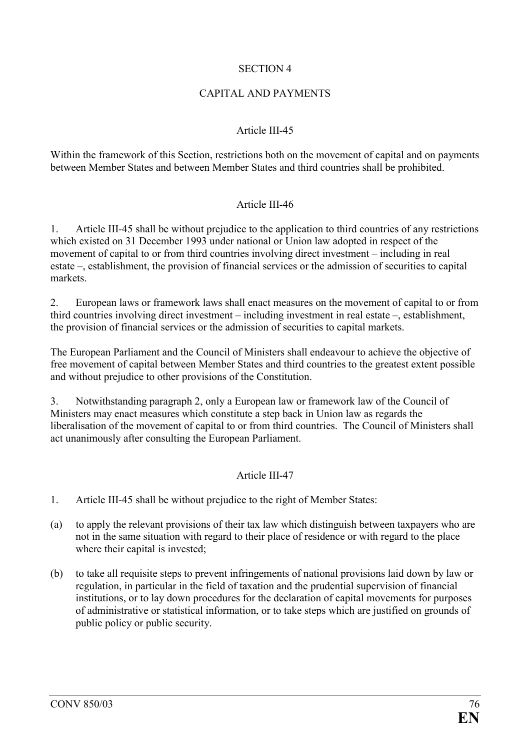### SECTION 4

# CAPITAL AND PAYMENTS

### Article III-45

Within the framework of this Section, restrictions both on the movement of capital and on payments between Member States and between Member States and third countries shall be prohibited.

### Article III-46

1. Article III-45 shall be without prejudice to the application to third countries of any restrictions which existed on 31 December 1993 under national or Union law adopted in respect of the movement of capital to or from third countries involving direct investment – including in real estate –, establishment, the provision of financial services or the admission of securities to capital markets.

2. European laws or framework laws shall enact measures on the movement of capital to or from third countries involving direct investment  $-$  including investment in real estate  $-$ , establishment, the provision of financial services or the admission of securities to capital markets.

The European Parliament and the Council of Ministers shall endeavour to achieve the objective of free movement of capital between Member States and third countries to the greatest extent possible and without prejudice to other provisions of the Constitution.

3. Notwithstanding paragraph 2, only a European law or framework law of the Council of Ministers may enact measures which constitute a step back in Union law as regards the liberalisation of the movement of capital to or from third countries. The Council of Ministers shall act unanimously after consulting the European Parliament.

# Article III-47

1. Article III-45 shall be without prejudice to the right of Member States:

- (a) to apply the relevant provisions of their tax law which distinguish between taxpayers who are not in the same situation with regard to their place of residence or with regard to the place where their capital is invested;
- (b) to take all requisite steps to prevent infringements of national provisions laid down by law or regulation, in particular in the field of taxation and the prudential supervision of financial institutions, or to lay down procedures for the declaration of capital movements for purposes of administrative or statistical information, or to take steps which are justified on grounds of public policy or public security.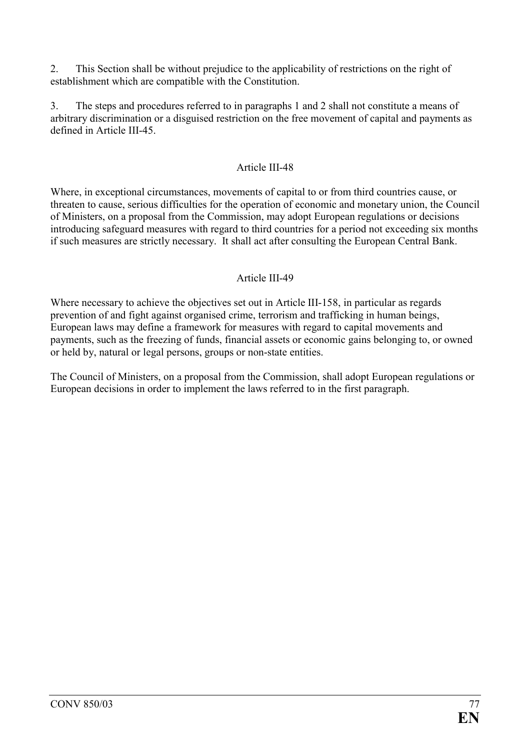2. This Section shall be without prejudice to the applicability of restrictions on the right of establishment which are compatible with the Constitution.

3. The steps and procedures referred to in paragraphs 1 and 2 shall not constitute a means of arbitrary discrimination or a disguised restriction on the free movement of capital and payments as defined in Article III-45.

### Article III-48

Where, in exceptional circumstances, movements of capital to or from third countries cause, or threaten to cause, serious difficulties for the operation of economic and monetary union, the Council of Ministers, on a proposal from the Commission, may adopt European regulations or decisions introducing safeguard measures with regard to third countries for a period not exceeding six months if such measures are strictly necessary. It shall act after consulting the European Central Bank.

#### Article III-49

Where necessary to achieve the objectives set out in Article III-158, in particular as regards prevention of and fight against organised crime, terrorism and trafficking in human beings, European laws may define a framework for measures with regard to capital movements and payments, such as the freezing of funds, financial assets or economic gains belonging to, or owned or held by, natural or legal persons, groups or non-state entities.

The Council of Ministers, on a proposal from the Commission, shall adopt European regulations or European decisions in order to implement the laws referred to in the first paragraph.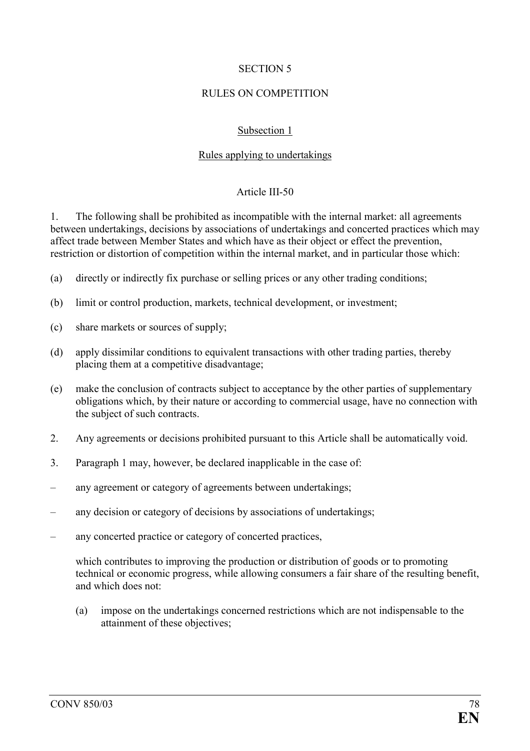## SECTION 5

### RULES ON COMPETITION

### Subsection 1

#### Rules applying to undertakings

#### Article III-50

1. The following shall be prohibited as incompatible with the internal market: all agreements between undertakings, decisions by associations of undertakings and concerted practices which may affect trade between Member States and which have as their object or effect the prevention, restriction or distortion of competition within the internal market, and in particular those which:

- (a) directly or indirectly fix purchase or selling prices or any other trading conditions;
- (b) limit or control production, markets, technical development, or investment;
- (c) share markets or sources of supply;
- (d) apply dissimilar conditions to equivalent transactions with other trading parties, thereby placing them at a competitive disadvantage;
- (e) make the conclusion of contracts subject to acceptance by the other parties of supplementary obligations which, by their nature or according to commercial usage, have no connection with the subject of such contracts.
- 2. Any agreements or decisions prohibited pursuant to this Article shall be automatically void.
- 3. Paragraph 1 may, however, be declared inapplicable in the case of:
- any agreement or category of agreements between undertakings;
- any decision or category of decisions by associations of undertakings;
- any concerted practice or category of concerted practices,

which contributes to improving the production or distribution of goods or to promoting technical or economic progress, while allowing consumers a fair share of the resulting benefit, and which does not:

(a) impose on the undertakings concerned restrictions which are not indispensable to the attainment of these objectives;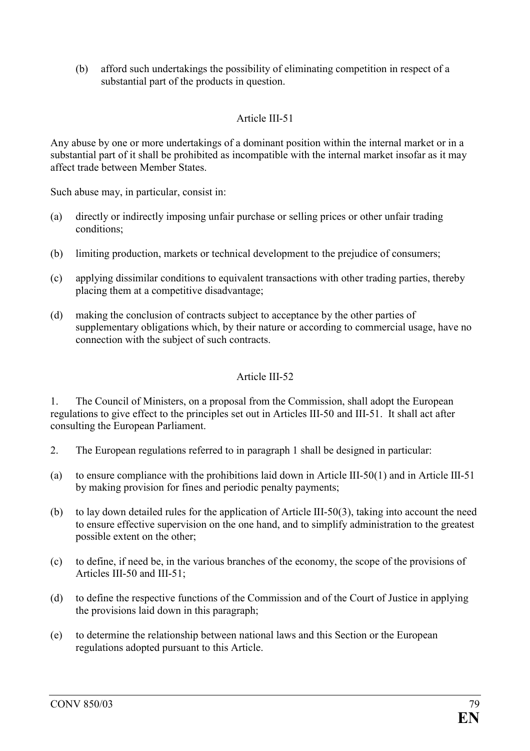(b) afford such undertakings the possibility of eliminating competition in respect of a substantial part of the products in question.

# Article III-51

Any abuse by one or more undertakings of a dominant position within the internal market or in a substantial part of it shall be prohibited as incompatible with the internal market insofar as it may affect trade between Member States.

Such abuse may, in particular, consist in:

- (a) directly or indirectly imposing unfair purchase or selling prices or other unfair trading conditions;
- (b) limiting production, markets or technical development to the prejudice of consumers;
- (c) applying dissimilar conditions to equivalent transactions with other trading parties, thereby placing them at a competitive disadvantage;
- (d) making the conclusion of contracts subject to acceptance by the other parties of supplementary obligations which, by their nature or according to commercial usage, have no connection with the subject of such contracts.

### Article III-52

1. The Council of Ministers, on a proposal from the Commission, shall adopt the European regulations to give effect to the principles set out in Articles III-50 and III-51. It shall act after consulting the European Parliament.

- 2. The European regulations referred to in paragraph 1 shall be designed in particular:
- (a) to ensure compliance with the prohibitions laid down in Article III-50(1) and in Article III-51 by making provision for fines and periodic penalty payments;
- (b) to lay down detailed rules for the application of Article III-50(3), taking into account the need to ensure effective supervision on the one hand, and to simplify administration to the greatest possible extent on the other;
- (c) to define, if need be, in the various branches of the economy, the scope of the provisions of Articles III-50 and III-51;
- (d) to define the respective functions of the Commission and of the Court of Justice in applying the provisions laid down in this paragraph;
- (e) to determine the relationship between national laws and this Section or the European regulations adopted pursuant to this Article.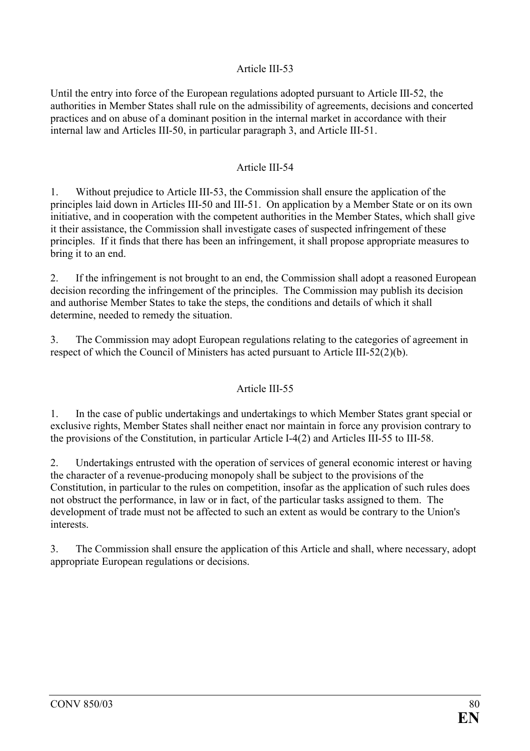Until the entry into force of the European regulations adopted pursuant to Article III-52, the authorities in Member States shall rule on the admissibility of agreements, decisions and concerted practices and on abuse of a dominant position in the internal market in accordance with their internal law and Articles III-50, in particular paragraph 3, and Article III-51.

### Article III-54

1. Without prejudice to Article III-53, the Commission shall ensure the application of the principles laid down in Articles III-50 and III-51. On application by a Member State or on its own initiative, and in cooperation with the competent authorities in the Member States, which shall give it their assistance, the Commission shall investigate cases of suspected infringement of these principles. If it finds that there has been an infringement, it shall propose appropriate measures to bring it to an end.

2. If the infringement is not brought to an end, the Commission shall adopt a reasoned European decision recording the infringement of the principles. The Commission may publish its decision and authorise Member States to take the steps, the conditions and details of which it shall determine, needed to remedy the situation.

3. The Commission may adopt European regulations relating to the categories of agreement in respect of which the Council of Ministers has acted pursuant to Article III-52(2)(b).

### Article III-55

1. In the case of public undertakings and undertakings to which Member States grant special or exclusive rights, Member States shall neither enact nor maintain in force any provision contrary to the provisions of the Constitution, in particular Article I-4(2) and Articles III-55 to III-58.

2. Undertakings entrusted with the operation of services of general economic interest or having the character of a revenue-producing monopoly shall be subject to the provisions of the Constitution, in particular to the rules on competition, insofar as the application of such rules does not obstruct the performance, in law or in fact, of the particular tasks assigned to them. The development of trade must not be affected to such an extent as would be contrary to the Union's interests.

3. The Commission shall ensure the application of this Article and shall, where necessary, adopt appropriate European regulations or decisions.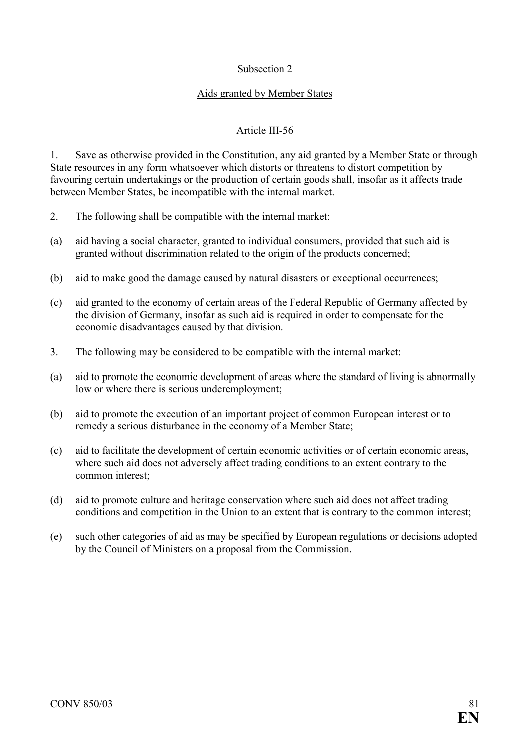### Subsection 2

#### Aids granted by Member States

### Article III-56

1. Save as otherwise provided in the Constitution, any aid granted by a Member State or through State resources in any form whatsoever which distorts or threatens to distort competition by favouring certain undertakings or the production of certain goods shall, insofar as it affects trade between Member States, be incompatible with the internal market.

- 2. The following shall be compatible with the internal market:
- (a) aid having a social character, granted to individual consumers, provided that such aid is granted without discrimination related to the origin of the products concerned;
- (b) aid to make good the damage caused by natural disasters or exceptional occurrences;
- (c) aid granted to the economy of certain areas of the Federal Republic of Germany affected by the division of Germany, insofar as such aid is required in order to compensate for the economic disadvantages caused by that division.
- 3. The following may be considered to be compatible with the internal market:
- (a) aid to promote the economic development of areas where the standard of living is abnormally low or where there is serious underemployment;
- (b) aid to promote the execution of an important project of common European interest or to remedy a serious disturbance in the economy of a Member State;
- (c) aid to facilitate the development of certain economic activities or of certain economic areas, where such aid does not adversely affect trading conditions to an extent contrary to the common interest;
- (d) aid to promote culture and heritage conservation where such aid does not affect trading conditions and competition in the Union to an extent that is contrary to the common interest;
- (e) such other categories of aid as may be specified by European regulations or decisions adopted by the Council of Ministers on a proposal from the Commission.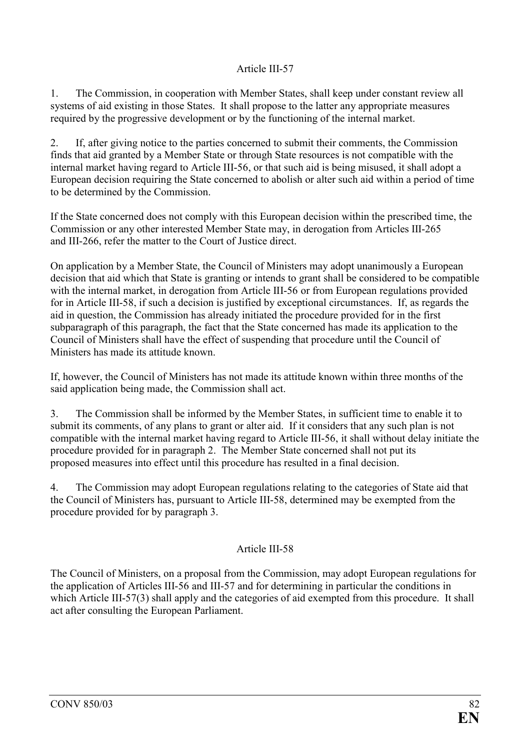1. The Commission, in cooperation with Member States, shall keep under constant review all systems of aid existing in those States. It shall propose to the latter any appropriate measures required by the progressive development or by the functioning of the internal market.

2. If, after giving notice to the parties concerned to submit their comments, the Commission finds that aid granted by a Member State or through State resources is not compatible with the internal market having regard to Article III-56, or that such aid is being misused, it shall adopt a European decision requiring the State concerned to abolish or alter such aid within a period of time to be determined by the Commission.

If the State concerned does not comply with this European decision within the prescribed time, the Commission or any other interested Member State may, in derogation from Articles III-265 and III-266, refer the matter to the Court of Justice direct.

On application by a Member State, the Council of Ministers may adopt unanimously a European decision that aid which that State is granting or intends to grant shall be considered to be compatible with the internal market, in derogation from Article III-56 or from European regulations provided for in Article III-58, if such a decision is justified by exceptional circumstances. If, as regards the aid in question, the Commission has already initiated the procedure provided for in the first subparagraph of this paragraph, the fact that the State concerned has made its application to the Council of Ministers shall have the effect of suspending that procedure until the Council of Ministers has made its attitude known.

If, however, the Council of Ministers has not made its attitude known within three months of the said application being made, the Commission shall act.

3. The Commission shall be informed by the Member States, in sufficient time to enable it to submit its comments, of any plans to grant or alter aid. If it considers that any such plan is not compatible with the internal market having regard to Article III-56, it shall without delay initiate the procedure provided for in paragraph 2. The Member State concerned shall not put its proposed measures into effect until this procedure has resulted in a final decision.

4. The Commission may adopt European regulations relating to the categories of State aid that the Council of Ministers has, pursuant to Article III-58, determined may be exempted from the procedure provided for by paragraph 3.

### Article III-58

The Council of Ministers, on a proposal from the Commission, may adopt European regulations for the application of Articles III-56 and III-57 and for determining in particular the conditions in which Article III-57(3) shall apply and the categories of aid exempted from this procedure. It shall act after consulting the European Parliament.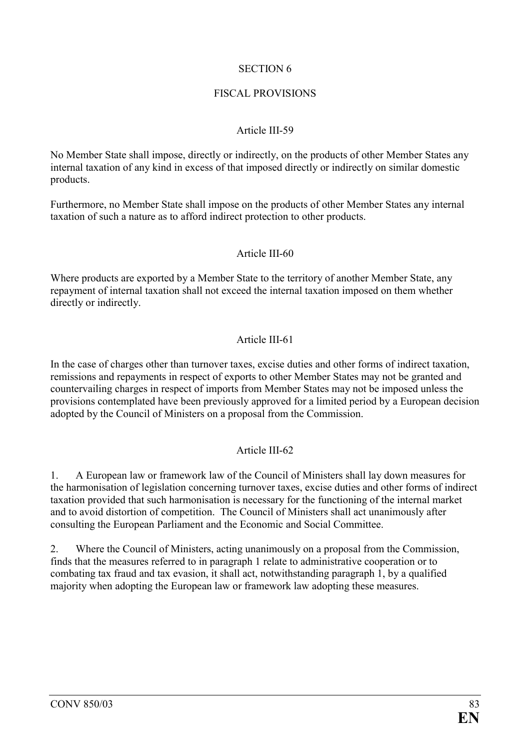### SECTION 6

### FISCAL PROVISIONS

#### Article III-59

No Member State shall impose, directly or indirectly, on the products of other Member States any internal taxation of any kind in excess of that imposed directly or indirectly on similar domestic products.

Furthermore, no Member State shall impose on the products of other Member States any internal taxation of such a nature as to afford indirect protection to other products.

#### Article III-60

Where products are exported by a Member State to the territory of another Member State, any repayment of internal taxation shall not exceed the internal taxation imposed on them whether directly or indirectly.

### Article III-61

In the case of charges other than turnover taxes, excise duties and other forms of indirect taxation, remissions and repayments in respect of exports to other Member States may not be granted and countervailing charges in respect of imports from Member States may not be imposed unless the provisions contemplated have been previously approved for a limited period by a European decision adopted by the Council of Ministers on a proposal from the Commission.

### Article III-62

1. A European law or framework law of the Council of Ministers shall lay down measures for the harmonisation of legislation concerning turnover taxes, excise duties and other forms of indirect taxation provided that such harmonisation is necessary for the functioning of the internal market and to avoid distortion of competition. The Council of Ministers shall act unanimously after consulting the European Parliament and the Economic and Social Committee.

2. Where the Council of Ministers, acting unanimously on a proposal from the Commission, finds that the measures referred to in paragraph 1 relate to administrative cooperation or to combating tax fraud and tax evasion, it shall act, notwithstanding paragraph 1, by a qualified majority when adopting the European law or framework law adopting these measures.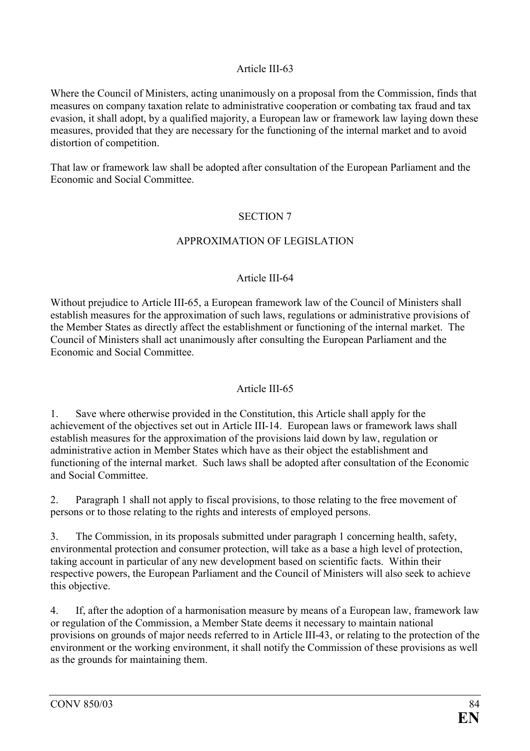Where the Council of Ministers, acting unanimously on a proposal from the Commission, finds that measures on company taxation relate to administrative cooperation or combating tax fraud and tax evasion, it shall adopt, by a qualified majority, a European law or framework law laying down these measures, provided that they are necessary for the functioning of the internal market and to avoid distortion of competition.

That law or framework law shall be adopted after consultation of the European Parliament and the Economic and Social Committee.

### SECTION 7

### APPROXIMATION OF LEGISLATION

### Article III-64

Without prejudice to Article III-65, a European framework law of the Council of Ministers shall establish measures for the approximation of such laws, regulations or administrative provisions of the Member States as directly affect the establishment or functioning of the internal market. The Council of Ministers shall act unanimously after consulting the European Parliament and the Economic and Social Committee.

### Article III-65

1. Save where otherwise provided in the Constitution, this Article shall apply for the achievement of the objectives set out in Article III-14. European laws or framework laws shall establish measures for the approximation of the provisions laid down by law, regulation or administrative action in Member States which have as their object the establishment and functioning of the internal market. Such laws shall be adopted after consultation of the Economic and Social Committee.

2. Paragraph 1 shall not apply to fiscal provisions, to those relating to the free movement of persons or to those relating to the rights and interests of employed persons.

3. The Commission, in its proposals submitted under paragraph 1 concerning health, safety, environmental protection and consumer protection, will take as a base a high level of protection, taking account in particular of any new development based on scientific facts. Within their respective powers, the European Parliament and the Council of Ministers will also seek to achieve this objective.

4. If, after the adoption of a harmonisation measure by means of a European law, framework law or regulation of the Commission, a Member State deems it necessary to maintain national provisions on grounds of major needs referred to in Article III-43, or relating to the protection of the environment or the working environment, it shall notify the Commission of these provisions as well as the grounds for maintaining them.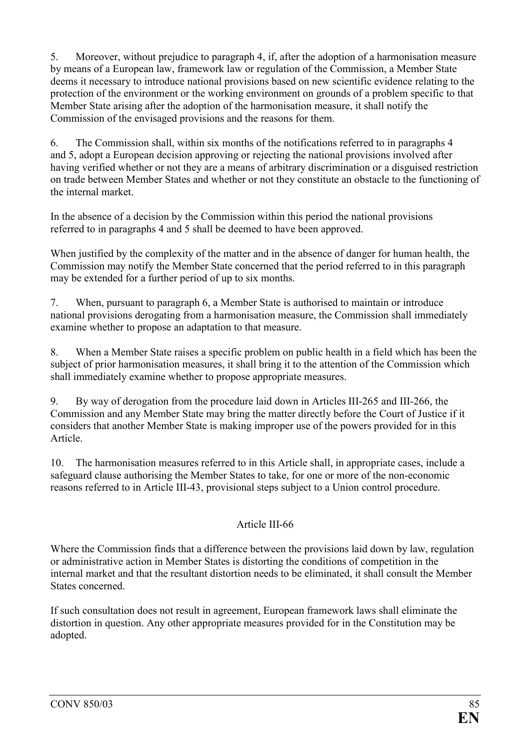5. Moreover, without prejudice to paragraph 4, if, after the adoption of a harmonisation measure by means of a European law, framework law or regulation of the Commission, a Member State deems it necessary to introduce national provisions based on new scientific evidence relating to the protection of the environment or the working environment on grounds of a problem specific to that Member State arising after the adoption of the harmonisation measure, it shall notify the Commission of the envisaged provisions and the reasons for them.

6. The Commission shall, within six months of the notifications referred to in paragraphs 4 and 5, adopt a European decision approving or rejecting the national provisions involved after having verified whether or not they are a means of arbitrary discrimination or a disguised restriction on trade between Member States and whether or not they constitute an obstacle to the functioning of the internal market.

In the absence of a decision by the Commission within this period the national provisions referred to in paragraphs 4 and 5 shall be deemed to have been approved.

When justified by the complexity of the matter and in the absence of danger for human health, the Commission may notify the Member State concerned that the period referred to in this paragraph may be extended for a further period of up to six months.

7. When, pursuant to paragraph 6, a Member State is authorised to maintain or introduce national provisions derogating from a harmonisation measure, the Commission shall immediately examine whether to propose an adaptation to that measure.

8. When a Member State raises a specific problem on public health in a field which has been the subject of prior harmonisation measures, it shall bring it to the attention of the Commission which shall immediately examine whether to propose appropriate measures.

9. By way of derogation from the procedure laid down in Articles III-265 and III-266, the Commission and any Member State may bring the matter directly before the Court of Justice if it considers that another Member State is making improper use of the powers provided for in this Article.

10. The harmonisation measures referred to in this Article shall, in appropriate cases, include a safeguard clause authorising the Member States to take, for one or more of the non-economic reasons referred to in Article III-43, provisional steps subject to a Union control procedure.

### Article III-66

Where the Commission finds that a difference between the provisions laid down by law, regulation or administrative action in Member States is distorting the conditions of competition in the internal market and that the resultant distortion needs to be eliminated, it shall consult the Member States concerned.

If such consultation does not result in agreement, European framework laws shall eliminate the distortion in question. Any other appropriate measures provided for in the Constitution may be adopted.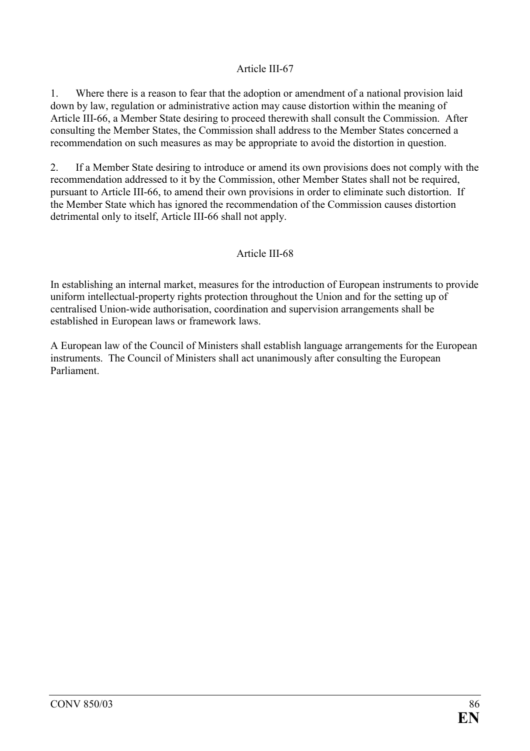1. Where there is a reason to fear that the adoption or amendment of a national provision laid down by law, regulation or administrative action may cause distortion within the meaning of Article III-66, a Member State desiring to proceed therewith shall consult the Commission. After consulting the Member States, the Commission shall address to the Member States concerned a recommendation on such measures as may be appropriate to avoid the distortion in question.

2. If a Member State desiring to introduce or amend its own provisions does not comply with the recommendation addressed to it by the Commission, other Member States shall not be required, pursuant to Article III-66, to amend their own provisions in order to eliminate such distortion. If the Member State which has ignored the recommendation of the Commission causes distortion detrimental only to itself, Article III-66 shall not apply.

### Article III-68

In establishing an internal market, measures for the introduction of European instruments to provide uniform intellectual-property rights protection throughout the Union and for the setting up of centralised Union-wide authorisation, coordination and supervision arrangements shall be established in European laws or framework laws.

A European law of the Council of Ministers shall establish language arrangements for the European instruments. The Council of Ministers shall act unanimously after consulting the European Parliament.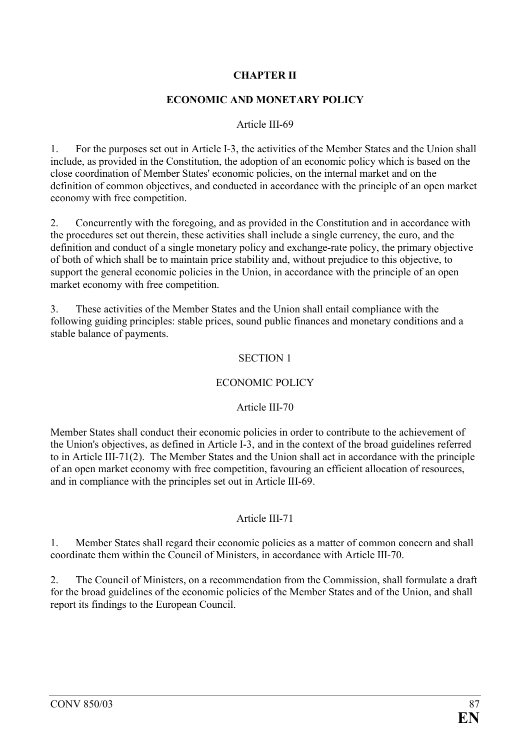# **CHAPTER II**

#### **ECONOMIC AND MONETARY POLICY**

#### Article III-69

1. For the purposes set out in Article I-3, the activities of the Member States and the Union shall include, as provided in the Constitution, the adoption of an economic policy which is based on the close coordination of Member States' economic policies, on the internal market and on the definition of common objectives, and conducted in accordance with the principle of an open market economy with free competition.

2. Concurrently with the foregoing, and as provided in the Constitution and in accordance with the procedures set out therein, these activities shall include a single currency, the euro, and the definition and conduct of a single monetary policy and exchange-rate policy, the primary objective of both of which shall be to maintain price stability and, without prejudice to this objective, to support the general economic policies in the Union, in accordance with the principle of an open market economy with free competition.

3. These activities of the Member States and the Union shall entail compliance with the following guiding principles: stable prices, sound public finances and monetary conditions and a stable balance of payments.

#### SECTION 1

#### ECONOMIC POLICY

#### Article III-70

Member States shall conduct their economic policies in order to contribute to the achievement of the Union's objectives, as defined in Article I-3, and in the context of the broad guidelines referred to in Article III-71(2). The Member States and the Union shall act in accordance with the principle of an open market economy with free competition, favouring an efficient allocation of resources, and in compliance with the principles set out in Article III-69.

### Article III-71

1. Member States shall regard their economic policies as a matter of common concern and shall coordinate them within the Council of Ministers, in accordance with Article III-70.

2. The Council of Ministers, on a recommendation from the Commission, shall formulate a draft for the broad guidelines of the economic policies of the Member States and of the Union, and shall report its findings to the European Council.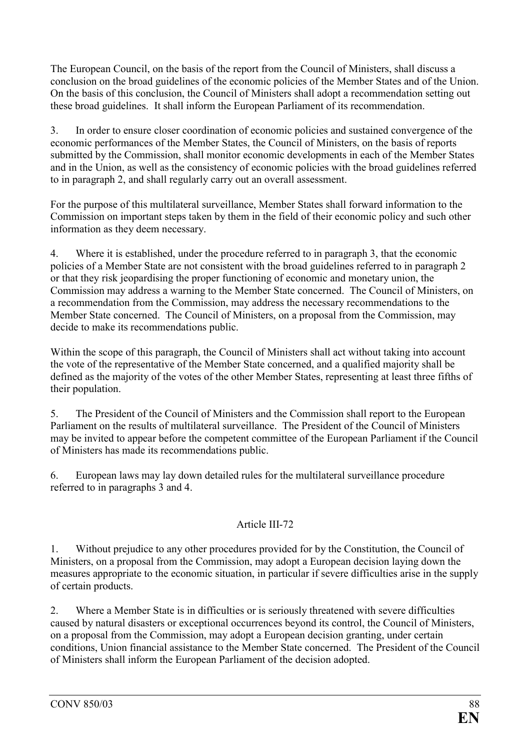The European Council, on the basis of the report from the Council of Ministers, shall discuss a conclusion on the broad guidelines of the economic policies of the Member States and of the Union. On the basis of this conclusion, the Council of Ministers shall adopt a recommendation setting out these broad guidelines. It shall inform the European Parliament of its recommendation.

3. In order to ensure closer coordination of economic policies and sustained convergence of the economic performances of the Member States, the Council of Ministers, on the basis of reports submitted by the Commission, shall monitor economic developments in each of the Member States and in the Union, as well as the consistency of economic policies with the broad guidelines referred to in paragraph 2, and shall regularly carry out an overall assessment.

For the purpose of this multilateral surveillance, Member States shall forward information to the Commission on important steps taken by them in the field of their economic policy and such other information as they deem necessary.

4. Where it is established, under the procedure referred to in paragraph 3, that the economic policies of a Member State are not consistent with the broad guidelines referred to in paragraph 2 or that they risk jeopardising the proper functioning of economic and monetary union, the Commission may address a warning to the Member State concerned. The Council of Ministers, on a recommendation from the Commission, may address the necessary recommendations to the Member State concerned. The Council of Ministers, on a proposal from the Commission, may decide to make its recommendations public.

Within the scope of this paragraph, the Council of Ministers shall act without taking into account the vote of the representative of the Member State concerned, and a qualified majority shall be defined as the majority of the votes of the other Member States, representing at least three fifths of their population.

5. The President of the Council of Ministers and the Commission shall report to the European Parliament on the results of multilateral surveillance. The President of the Council of Ministers may be invited to appear before the competent committee of the European Parliament if the Council of Ministers has made its recommendations public.

6. European laws may lay down detailed rules for the multilateral surveillance procedure referred to in paragraphs 3 and 4.

# Article III-72

1. Without prejudice to any other procedures provided for by the Constitution, the Council of Ministers, on a proposal from the Commission, may adopt a European decision laying down the measures appropriate to the economic situation, in particular if severe difficulties arise in the supply of certain products.

2. Where a Member State is in difficulties or is seriously threatened with severe difficulties caused by natural disasters or exceptional occurrences beyond its control, the Council of Ministers, on a proposal from the Commission, may adopt a European decision granting, under certain conditions, Union financial assistance to the Member State concerned. The President of the Council of Ministers shall inform the European Parliament of the decision adopted.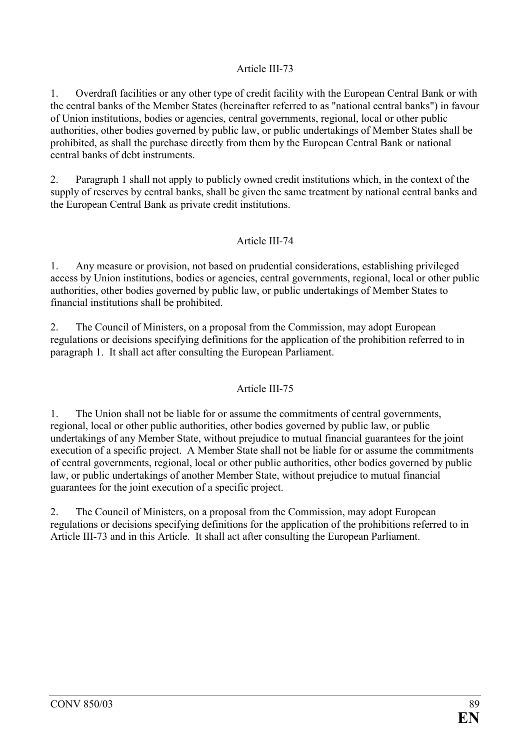1. Overdraft facilities or any other type of credit facility with the European Central Bank or with the central banks of the Member States (hereinafter referred to as "national central banks") in favour of Union institutions, bodies or agencies, central governments, regional, local or other public authorities, other bodies governed by public law, or public undertakings of Member States shall be prohibited, as shall the purchase directly from them by the European Central Bank or national central banks of debt instruments.

2. Paragraph 1 shall not apply to publicly owned credit institutions which, in the context of the supply of reserves by central banks, shall be given the same treatment by national central banks and the European Central Bank as private credit institutions.

### Article III-74

1. Any measure or provision, not based on prudential considerations, establishing privileged access by Union institutions, bodies or agencies, central governments, regional, local or other public authorities, other bodies governed by public law, or public undertakings of Member States to financial institutions shall be prohibited.

2. The Council of Ministers, on a proposal from the Commission, may adopt European regulations or decisions specifying definitions for the application of the prohibition referred to in paragraph 1. It shall act after consulting the European Parliament.

### Article III-75

1. The Union shall not be liable for or assume the commitments of central governments, regional, local or other public authorities, other bodies governed by public law, or public undertakings of any Member State, without prejudice to mutual financial guarantees for the joint execution of a specific project. A Member State shall not be liable for or assume the commitments of central governments, regional, local or other public authorities, other bodies governed by public law, or public undertakings of another Member State, without prejudice to mutual financial guarantees for the joint execution of a specific project.

2. The Council of Ministers, on a proposal from the Commission, may adopt European regulations or decisions specifying definitions for the application of the prohibitions referred to in Article III-73 and in this Article. It shall act after consulting the European Parliament.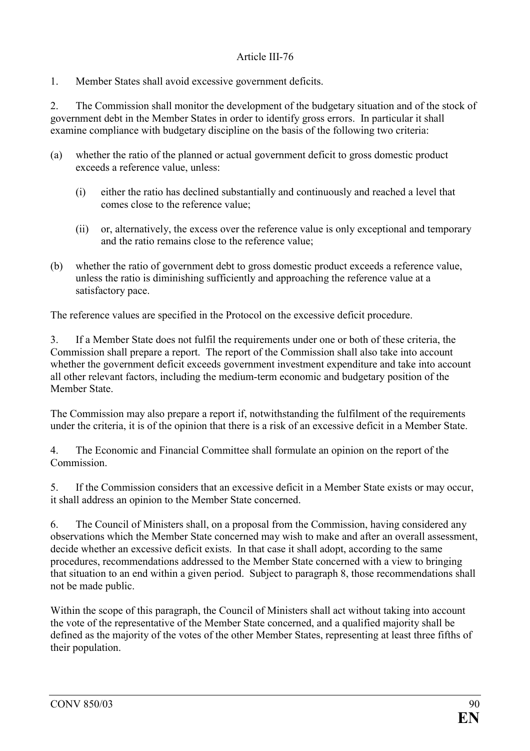1. Member States shall avoid excessive government deficits.

2. The Commission shall monitor the development of the budgetary situation and of the stock of government debt in the Member States in order to identify gross errors. In particular it shall examine compliance with budgetary discipline on the basis of the following two criteria:

- (a) whether the ratio of the planned or actual government deficit to gross domestic product exceeds a reference value, unless:
	- (i) either the ratio has declined substantially and continuously and reached a level that comes close to the reference value;
	- (ii) or, alternatively, the excess over the reference value is only exceptional and temporary and the ratio remains close to the reference value;
- (b) whether the ratio of government debt to gross domestic product exceeds a reference value, unless the ratio is diminishing sufficiently and approaching the reference value at a satisfactory pace.

The reference values are specified in the Protocol on the excessive deficit procedure.

3. If a Member State does not fulfil the requirements under one or both of these criteria, the Commission shall prepare a report. The report of the Commission shall also take into account whether the government deficit exceeds government investment expenditure and take into account all other relevant factors, including the medium-term economic and budgetary position of the Member State.

The Commission may also prepare a report if, notwithstanding the fulfilment of the requirements under the criteria, it is of the opinion that there is a risk of an excessive deficit in a Member State.

4. The Economic and Financial Committee shall formulate an opinion on the report of the Commission.

5. If the Commission considers that an excessive deficit in a Member State exists or may occur, it shall address an opinion to the Member State concerned.

6. The Council of Ministers shall, on a proposal from the Commission, having considered any observations which the Member State concerned may wish to make and after an overall assessment, decide whether an excessive deficit exists. In that case it shall adopt, according to the same procedures, recommendations addressed to the Member State concerned with a view to bringing that situation to an end within a given period. Subject to paragraph 8, those recommendations shall not be made public.

Within the scope of this paragraph, the Council of Ministers shall act without taking into account the vote of the representative of the Member State concerned, and a qualified majority shall be defined as the majority of the votes of the other Member States, representing at least three fifths of their population.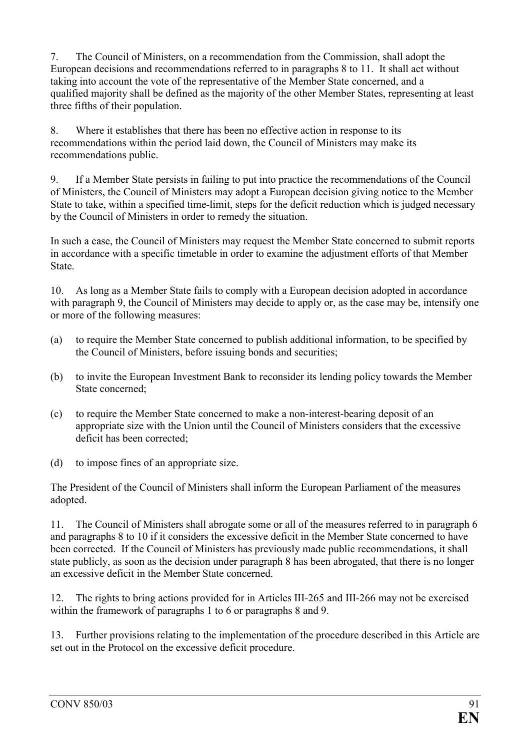7. The Council of Ministers, on a recommendation from the Commission, shall adopt the European decisions and recommendations referred to in paragraphs 8 to 11. It shall act without taking into account the vote of the representative of the Member State concerned, and a qualified majority shall be defined as the majority of the other Member States, representing at least three fifths of their population.

8. Where it establishes that there has been no effective action in response to its recommendations within the period laid down, the Council of Ministers may make its recommendations public.

9. If a Member State persists in failing to put into practice the recommendations of the Council of Ministers, the Council of Ministers may adopt a European decision giving notice to the Member State to take, within a specified time-limit, steps for the deficit reduction which is judged necessary by the Council of Ministers in order to remedy the situation.

In such a case, the Council of Ministers may request the Member State concerned to submit reports in accordance with a specific timetable in order to examine the adjustment efforts of that Member **State** 

10. As long as a Member State fails to comply with a European decision adopted in accordance with paragraph 9, the Council of Ministers may decide to apply or, as the case may be, intensify one or more of the following measures:

- (a) to require the Member State concerned to publish additional information, to be specified by the Council of Ministers, before issuing bonds and securities;
- (b) to invite the European Investment Bank to reconsider its lending policy towards the Member State concerned;
- (c) to require the Member State concerned to make a non-interest-bearing deposit of an appropriate size with the Union until the Council of Ministers considers that the excessive deficit has been corrected;

(d) to impose fines of an appropriate size.

The President of the Council of Ministers shall inform the European Parliament of the measures adopted.

11. The Council of Ministers shall abrogate some or all of the measures referred to in paragraph 6 and paragraphs 8 to 10 if it considers the excessive deficit in the Member State concerned to have been corrected. If the Council of Ministers has previously made public recommendations, it shall state publicly, as soon as the decision under paragraph 8 has been abrogated, that there is no longer an excessive deficit in the Member State concerned.

12. The rights to bring actions provided for in Articles III-265 and III-266 may not be exercised within the framework of paragraphs 1 to 6 or paragraphs 8 and 9.

13. Further provisions relating to the implementation of the procedure described in this Article are set out in the Protocol on the excessive deficit procedure.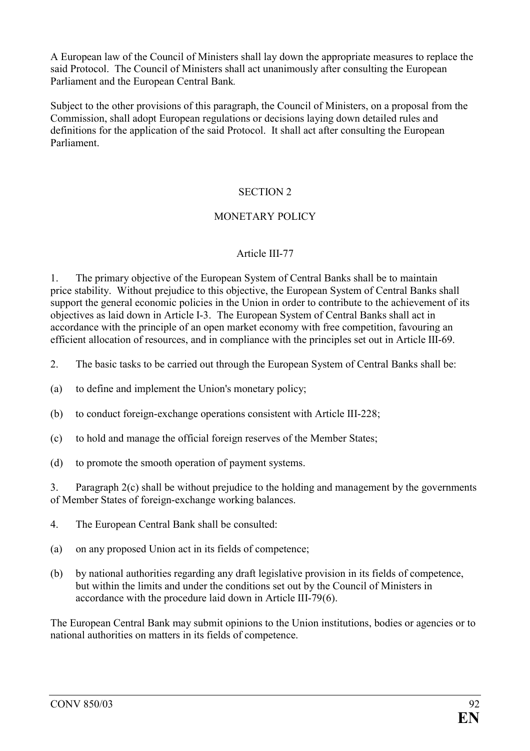A European law of the Council of Ministers shall lay down the appropriate measures to replace the said Protocol. The Council of Ministers shall act unanimously after consulting the European Parliament and the European Central Bank*.*

Subject to the other provisions of this paragraph, the Council of Ministers, on a proposal from the Commission, shall adopt European regulations or decisions laying down detailed rules and definitions for the application of the said Protocol. It shall act after consulting the European Parliament.

## SECTION 2

### MONETARY POLICY

### Article III-77

1. The primary objective of the European System of Central Banks shall be to maintain price stability. Without prejudice to this objective, the European System of Central Banks shall support the general economic policies in the Union in order to contribute to the achievement of its objectives as laid down in Article I-3. The European System of Central Banks shall act in accordance with the principle of an open market economy with free competition, favouring an efficient allocation of resources, and in compliance with the principles set out in Article III-69.

- 2. The basic tasks to be carried out through the European System of Central Banks shall be:
- (a) to define and implement the Union's monetary policy;
- (b) to conduct foreign-exchange operations consistent with Article III-228;
- (c) to hold and manage the official foreign reserves of the Member States;
- (d) to promote the smooth operation of payment systems.

3. Paragraph 2(c) shall be without prejudice to the holding and management by the governments of Member States of foreign-exchange working balances.

- 4. The European Central Bank shall be consulted:
- (a) on any proposed Union act in its fields of competence;
- (b) by national authorities regarding any draft legislative provision in its fields of competence, but within the limits and under the conditions set out by the Council of Ministers in accordance with the procedure laid down in Article III-79(6).

The European Central Bank may submit opinions to the Union institutions, bodies or agencies or to national authorities on matters in its fields of competence.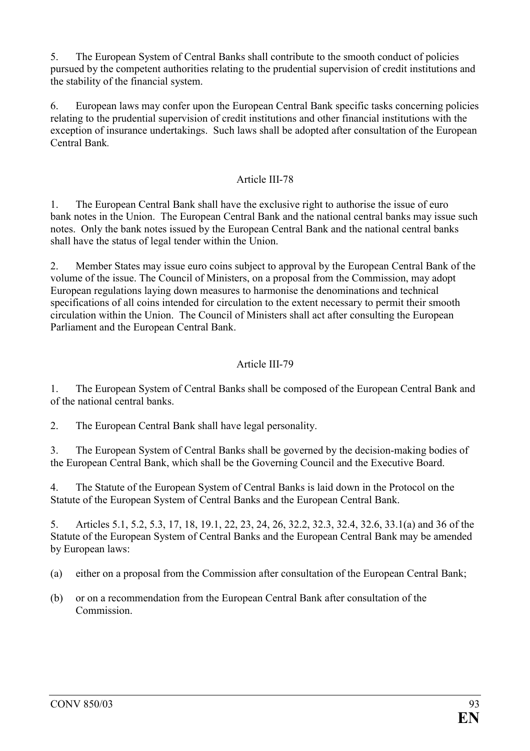5. The European System of Central Banks shall contribute to the smooth conduct of policies pursued by the competent authorities relating to the prudential supervision of credit institutions and the stability of the financial system.

6. European laws may confer upon the European Central Bank specific tasks concerning policies relating to the prudential supervision of credit institutions and other financial institutions with the exception of insurance undertakings. Such laws shall be adopted after consultation of the European Central Bank*.*

### Article III-78

1. The European Central Bank shall have the exclusive right to authorise the issue of euro bank notes in the Union. The European Central Bank and the national central banks may issue such notes. Only the bank notes issued by the European Central Bank and the national central banks shall have the status of legal tender within the Union.

2. Member States may issue euro coins subject to approval by the European Central Bank of the volume of the issue. The Council of Ministers, on a proposal from the Commission, may adopt European regulations laying down measures to harmonise the denominations and technical specifications of all coins intended for circulation to the extent necessary to permit their smooth circulation within the Union. The Council of Ministers shall act after consulting the European Parliament and the European Central Bank.

## Article III-79

1. The European System of Central Banks shall be composed of the European Central Bank and of the national central banks.

2. The European Central Bank shall have legal personality.

3. The European System of Central Banks shall be governed by the decision-making bodies of the European Central Bank, which shall be the Governing Council and the Executive Board.

4. The Statute of the European System of Central Banks is laid down in the Protocol on the Statute of the European System of Central Banks and the European Central Bank.

5. Articles 5.1, 5.2, 5.3, 17, 18, 19.1, 22, 23, 24, 26, 32.2, 32.3, 32.4, 32.6, 33.1(a) and 36 of the Statute of the European System of Central Banks and the European Central Bank may be amended by European laws:

(a) either on a proposal from the Commission after consultation of the European Central Bank;

(b) or on a recommendation from the European Central Bank after consultation of the Commission.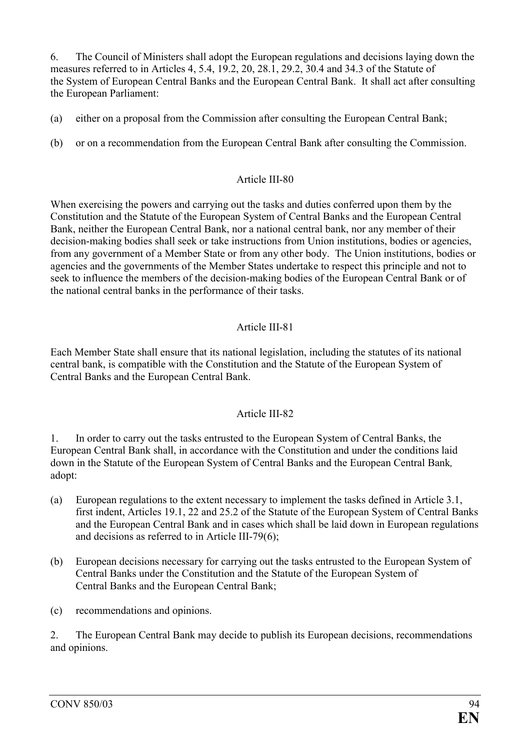6. The Council of Ministers shall adopt the European regulations and decisions laying down the measures referred to in Articles 4, 5.4, 19.2, 20, 28.1, 29.2, 30.4 and 34.3 of the Statute of the System of European Central Banks and the European Central Bank. It shall act after consulting the European Parliament:

(a) either on a proposal from the Commission after consulting the European Central Bank;

(b) or on a recommendation from the European Central Bank after consulting the Commission.

### Article III-80

When exercising the powers and carrying out the tasks and duties conferred upon them by the Constitution and the Statute of the European System of Central Banks and the European Central Bank, neither the European Central Bank, nor a national central bank, nor any member of their decision-making bodies shall seek or take instructions from Union institutions, bodies or agencies, from any government of a Member State or from any other body. The Union institutions, bodies or agencies and the governments of the Member States undertake to respect this principle and not to seek to influence the members of the decision-making bodies of the European Central Bank or of the national central banks in the performance of their tasks.

## Article III-81

Each Member State shall ensure that its national legislation, including the statutes of its national central bank, is compatible with the Constitution and the Statute of the European System of Central Banks and the European Central Bank.

### Article III-82

1. In order to carry out the tasks entrusted to the European System of Central Banks, the European Central Bank shall, in accordance with the Constitution and under the conditions laid down in the Statute of the European System of Central Banks and the European Central Bank*,* adopt:

- (a) European regulations to the extent necessary to implement the tasks defined in Article 3.1, first indent, Articles 19.1, 22 and 25.2 of the Statute of the European System of Central Banks and the European Central Bank and in cases which shall be laid down in European regulations and decisions as referred to in Article III-79(6);
- (b) European decisions necessary for carrying out the tasks entrusted to the European System of Central Banks under the Constitution and the Statute of the European System of Central Banks and the European Central Bank;

(c) recommendations and opinions.

2. The European Central Bank may decide to publish its European decisions, recommendations and opinions.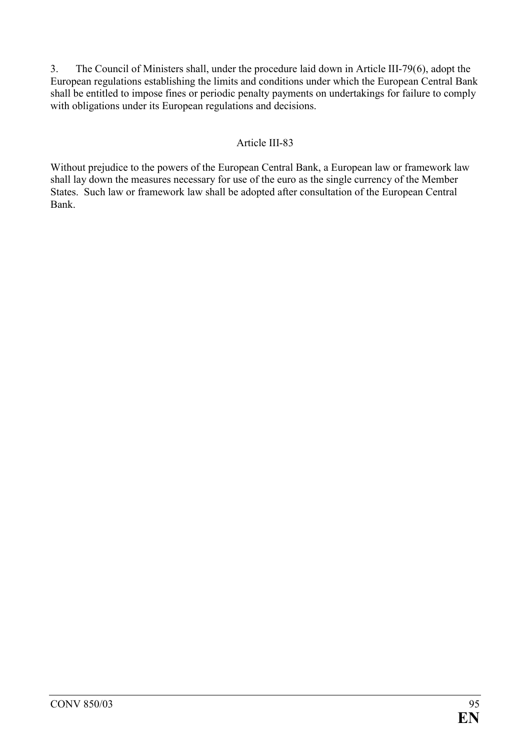3. The Council of Ministers shall, under the procedure laid down in Article III-79(6), adopt the European regulations establishing the limits and conditions under which the European Central Bank shall be entitled to impose fines or periodic penalty payments on undertakings for failure to comply with obligations under its European regulations and decisions.

### Article III-83

Without prejudice to the powers of the European Central Bank, a European law or framework law shall lay down the measures necessary for use of the euro as the single currency of the Member States. Such law or framework law shall be adopted after consultation of the European Central Bank.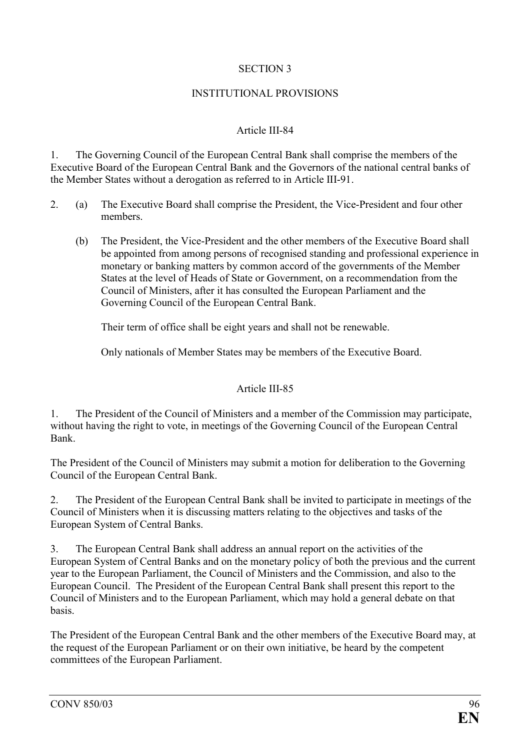### SECTION 3

#### INSTITUTIONAL PROVISIONS

### Article III-84

1. The Governing Council of the European Central Bank shall comprise the members of the Executive Board of the European Central Bank and the Governors of the national central banks of the Member States without a derogation as referred to in Article III-91.

- 2. (a) The Executive Board shall comprise the President, the Vice-President and four other members.
	- (b) The President, the Vice-President and the other members of the Executive Board shall be appointed from among persons of recognised standing and professional experience in monetary or banking matters by common accord of the governments of the Member States at the level of Heads of State or Government, on a recommendation from the Council of Ministers, after it has consulted the European Parliament and the Governing Council of the European Central Bank.

Their term of office shall be eight years and shall not be renewable.

Only nationals of Member States may be members of the Executive Board.

### Article III-85

1. The President of the Council of Ministers and a member of the Commission may participate, without having the right to vote, in meetings of the Governing Council of the European Central Bank.

The President of the Council of Ministers may submit a motion for deliberation to the Governing Council of the European Central Bank.

2. The President of the European Central Bank shall be invited to participate in meetings of the Council of Ministers when it is discussing matters relating to the objectives and tasks of the European System of Central Banks.

3. The European Central Bank shall address an annual report on the activities of the European System of Central Banks and on the monetary policy of both the previous and the current year to the European Parliament, the Council of Ministers and the Commission, and also to the European Council. The President of the European Central Bank shall present this report to the Council of Ministers and to the European Parliament, which may hold a general debate on that basis.

The President of the European Central Bank and the other members of the Executive Board may, at the request of the European Parliament or on their own initiative, be heard by the competent committees of the European Parliament.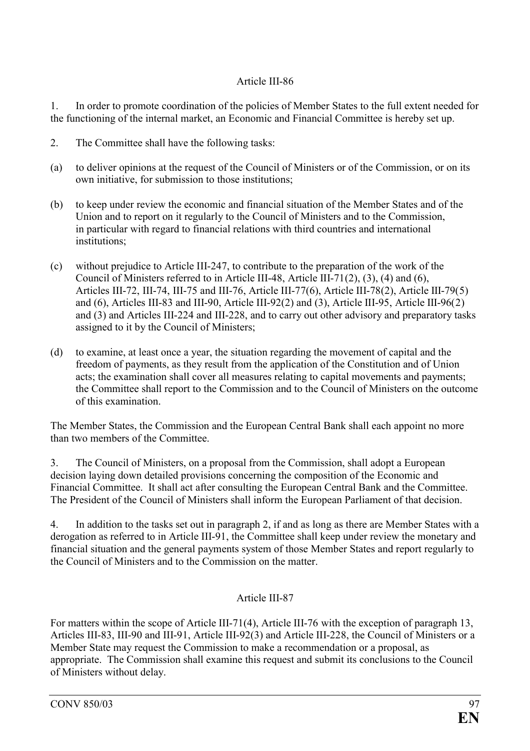1. In order to promote coordination of the policies of Member States to the full extent needed for the functioning of the internal market, an Economic and Financial Committee is hereby set up.

- 2. The Committee shall have the following tasks:
- (a) to deliver opinions at the request of the Council of Ministers or of the Commission, or on its own initiative, for submission to those institutions;
- (b) to keep under review the economic and financial situation of the Member States and of the Union and to report on it regularly to the Council of Ministers and to the Commission, in particular with regard to financial relations with third countries and international institutions;
- (c) without prejudice to Article III-247, to contribute to the preparation of the work of the Council of Ministers referred to in Article III-48, Article III-71(2), (3), (4) and (6), Articles III-72, III-74, III-75 and III-76, Article III-77(6), Article III-78(2), Article III-79(5) and (6), Articles III-83 and III-90, Article III-92(2) and (3), Article III-95, Article III-96(2) and (3) and Articles III-224 and III-228, and to carry out other advisory and preparatory tasks assigned to it by the Council of Ministers;
- (d) to examine, at least once a year, the situation regarding the movement of capital and the freedom of payments, as they result from the application of the Constitution and of Union acts; the examination shall cover all measures relating to capital movements and payments; the Committee shall report to the Commission and to the Council of Ministers on the outcome of this examination.

The Member States, the Commission and the European Central Bank shall each appoint no more than two members of the Committee.

3. The Council of Ministers, on a proposal from the Commission, shall adopt a European decision laying down detailed provisions concerning the composition of the Economic and Financial Committee. It shall act after consulting the European Central Bank and the Committee. The President of the Council of Ministers shall inform the European Parliament of that decision.

4. In addition to the tasks set out in paragraph 2, if and as long as there are Member States with a derogation as referred to in Article III-91, the Committee shall keep under review the monetary and financial situation and the general payments system of those Member States and report regularly to the Council of Ministers and to the Commission on the matter.

### Article III-87

For matters within the scope of Article III-71(4), Article III-76 with the exception of paragraph 13, Articles III-83, III-90 and III-91, Article III-92(3) and Article III-228, the Council of Ministers or a Member State may request the Commission to make a recommendation or a proposal, as appropriate. The Commission shall examine this request and submit its conclusions to the Council of Ministers without delay.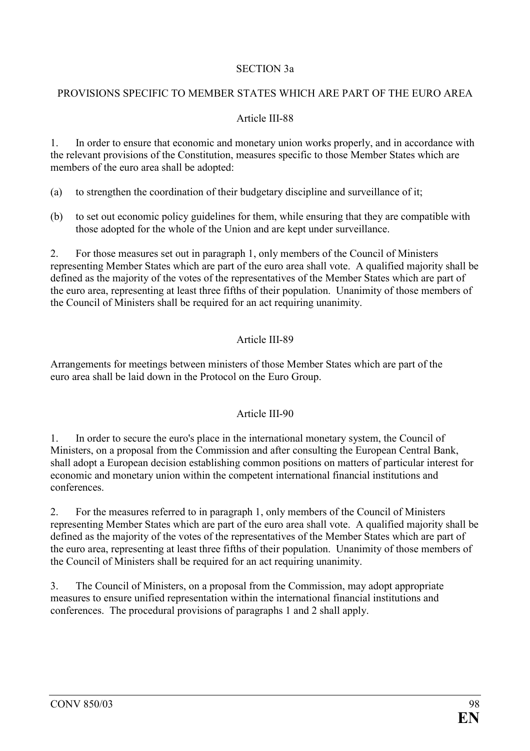### SECTION 3a

#### PROVISIONS SPECIFIC TO MEMBER STATES WHICH ARE PART OF THE EURO AREA

### Article III-88

1. In order to ensure that economic and monetary union works properly, and in accordance with the relevant provisions of the Constitution, measures specific to those Member States which are members of the euro area shall be adopted:

(a) to strengthen the coordination of their budgetary discipline and surveillance of it;

(b) to set out economic policy guidelines for them, while ensuring that they are compatible with those adopted for the whole of the Union and are kept under surveillance.

2. For those measures set out in paragraph 1, only members of the Council of Ministers representing Member States which are part of the euro area shall vote. A qualified majority shall be defined as the majority of the votes of the representatives of the Member States which are part of the euro area, representing at least three fifths of their population. Unanimity of those members of the Council of Ministers shall be required for an act requiring unanimity.

## Article III-89

Arrangements for meetings between ministers of those Member States which are part of the euro area shall be laid down in the Protocol on the Euro Group.

### Article III-90

1. In order to secure the euro's place in the international monetary system, the Council of Ministers, on a proposal from the Commission and after consulting the European Central Bank, shall adopt a European decision establishing common positions on matters of particular interest for economic and monetary union within the competent international financial institutions and conferences.

2. For the measures referred to in paragraph 1, only members of the Council of Ministers representing Member States which are part of the euro area shall vote. A qualified majority shall be defined as the majority of the votes of the representatives of the Member States which are part of the euro area, representing at least three fifths of their population. Unanimity of those members of the Council of Ministers shall be required for an act requiring unanimity.

3. The Council of Ministers, on a proposal from the Commission, may adopt appropriate measures to ensure unified representation within the international financial institutions and conferences. The procedural provisions of paragraphs 1 and 2 shall apply.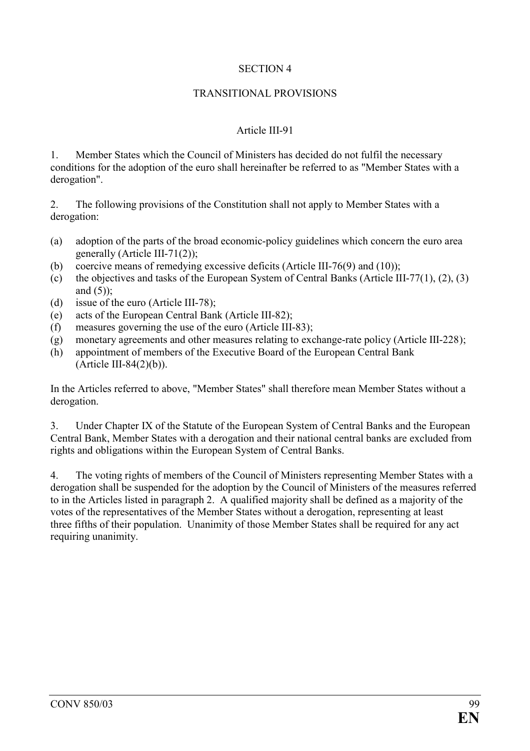### SECTION 4

### TRANSITIONAL PROVISIONS

#### Article III-91

1. Member States which the Council of Ministers has decided do not fulfil the necessary conditions for the adoption of the euro shall hereinafter be referred to as "Member States with a derogation".

2. The following provisions of the Constitution shall not apply to Member States with a derogation:

- (a) adoption of the parts of the broad economic-policy guidelines which concern the euro area generally (Article III-71(2));
- (b) coercive means of remedying excessive deficits (Article III-76(9) and (10));
- (c) the objectives and tasks of the European System of Central Banks (Article III-77(1), (2), (3) and  $(5)$ :
- (d) issue of the euro (Article III-78);
- (e) acts of the European Central Bank (Article III-82);
- (f) measures governing the use of the euro (Article III-83);
- (g) monetary agreements and other measures relating to exchange-rate policy (Article III-228);
- (h) appointment of members of the Executive Board of the European Central Bank (Article III-84(2)(b)).

In the Articles referred to above, "Member States" shall therefore mean Member States without a derogation.

3. Under Chapter IX of the Statute of the European System of Central Banks and the European Central Bank, Member States with a derogation and their national central banks are excluded from rights and obligations within the European System of Central Banks.

4. The voting rights of members of the Council of Ministers representing Member States with a derogation shall be suspended for the adoption by the Council of Ministers of the measures referred to in the Articles listed in paragraph 2. A qualified majority shall be defined as a majority of the votes of the representatives of the Member States without a derogation, representing at least three fifths of their population. Unanimity of those Member States shall be required for any act requiring unanimity.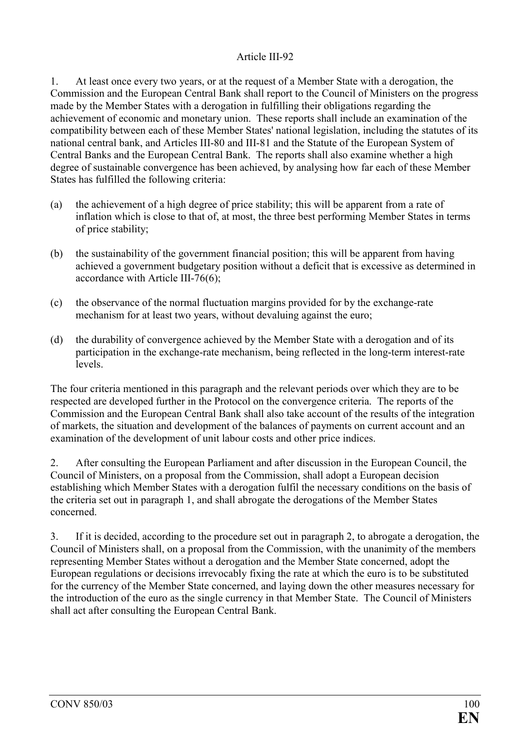1. At least once every two years, or at the request of a Member State with a derogation, the Commission and the European Central Bank shall report to the Council of Ministers on the progress made by the Member States with a derogation in fulfilling their obligations regarding the achievement of economic and monetary union. These reports shall include an examination of the compatibility between each of these Member States' national legislation, including the statutes of its national central bank, and Articles III-80 and III-81 and the Statute of the European System of Central Banks and the European Central Bank. The reports shall also examine whether a high degree of sustainable convergence has been achieved, by analysing how far each of these Member States has fulfilled the following criteria:

- (a) the achievement of a high degree of price stability; this will be apparent from a rate of inflation which is close to that of, at most, the three best performing Member States in terms of price stability;
- (b) the sustainability of the government financial position; this will be apparent from having achieved a government budgetary position without a deficit that is excessive as determined in accordance with Article III-76(6);
- (c) the observance of the normal fluctuation margins provided for by the exchange-rate mechanism for at least two years, without devaluing against the euro;
- (d) the durability of convergence achieved by the Member State with a derogation and of its participation in the exchange-rate mechanism, being reflected in the long-term interest-rate levels.

The four criteria mentioned in this paragraph and the relevant periods over which they are to be respected are developed further in the Protocol on the convergence criteria. The reports of the Commission and the European Central Bank shall also take account of the results of the integration of markets, the situation and development of the balances of payments on current account and an examination of the development of unit labour costs and other price indices.

2. After consulting the European Parliament and after discussion in the European Council, the Council of Ministers, on a proposal from the Commission, shall adopt a European decision establishing which Member States with a derogation fulfil the necessary conditions on the basis of the criteria set out in paragraph 1, and shall abrogate the derogations of the Member States concerned.

3. If it is decided, according to the procedure set out in paragraph 2, to abrogate a derogation, the Council of Ministers shall, on a proposal from the Commission, with the unanimity of the members representing Member States without a derogation and the Member State concerned, adopt the European regulations or decisions irrevocably fixing the rate at which the euro is to be substituted for the currency of the Member State concerned, and laying down the other measures necessary for the introduction of the euro as the single currency in that Member State. The Council of Ministers shall act after consulting the European Central Bank.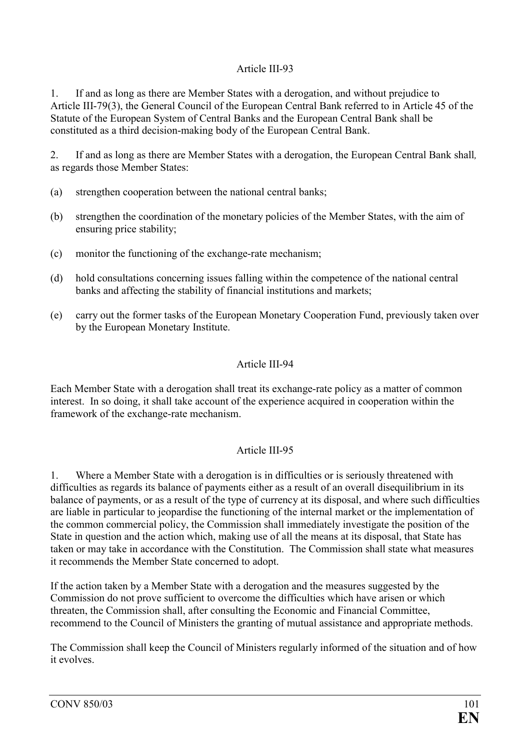1. If and as long as there are Member States with a derogation, and without prejudice to Article III-79(3), the General Council of the European Central Bank referred to in Article 45 of the Statute of the European System of Central Banks and the European Central Bank shall be constituted as a third decision-making body of the European Central Bank.

2. If and as long as there are Member States with a derogation, the European Central Bank shall*,* as regards those Member States:

- (a) strengthen cooperation between the national central banks;
- (b) strengthen the coordination of the monetary policies of the Member States, with the aim of ensuring price stability;
- (c) monitor the functioning of the exchange-rate mechanism;
- (d) hold consultations concerning issues falling within the competence of the national central banks and affecting the stability of financial institutions and markets;
- (e) carry out the former tasks of the European Monetary Cooperation Fund, previously taken over by the European Monetary Institute.

#### Article III-94

Each Member State with a derogation shall treat its exchange-rate policy as a matter of common interest. In so doing, it shall take account of the experience acquired in cooperation within the framework of the exchange-rate mechanism.

### Article III-95

1. Where a Member State with a derogation is in difficulties or is seriously threatened with difficulties as regards its balance of payments either as a result of an overall disequilibrium in its balance of payments, or as a result of the type of currency at its disposal, and where such difficulties are liable in particular to jeopardise the functioning of the internal market or the implementation of the common commercial policy, the Commission shall immediately investigate the position of the State in question and the action which, making use of all the means at its disposal, that State has taken or may take in accordance with the Constitution. The Commission shall state what measures it recommends the Member State concerned to adopt.

If the action taken by a Member State with a derogation and the measures suggested by the Commission do not prove sufficient to overcome the difficulties which have arisen or which threaten, the Commission shall, after consulting the Economic and Financial Committee, recommend to the Council of Ministers the granting of mutual assistance and appropriate methods.

The Commission shall keep the Council of Ministers regularly informed of the situation and of how it evolves.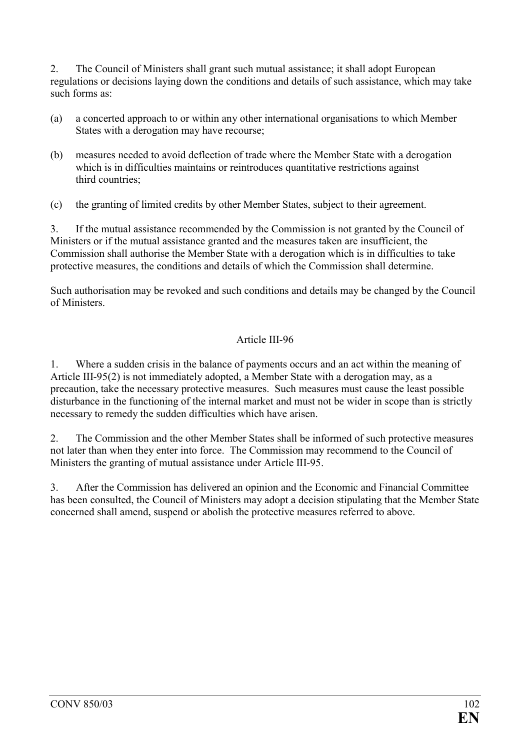2. The Council of Ministers shall grant such mutual assistance; it shall adopt European regulations or decisions laying down the conditions and details of such assistance, which may take such forms as:

- (a) a concerted approach to or within any other international organisations to which Member States with a derogation may have recourse;
- (b) measures needed to avoid deflection of trade where the Member State with a derogation which is in difficulties maintains or reintroduces quantitative restrictions against third countries;
- (c) the granting of limited credits by other Member States, subject to their agreement.

3. If the mutual assistance recommended by the Commission is not granted by the Council of Ministers or if the mutual assistance granted and the measures taken are insufficient, the Commission shall authorise the Member State with a derogation which is in difficulties to take protective measures, the conditions and details of which the Commission shall determine.

Such authorisation may be revoked and such conditions and details may be changed by the Council of Ministers.

# Article III-96

1. Where a sudden crisis in the balance of payments occurs and an act within the meaning of Article III-95(2) is not immediately adopted, a Member State with a derogation may, as a precaution, take the necessary protective measures. Such measures must cause the least possible disturbance in the functioning of the internal market and must not be wider in scope than is strictly necessary to remedy the sudden difficulties which have arisen.

2. The Commission and the other Member States shall be informed of such protective measures not later than when they enter into force. The Commission may recommend to the Council of Ministers the granting of mutual assistance under Article III-95.

3. After the Commission has delivered an opinion and the Economic and Financial Committee has been consulted, the Council of Ministers may adopt a decision stipulating that the Member State concerned shall amend, suspend or abolish the protective measures referred to above.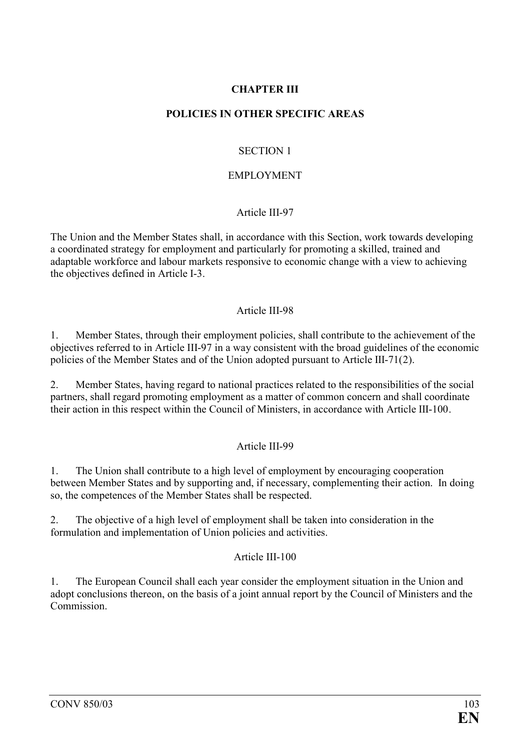## **CHAPTER III**

### **POLICIES IN OTHER SPECIFIC AREAS**

## SECTION 1

### EMPLOYMENT

## Article III-97

The Union and the Member States shall, in accordance with this Section, work towards developing a coordinated strategy for employment and particularly for promoting a skilled, trained and adaptable workforce and labour markets responsive to economic change with a view to achieving the objectives defined in Article I-3.

### Article III-98

1. Member States, through their employment policies, shall contribute to the achievement of the objectives referred to in Article III-97 in a way consistent with the broad guidelines of the economic policies of the Member States and of the Union adopted pursuant to Article III-71(2).

2. Member States, having regard to national practices related to the responsibilities of the social partners, shall regard promoting employment as a matter of common concern and shall coordinate their action in this respect within the Council of Ministers, in accordance with Article III-100.

### Article III-99

1. The Union shall contribute to a high level of employment by encouraging cooperation between Member States and by supporting and, if necessary, complementing their action. In doing so, the competences of the Member States shall be respected.

2. The objective of a high level of employment shall be taken into consideration in the formulation and implementation of Union policies and activities.

### Article III-100

1. The European Council shall each year consider the employment situation in the Union and adopt conclusions thereon, on the basis of a joint annual report by the Council of Ministers and the **Commission**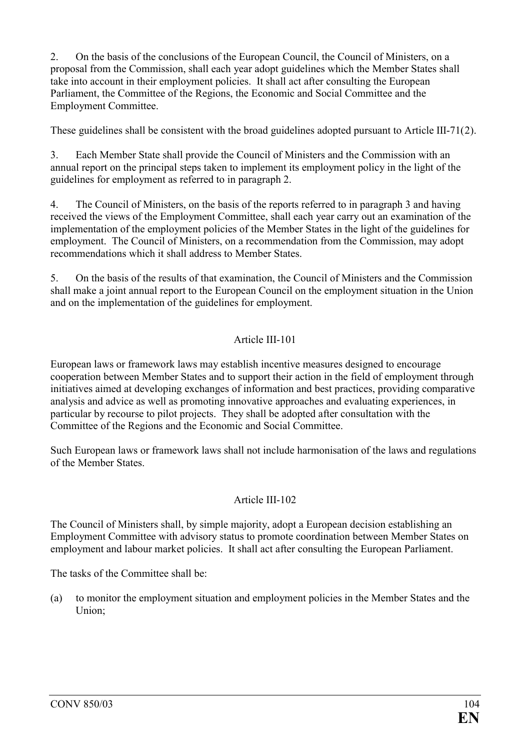2. On the basis of the conclusions of the European Council, the Council of Ministers, on a proposal from the Commission, shall each year adopt guidelines which the Member States shall take into account in their employment policies. It shall act after consulting the European Parliament, the Committee of the Regions, the Economic and Social Committee and the Employment Committee.

These guidelines shall be consistent with the broad guidelines adopted pursuant to Article III-71(2).

3. Each Member State shall provide the Council of Ministers and the Commission with an annual report on the principal steps taken to implement its employment policy in the light of the guidelines for employment as referred to in paragraph 2.

4. The Council of Ministers, on the basis of the reports referred to in paragraph 3 and having received the views of the Employment Committee, shall each year carry out an examination of the implementation of the employment policies of the Member States in the light of the guidelines for employment. The Council of Ministers, on a recommendation from the Commission, may adopt recommendations which it shall address to Member States.

5. On the basis of the results of that examination, the Council of Ministers and the Commission shall make a joint annual report to the European Council on the employment situation in the Union and on the implementation of the guidelines for employment.

# Article III-101

European laws or framework laws may establish incentive measures designed to encourage cooperation between Member States and to support their action in the field of employment through initiatives aimed at developing exchanges of information and best practices, providing comparative analysis and advice as well as promoting innovative approaches and evaluating experiences, in particular by recourse to pilot projects. They shall be adopted after consultation with the Committee of the Regions and the Economic and Social Committee.

Such European laws or framework laws shall not include harmonisation of the laws and regulations of the Member States.

# Article III-102

The Council of Ministers shall, by simple majority, adopt a European decision establishing an Employment Committee with advisory status to promote coordination between Member States on employment and labour market policies. It shall act after consulting the European Parliament.

The tasks of the Committee shall be:

(a) to monitor the employment situation and employment policies in the Member States and the Union;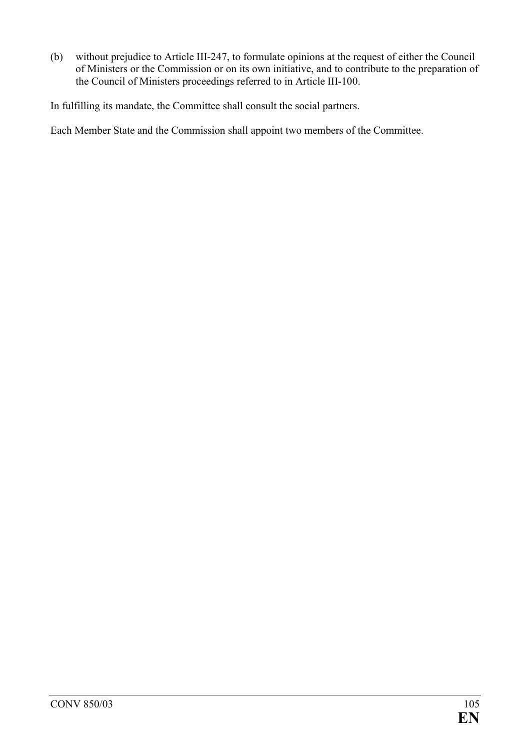(b) without prejudice to Article III-247, to formulate opinions at the request of either the Council of Ministers or the Commission or on its own initiative, and to contribute to the preparation of the Council of Ministers proceedings referred to in Article III-100.

In fulfilling its mandate, the Committee shall consult the social partners.

Each Member State and the Commission shall appoint two members of the Committee.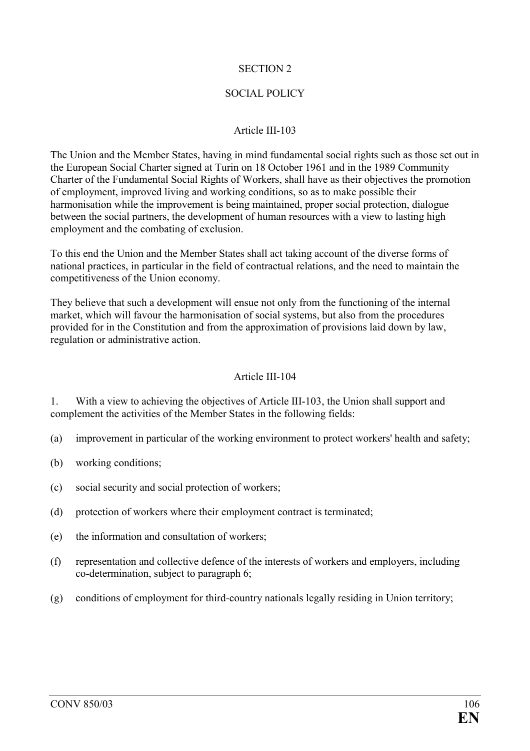# SOCIAL POLICY

## Article III-103

The Union and the Member States, having in mind fundamental social rights such as those set out in the European Social Charter signed at Turin on 18 October 1961 and in the 1989 Community Charter of the Fundamental Social Rights of Workers, shall have as their objectives the promotion of employment, improved living and working conditions, so as to make possible their harmonisation while the improvement is being maintained, proper social protection, dialogue between the social partners, the development of human resources with a view to lasting high employment and the combating of exclusion.

To this end the Union and the Member States shall act taking account of the diverse forms of national practices, in particular in the field of contractual relations, and the need to maintain the competitiveness of the Union economy.

They believe that such a development will ensue not only from the functioning of the internal market, which will favour the harmonisation of social systems, but also from the procedures provided for in the Constitution and from the approximation of provisions laid down by law, regulation or administrative action.

## Article III-104

1. With a view to achieving the objectives of Article III-103, the Union shall support and complement the activities of the Member States in the following fields:

- (a) improvement in particular of the working environment to protect workers' health and safety;
- (b) working conditions;
- (c) social security and social protection of workers;
- (d) protection of workers where their employment contract is terminated;
- (e) the information and consultation of workers;
- (f) representation and collective defence of the interests of workers and employers, including co-determination, subject to paragraph 6;
- (g) conditions of employment for third-country nationals legally residing in Union territory;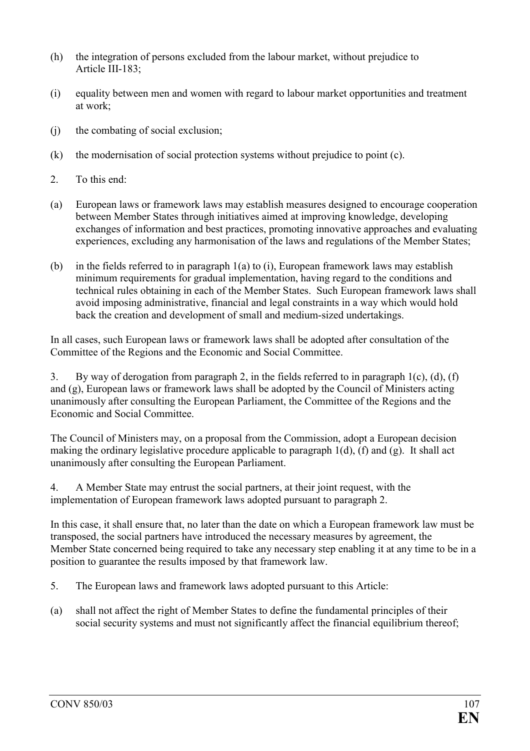- (h) the integration of persons excluded from the labour market, without prejudice to Article III-183;
- (i) equality between men and women with regard to labour market opportunities and treatment at work;
- (j) the combating of social exclusion;
- (k) the modernisation of social protection systems without prejudice to point (c).
- 2. To this end:
- (a) European laws or framework laws may establish measures designed to encourage cooperation between Member States through initiatives aimed at improving knowledge, developing exchanges of information and best practices, promoting innovative approaches and evaluating experiences, excluding any harmonisation of the laws and regulations of the Member States;
- (b) in the fields referred to in paragraph 1(a) to (i), European framework laws may establish minimum requirements for gradual implementation, having regard to the conditions and technical rules obtaining in each of the Member States. Such European framework laws shall avoid imposing administrative, financial and legal constraints in a way which would hold back the creation and development of small and medium-sized undertakings.

In all cases, such European laws or framework laws shall be adopted after consultation of the Committee of the Regions and the Economic and Social Committee.

3. By way of derogation from paragraph 2, in the fields referred to in paragraph 1(c), (d), (f) and (g), European laws or framework laws shall be adopted by the Council of Ministers acting unanimously after consulting the European Parliament, the Committee of the Regions and the Economic and Social Committee.

The Council of Ministers may, on a proposal from the Commission, adopt a European decision making the ordinary legislative procedure applicable to paragraph 1(d), (f) and (g). It shall act unanimously after consulting the European Parliament.

4. A Member State may entrust the social partners, at their joint request, with the implementation of European framework laws adopted pursuant to paragraph 2.

In this case, it shall ensure that, no later than the date on which a European framework law must be transposed, the social partners have introduced the necessary measures by agreement, the Member State concerned being required to take any necessary step enabling it at any time to be in a position to guarantee the results imposed by that framework law.

- 5. The European laws and framework laws adopted pursuant to this Article:
- (a) shall not affect the right of Member States to define the fundamental principles of their social security systems and must not significantly affect the financial equilibrium thereof;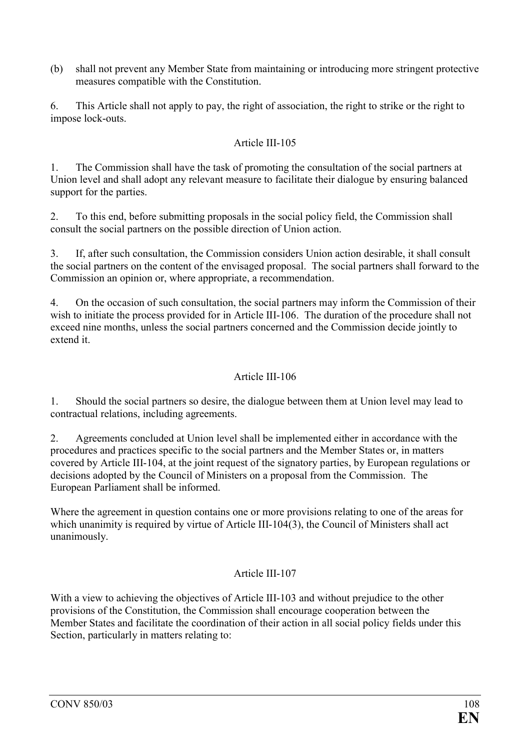(b) shall not prevent any Member State from maintaining or introducing more stringent protective measures compatible with the Constitution.

6. This Article shall not apply to pay, the right of association, the right to strike or the right to impose lock-outs.

# Article III-105

1. The Commission shall have the task of promoting the consultation of the social partners at Union level and shall adopt any relevant measure to facilitate their dialogue by ensuring balanced support for the parties.

2. To this end, before submitting proposals in the social policy field, the Commission shall consult the social partners on the possible direction of Union action.

3. If, after such consultation, the Commission considers Union action desirable, it shall consult the social partners on the content of the envisaged proposal. The social partners shall forward to the Commission an opinion or, where appropriate, a recommendation.

4. On the occasion of such consultation, the social partners may inform the Commission of their wish to initiate the process provided for in Article III-106. The duration of the procedure shall not exceed nine months, unless the social partners concerned and the Commission decide jointly to extend it.

## Article III-106

1. Should the social partners so desire, the dialogue between them at Union level may lead to contractual relations, including agreements.

2. Agreements concluded at Union level shall be implemented either in accordance with the procedures and practices specific to the social partners and the Member States or, in matters covered by Article III-104, at the joint request of the signatory parties, by European regulations or decisions adopted by the Council of Ministers on a proposal from the Commission. The European Parliament shall be informed.

Where the agreement in question contains one or more provisions relating to one of the areas for which unanimity is required by virtue of Article III-104(3), the Council of Ministers shall act unanimously.

## Article III-107

With a view to achieving the objectives of Article III-103 and without prejudice to the other provisions of the Constitution, the Commission shall encourage cooperation between the Member States and facilitate the coordination of their action in all social policy fields under this Section, particularly in matters relating to: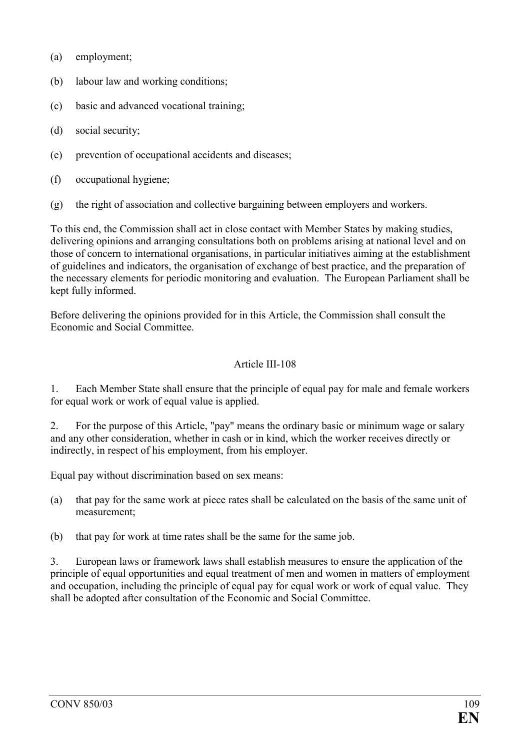- (a) employment;
- (b) labour law and working conditions;
- (c) basic and advanced vocational training;
- (d) social security;
- (e) prevention of occupational accidents and diseases;
- (f) occupational hygiene;
- (g) the right of association and collective bargaining between employers and workers.

To this end, the Commission shall act in close contact with Member States by making studies, delivering opinions and arranging consultations both on problems arising at national level and on those of concern to international organisations, in particular initiatives aiming at the establishment of guidelines and indicators, the organisation of exchange of best practice, and the preparation of the necessary elements for periodic monitoring and evaluation. The European Parliament shall be kept fully informed.

Before delivering the opinions provided for in this Article, the Commission shall consult the Economic and Social Committee.

#### Article III-108

1. Each Member State shall ensure that the principle of equal pay for male and female workers for equal work or work of equal value is applied.

2. For the purpose of this Article, "pay" means the ordinary basic or minimum wage or salary and any other consideration, whether in cash or in kind, which the worker receives directly or indirectly, in respect of his employment, from his employer.

Equal pay without discrimination based on sex means:

- (a) that pay for the same work at piece rates shall be calculated on the basis of the same unit of measurement;
- (b) that pay for work at time rates shall be the same for the same job.

3. European laws or framework laws shall establish measures to ensure the application of the principle of equal opportunities and equal treatment of men and women in matters of employment and occupation, including the principle of equal pay for equal work or work of equal value. They shall be adopted after consultation of the Economic and Social Committee.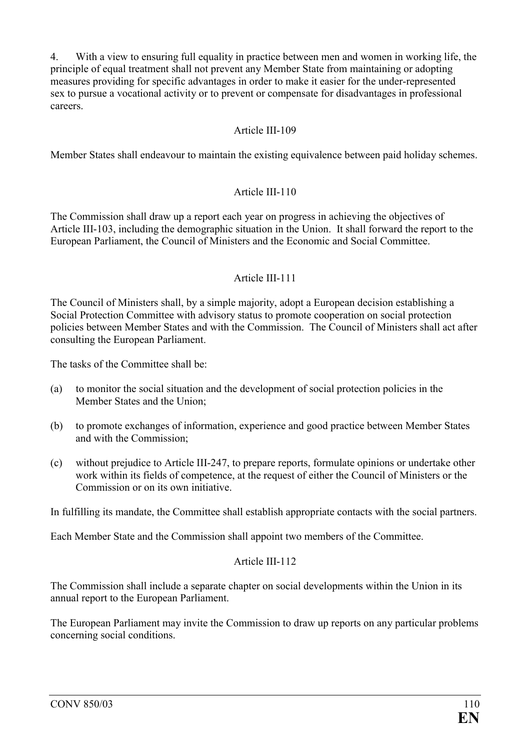4. With a view to ensuring full equality in practice between men and women in working life, the principle of equal treatment shall not prevent any Member State from maintaining or adopting measures providing for specific advantages in order to make it easier for the under-represented sex to pursue a vocational activity or to prevent or compensate for disadvantages in professional careers.

## Article III-109

Member States shall endeavour to maintain the existing equivalence between paid holiday schemes.

#### Article III-110

The Commission shall draw up a report each year on progress in achieving the objectives of Article III-103, including the demographic situation in the Union. It shall forward the report to the European Parliament, the Council of Ministers and the Economic and Social Committee.

### Article III-111

The Council of Ministers shall, by a simple majority, adopt a European decision establishing a Social Protection Committee with advisory status to promote cooperation on social protection policies between Member States and with the Commission. The Council of Ministers shall act after consulting the European Parliament.

The tasks of the Committee shall be:

- (a) to monitor the social situation and the development of social protection policies in the Member States and the Union;
- (b) to promote exchanges of information, experience and good practice between Member States and with the Commission;
- (c) without prejudice to Article III-247, to prepare reports, formulate opinions or undertake other work within its fields of competence, at the request of either the Council of Ministers or the Commission or on its own initiative.

In fulfilling its mandate, the Committee shall establish appropriate contacts with the social partners.

Each Member State and the Commission shall appoint two members of the Committee.

#### Article III-112

The Commission shall include a separate chapter on social developments within the Union in its annual report to the European Parliament.

The European Parliament may invite the Commission to draw up reports on any particular problems concerning social conditions.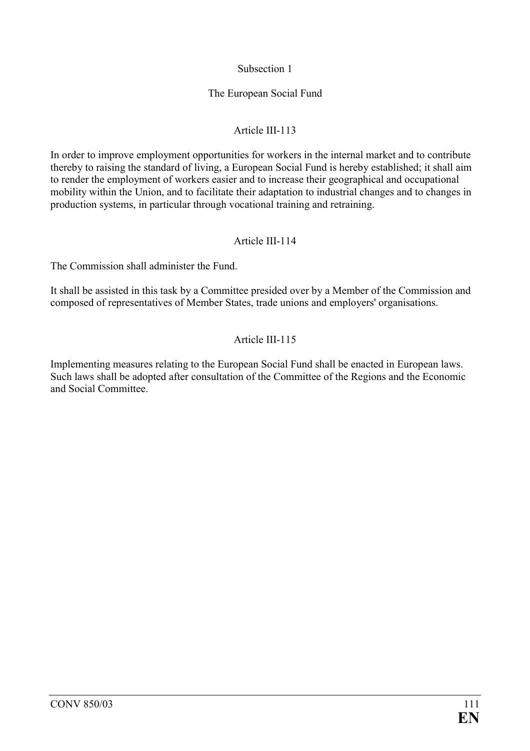Subsection 1

## The European Social Fund

# Article III-113

In order to improve employment opportunities for workers in the internal market and to contribute thereby to raising the standard of living, a European Social Fund is hereby established; it shall aim to render the employment of workers easier and to increase their geographical and occupational mobility within the Union, and to facilitate their adaptation to industrial changes and to changes in production systems, in particular through vocational training and retraining.

## Article III-114

The Commission shall administer the Fund.

It shall be assisted in this task by a Committee presided over by a Member of the Commission and composed of representatives of Member States, trade unions and employers' organisations.

# Article III-115

Implementing measures relating to the European Social Fund shall be enacted in European laws. Such laws shall be adopted after consultation of the Committee of the Regions and the Economic and Social Committee.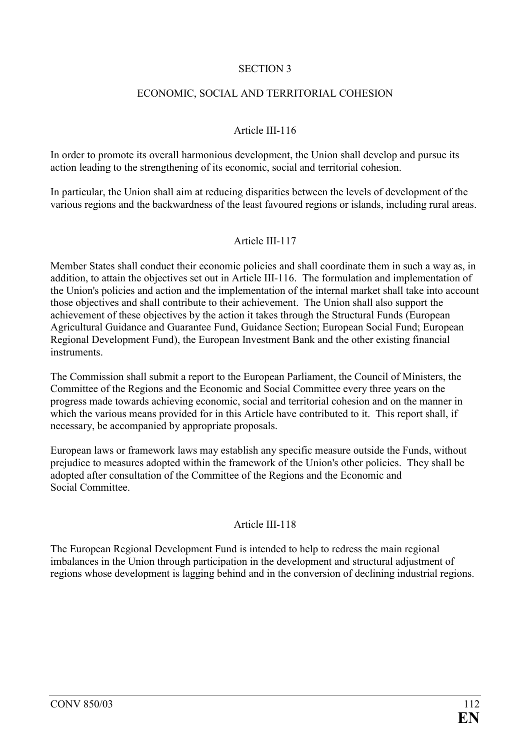#### ECONOMIC, SOCIAL AND TERRITORIAL COHESION

### Article III-116

In order to promote its overall harmonious development, the Union shall develop and pursue its action leading to the strengthening of its economic, social and territorial cohesion.

In particular, the Union shall aim at reducing disparities between the levels of development of the various regions and the backwardness of the least favoured regions or islands, including rural areas.

#### Article III-117

Member States shall conduct their economic policies and shall coordinate them in such a way as, in addition, to attain the objectives set out in Article III-116. The formulation and implementation of the Union's policies and action and the implementation of the internal market shall take into account those objectives and shall contribute to their achievement. The Union shall also support the achievement of these objectives by the action it takes through the Structural Funds (European Agricultural Guidance and Guarantee Fund, Guidance Section; European Social Fund; European Regional Development Fund), the European Investment Bank and the other existing financial instruments.

The Commission shall submit a report to the European Parliament, the Council of Ministers, the Committee of the Regions and the Economic and Social Committee every three years on the progress made towards achieving economic, social and territorial cohesion and on the manner in which the various means provided for in this Article have contributed to it. This report shall, if necessary, be accompanied by appropriate proposals.

European laws or framework laws may establish any specific measure outside the Funds, without prejudice to measures adopted within the framework of the Union's other policies. They shall be adopted after consultation of the Committee of the Regions and the Economic and Social Committee.

#### Article III-118

The European Regional Development Fund is intended to help to redress the main regional imbalances in the Union through participation in the development and structural adjustment of regions whose development is lagging behind and in the conversion of declining industrial regions.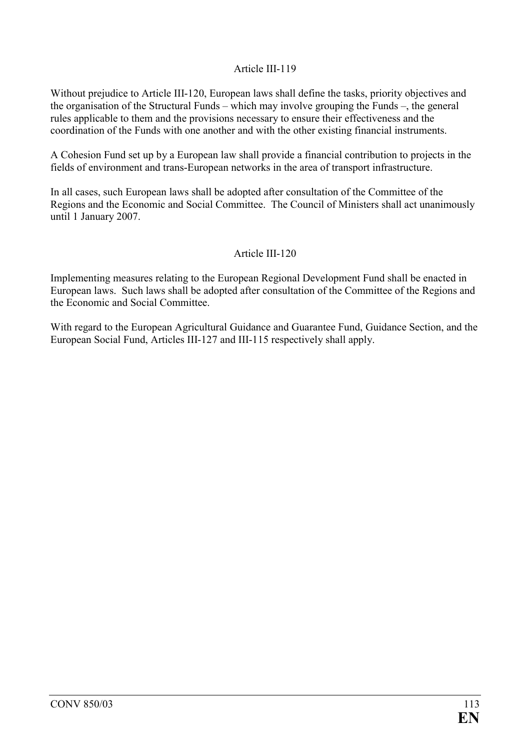Without prejudice to Article III-120, European laws shall define the tasks, priority objectives and the organisation of the Structural Funds – which may involve grouping the Funds –, the general rules applicable to them and the provisions necessary to ensure their effectiveness and the coordination of the Funds with one another and with the other existing financial instruments.

A Cohesion Fund set up by a European law shall provide a financial contribution to projects in the fields of environment and trans-European networks in the area of transport infrastructure.

In all cases, such European laws shall be adopted after consultation of the Committee of the Regions and the Economic and Social Committee. The Council of Ministers shall act unanimously until 1 January 2007.

## Article III-120

Implementing measures relating to the European Regional Development Fund shall be enacted in European laws. Such laws shall be adopted after consultation of the Committee of the Regions and the Economic and Social Committee.

With regard to the European Agricultural Guidance and Guarantee Fund, Guidance Section, and the European Social Fund, Articles III-127 and III-115 respectively shall apply.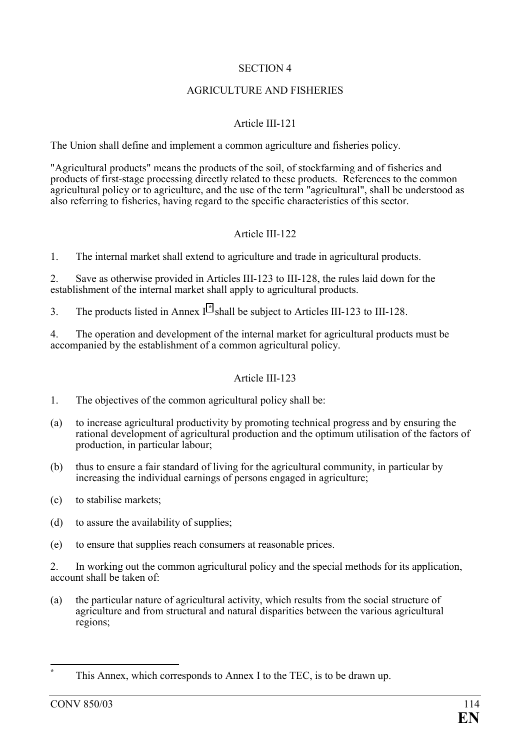### AGRICULTURE AND FISHERIES

### Article III-121

The Union shall define and implement a common agriculture and fisheries policy.

"Agricultural products" means the products of the soil, of stockfarming and of fisheries and products of first-stage processing directly related to these products. References to the common agricultural policy or to agriculture, and the use of the term "agricultural", shall be understood as also referring to fisheries, having regard to the specific characteristics of this sector.

## Article III-122

1. The internal market shall extend to agriculture and trade in agricultural products.

2. Save as otherwise provided in Articles III-123 to III-128, the rules laid down for the establishment of the internal market shall apply to agricultural products.

3. The products listed in Annex I **\*** shall be subject to Articles III-123 to III-128.

4. The operation and development of the internal market for agricultural products must be accompanied by the establishment of a common agricultural policy.

#### Article III-123

1. The objectives of the common agricultural policy shall be:

- (a) to increase agricultural productivity by promoting technical progress and by ensuring the rational development of agricultural production and the optimum utilisation of the factors of production, in particular labour;
- (b) thus to ensure a fair standard of living for the agricultural community, in particular by increasing the individual earnings of persons engaged in agriculture;
- (c) to stabilise markets;
- (d) to assure the availability of supplies;
- (e) to ensure that supplies reach consumers at reasonable prices.

2. In working out the common agricultural policy and the special methods for its application, account shall be taken of:

(a) the particular nature of agricultural activity, which results from the social structure of agriculture and from structural and natural disparities between the various agricultural regions;

 $\overline{a}$ **\***

This Annex, which corresponds to Annex I to the TEC, is to be drawn up.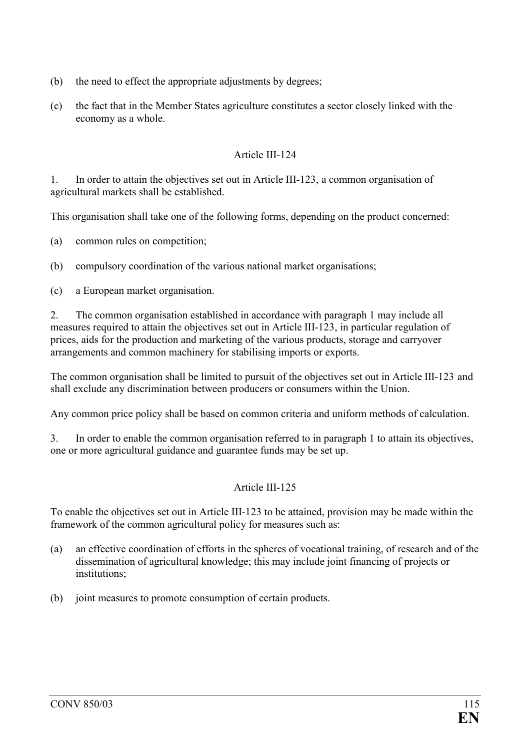- (b) the need to effect the appropriate adjustments by degrees;
- (c) the fact that in the Member States agriculture constitutes a sector closely linked with the economy as a whole.

1. In order to attain the objectives set out in Article III-123, a common organisation of agricultural markets shall be established.

This organisation shall take one of the following forms, depending on the product concerned:

(a) common rules on competition;

(b) compulsory coordination of the various national market organisations;

(c) a European market organisation.

2. The common organisation established in accordance with paragraph 1 may include all measures required to attain the objectives set out in Article III-123, in particular regulation of prices, aids for the production and marketing of the various products, storage and carryover arrangements and common machinery for stabilising imports or exports.

The common organisation shall be limited to pursuit of the objectives set out in Article III-123 and shall exclude any discrimination between producers or consumers within the Union.

Any common price policy shall be based on common criteria and uniform methods of calculation.

3. In order to enable the common organisation referred to in paragraph 1 to attain its objectives, one or more agricultural guidance and guarantee funds may be set up.

## Article III-125

To enable the objectives set out in Article III-123 to be attained, provision may be made within the framework of the common agricultural policy for measures such as:

- (a) an effective coordination of efforts in the spheres of vocational training, of research and of the dissemination of agricultural knowledge; this may include joint financing of projects or institutions;
- (b) joint measures to promote consumption of certain products.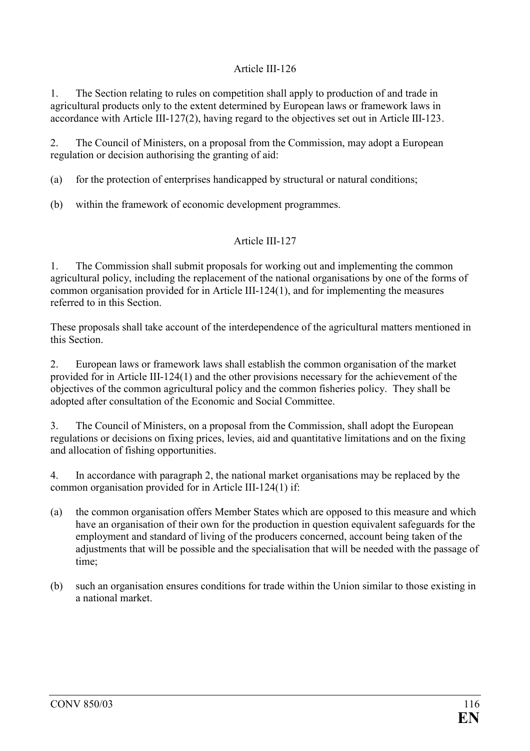1. The Section relating to rules on competition shall apply to production of and trade in agricultural products only to the extent determined by European laws or framework laws in accordance with Article III-127(2), having regard to the objectives set out in Article III-123.

2. The Council of Ministers, on a proposal from the Commission, may adopt a European regulation or decision authorising the granting of aid:

(a) for the protection of enterprises handicapped by structural or natural conditions;

(b) within the framework of economic development programmes.

### Article III-127

1. The Commission shall submit proposals for working out and implementing the common agricultural policy, including the replacement of the national organisations by one of the forms of common organisation provided for in Article III-124(1), and for implementing the measures referred to in this Section.

These proposals shall take account of the interdependence of the agricultural matters mentioned in this Section.

2. European laws or framework laws shall establish the common organisation of the market provided for in Article III-124(1) and the other provisions necessary for the achievement of the objectives of the common agricultural policy and the common fisheries policy. They shall be adopted after consultation of the Economic and Social Committee.

3. The Council of Ministers, on a proposal from the Commission, shall adopt the European regulations or decisions on fixing prices, levies, aid and quantitative limitations and on the fixing and allocation of fishing opportunities.

4. In accordance with paragraph 2, the national market organisations may be replaced by the common organisation provided for in Article III-124(1) if:

- (a) the common organisation offers Member States which are opposed to this measure and which have an organisation of their own for the production in question equivalent safeguards for the employment and standard of living of the producers concerned, account being taken of the adjustments that will be possible and the specialisation that will be needed with the passage of time;
- (b) such an organisation ensures conditions for trade within the Union similar to those existing in a national market.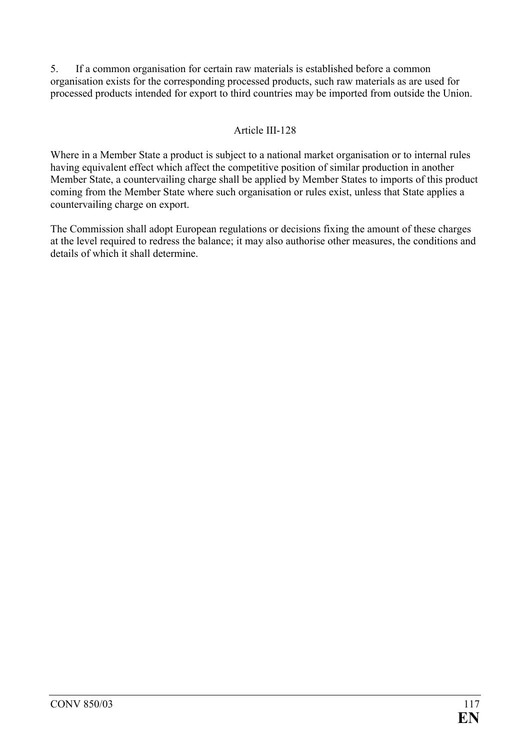5. If a common organisation for certain raw materials is established before a common organisation exists for the corresponding processed products, such raw materials as are used for processed products intended for export to third countries may be imported from outside the Union.

## Article III-128

Where in a Member State a product is subject to a national market organisation or to internal rules having equivalent effect which affect the competitive position of similar production in another Member State, a countervailing charge shall be applied by Member States to imports of this product coming from the Member State where such organisation or rules exist, unless that State applies a countervailing charge on export.

The Commission shall adopt European regulations or decisions fixing the amount of these charges at the level required to redress the balance; it may also authorise other measures, the conditions and details of which it shall determine.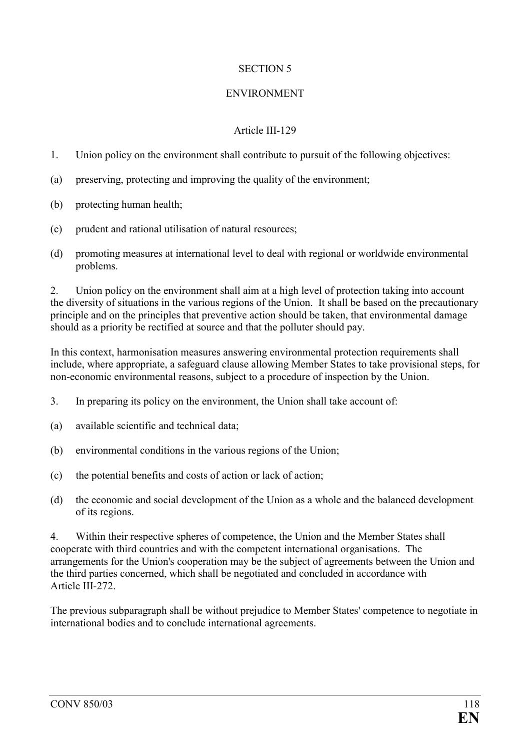## ENVIRONMENT

# Article III-129

- 1. Union policy on the environment shall contribute to pursuit of the following objectives:
- (a) preserving, protecting and improving the quality of the environment;
- (b) protecting human health;
- (c) prudent and rational utilisation of natural resources;
- (d) promoting measures at international level to deal with regional or worldwide environmental problems.

2. Union policy on the environment shall aim at a high level of protection taking into account the diversity of situations in the various regions of the Union. It shall be based on the precautionary principle and on the principles that preventive action should be taken, that environmental damage should as a priority be rectified at source and that the polluter should pay.

In this context, harmonisation measures answering environmental protection requirements shall include, where appropriate, a safeguard clause allowing Member States to take provisional steps, for non-economic environmental reasons, subject to a procedure of inspection by the Union.

- 3. In preparing its policy on the environment, the Union shall take account of:
- (a) available scientific and technical data;
- (b) environmental conditions in the various regions of the Union;
- (c) the potential benefits and costs of action or lack of action;
- (d) the economic and social development of the Union as a whole and the balanced development of its regions.

4. Within their respective spheres of competence, the Union and the Member States shall cooperate with third countries and with the competent international organisations. The arrangements for the Union's cooperation may be the subject of agreements between the Union and the third parties concerned, which shall be negotiated and concluded in accordance with Article III-272.

The previous subparagraph shall be without prejudice to Member States' competence to negotiate in international bodies and to conclude international agreements.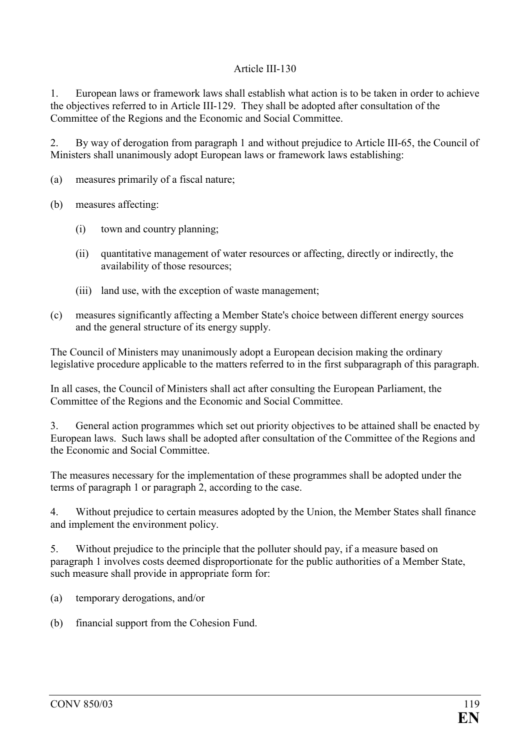1. European laws or framework laws shall establish what action is to be taken in order to achieve the objectives referred to in Article III-129. They shall be adopted after consultation of the Committee of the Regions and the Economic and Social Committee.

2. By way of derogation from paragraph 1 and without prejudice to Article III-65, the Council of Ministers shall unanimously adopt European laws or framework laws establishing:

- (a) measures primarily of a fiscal nature;
- (b) measures affecting:
	- (i) town and country planning;
	- (ii) quantitative management of water resources or affecting, directly or indirectly, the availability of those resources;
	- (iii) land use, with the exception of waste management;
- (c) measures significantly affecting a Member State's choice between different energy sources and the general structure of its energy supply.

The Council of Ministers may unanimously adopt a European decision making the ordinary legislative procedure applicable to the matters referred to in the first subparagraph of this paragraph.

In all cases, the Council of Ministers shall act after consulting the European Parliament, the Committee of the Regions and the Economic and Social Committee.

3. General action programmes which set out priority objectives to be attained shall be enacted by European laws. Such laws shall be adopted after consultation of the Committee of the Regions and the Economic and Social Committee.

The measures necessary for the implementation of these programmes shall be adopted under the terms of paragraph 1 or paragraph 2, according to the case.

4. Without prejudice to certain measures adopted by the Union, the Member States shall finance and implement the environment policy.

5. Without prejudice to the principle that the polluter should pay, if a measure based on paragraph 1 involves costs deemed disproportionate for the public authorities of a Member State, such measure shall provide in appropriate form for:

- (a) temporary derogations, and/or
- (b) financial support from the Cohesion Fund.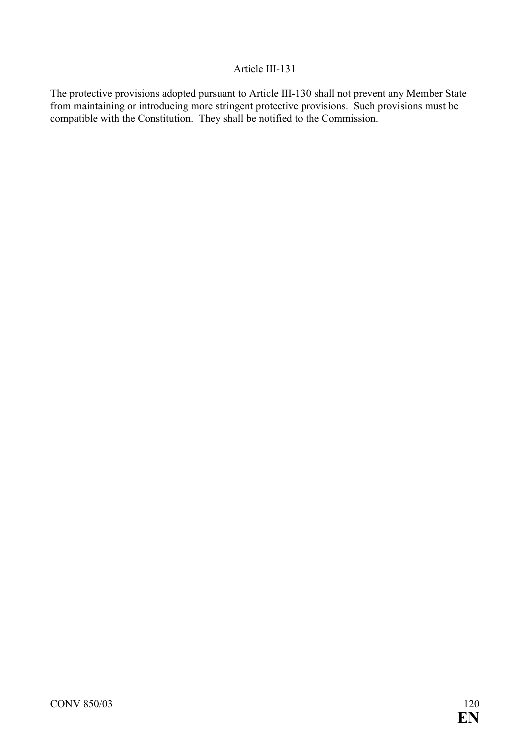The protective provisions adopted pursuant to Article III-130 shall not prevent any Member State from maintaining or introducing more stringent protective provisions. Such provisions must be compatible with the Constitution. They shall be notified to the Commission.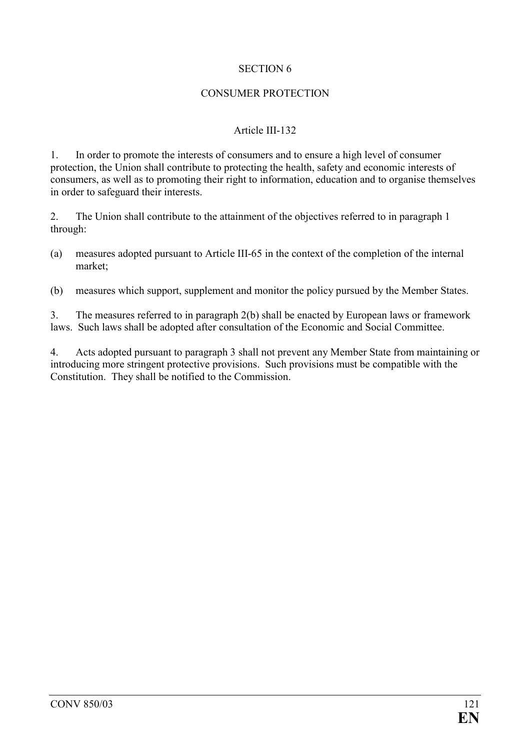## CONSUMER PROTECTION

# Article III-132

1. In order to promote the interests of consumers and to ensure a high level of consumer protection, the Union shall contribute to protecting the health, safety and economic interests of consumers, as well as to promoting their right to information, education and to organise themselves in order to safeguard their interests.

2. The Union shall contribute to the attainment of the objectives referred to in paragraph 1 through:

- (a) measures adopted pursuant to Article III-65 in the context of the completion of the internal market;
- (b) measures which support, supplement and monitor the policy pursued by the Member States.

3. The measures referred to in paragraph 2(b) shall be enacted by European laws or framework laws. Such laws shall be adopted after consultation of the Economic and Social Committee.

4. Acts adopted pursuant to paragraph 3 shall not prevent any Member State from maintaining or introducing more stringent protective provisions. Such provisions must be compatible with the Constitution. They shall be notified to the Commission.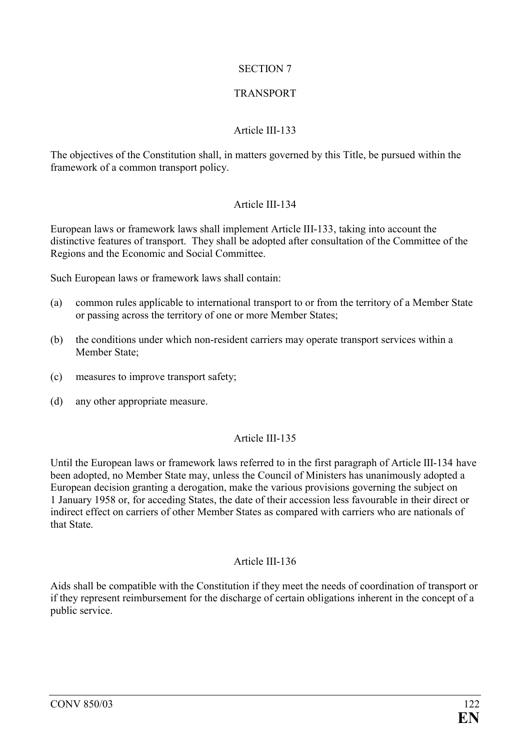## TRANSPORT

# Article III-133

The objectives of the Constitution shall, in matters governed by this Title, be pursued within the framework of a common transport policy.

## Article III-134

European laws or framework laws shall implement Article III-133, taking into account the distinctive features of transport. They shall be adopted after consultation of the Committee of the Regions and the Economic and Social Committee.

Such European laws or framework laws shall contain:

- (a) common rules applicable to international transport to or from the territory of a Member State or passing across the territory of one or more Member States;
- (b) the conditions under which non-resident carriers may operate transport services within a Member State;
- (c) measures to improve transport safety;
- (d) any other appropriate measure.

## Article III-135

Until the European laws or framework laws referred to in the first paragraph of Article III-134 have been adopted, no Member State may, unless the Council of Ministers has unanimously adopted a European decision granting a derogation, make the various provisions governing the subject on 1 January 1958 or, for acceding States, the date of their accession less favourable in their direct or indirect effect on carriers of other Member States as compared with carriers who are nationals of that State.

## Article III-136

Aids shall be compatible with the Constitution if they meet the needs of coordination of transport or if they represent reimbursement for the discharge of certain obligations inherent in the concept of a public service.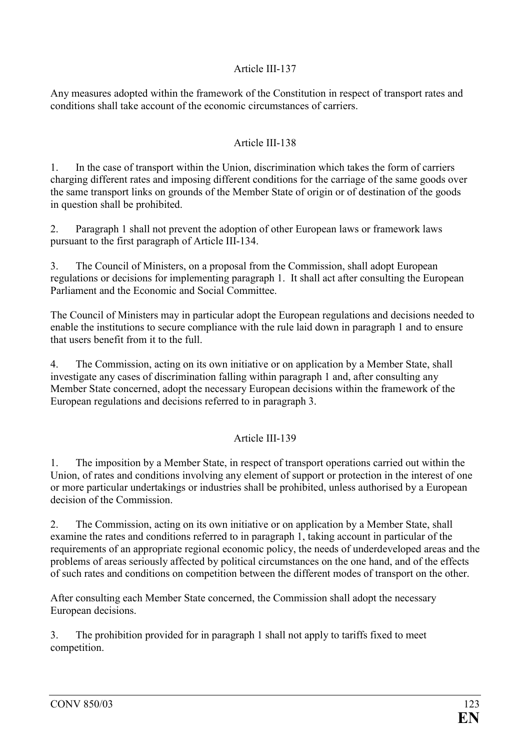Any measures adopted within the framework of the Constitution in respect of transport rates and conditions shall take account of the economic circumstances of carriers.

## Article III-138

1. In the case of transport within the Union, discrimination which takes the form of carriers charging different rates and imposing different conditions for the carriage of the same goods over the same transport links on grounds of the Member State of origin or of destination of the goods in question shall be prohibited.

2. Paragraph 1 shall not prevent the adoption of other European laws or framework laws pursuant to the first paragraph of Article III-134.

3. The Council of Ministers, on a proposal from the Commission, shall adopt European regulations or decisions for implementing paragraph 1. It shall act after consulting the European Parliament and the Economic and Social Committee.

The Council of Ministers may in particular adopt the European regulations and decisions needed to enable the institutions to secure compliance with the rule laid down in paragraph 1 and to ensure that users benefit from it to the full.

4. The Commission, acting on its own initiative or on application by a Member State, shall investigate any cases of discrimination falling within paragraph 1 and, after consulting any Member State concerned, adopt the necessary European decisions within the framework of the European regulations and decisions referred to in paragraph 3.

## Article III-139

1. The imposition by a Member State, in respect of transport operations carried out within the Union, of rates and conditions involving any element of support or protection in the interest of one or more particular undertakings or industries shall be prohibited, unless authorised by a European decision of the Commission.

2. The Commission, acting on its own initiative or on application by a Member State, shall examine the rates and conditions referred to in paragraph 1, taking account in particular of the requirements of an appropriate regional economic policy, the needs of underdeveloped areas and the problems of areas seriously affected by political circumstances on the one hand, and of the effects of such rates and conditions on competition between the different modes of transport on the other.

After consulting each Member State concerned, the Commission shall adopt the necessary European decisions.

3. The prohibition provided for in paragraph 1 shall not apply to tariffs fixed to meet competition.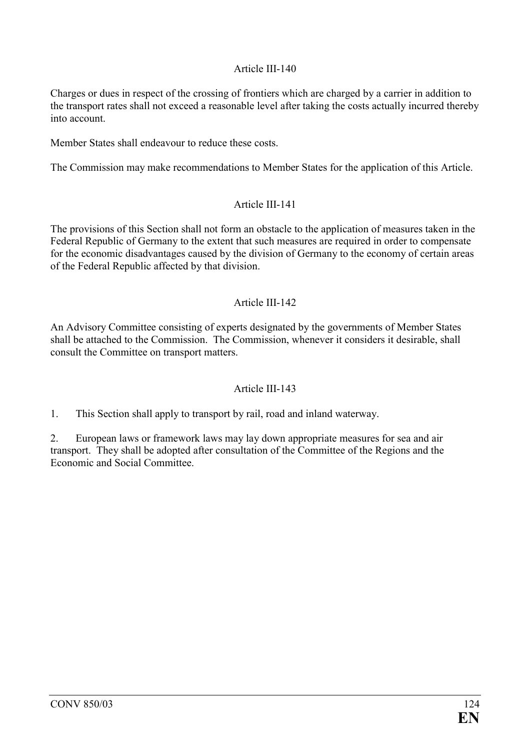Charges or dues in respect of the crossing of frontiers which are charged by a carrier in addition to the transport rates shall not exceed a reasonable level after taking the costs actually incurred thereby into account.

Member States shall endeavour to reduce these costs.

The Commission may make recommendations to Member States for the application of this Article.

## Article III-141

The provisions of this Section shall not form an obstacle to the application of measures taken in the Federal Republic of Germany to the extent that such measures are required in order to compensate for the economic disadvantages caused by the division of Germany to the economy of certain areas of the Federal Republic affected by that division.

### Article III-142

An Advisory Committee consisting of experts designated by the governments of Member States shall be attached to the Commission. The Commission, whenever it considers it desirable, shall consult the Committee on transport matters.

## Article III-143

1. This Section shall apply to transport by rail, road and inland waterway.

2. European laws or framework laws may lay down appropriate measures for sea and air transport. They shall be adopted after consultation of the Committee of the Regions and the Economic and Social Committee.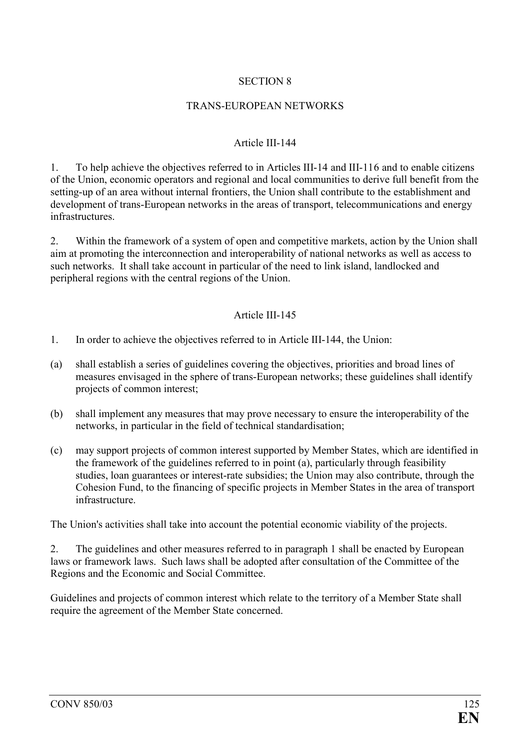### TRANS-EUROPEAN NETWORKS

## Article III-144

1. To help achieve the objectives referred to in Articles III-14 and III-116 and to enable citizens of the Union, economic operators and regional and local communities to derive full benefit from the setting-up of an area without internal frontiers, the Union shall contribute to the establishment and development of trans-European networks in the areas of transport, telecommunications and energy infrastructures.

2. Within the framework of a system of open and competitive markets, action by the Union shall aim at promoting the interconnection and interoperability of national networks as well as access to such networks. It shall take account in particular of the need to link island, landlocked and peripheral regions with the central regions of the Union.

## Article III-145

- 1. In order to achieve the objectives referred to in Article III-144, the Union:
- (a) shall establish a series of guidelines covering the objectives, priorities and broad lines of measures envisaged in the sphere of trans-European networks; these guidelines shall identify projects of common interest;
- (b) shall implement any measures that may prove necessary to ensure the interoperability of the networks, in particular in the field of technical standardisation;
- (c) may support projects of common interest supported by Member States, which are identified in the framework of the guidelines referred to in point (a), particularly through feasibility studies, loan guarantees or interest-rate subsidies; the Union may also contribute, through the Cohesion Fund, to the financing of specific projects in Member States in the area of transport infrastructure.

The Union's activities shall take into account the potential economic viability of the projects.

2. The guidelines and other measures referred to in paragraph 1 shall be enacted by European laws or framework laws. Such laws shall be adopted after consultation of the Committee of the Regions and the Economic and Social Committee.

Guidelines and projects of common interest which relate to the territory of a Member State shall require the agreement of the Member State concerned.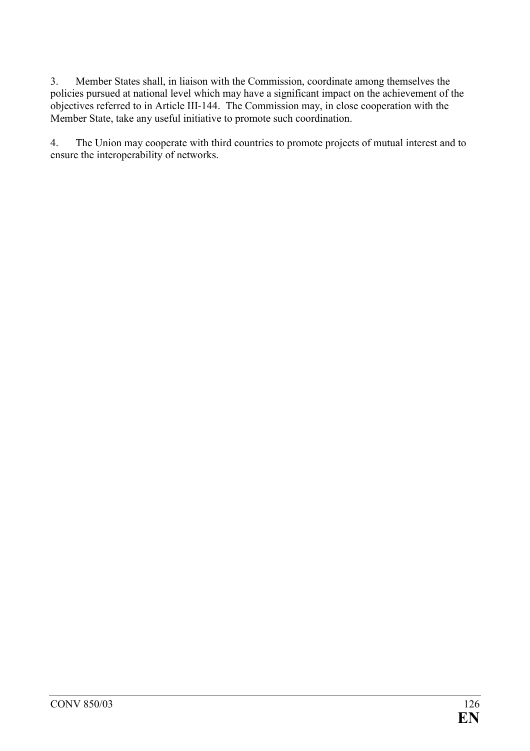3. Member States shall, in liaison with the Commission, coordinate among themselves the policies pursued at national level which may have a significant impact on the achievement of the objectives referred to in Article III-144. The Commission may, in close cooperation with the Member State, take any useful initiative to promote such coordination.

4. The Union may cooperate with third countries to promote projects of mutual interest and to ensure the interoperability of networks.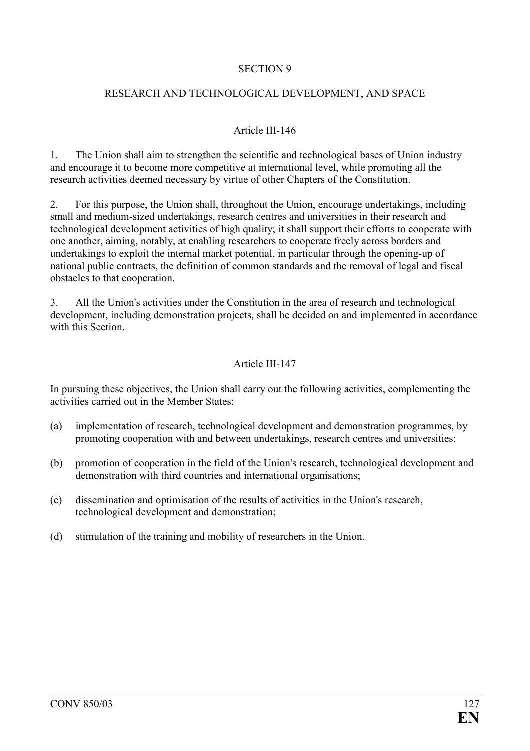#### RESEARCH AND TECHNOLOGICAL DEVELOPMENT, AND SPACE

### Article III-146

1. The Union shall aim to strengthen the scientific and technological bases of Union industry and encourage it to become more competitive at international level, while promoting all the research activities deemed necessary by virtue of other Chapters of the Constitution.

2. For this purpose, the Union shall, throughout the Union, encourage undertakings, including small and medium-sized undertakings, research centres and universities in their research and technological development activities of high quality; it shall support their efforts to cooperate with one another, aiming, notably, at enabling researchers to cooperate freely across borders and undertakings to exploit the internal market potential, in particular through the opening-up of national public contracts, the definition of common standards and the removal of legal and fiscal obstacles to that cooperation.

3. All the Union's activities under the Constitution in the area of research and technological development, including demonstration projects, shall be decided on and implemented in accordance with this Section.

#### Article III-147

In pursuing these objectives, the Union shall carry out the following activities, complementing the activities carried out in the Member States:

- (a) implementation of research, technological development and demonstration programmes, by promoting cooperation with and between undertakings, research centres and universities;
- (b) promotion of cooperation in the field of the Union's research, technological development and demonstration with third countries and international organisations;
- (c) dissemination and optimisation of the results of activities in the Union's research, technological development and demonstration;
- (d) stimulation of the training and mobility of researchers in the Union.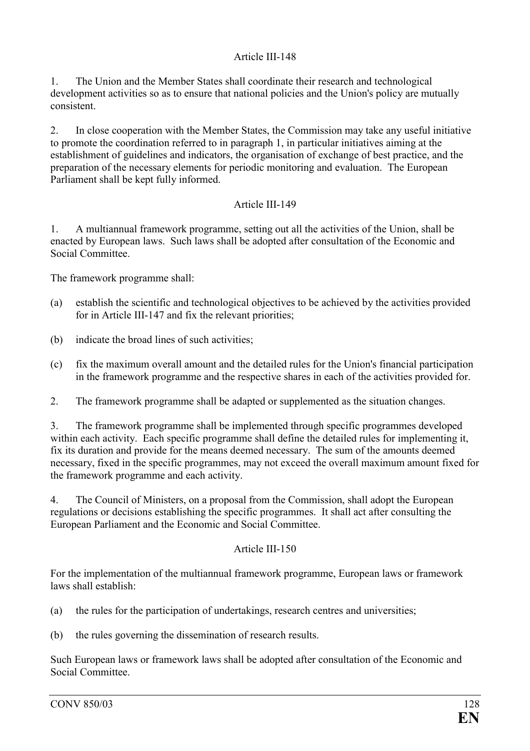1. The Union and the Member States shall coordinate their research and technological development activities so as to ensure that national policies and the Union's policy are mutually consistent.

2. In close cooperation with the Member States, the Commission may take any useful initiative to promote the coordination referred to in paragraph 1, in particular initiatives aiming at the establishment of guidelines and indicators, the organisation of exchange of best practice, and the preparation of the necessary elements for periodic monitoring and evaluation. The European Parliament shall be kept fully informed.

# Article III-149

1. A multiannual framework programme, setting out all the activities of the Union, shall be enacted by European laws. Such laws shall be adopted after consultation of the Economic and Social Committee.

The framework programme shall:

- (a) establish the scientific and technological objectives to be achieved by the activities provided for in Article III-147 and fix the relevant priorities;
- (b) indicate the broad lines of such activities;
- (c) fix the maximum overall amount and the detailed rules for the Union's financial participation in the framework programme and the respective shares in each of the activities provided for.
- 2. The framework programme shall be adapted or supplemented as the situation changes.

3. The framework programme shall be implemented through specific programmes developed within each activity. Each specific programme shall define the detailed rules for implementing it, fix its duration and provide for the means deemed necessary. The sum of the amounts deemed necessary, fixed in the specific programmes, may not exceed the overall maximum amount fixed for the framework programme and each activity.

4. The Council of Ministers, on a proposal from the Commission, shall adopt the European regulations or decisions establishing the specific programmes. It shall act after consulting the European Parliament and the Economic and Social Committee.

## Article III-150

For the implementation of the multiannual framework programme, European laws or framework laws shall establish:

- (a) the rules for the participation of undertakings, research centres and universities;
- (b) the rules governing the dissemination of research results.

Such European laws or framework laws shall be adopted after consultation of the Economic and Social Committee.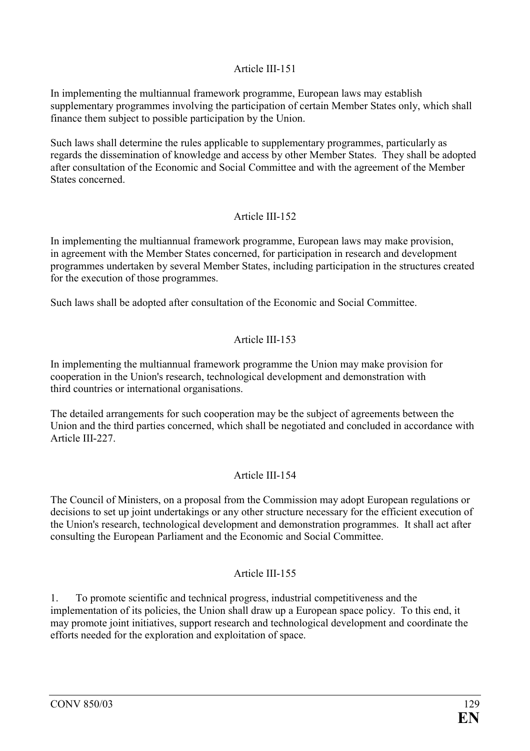In implementing the multiannual framework programme, European laws may establish supplementary programmes involving the participation of certain Member States only, which shall finance them subject to possible participation by the Union.

Such laws shall determine the rules applicable to supplementary programmes, particularly as regards the dissemination of knowledge and access by other Member States. They shall be adopted after consultation of the Economic and Social Committee and with the agreement of the Member States concerned.

### Article III-152

In implementing the multiannual framework programme, European laws may make provision, in agreement with the Member States concerned, for participation in research and development programmes undertaken by several Member States, including participation in the structures created for the execution of those programmes.

Such laws shall be adopted after consultation of the Economic and Social Committee.

# Article III-153

In implementing the multiannual framework programme the Union may make provision for cooperation in the Union's research, technological development and demonstration with third countries or international organisations.

The detailed arrangements for such cooperation may be the subject of agreements between the Union and the third parties concerned, which shall be negotiated and concluded in accordance with Article III-227.

## Article III-154

The Council of Ministers, on a proposal from the Commission may adopt European regulations or decisions to set up joint undertakings or any other structure necessary for the efficient execution of the Union's research, technological development and demonstration programmes. It shall act after consulting the European Parliament and the Economic and Social Committee.

## Article III-155

1. To promote scientific and technical progress, industrial competitiveness and the implementation of its policies, the Union shall draw up a European space policy. To this end, it may promote joint initiatives, support research and technological development and coordinate the efforts needed for the exploration and exploitation of space.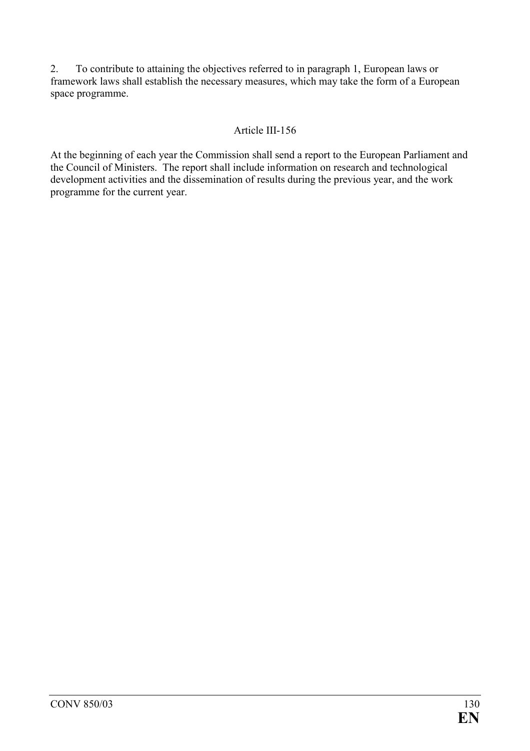2. To contribute to attaining the objectives referred to in paragraph 1, European laws or framework laws shall establish the necessary measures, which may take the form of a European space programme.

## Article III-156

At the beginning of each year the Commission shall send a report to the European Parliament and the Council of Ministers. The report shall include information on research and technological development activities and the dissemination of results during the previous year, and the work programme for the current year.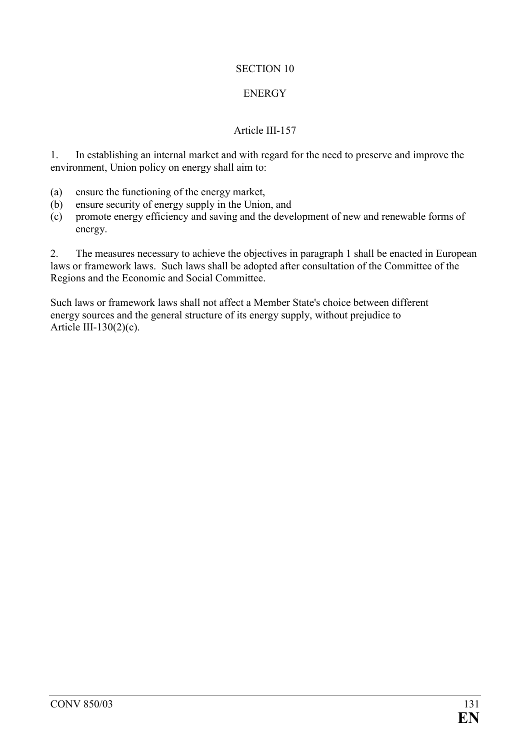### **ENERGY**

## Article III-157

1. In establishing an internal market and with regard for the need to preserve and improve the environment, Union policy on energy shall aim to:

- (a) ensure the functioning of the energy market,
- (b) ensure security of energy supply in the Union, and
- (c) promote energy efficiency and saving and the development of new and renewable forms of energy.

2. The measures necessary to achieve the objectives in paragraph 1 shall be enacted in European laws or framework laws. Such laws shall be adopted after consultation of the Committee of the Regions and the Economic and Social Committee.

Such laws or framework laws shall not affect a Member State's choice between different energy sources and the general structure of its energy supply, without prejudice to Article III-130(2)(c).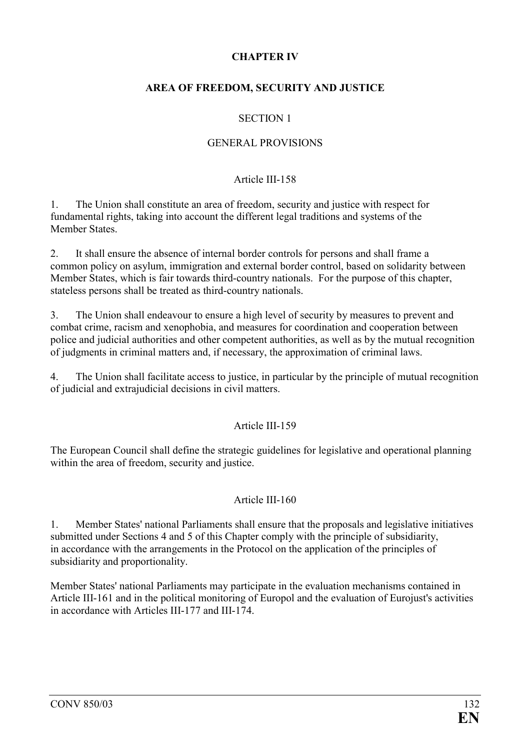# **CHAPTER IV**

# **AREA OF FREEDOM, SECURITY AND JUSTICE**

## SECTION 1

# GENERAL PROVISIONS

### Article III-158

1. The Union shall constitute an area of freedom, security and justice with respect for fundamental rights, taking into account the different legal traditions and systems of the Member States.

2. It shall ensure the absence of internal border controls for persons and shall frame a common policy on asylum, immigration and external border control, based on solidarity between Member States, which is fair towards third-country nationals. For the purpose of this chapter, stateless persons shall be treated as third-country nationals.

3. The Union shall endeavour to ensure a high level of security by measures to prevent and combat crime, racism and xenophobia, and measures for coordination and cooperation between police and judicial authorities and other competent authorities, as well as by the mutual recognition of judgments in criminal matters and, if necessary, the approximation of criminal laws.

4. The Union shall facilitate access to justice, in particular by the principle of mutual recognition of judicial and extrajudicial decisions in civil matters.

## Article III-159

The European Council shall define the strategic guidelines for legislative and operational planning within the area of freedom, security and justice.

## Article III-160

1. Member States' national Parliaments shall ensure that the proposals and legislative initiatives submitted under Sections 4 and 5 of this Chapter comply with the principle of subsidiarity, in accordance with the arrangements in the Protocol on the application of the principles of subsidiarity and proportionality.

Member States' national Parliaments may participate in the evaluation mechanisms contained in Article III-161 and in the political monitoring of Europol and the evaluation of Eurojust's activities in accordance with Articles III-177 and III-174.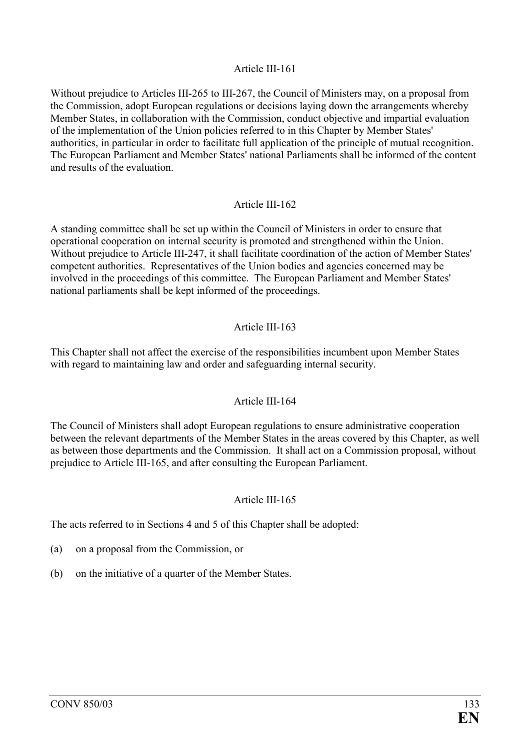Without prejudice to Articles III-265 to III-267, the Council of Ministers may, on a proposal from the Commission, adopt European regulations or decisions laying down the arrangements whereby Member States, in collaboration with the Commission, conduct objective and impartial evaluation of the implementation of the Union policies referred to in this Chapter by Member States' authorities, in particular in order to facilitate full application of the principle of mutual recognition. The European Parliament and Member States' national Parliaments shall be informed of the content and results of the evaluation.

### Article III-162

A standing committee shall be set up within the Council of Ministers in order to ensure that operational cooperation on internal security is promoted and strengthened within the Union. Without prejudice to Article III-247, it shall facilitate coordination of the action of Member States' competent authorities. Representatives of the Union bodies and agencies concerned may be involved in the proceedings of this committee. The European Parliament and Member States' national parliaments shall be kept informed of the proceedings.

### Article III-163

This Chapter shall not affect the exercise of the responsibilities incumbent upon Member States with regard to maintaining law and order and safeguarding internal security.

#### Article III-164

The Council of Ministers shall adopt European regulations to ensure administrative cooperation between the relevant departments of the Member States in the areas covered by this Chapter, as well as between those departments and the Commission. It shall act on a Commission proposal, without prejudice to Article III-165, and after consulting the European Parliament.

#### Article III-165

The acts referred to in Sections 4 and 5 of this Chapter shall be adopted:

- (a) on a proposal from the Commission, or
- (b) on the initiative of a quarter of the Member States.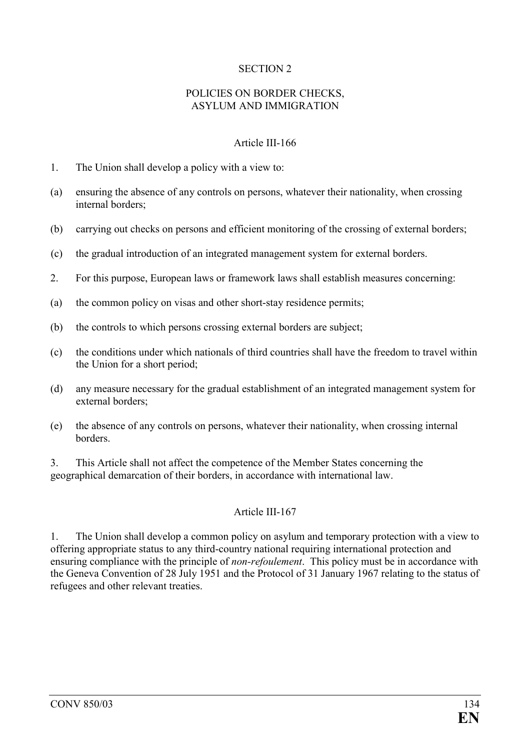#### POLICIES ON BORDER CHECKS, ASYLUM AND IMMIGRATION

### Article III-166

- 1. The Union shall develop a policy with a view to:
- (a) ensuring the absence of any controls on persons, whatever their nationality, when crossing internal borders;
- (b) carrying out checks on persons and efficient monitoring of the crossing of external borders;
- (c) the gradual introduction of an integrated management system for external borders.
- 2. For this purpose, European laws or framework laws shall establish measures concerning:
- (a) the common policy on visas and other short-stay residence permits;
- (b) the controls to which persons crossing external borders are subject;
- (c) the conditions under which nationals of third countries shall have the freedom to travel within the Union for a short period;
- (d) any measure necessary for the gradual establishment of an integrated management system for external borders;
- (e) the absence of any controls on persons, whatever their nationality, when crossing internal borders.

3. This Article shall not affect the competence of the Member States concerning the geographical demarcation of their borders, in accordance with international law.

## Article III-167

1. The Union shall develop a common policy on asylum and temporary protection with a view to offering appropriate status to any third-country national requiring international protection and ensuring compliance with the principle of *non-refoulement*. This policy must be in accordance with the Geneva Convention of 28 July 1951 and the Protocol of 31 January 1967 relating to the status of refugees and other relevant treaties.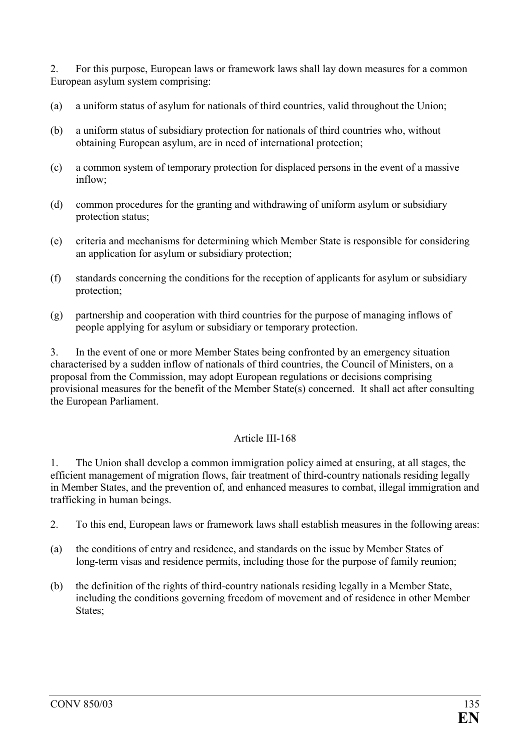2. For this purpose, European laws or framework laws shall lay down measures for a common European asylum system comprising:

- (a) a uniform status of asylum for nationals of third countries, valid throughout the Union;
- (b) a uniform status of subsidiary protection for nationals of third countries who, without obtaining European asylum, are in need of international protection;
- (c) a common system of temporary protection for displaced persons in the event of a massive inflow;
- (d) common procedures for the granting and withdrawing of uniform asylum or subsidiary protection status;
- (e) criteria and mechanisms for determining which Member State is responsible for considering an application for asylum or subsidiary protection;
- (f) standards concerning the conditions for the reception of applicants for asylum or subsidiary protection;
- (g) partnership and cooperation with third countries for the purpose of managing inflows of people applying for asylum or subsidiary or temporary protection.

3. In the event of one or more Member States being confronted by an emergency situation characterised by a sudden inflow of nationals of third countries, the Council of Ministers, on a proposal from the Commission, may adopt European regulations or decisions comprising provisional measures for the benefit of the Member State(s) concerned. It shall act after consulting the European Parliament.

## Article III-168

1. The Union shall develop a common immigration policy aimed at ensuring, at all stages, the efficient management of migration flows, fair treatment of third-country nationals residing legally in Member States, and the prevention of, and enhanced measures to combat, illegal immigration and trafficking in human beings.

- 2. To this end, European laws or framework laws shall establish measures in the following areas:
- (a) the conditions of entry and residence, and standards on the issue by Member States of long-term visas and residence permits, including those for the purpose of family reunion;
- (b) the definition of the rights of third-country nationals residing legally in a Member State, including the conditions governing freedom of movement and of residence in other Member States: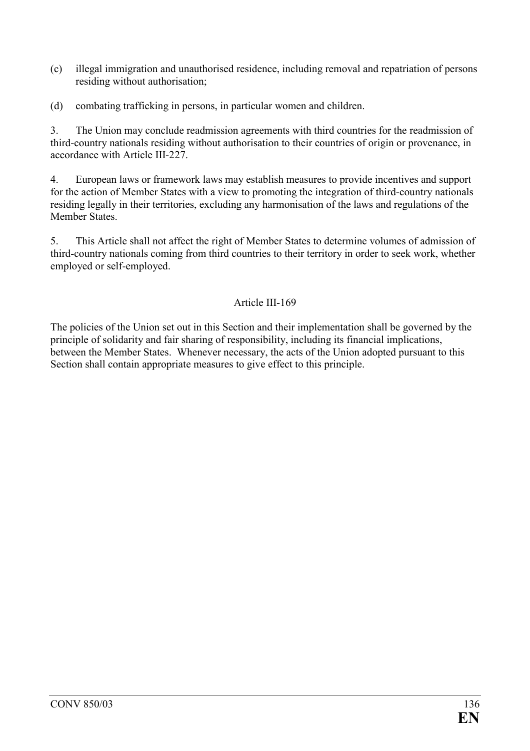- (c) illegal immigration and unauthorised residence, including removal and repatriation of persons residing without authorisation;
- (d) combating trafficking in persons, in particular women and children.

3. The Union may conclude readmission agreements with third countries for the readmission of third-country nationals residing without authorisation to their countries of origin or provenance, in accordance with Article III-227.

4. European laws or framework laws may establish measures to provide incentives and support for the action of Member States with a view to promoting the integration of third-country nationals residing legally in their territories, excluding any harmonisation of the laws and regulations of the Member States.

5. This Article shall not affect the right of Member States to determine volumes of admission of third-country nationals coming from third countries to their territory in order to seek work, whether employed or self-employed.

## Article III-169

The policies of the Union set out in this Section and their implementation shall be governed by the principle of solidarity and fair sharing of responsibility, including its financial implications, between the Member States. Whenever necessary, the acts of the Union adopted pursuant to this Section shall contain appropriate measures to give effect to this principle.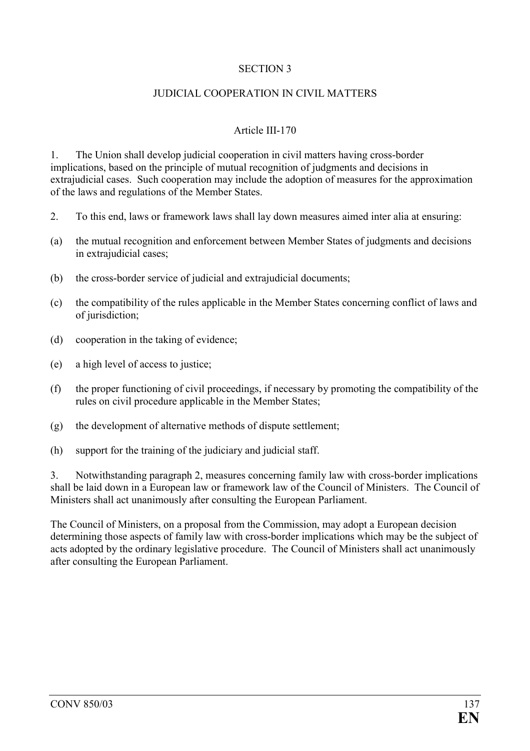## JUDICIAL COOPERATION IN CIVIL MATTERS

### Article III-170

1. The Union shall develop judicial cooperation in civil matters having cross-border implications, based on the principle of mutual recognition of judgments and decisions in extrajudicial cases. Such cooperation may include the adoption of measures for the approximation of the laws and regulations of the Member States.

- 2. To this end, laws or framework laws shall lay down measures aimed inter alia at ensuring:
- (a) the mutual recognition and enforcement between Member States of judgments and decisions in extrajudicial cases;
- (b) the cross-border service of judicial and extrajudicial documents;
- (c) the compatibility of the rules applicable in the Member States concerning conflict of laws and of jurisdiction;
- (d) cooperation in the taking of evidence;
- (e) a high level of access to justice;
- (f) the proper functioning of civil proceedings, if necessary by promoting the compatibility of the rules on civil procedure applicable in the Member States;
- (g) the development of alternative methods of dispute settlement;
- (h) support for the training of the judiciary and judicial staff.

3. Notwithstanding paragraph 2, measures concerning family law with cross-border implications shall be laid down in a European law or framework law of the Council of Ministers. The Council of Ministers shall act unanimously after consulting the European Parliament.

The Council of Ministers, on a proposal from the Commission, may adopt a European decision determining those aspects of family law with cross-border implications which may be the subject of acts adopted by the ordinary legislative procedure. The Council of Ministers shall act unanimously after consulting the European Parliament.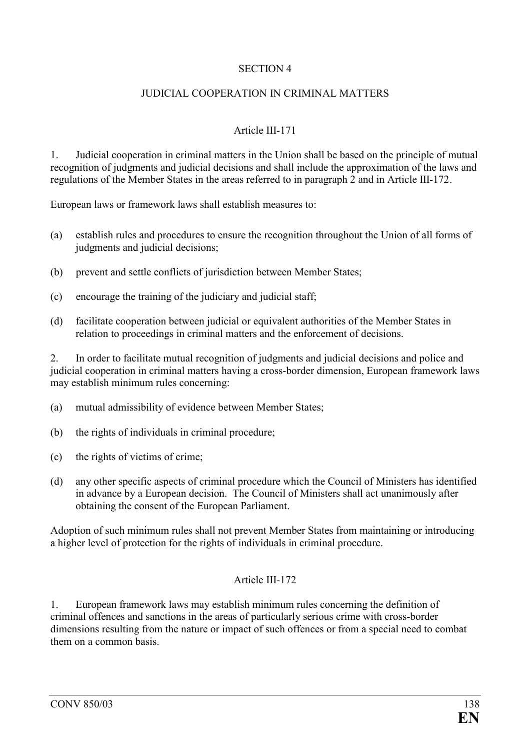## JUDICIAL COOPERATION IN CRIMINAL MATTERS

# Article III-171

1. Judicial cooperation in criminal matters in the Union shall be based on the principle of mutual recognition of judgments and judicial decisions and shall include the approximation of the laws and regulations of the Member States in the areas referred to in paragraph 2 and in Article III-172.

European laws or framework laws shall establish measures to:

- (a) establish rules and procedures to ensure the recognition throughout the Union of all forms of judgments and judicial decisions;
- (b) prevent and settle conflicts of jurisdiction between Member States;
- (c) encourage the training of the judiciary and judicial staff;
- (d) facilitate cooperation between judicial or equivalent authorities of the Member States in relation to proceedings in criminal matters and the enforcement of decisions.

2. In order to facilitate mutual recognition of judgments and judicial decisions and police and judicial cooperation in criminal matters having a cross-border dimension, European framework laws may establish minimum rules concerning:

- (a) mutual admissibility of evidence between Member States;
- (b) the rights of individuals in criminal procedure;
- (c) the rights of victims of crime;
- (d) any other specific aspects of criminal procedure which the Council of Ministers has identified in advance by a European decision. The Council of Ministers shall act unanimously after obtaining the consent of the European Parliament.

Adoption of such minimum rules shall not prevent Member States from maintaining or introducing a higher level of protection for the rights of individuals in criminal procedure.

## Article III-172

1. European framework laws may establish minimum rules concerning the definition of criminal offences and sanctions in the areas of particularly serious crime with cross-border dimensions resulting from the nature or impact of such offences or from a special need to combat them on a common basis.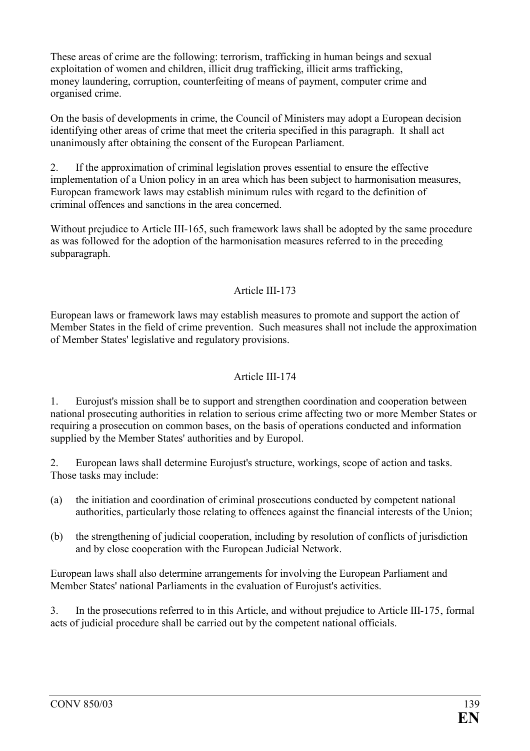These areas of crime are the following: terrorism, trafficking in human beings and sexual exploitation of women and children, illicit drug trafficking, illicit arms trafficking, money laundering, corruption, counterfeiting of means of payment, computer crime and organised crime.

On the basis of developments in crime, the Council of Ministers may adopt a European decision identifying other areas of crime that meet the criteria specified in this paragraph. It shall act unanimously after obtaining the consent of the European Parliament.

2. If the approximation of criminal legislation proves essential to ensure the effective implementation of a Union policy in an area which has been subject to harmonisation measures, European framework laws may establish minimum rules with regard to the definition of criminal offences and sanctions in the area concerned.

Without prejudice to Article III-165, such framework laws shall be adopted by the same procedure as was followed for the adoption of the harmonisation measures referred to in the preceding subparagraph.

# Article III-173

European laws or framework laws may establish measures to promote and support the action of Member States in the field of crime prevention. Such measures shall not include the approximation of Member States' legislative and regulatory provisions.

## Article III-174

1. Eurojust's mission shall be to support and strengthen coordination and cooperation between national prosecuting authorities in relation to serious crime affecting two or more Member States or requiring a prosecution on common bases, on the basis of operations conducted and information supplied by the Member States' authorities and by Europol.

2. European laws shall determine Eurojust's structure, workings, scope of action and tasks. Those tasks may include:

- (a) the initiation and coordination of criminal prosecutions conducted by competent national authorities, particularly those relating to offences against the financial interests of the Union;
- (b) the strengthening of judicial cooperation, including by resolution of conflicts of jurisdiction and by close cooperation with the European Judicial Network.

European laws shall also determine arrangements for involving the European Parliament and Member States' national Parliaments in the evaluation of Eurojust's activities.

3. In the prosecutions referred to in this Article, and without prejudice to Article III-175, formal acts of judicial procedure shall be carried out by the competent national officials.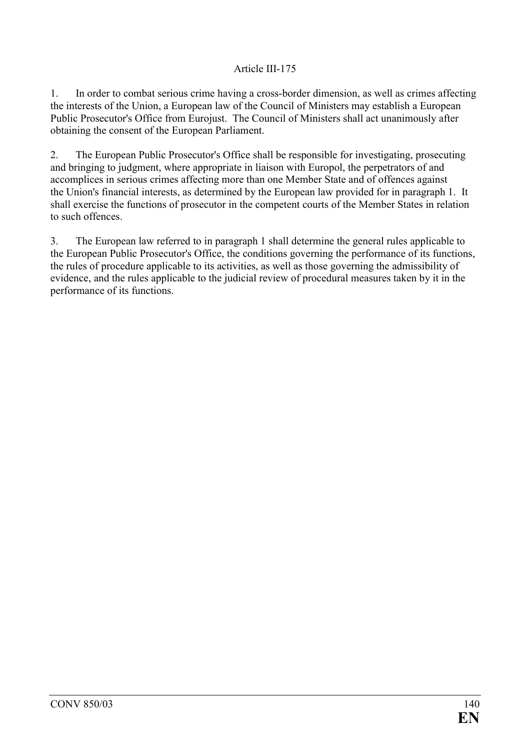1. In order to combat serious crime having a cross-border dimension, as well as crimes affecting the interests of the Union, a European law of the Council of Ministers may establish a European Public Prosecutor's Office from Eurojust. The Council of Ministers shall act unanimously after obtaining the consent of the European Parliament.

2. The European Public Prosecutor's Office shall be responsible for investigating, prosecuting and bringing to judgment, where appropriate in liaison with Europol, the perpetrators of and accomplices in serious crimes affecting more than one Member State and of offences against the Union's financial interests, as determined by the European law provided for in paragraph 1. It shall exercise the functions of prosecutor in the competent courts of the Member States in relation to such offences.

3. The European law referred to in paragraph 1 shall determine the general rules applicable to the European Public Prosecutor's Office, the conditions governing the performance of its functions, the rules of procedure applicable to its activities, as well as those governing the admissibility of evidence, and the rules applicable to the judicial review of procedural measures taken by it in the performance of its functions.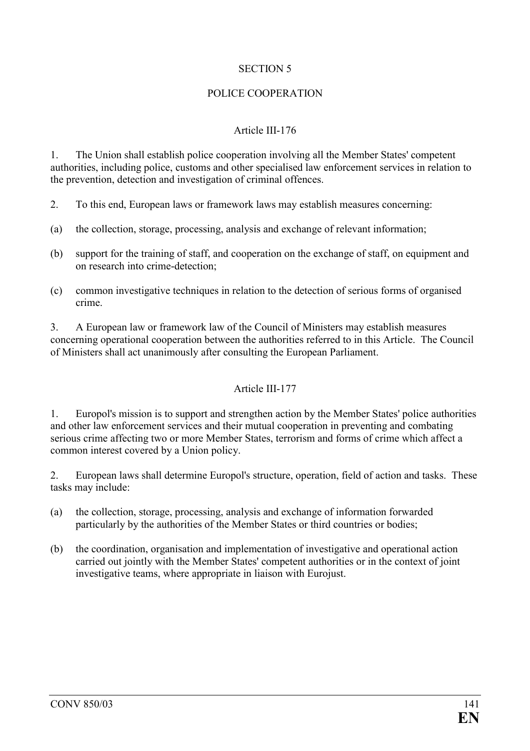## POLICE COOPERATION

## Article III-176

1. The Union shall establish police cooperation involving all the Member States' competent authorities, including police, customs and other specialised law enforcement services in relation to the prevention, detection and investigation of criminal offences.

- 2. To this end, European laws or framework laws may establish measures concerning:
- (a) the collection, storage, processing, analysis and exchange of relevant information;
- (b) support for the training of staff, and cooperation on the exchange of staff, on equipment and on research into crime-detection;
- (c) common investigative techniques in relation to the detection of serious forms of organised crime.

3. A European law or framework law of the Council of Ministers may establish measures concerning operational cooperation between the authorities referred to in this Article. The Council of Ministers shall act unanimously after consulting the European Parliament.

## Article III-177

1. Europol's mission is to support and strengthen action by the Member States' police authorities and other law enforcement services and their mutual cooperation in preventing and combating serious crime affecting two or more Member States, terrorism and forms of crime which affect a common interest covered by a Union policy.

2. European laws shall determine Europol's structure, operation, field of action and tasks. These tasks may include:

- (a) the collection, storage, processing, analysis and exchange of information forwarded particularly by the authorities of the Member States or third countries or bodies;
- (b) the coordination, organisation and implementation of investigative and operational action carried out jointly with the Member States' competent authorities or in the context of joint investigative teams, where appropriate in liaison with Eurojust.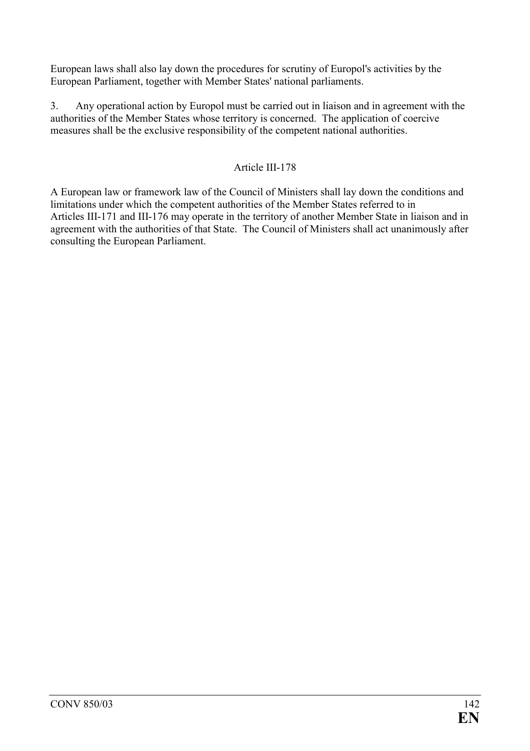European laws shall also lay down the procedures for scrutiny of Europol's activities by the European Parliament, together with Member States' national parliaments.

3. Any operational action by Europol must be carried out in liaison and in agreement with the authorities of the Member States whose territory is concerned. The application of coercive measures shall be the exclusive responsibility of the competent national authorities.

#### Article III-178

A European law or framework law of the Council of Ministers shall lay down the conditions and limitations under which the competent authorities of the Member States referred to in Articles III-171 and III-176 may operate in the territory of another Member State in liaison and in agreement with the authorities of that State. The Council of Ministers shall act unanimously after consulting the European Parliament.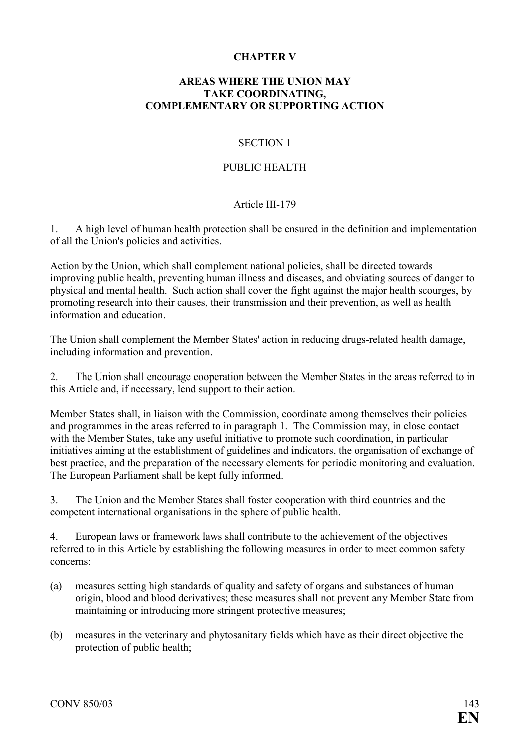## **CHAPTER V**

#### **AREAS WHERE THE UNION MAY TAKE COORDINATING, COMPLEMENTARY OR SUPPORTING ACTION**

# SECTION 1

#### PUBLIC HEALTH

## Article III-179

1. A high level of human health protection shall be ensured in the definition and implementation of all the Union's policies and activities.

Action by the Union, which shall complement national policies, shall be directed towards improving public health, preventing human illness and diseases, and obviating sources of danger to physical and mental health. Such action shall cover the fight against the major health scourges, by promoting research into their causes, their transmission and their prevention, as well as health information and education.

The Union shall complement the Member States' action in reducing drugs-related health damage, including information and prevention.

2. The Union shall encourage cooperation between the Member States in the areas referred to in this Article and, if necessary, lend support to their action.

Member States shall, in liaison with the Commission, coordinate among themselves their policies and programmes in the areas referred to in paragraph 1. The Commission may, in close contact with the Member States, take any useful initiative to promote such coordination, in particular initiatives aiming at the establishment of guidelines and indicators, the organisation of exchange of best practice, and the preparation of the necessary elements for periodic monitoring and evaluation. The European Parliament shall be kept fully informed.

3. The Union and the Member States shall foster cooperation with third countries and the competent international organisations in the sphere of public health.

4. European laws or framework laws shall contribute to the achievement of the objectives referred to in this Article by establishing the following measures in order to meet common safety concerns:

- (a) measures setting high standards of quality and safety of organs and substances of human origin, blood and blood derivatives; these measures shall not prevent any Member State from maintaining or introducing more stringent protective measures;
- (b) measures in the veterinary and phytosanitary fields which have as their direct objective the protection of public health;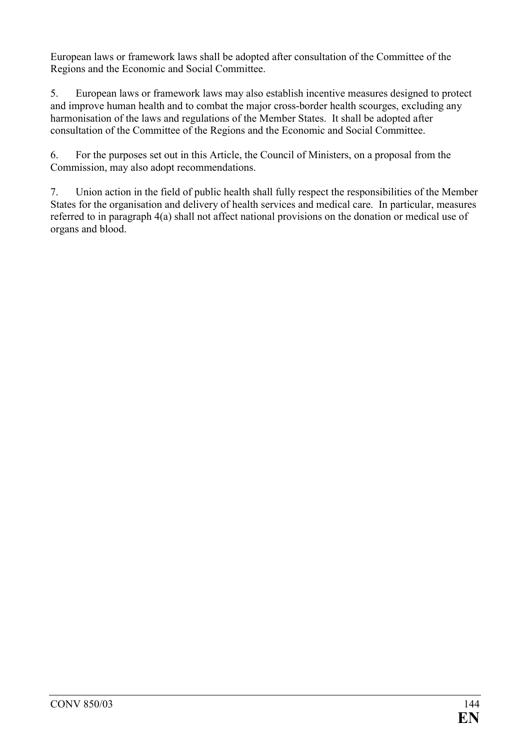European laws or framework laws shall be adopted after consultation of the Committee of the Regions and the Economic and Social Committee.

5. European laws or framework laws may also establish incentive measures designed to protect and improve human health and to combat the major cross-border health scourges, excluding any harmonisation of the laws and regulations of the Member States. It shall be adopted after consultation of the Committee of the Regions and the Economic and Social Committee.

6. For the purposes set out in this Article, the Council of Ministers, on a proposal from the Commission, may also adopt recommendations.

7. Union action in the field of public health shall fully respect the responsibilities of the Member States for the organisation and delivery of health services and medical care. In particular, measures referred to in paragraph 4(a) shall not affect national provisions on the donation or medical use of organs and blood.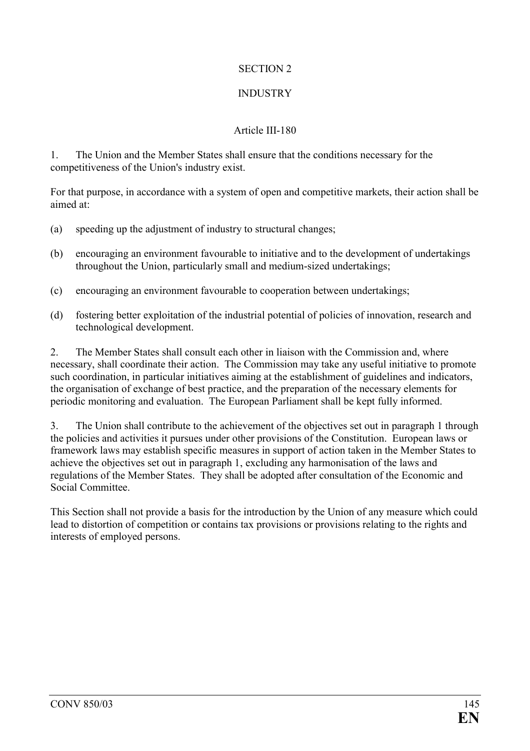# INDUSTRY

# Article III-180

1. The Union and the Member States shall ensure that the conditions necessary for the competitiveness of the Union's industry exist.

For that purpose, in accordance with a system of open and competitive markets, their action shall be aimed at:

- (a) speeding up the adjustment of industry to structural changes;
- (b) encouraging an environment favourable to initiative and to the development of undertakings throughout the Union, particularly small and medium-sized undertakings;
- (c) encouraging an environment favourable to cooperation between undertakings;
- (d) fostering better exploitation of the industrial potential of policies of innovation, research and technological development.

2. The Member States shall consult each other in liaison with the Commission and, where necessary, shall coordinate their action. The Commission may take any useful initiative to promote such coordination, in particular initiatives aiming at the establishment of guidelines and indicators, the organisation of exchange of best practice, and the preparation of the necessary elements for periodic monitoring and evaluation. The European Parliament shall be kept fully informed.

3. The Union shall contribute to the achievement of the objectives set out in paragraph 1 through the policies and activities it pursues under other provisions of the Constitution. European laws or framework laws may establish specific measures in support of action taken in the Member States to achieve the objectives set out in paragraph 1, excluding any harmonisation of the laws and regulations of the Member States. They shall be adopted after consultation of the Economic and Social Committee.

This Section shall not provide a basis for the introduction by the Union of any measure which could lead to distortion of competition or contains tax provisions or provisions relating to the rights and interests of employed persons.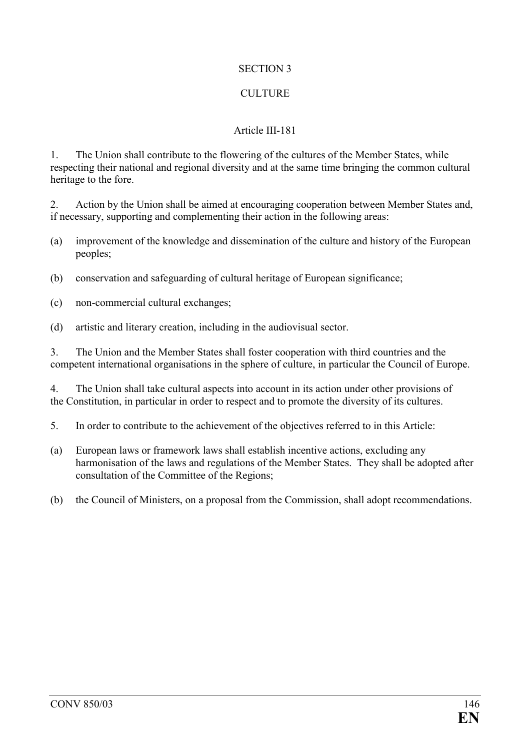## **CULTURE**

#### Article III-181

1. The Union shall contribute to the flowering of the cultures of the Member States, while respecting their national and regional diversity and at the same time bringing the common cultural heritage to the fore.

2. Action by the Union shall be aimed at encouraging cooperation between Member States and, if necessary, supporting and complementing their action in the following areas:

- (a) improvement of the knowledge and dissemination of the culture and history of the European peoples;
- (b) conservation and safeguarding of cultural heritage of European significance;
- (c) non-commercial cultural exchanges;
- (d) artistic and literary creation, including in the audiovisual sector.

3. The Union and the Member States shall foster cooperation with third countries and the competent international organisations in the sphere of culture, in particular the Council of Europe.

4. The Union shall take cultural aspects into account in its action under other provisions of the Constitution, in particular in order to respect and to promote the diversity of its cultures.

- 5. In order to contribute to the achievement of the objectives referred to in this Article:
- (a) European laws or framework laws shall establish incentive actions, excluding any harmonisation of the laws and regulations of the Member States. They shall be adopted after consultation of the Committee of the Regions;
- (b) the Council of Ministers, on a proposal from the Commission, shall adopt recommendations.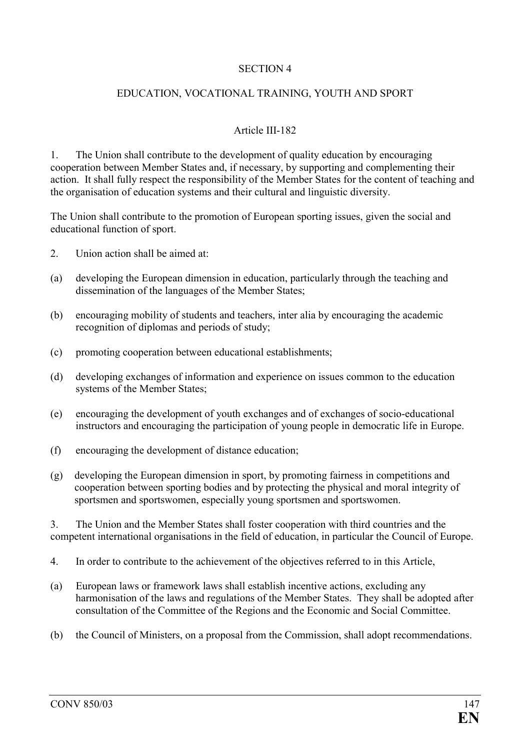#### EDUCATION, VOCATIONAL TRAINING, YOUTH AND SPORT

#### Article III-182

1. The Union shall contribute to the development of quality education by encouraging cooperation between Member States and, if necessary, by supporting and complementing their action. It shall fully respect the responsibility of the Member States for the content of teaching and the organisation of education systems and their cultural and linguistic diversity.

The Union shall contribute to the promotion of European sporting issues, given the social and educational function of sport.

- 2. Union action shall be aimed at:
- (a) developing the European dimension in education, particularly through the teaching and dissemination of the languages of the Member States;
- (b) encouraging mobility of students and teachers, inter alia by encouraging the academic recognition of diplomas and periods of study;
- (c) promoting cooperation between educational establishments;
- (d) developing exchanges of information and experience on issues common to the education systems of the Member States;
- (e) encouraging the development of youth exchanges and of exchanges of socio-educational instructors and encouraging the participation of young people in democratic life in Europe.
- (f) encouraging the development of distance education;
- (g) developing the European dimension in sport, by promoting fairness in competitions and cooperation between sporting bodies and by protecting the physical and moral integrity of sportsmen and sportswomen, especially young sportsmen and sportswomen.

3. The Union and the Member States shall foster cooperation with third countries and the competent international organisations in the field of education, in particular the Council of Europe.

- 4. In order to contribute to the achievement of the objectives referred to in this Article,
- (a) European laws or framework laws shall establish incentive actions, excluding any harmonisation of the laws and regulations of the Member States. They shall be adopted after consultation of the Committee of the Regions and the Economic and Social Committee.
- (b) the Council of Ministers, on a proposal from the Commission, shall adopt recommendations.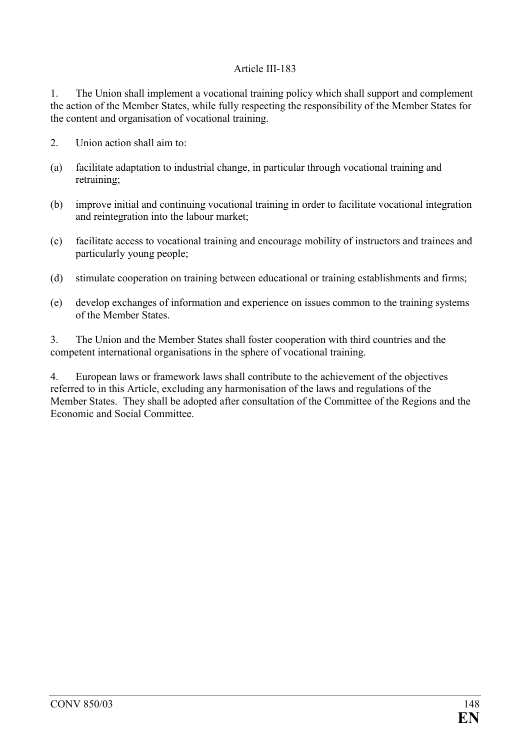1. The Union shall implement a vocational training policy which shall support and complement the action of the Member States, while fully respecting the responsibility of the Member States for the content and organisation of vocational training.

- 2. Union action shall aim to:
- (a) facilitate adaptation to industrial change, in particular through vocational training and retraining;
- (b) improve initial and continuing vocational training in order to facilitate vocational integration and reintegration into the labour market;
- (c) facilitate access to vocational training and encourage mobility of instructors and trainees and particularly young people;
- (d) stimulate cooperation on training between educational or training establishments and firms;
- (e) develop exchanges of information and experience on issues common to the training systems of the Member States.

3. The Union and the Member States shall foster cooperation with third countries and the competent international organisations in the sphere of vocational training.

4. European laws or framework laws shall contribute to the achievement of the objectives referred to in this Article, excluding any harmonisation of the laws and regulations of the Member States. They shall be adopted after consultation of the Committee of the Regions and the Economic and Social Committee.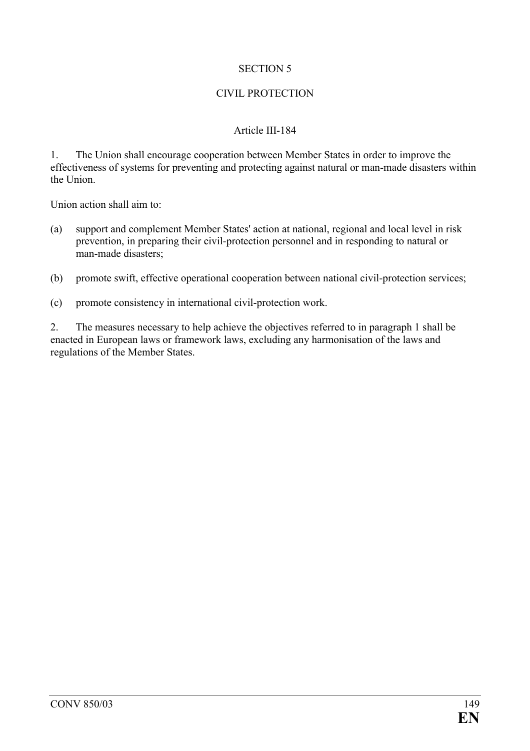## CIVIL PROTECTION

#### Article III-184

1. The Union shall encourage cooperation between Member States in order to improve the effectiveness of systems for preventing and protecting against natural or man-made disasters within the Union.

Union action shall aim to:

- (a) support and complement Member States' action at national, regional and local level in risk prevention, in preparing their civil-protection personnel and in responding to natural or man-made disasters;
- (b) promote swift, effective operational cooperation between national civil-protection services;
- (c) promote consistency in international civil-protection work.

2. The measures necessary to help achieve the objectives referred to in paragraph 1 shall be enacted in European laws or framework laws, excluding any harmonisation of the laws and regulations of the Member States.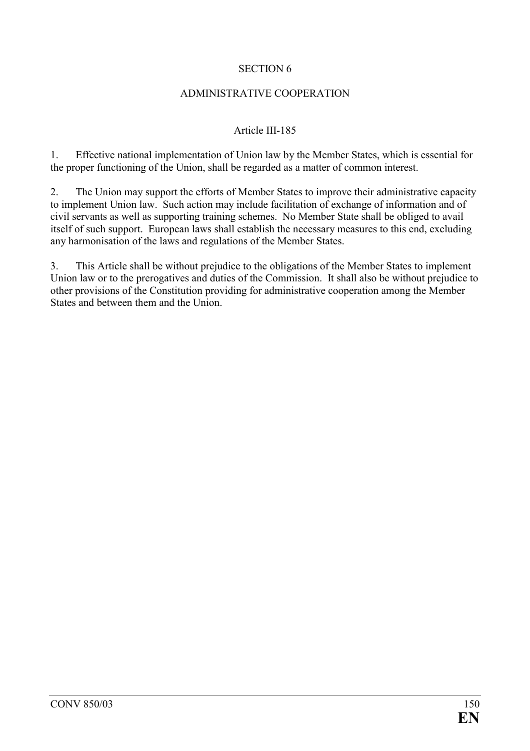## ADMINISTRATIVE COOPERATION

## Article III-185

1. Effective national implementation of Union law by the Member States, which is essential for the proper functioning of the Union, shall be regarded as a matter of common interest.

2. The Union may support the efforts of Member States to improve their administrative capacity to implement Union law. Such action may include facilitation of exchange of information and of civil servants as well as supporting training schemes. No Member State shall be obliged to avail itself of such support. European laws shall establish the necessary measures to this end, excluding any harmonisation of the laws and regulations of the Member States.

3. This Article shall be without prejudice to the obligations of the Member States to implement Union law or to the prerogatives and duties of the Commission. It shall also be without prejudice to other provisions of the Constitution providing for administrative cooperation among the Member States and between them and the Union.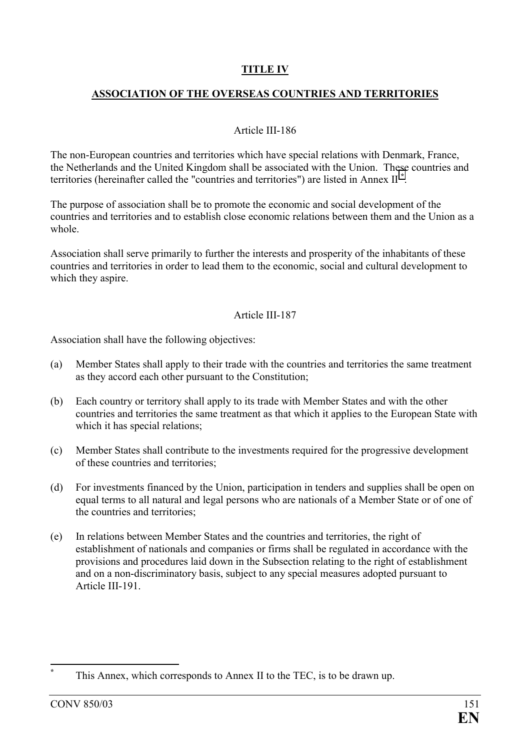# **TITLE IV**

#### **ASSOCIATION OF THE OVERSEAS COUNTRIES AND TERRITORIES**

#### Article III-186

The non-European countries and territories which have special relations with Denmark, France, the Netherlands and the United Kingdom shall be associated with the Union. These countries and territories (hereinafter called the "countries and territories") are listed in Annex II **\*** .

The purpose of association shall be to promote the economic and social development of the countries and territories and to establish close economic relations between them and the Union as a whole.

Association shall serve primarily to further the interests and prosperity of the inhabitants of these countries and territories in order to lead them to the economic, social and cultural development to which they aspire.

#### Article III-187

Association shall have the following objectives:

- (a) Member States shall apply to their trade with the countries and territories the same treatment as they accord each other pursuant to the Constitution;
- (b) Each country or territory shall apply to its trade with Member States and with the other countries and territories the same treatment as that which it applies to the European State with which it has special relations;
- (c) Member States shall contribute to the investments required for the progressive development of these countries and territories;
- (d) For investments financed by the Union, participation in tenders and supplies shall be open on equal terms to all natural and legal persons who are nationals of a Member State or of one of the countries and territories;
- (e) In relations between Member States and the countries and territories, the right of establishment of nationals and companies or firms shall be regulated in accordance with the provisions and procedures laid down in the Subsection relating to the right of establishment and on a non-discriminatory basis, subject to any special measures adopted pursuant to Article III-191.

 $\overline{a}$ **\***

This Annex, which corresponds to Annex II to the TEC, is to be drawn up.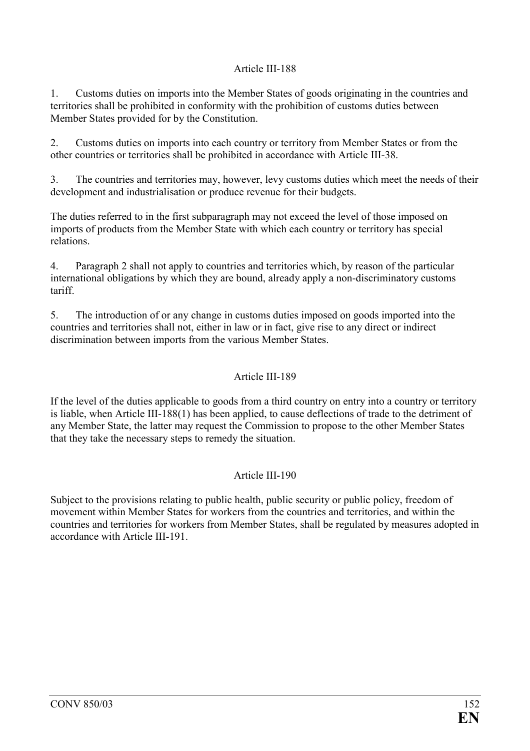1. Customs duties on imports into the Member States of goods originating in the countries and territories shall be prohibited in conformity with the prohibition of customs duties between Member States provided for by the Constitution.

2. Customs duties on imports into each country or territory from Member States or from the other countries or territories shall be prohibited in accordance with Article III-38.

3. The countries and territories may, however, levy customs duties which meet the needs of their development and industrialisation or produce revenue for their budgets.

The duties referred to in the first subparagraph may not exceed the level of those imposed on imports of products from the Member State with which each country or territory has special relations.

4. Paragraph 2 shall not apply to countries and territories which, by reason of the particular international obligations by which they are bound, already apply a non-discriminatory customs tariff.

5. The introduction of or any change in customs duties imposed on goods imported into the countries and territories shall not, either in law or in fact, give rise to any direct or indirect discrimination between imports from the various Member States.

## Article III-189

If the level of the duties applicable to goods from a third country on entry into a country or territory is liable, when Article III-188(1) has been applied, to cause deflections of trade to the detriment of any Member State, the latter may request the Commission to propose to the other Member States that they take the necessary steps to remedy the situation.

## Article III-190

Subject to the provisions relating to public health, public security or public policy, freedom of movement within Member States for workers from the countries and territories, and within the countries and territories for workers from Member States, shall be regulated by measures adopted in accordance with Article III-191.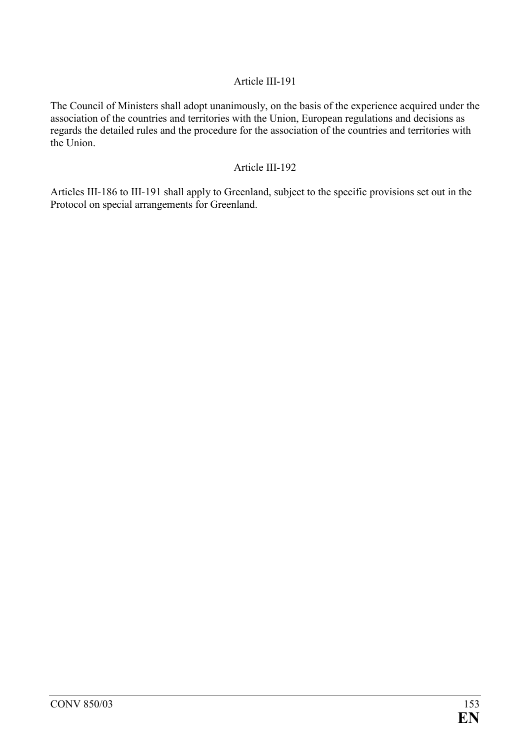The Council of Ministers shall adopt unanimously, on the basis of the experience acquired under the association of the countries and territories with the Union, European regulations and decisions as regards the detailed rules and the procedure for the association of the countries and territories with the Union.

#### Article III-192

Articles III-186 to III-191 shall apply to Greenland, subject to the specific provisions set out in the Protocol on special arrangements for Greenland.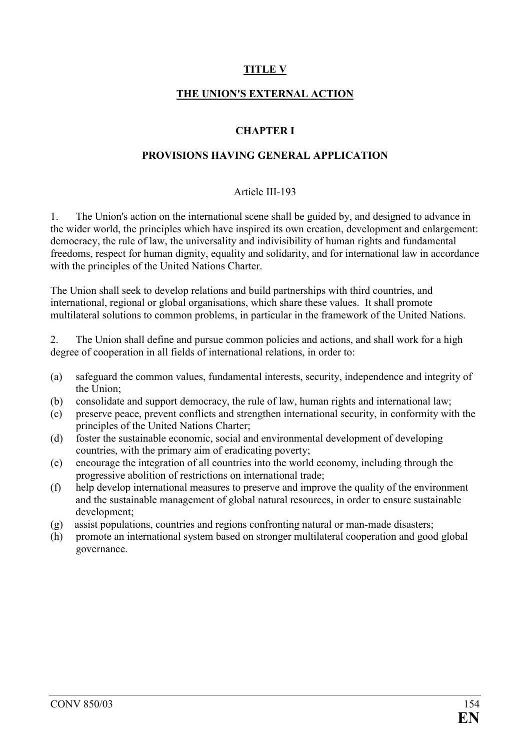## **TITLE V**

#### **THE UNION'S EXTERNAL ACTION**

#### **CHAPTER I**

#### **PROVISIONS HAVING GENERAL APPLICATION**

#### Article III-193

1. The Union's action on the international scene shall be guided by, and designed to advance in the wider world, the principles which have inspired its own creation, development and enlargement: democracy, the rule of law, the universality and indivisibility of human rights and fundamental freedoms, respect for human dignity, equality and solidarity, and for international law in accordance with the principles of the United Nations Charter.

The Union shall seek to develop relations and build partnerships with third countries, and international, regional or global organisations, which share these values. It shall promote multilateral solutions to common problems, in particular in the framework of the United Nations.

2. The Union shall define and pursue common policies and actions, and shall work for a high degree of cooperation in all fields of international relations, in order to:

- (a) safeguard the common values, fundamental interests, security, independence and integrity of the Union;
- (b) consolidate and support democracy, the rule of law, human rights and international law;
- (c) preserve peace, prevent conflicts and strengthen international security, in conformity with the principles of the United Nations Charter;
- (d) foster the sustainable economic, social and environmental development of developing countries, with the primary aim of eradicating poverty;
- (e) encourage the integration of all countries into the world economy, including through the progressive abolition of restrictions on international trade;
- (f) help develop international measures to preserve and improve the quality of the environment and the sustainable management of global natural resources, in order to ensure sustainable development;
- (g) assist populations, countries and regions confronting natural or man-made disasters;
- (h) promote an international system based on stronger multilateral cooperation and good global governance.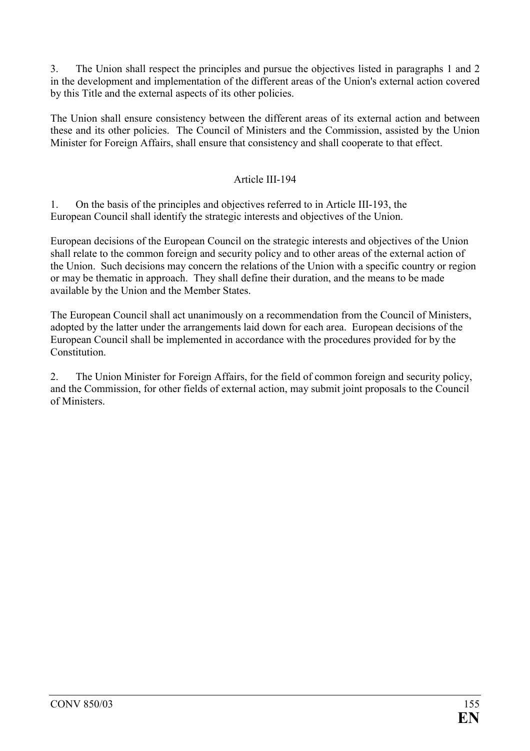3. The Union shall respect the principles and pursue the objectives listed in paragraphs 1 and 2 in the development and implementation of the different areas of the Union's external action covered by this Title and the external aspects of its other policies.

The Union shall ensure consistency between the different areas of its external action and between these and its other policies. The Council of Ministers and the Commission, assisted by the Union Minister for Foreign Affairs, shall ensure that consistency and shall cooperate to that effect.

#### Article III-194

1. On the basis of the principles and objectives referred to in Article III-193, the European Council shall identify the strategic interests and objectives of the Union.

European decisions of the European Council on the strategic interests and objectives of the Union shall relate to the common foreign and security policy and to other areas of the external action of the Union. Such decisions may concern the relations of the Union with a specific country or region or may be thematic in approach. They shall define their duration, and the means to be made available by the Union and the Member States.

The European Council shall act unanimously on a recommendation from the Council of Ministers, adopted by the latter under the arrangements laid down for each area. European decisions of the European Council shall be implemented in accordance with the procedures provided for by the Constitution.

2. The Union Minister for Foreign Affairs, for the field of common foreign and security policy, and the Commission, for other fields of external action, may submit joint proposals to the Council of Ministers.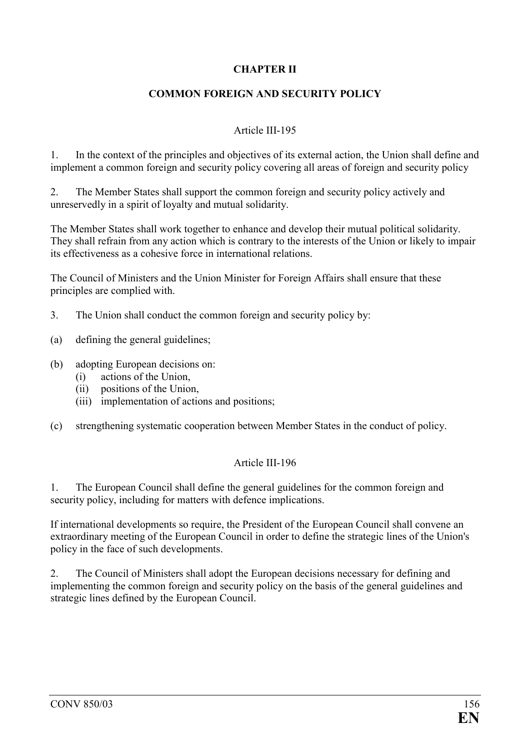# **CHAPTER II**

## **COMMON FOREIGN AND SECURITY POLICY**

#### Article III-195

1. In the context of the principles and objectives of its external action, the Union shall define and implement a common foreign and security policy covering all areas of foreign and security policy

2. The Member States shall support the common foreign and security policy actively and unreservedly in a spirit of loyalty and mutual solidarity.

The Member States shall work together to enhance and develop their mutual political solidarity. They shall refrain from any action which is contrary to the interests of the Union or likely to impair its effectiveness as a cohesive force in international relations.

The Council of Ministers and the Union Minister for Foreign Affairs shall ensure that these principles are complied with.

- 3. The Union shall conduct the common foreign and security policy by:
- (a) defining the general guidelines;
- (b) adopting European decisions on:
	- (i) actions of the Union,
	- (ii) positions of the Union,
	- (iii) implementation of actions and positions;
- (c) strengthening systematic cooperation between Member States in the conduct of policy.

## Article III-196

1. The European Council shall define the general guidelines for the common foreign and security policy, including for matters with defence implications.

If international developments so require, the President of the European Council shall convene an extraordinary meeting of the European Council in order to define the strategic lines of the Union's policy in the face of such developments.

2. The Council of Ministers shall adopt the European decisions necessary for defining and implementing the common foreign and security policy on the basis of the general guidelines and strategic lines defined by the European Council.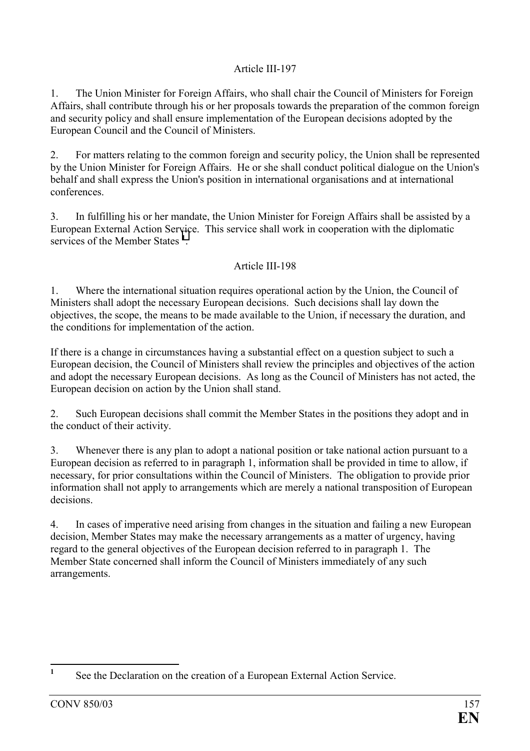1. The Union Minister for Foreign Affairs, who shall chair the Council of Ministers for Foreign Affairs, shall contribute through his or her proposals towards the preparation of the common foreign and security policy and shall ensure implementation of the European decisions adopted by the European Council and the Council of Ministers.

2. For matters relating to the common foreign and security policy, the Union shall be represented by the Union Minister for Foreign Affairs. He or she shall conduct political dialogue on the Union's behalf and shall express the Union's position in international organisations and at international conferences.

3. In fulfilling his or her mandate, the Union Minister for Foreign Affairs shall be assisted by a European External Action Service. This service shall work in cooperation with the diplomatic services of the Member States **<sup>1</sup>** .

## Article III-198

1. Where the international situation requires operational action by the Union, the Council of Ministers shall adopt the necessary European decisions. Such decisions shall lay down the objectives, the scope, the means to be made available to the Union, if necessary the duration, and the conditions for implementation of the action.

If there is a change in circumstances having a substantial effect on a question subject to such a European decision, the Council of Ministers shall review the principles and objectives of the action and adopt the necessary European decisions. As long as the Council of Ministers has not acted, the European decision on action by the Union shall stand.

2. Such European decisions shall commit the Member States in the positions they adopt and in the conduct of their activity.

3. Whenever there is any plan to adopt a national position or take national action pursuant to a European decision as referred to in paragraph 1, information shall be provided in time to allow, if necessary, for prior consultations within the Council of Ministers. The obligation to provide prior information shall not apply to arrangements which are merely a national transposition of European decisions.

4. In cases of imperative need arising from changes in the situation and failing a new European decision, Member States may make the necessary arrangements as a matter of urgency, having regard to the general objectives of the European decision referred to in paragraph 1. The Member State concerned shall inform the Council of Ministers immediately of any such arrangements.

 **1** See the Declaration on the creation of a European External Action Service.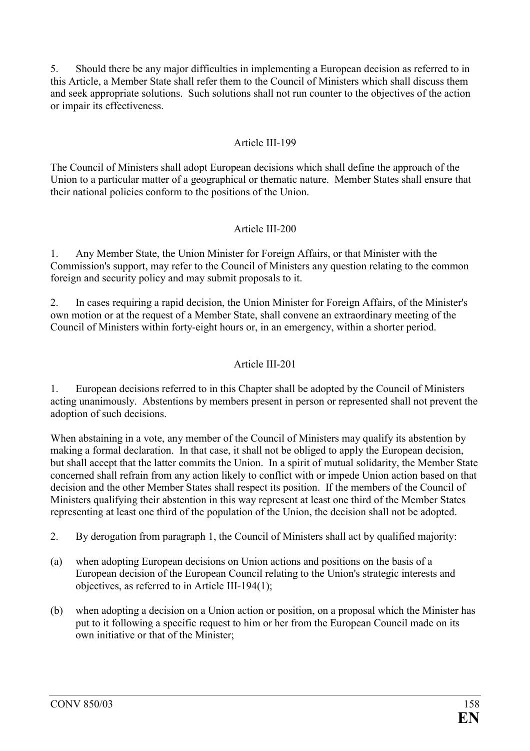5. Should there be any major difficulties in implementing a European decision as referred to in this Article, a Member State shall refer them to the Council of Ministers which shall discuss them and seek appropriate solutions. Such solutions shall not run counter to the objectives of the action or impair its effectiveness.

## Article III-199

The Council of Ministers shall adopt European decisions which shall define the approach of the Union to a particular matter of a geographical or thematic nature. Member States shall ensure that their national policies conform to the positions of the Union.

## Article III-200

1. Any Member State, the Union Minister for Foreign Affairs, or that Minister with the Commission's support, may refer to the Council of Ministers any question relating to the common foreign and security policy and may submit proposals to it.

2. In cases requiring a rapid decision, the Union Minister for Foreign Affairs, of the Minister's own motion or at the request of a Member State, shall convene an extraordinary meeting of the Council of Ministers within forty-eight hours or, in an emergency, within a shorter period.

## Article III-201

1. European decisions referred to in this Chapter shall be adopted by the Council of Ministers acting unanimously. Abstentions by members present in person or represented shall not prevent the adoption of such decisions.

When abstaining in a vote, any member of the Council of Ministers may qualify its abstention by making a formal declaration. In that case, it shall not be obliged to apply the European decision, but shall accept that the latter commits the Union. In a spirit of mutual solidarity, the Member State concerned shall refrain from any action likely to conflict with or impede Union action based on that decision and the other Member States shall respect its position. If the members of the Council of Ministers qualifying their abstention in this way represent at least one third of the Member States representing at least one third of the population of the Union, the decision shall not be adopted.

- 2. By derogation from paragraph 1, the Council of Ministers shall act by qualified majority:
- (a) when adopting European decisions on Union actions and positions on the basis of a European decision of the European Council relating to the Union's strategic interests and objectives, as referred to in Article III-194(1);
- (b) when adopting a decision on a Union action or position, on a proposal which the Minister has put to it following a specific request to him or her from the European Council made on its own initiative or that of the Minister;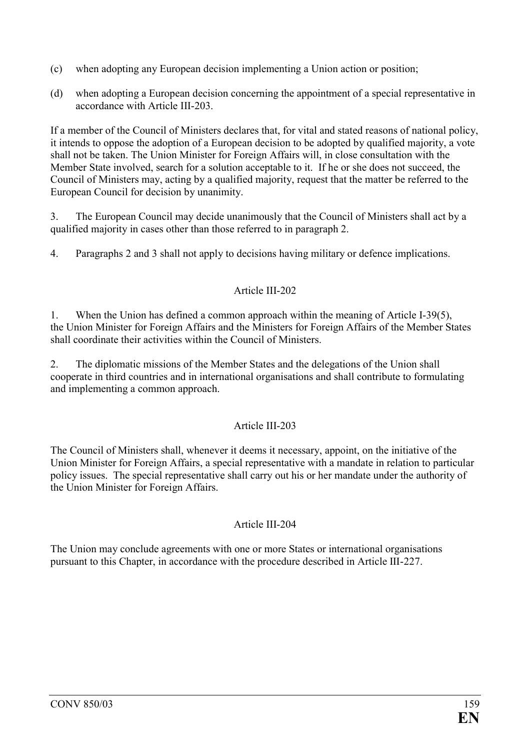- (c) when adopting any European decision implementing a Union action or position;
- (d) when adopting a European decision concerning the appointment of a special representative in accordance with Article III-203.

If a member of the Council of Ministers declares that, for vital and stated reasons of national policy, it intends to oppose the adoption of a European decision to be adopted by qualified majority, a vote shall not be taken. The Union Minister for Foreign Affairs will, in close consultation with the Member State involved, search for a solution acceptable to it. If he or she does not succeed, the Council of Ministers may, acting by a qualified majority, request that the matter be referred to the European Council for decision by unanimity.

3. The European Council may decide unanimously that the Council of Ministers shall act by a qualified majority in cases other than those referred to in paragraph 2.

4. Paragraphs 2 and 3 shall not apply to decisions having military or defence implications.

# Article III-202

1. When the Union has defined a common approach within the meaning of Article I-39(5), the Union Minister for Foreign Affairs and the Ministers for Foreign Affairs of the Member States shall coordinate their activities within the Council of Ministers.

2. The diplomatic missions of the Member States and the delegations of the Union shall cooperate in third countries and in international organisations and shall contribute to formulating and implementing a common approach.

## Article III-203

The Council of Ministers shall, whenever it deems it necessary, appoint, on the initiative of the Union Minister for Foreign Affairs, a special representative with a mandate in relation to particular policy issues. The special representative shall carry out his or her mandate under the authority of the Union Minister for Foreign Affairs.

# Article III-204

The Union may conclude agreements with one or more States or international organisations pursuant to this Chapter, in accordance with the procedure described in Article III-227.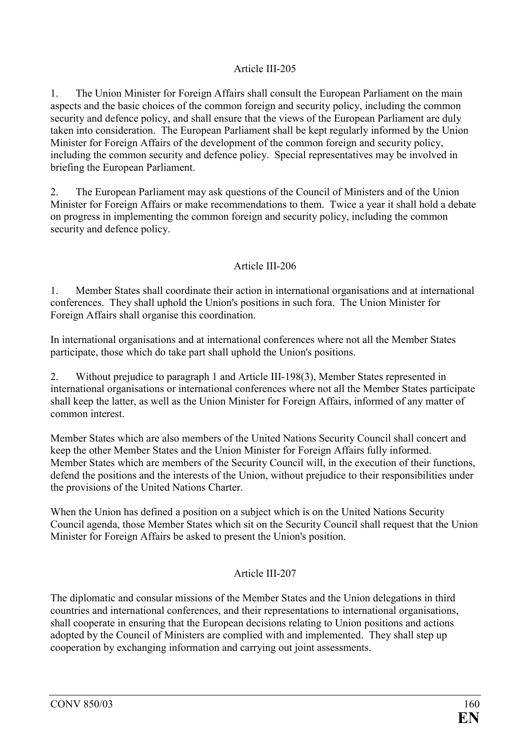1. The Union Minister for Foreign Affairs shall consult the European Parliament on the main aspects and the basic choices of the common foreign and security policy, including the common security and defence policy, and shall ensure that the views of the European Parliament are duly taken into consideration. The European Parliament shall be kept regularly informed by the Union Minister for Foreign Affairs of the development of the common foreign and security policy, including the common security and defence policy. Special representatives may be involved in briefing the European Parliament.

2. The European Parliament may ask questions of the Council of Ministers and of the Union Minister for Foreign Affairs or make recommendations to them. Twice a year it shall hold a debate on progress in implementing the common foreign and security policy, including the common security and defence policy.

# Article III-206

1. Member States shall coordinate their action in international organisations and at international conferences. They shall uphold the Union's positions in such fora. The Union Minister for Foreign Affairs shall organise this coordination.

In international organisations and at international conferences where not all the Member States participate, those which do take part shall uphold the Union's positions.

2. Without prejudice to paragraph 1 and Article III-198(3), Member States represented in international organisations or international conferences where not all the Member States participate shall keep the latter, as well as the Union Minister for Foreign Affairs, informed of any matter of common interest.

Member States which are also members of the United Nations Security Council shall concert and keep the other Member States and the Union Minister for Foreign Affairs fully informed. Member States which are members of the Security Council will, in the execution of their functions, defend the positions and the interests of the Union, without prejudice to their responsibilities under the provisions of the United Nations Charter.

When the Union has defined a position on a subject which is on the United Nations Security Council agenda, those Member States which sit on the Security Council shall request that the Union Minister for Foreign Affairs be asked to present the Union's position.

## Article III-207

The diplomatic and consular missions of the Member States and the Union delegations in third countries and international conferences, and their representations to international organisations, shall cooperate in ensuring that the European decisions relating to Union positions and actions adopted by the Council of Ministers are complied with and implemented. They shall step up cooperation by exchanging information and carrying out joint assessments.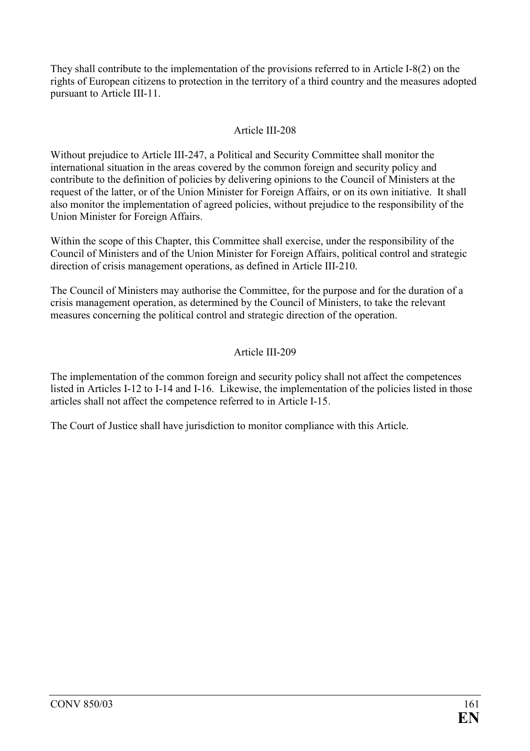They shall contribute to the implementation of the provisions referred to in Article I-8(2) on the rights of European citizens to protection in the territory of a third country and the measures adopted pursuant to Article III-11.

## Article III-208

Without prejudice to Article III-247, a Political and Security Committee shall monitor the international situation in the areas covered by the common foreign and security policy and contribute to the definition of policies by delivering opinions to the Council of Ministers at the request of the latter, or of the Union Minister for Foreign Affairs, or on its own initiative. It shall also monitor the implementation of agreed policies, without prejudice to the responsibility of the Union Minister for Foreign Affairs.

Within the scope of this Chapter, this Committee shall exercise, under the responsibility of the Council of Ministers and of the Union Minister for Foreign Affairs, political control and strategic direction of crisis management operations, as defined in Article III-210.

The Council of Ministers may authorise the Committee, for the purpose and for the duration of a crisis management operation, as determined by the Council of Ministers, to take the relevant measures concerning the political control and strategic direction of the operation.

## Article III-209

The implementation of the common foreign and security policy shall not affect the competences listed in Articles I-12 to I-14 and I-16. Likewise, the implementation of the policies listed in those articles shall not affect the competence referred to in Article I-15.

The Court of Justice shall have jurisdiction to monitor compliance with this Article.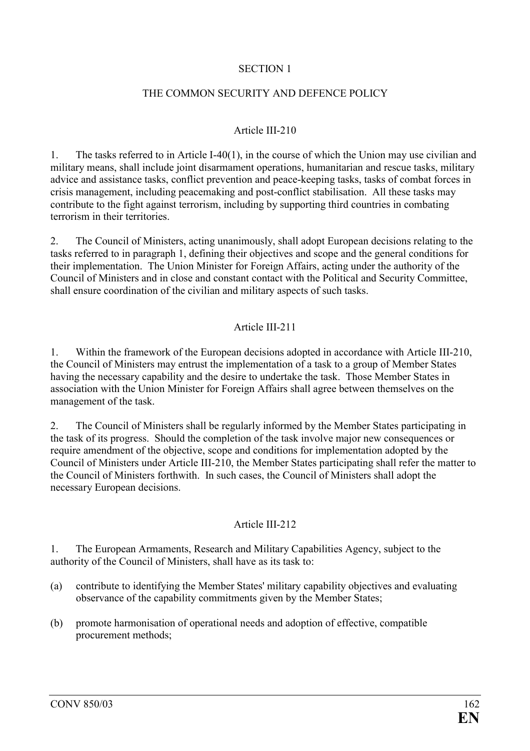#### THE COMMON SECURITY AND DEFENCE POLICY

#### Article III-210

1. The tasks referred to in Article I-40(1), in the course of which the Union may use civilian and military means, shall include joint disarmament operations, humanitarian and rescue tasks, military advice and assistance tasks, conflict prevention and peace-keeping tasks, tasks of combat forces in crisis management, including peacemaking and post-conflict stabilisation. All these tasks may contribute to the fight against terrorism, including by supporting third countries in combating terrorism in their territories.

2. The Council of Ministers, acting unanimously, shall adopt European decisions relating to the tasks referred to in paragraph 1, defining their objectives and scope and the general conditions for their implementation. The Union Minister for Foreign Affairs, acting under the authority of the Council of Ministers and in close and constant contact with the Political and Security Committee, shall ensure coordination of the civilian and military aspects of such tasks.

#### Article III-211

1. Within the framework of the European decisions adopted in accordance with Article III-210, the Council of Ministers may entrust the implementation of a task to a group of Member States having the necessary capability and the desire to undertake the task. Those Member States in association with the Union Minister for Foreign Affairs shall agree between themselves on the management of the task.

2. The Council of Ministers shall be regularly informed by the Member States participating in the task of its progress. Should the completion of the task involve major new consequences or require amendment of the objective, scope and conditions for implementation adopted by the Council of Ministers under Article III-210, the Member States participating shall refer the matter to the Council of Ministers forthwith. In such cases, the Council of Ministers shall adopt the necessary European decisions.

## Article III-212

1. The European Armaments, Research and Military Capabilities Agency, subject to the authority of the Council of Ministers, shall have as its task to:

- (a) contribute to identifying the Member States' military capability objectives and evaluating observance of the capability commitments given by the Member States;
- (b) promote harmonisation of operational needs and adoption of effective, compatible procurement methods;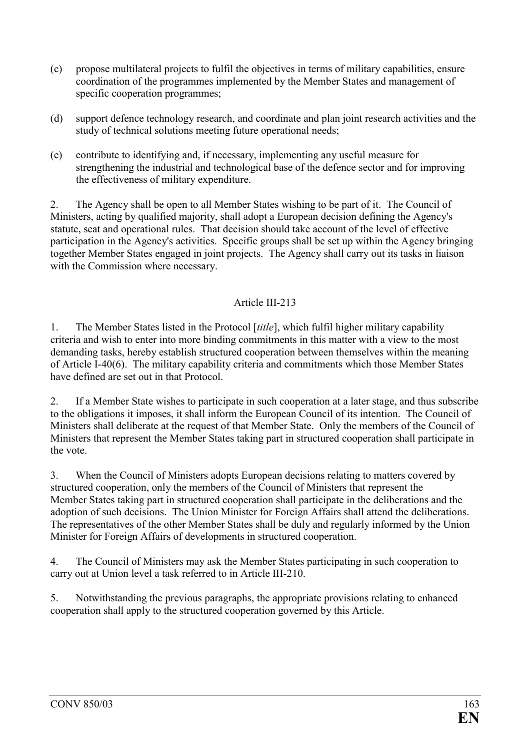- (c) propose multilateral projects to fulfil the objectives in terms of military capabilities, ensure coordination of the programmes implemented by the Member States and management of specific cooperation programmes;
- (d) support defence technology research, and coordinate and plan joint research activities and the study of technical solutions meeting future operational needs;
- (e) contribute to identifying and, if necessary, implementing any useful measure for strengthening the industrial and technological base of the defence sector and for improving the effectiveness of military expenditure.

2. The Agency shall be open to all Member States wishing to be part of it. The Council of Ministers, acting by qualified majority, shall adopt a European decision defining the Agency's statute, seat and operational rules. That decision should take account of the level of effective participation in the Agency's activities. Specific groups shall be set up within the Agency bringing together Member States engaged in joint projects. The Agency shall carry out its tasks in liaison with the Commission where necessary.

# Article III-213

1. The Member States listed in the Protocol [*title*], which fulfil higher military capability criteria and wish to enter into more binding commitments in this matter with a view to the most demanding tasks, hereby establish structured cooperation between themselves within the meaning of Article I-40(6). The military capability criteria and commitments which those Member States have defined are set out in that Protocol.

2. If a Member State wishes to participate in such cooperation at a later stage, and thus subscribe to the obligations it imposes, it shall inform the European Council of its intention. The Council of Ministers shall deliberate at the request of that Member State. Only the members of the Council of Ministers that represent the Member States taking part in structured cooperation shall participate in the vote.

3. When the Council of Ministers adopts European decisions relating to matters covered by structured cooperation, only the members of the Council of Ministers that represent the Member States taking part in structured cooperation shall participate in the deliberations and the adoption of such decisions. The Union Minister for Foreign Affairs shall attend the deliberations. The representatives of the other Member States shall be duly and regularly informed by the Union Minister for Foreign Affairs of developments in structured cooperation.

4. The Council of Ministers may ask the Member States participating in such cooperation to carry out at Union level a task referred to in Article III-210.

5. Notwithstanding the previous paragraphs, the appropriate provisions relating to enhanced cooperation shall apply to the structured cooperation governed by this Article.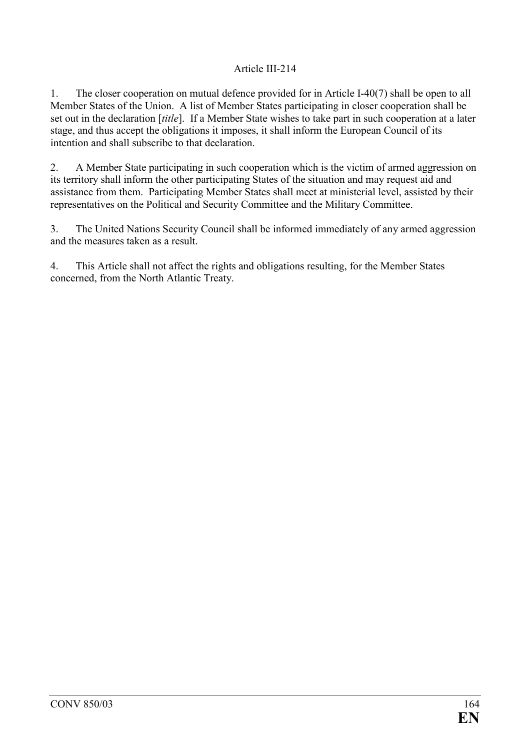1. The closer cooperation on mutual defence provided for in Article I-40(7) shall be open to all Member States of the Union. A list of Member States participating in closer cooperation shall be set out in the declaration [*title*]. If a Member State wishes to take part in such cooperation at a later stage, and thus accept the obligations it imposes, it shall inform the European Council of its intention and shall subscribe to that declaration.

2. A Member State participating in such cooperation which is the victim of armed aggression on its territory shall inform the other participating States of the situation and may request aid and assistance from them. Participating Member States shall meet at ministerial level, assisted by their representatives on the Political and Security Committee and the Military Committee.

3. The United Nations Security Council shall be informed immediately of any armed aggression and the measures taken as a result.

4. This Article shall not affect the rights and obligations resulting, for the Member States concerned, from the North Atlantic Treaty.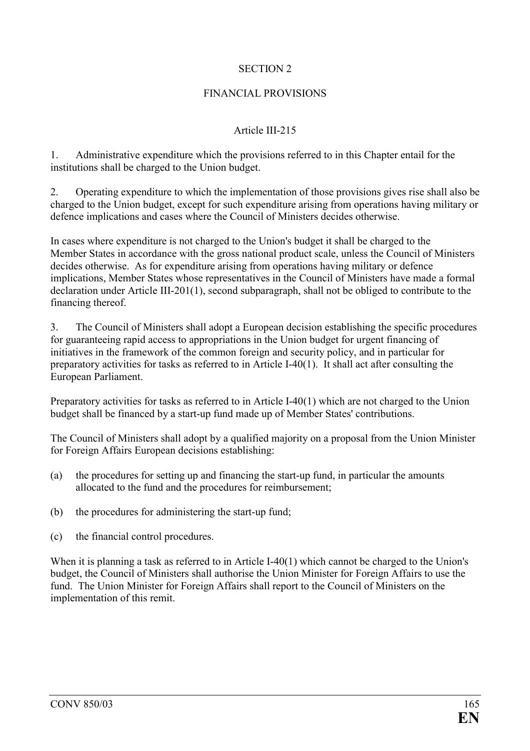## FINANCIAL PROVISIONS

# Article III-215

1. Administrative expenditure which the provisions referred to in this Chapter entail for the institutions shall be charged to the Union budget.

2. Operating expenditure to which the implementation of those provisions gives rise shall also be charged to the Union budget, except for such expenditure arising from operations having military or defence implications and cases where the Council of Ministers decides otherwise.

In cases where expenditure is not charged to the Union's budget it shall be charged to the Member States in accordance with the gross national product scale, unless the Council of Ministers decides otherwise. As for expenditure arising from operations having military or defence implications, Member States whose representatives in the Council of Ministers have made a formal declaration under Article III-201(1), second subparagraph, shall not be obliged to contribute to the financing thereof.

3. The Council of Ministers shall adopt a European decision establishing the specific procedures for guaranteeing rapid access to appropriations in the Union budget for urgent financing of initiatives in the framework of the common foreign and security policy, and in particular for preparatory activities for tasks as referred to in Article I-40(1). It shall act after consulting the European Parliament.

Preparatory activities for tasks as referred to in Article I-40(1) which are not charged to the Union budget shall be financed by a start-up fund made up of Member States' contributions.

The Council of Ministers shall adopt by a qualified majority on a proposal from the Union Minister for Foreign Affairs European decisions establishing:

- (a) the procedures for setting up and financing the start-up fund, in particular the amounts allocated to the fund and the procedures for reimbursement;
- (b) the procedures for administering the start-up fund;
- (c) the financial control procedures.

When it is planning a task as referred to in Article I-40(1) which cannot be charged to the Union's budget, the Council of Ministers shall authorise the Union Minister for Foreign Affairs to use the fund. The Union Minister for Foreign Affairs shall report to the Council of Ministers on the implementation of this remit.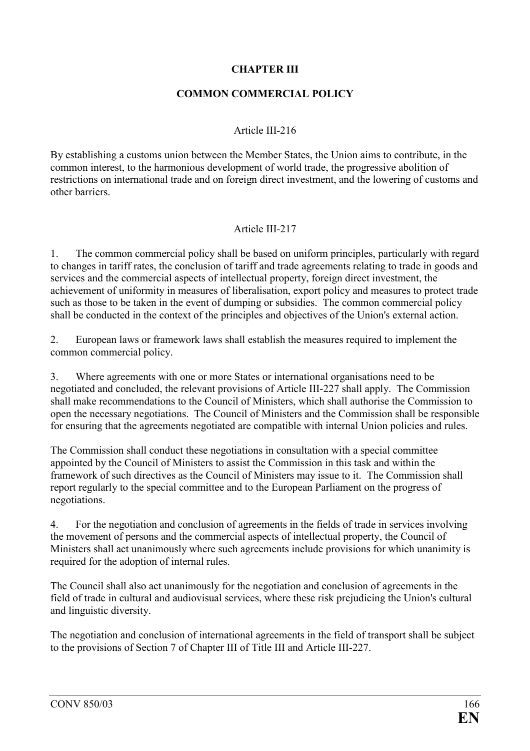## **CHAPTER III**

#### **COMMON COMMERCIAL POLICY**

#### Article III-216

By establishing a customs union between the Member States, the Union aims to contribute, in the common interest, to the harmonious development of world trade, the progressive abolition of restrictions on international trade and on foreign direct investment, and the lowering of customs and other barriers.

## Article III-217

1. The common commercial policy shall be based on uniform principles, particularly with regard to changes in tariff rates, the conclusion of tariff and trade agreements relating to trade in goods and services and the commercial aspects of intellectual property, foreign direct investment, the achievement of uniformity in measures of liberalisation, export policy and measures to protect trade such as those to be taken in the event of dumping or subsidies. The common commercial policy shall be conducted in the context of the principles and objectives of the Union's external action.

2. European laws or framework laws shall establish the measures required to implement the common commercial policy.

3. Where agreements with one or more States or international organisations need to be negotiated and concluded, the relevant provisions of Article III-227 shall apply. The Commission shall make recommendations to the Council of Ministers, which shall authorise the Commission to open the necessary negotiations. The Council of Ministers and the Commission shall be responsible for ensuring that the agreements negotiated are compatible with internal Union policies and rules.

The Commission shall conduct these negotiations in consultation with a special committee appointed by the Council of Ministers to assist the Commission in this task and within the framework of such directives as the Council of Ministers may issue to it. The Commission shall report regularly to the special committee and to the European Parliament on the progress of negotiations.

4. For the negotiation and conclusion of agreements in the fields of trade in services involving the movement of persons and the commercial aspects of intellectual property, the Council of Ministers shall act unanimously where such agreements include provisions for which unanimity is required for the adoption of internal rules.

The Council shall also act unanimously for the negotiation and conclusion of agreements in the field of trade in cultural and audiovisual services, where these risk prejudicing the Union's cultural and linguistic diversity.

The negotiation and conclusion of international agreements in the field of transport shall be subject to the provisions of Section 7 of Chapter III of Title III and Article III-227.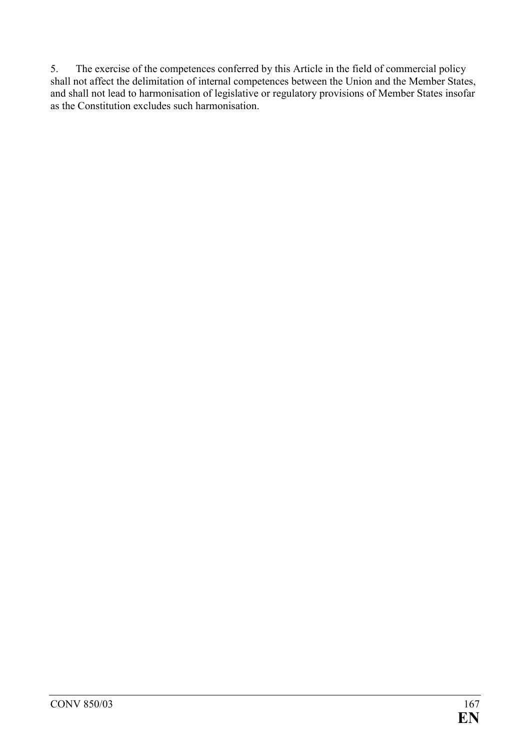5. The exercise of the competences conferred by this Article in the field of commercial policy shall not affect the delimitation of internal competences between the Union and the Member States, and shall not lead to harmonisation of legislative or regulatory provisions of Member States insofar as the Constitution excludes such harmonisation.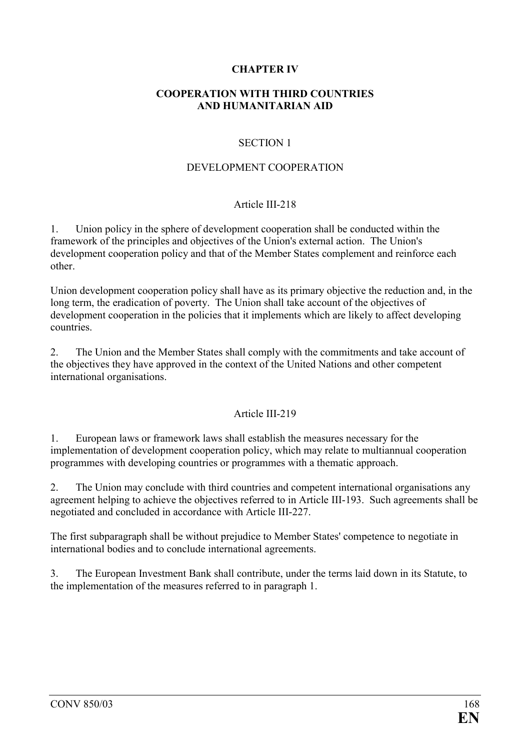#### **CHAPTER IV**

#### **COOPERATION WITH THIRD COUNTRIES AND HUMANITARIAN AID**

#### SECTION 1

#### DEVELOPMENT COOPERATION

#### Article III-218

1. Union policy in the sphere of development cooperation shall be conducted within the framework of the principles and objectives of the Union's external action. The Union's development cooperation policy and that of the Member States complement and reinforce each other.

Union development cooperation policy shall have as its primary objective the reduction and, in the long term, the eradication of poverty. The Union shall take account of the objectives of development cooperation in the policies that it implements which are likely to affect developing countries.

2. The Union and the Member States shall comply with the commitments and take account of the objectives they have approved in the context of the United Nations and other competent international organisations.

#### Article III-219

1. European laws or framework laws shall establish the measures necessary for the implementation of development cooperation policy, which may relate to multiannual cooperation programmes with developing countries or programmes with a thematic approach.

2. The Union may conclude with third countries and competent international organisations any agreement helping to achieve the objectives referred to in Article III-193. Such agreements shall be negotiated and concluded in accordance with Article III-227.

The first subparagraph shall be without prejudice to Member States' competence to negotiate in international bodies and to conclude international agreements.

3. The European Investment Bank shall contribute, under the terms laid down in its Statute, to the implementation of the measures referred to in paragraph 1.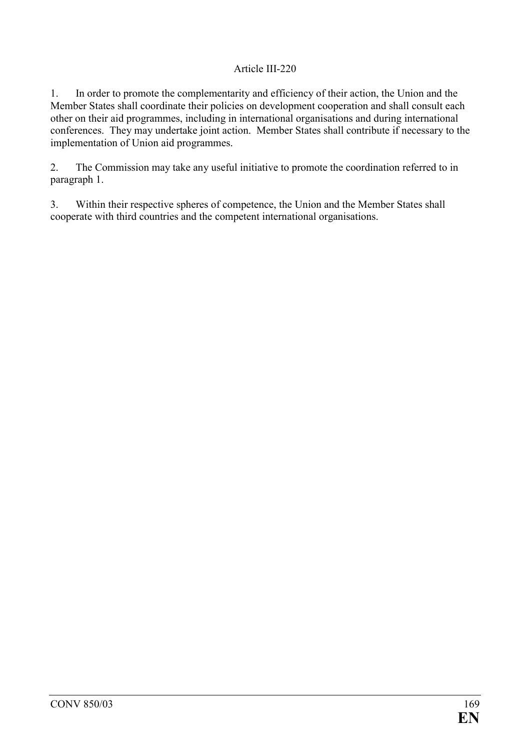1. In order to promote the complementarity and efficiency of their action, the Union and the Member States shall coordinate their policies on development cooperation and shall consult each other on their aid programmes, including in international organisations and during international conferences. They may undertake joint action. Member States shall contribute if necessary to the implementation of Union aid programmes.

2. The Commission may take any useful initiative to promote the coordination referred to in paragraph 1.

3. Within their respective spheres of competence, the Union and the Member States shall cooperate with third countries and the competent international organisations.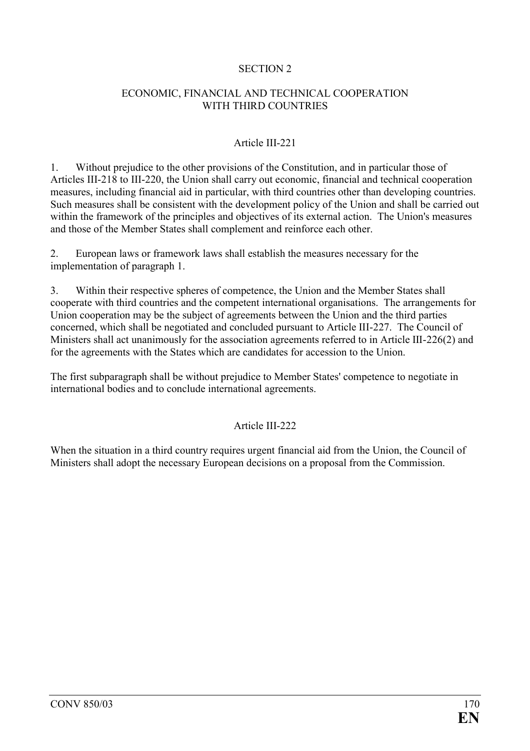#### ECONOMIC, FINANCIAL AND TECHNICAL COOPERATION WITH THIRD COUNTRIES

## Article III-221

1. Without prejudice to the other provisions of the Constitution, and in particular those of Articles III-218 to III-220, the Union shall carry out economic, financial and technical cooperation measures, including financial aid in particular, with third countries other than developing countries. Such measures shall be consistent with the development policy of the Union and shall be carried out within the framework of the principles and objectives of its external action. The Union's measures and those of the Member States shall complement and reinforce each other.

2. European laws or framework laws shall establish the measures necessary for the implementation of paragraph 1.

3. Within their respective spheres of competence, the Union and the Member States shall cooperate with third countries and the competent international organisations. The arrangements for Union cooperation may be the subject of agreements between the Union and the third parties concerned, which shall be negotiated and concluded pursuant to Article III-227. The Council of Ministers shall act unanimously for the association agreements referred to in Article III-226(2) and for the agreements with the States which are candidates for accession to the Union.

The first subparagraph shall be without prejudice to Member States' competence to negotiate in international bodies and to conclude international agreements.

## Article III-222

When the situation in a third country requires urgent financial aid from the Union, the Council of Ministers shall adopt the necessary European decisions on a proposal from the Commission.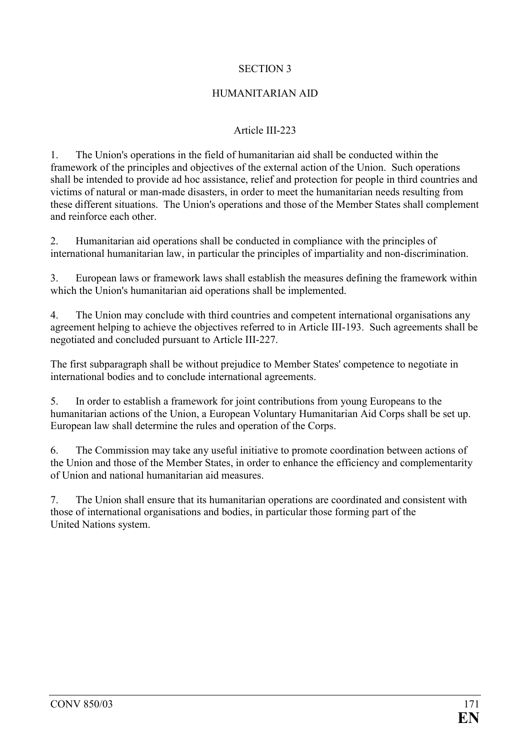# HUMANITARIAN AID

# Article III-223

1. The Union's operations in the field of humanitarian aid shall be conducted within the framework of the principles and objectives of the external action of the Union. Such operations shall be intended to provide ad hoc assistance, relief and protection for people in third countries and victims of natural or man-made disasters, in order to meet the humanitarian needs resulting from these different situations. The Union's operations and those of the Member States shall complement and reinforce each other.

2. Humanitarian aid operations shall be conducted in compliance with the principles of international humanitarian law, in particular the principles of impartiality and non-discrimination.

3. European laws or framework laws shall establish the measures defining the framework within which the Union's humanitarian aid operations shall be implemented.

4. The Union may conclude with third countries and competent international organisations any agreement helping to achieve the objectives referred to in Article III-193. Such agreements shall be negotiated and concluded pursuant to Article III-227.

The first subparagraph shall be without prejudice to Member States' competence to negotiate in international bodies and to conclude international agreements.

5. In order to establish a framework for joint contributions from young Europeans to the humanitarian actions of the Union, a European Voluntary Humanitarian Aid Corps shall be set up. European law shall determine the rules and operation of the Corps.

6. The Commission may take any useful initiative to promote coordination between actions of the Union and those of the Member States, in order to enhance the efficiency and complementarity of Union and national humanitarian aid measures.

7. The Union shall ensure that its humanitarian operations are coordinated and consistent with those of international organisations and bodies, in particular those forming part of the United Nations system.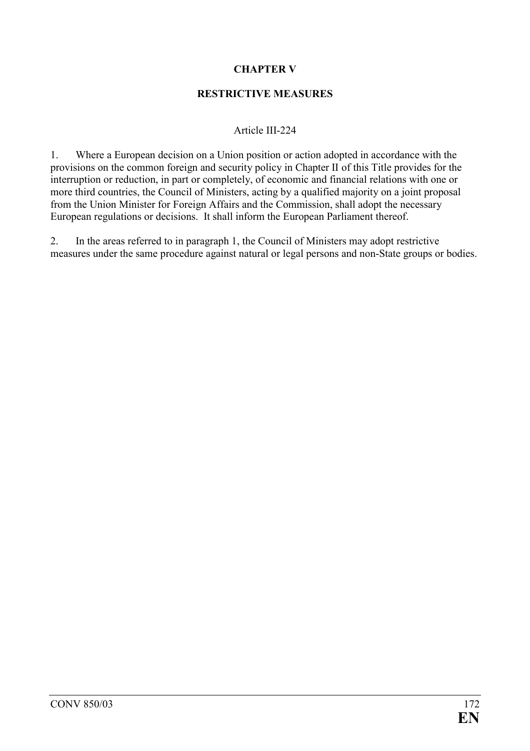## **CHAPTER V**

#### **RESTRICTIVE MEASURES**

#### Article III-224

1. Where a European decision on a Union position or action adopted in accordance with the provisions on the common foreign and security policy in Chapter II of this Title provides for the interruption or reduction, in part or completely, of economic and financial relations with one or more third countries, the Council of Ministers, acting by a qualified majority on a joint proposal from the Union Minister for Foreign Affairs and the Commission, shall adopt the necessary European regulations or decisions. It shall inform the European Parliament thereof.

2. In the areas referred to in paragraph 1, the Council of Ministers may adopt restrictive measures under the same procedure against natural or legal persons and non-State groups or bodies.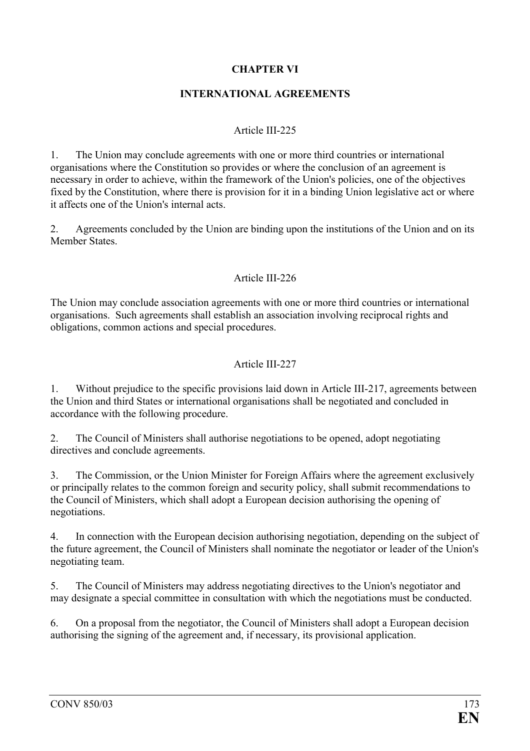# **CHAPTER VI**

## **INTERNATIONAL AGREEMENTS**

#### Article III-225

1. The Union may conclude agreements with one or more third countries or international organisations where the Constitution so provides or where the conclusion of an agreement is necessary in order to achieve, within the framework of the Union's policies, one of the objectives fixed by the Constitution, where there is provision for it in a binding Union legislative act or where it affects one of the Union's internal acts.

2. Agreements concluded by the Union are binding upon the institutions of the Union and on its Member States.

#### Article III-226

The Union may conclude association agreements with one or more third countries or international organisations. Such agreements shall establish an association involving reciprocal rights and obligations, common actions and special procedures.

#### Article III-227

1. Without prejudice to the specific provisions laid down in Article III-217, agreements between the Union and third States or international organisations shall be negotiated and concluded in accordance with the following procedure.

2. The Council of Ministers shall authorise negotiations to be opened, adopt negotiating directives and conclude agreements.

3. The Commission, or the Union Minister for Foreign Affairs where the agreement exclusively or principally relates to the common foreign and security policy, shall submit recommendations to the Council of Ministers, which shall adopt a European decision authorising the opening of negotiations.

4. In connection with the European decision authorising negotiation, depending on the subject of the future agreement, the Council of Ministers shall nominate the negotiator or leader of the Union's negotiating team.

5. The Council of Ministers may address negotiating directives to the Union's negotiator and may designate a special committee in consultation with which the negotiations must be conducted.

6. On a proposal from the negotiator, the Council of Ministers shall adopt a European decision authorising the signing of the agreement and, if necessary, its provisional application.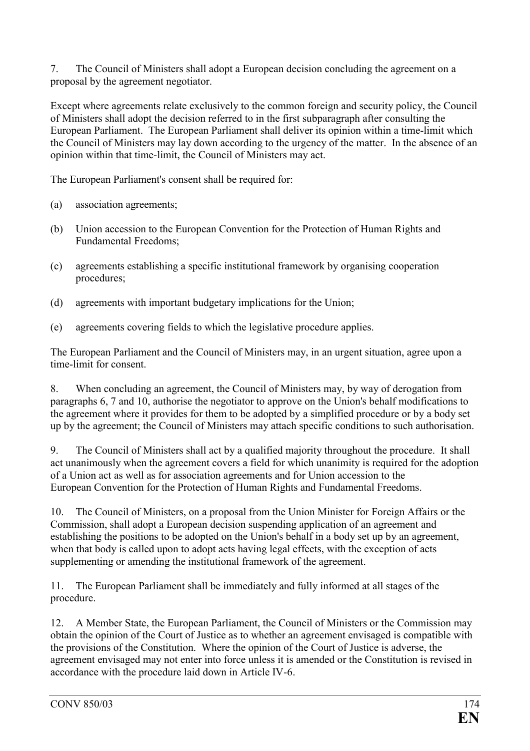7. The Council of Ministers shall adopt a European decision concluding the agreement on a proposal by the agreement negotiator.

Except where agreements relate exclusively to the common foreign and security policy, the Council of Ministers shall adopt the decision referred to in the first subparagraph after consulting the European Parliament. The European Parliament shall deliver its opinion within a time-limit which the Council of Ministers may lay down according to the urgency of the matter. In the absence of an opinion within that time-limit, the Council of Ministers may act.

The European Parliament's consent shall be required for:

- (a) association agreements;
- (b) Union accession to the European Convention for the Protection of Human Rights and Fundamental Freedoms;
- (c) agreements establishing a specific institutional framework by organising cooperation procedures;
- (d) agreements with important budgetary implications for the Union;
- (e) agreements covering fields to which the legislative procedure applies.

The European Parliament and the Council of Ministers may, in an urgent situation, agree upon a time-limit for consent.

8. When concluding an agreement, the Council of Ministers may, by way of derogation from paragraphs 6, 7 and 10, authorise the negotiator to approve on the Union's behalf modifications to the agreement where it provides for them to be adopted by a simplified procedure or by a body set up by the agreement; the Council of Ministers may attach specific conditions to such authorisation.

9. The Council of Ministers shall act by a qualified majority throughout the procedure. It shall act unanimously when the agreement covers a field for which unanimity is required for the adoption of a Union act as well as for association agreements and for Union accession to the European Convention for the Protection of Human Rights and Fundamental Freedoms.

10. The Council of Ministers, on a proposal from the Union Minister for Foreign Affairs or the Commission, shall adopt a European decision suspending application of an agreement and establishing the positions to be adopted on the Union's behalf in a body set up by an agreement, when that body is called upon to adopt acts having legal effects, with the exception of acts supplementing or amending the institutional framework of the agreement.

11. The European Parliament shall be immediately and fully informed at all stages of the procedure.

12. A Member State, the European Parliament, the Council of Ministers or the Commission may obtain the opinion of the Court of Justice as to whether an agreement envisaged is compatible with the provisions of the Constitution. Where the opinion of the Court of Justice is adverse, the agreement envisaged may not enter into force unless it is amended or the Constitution is revised in accordance with the procedure laid down in Article IV-6.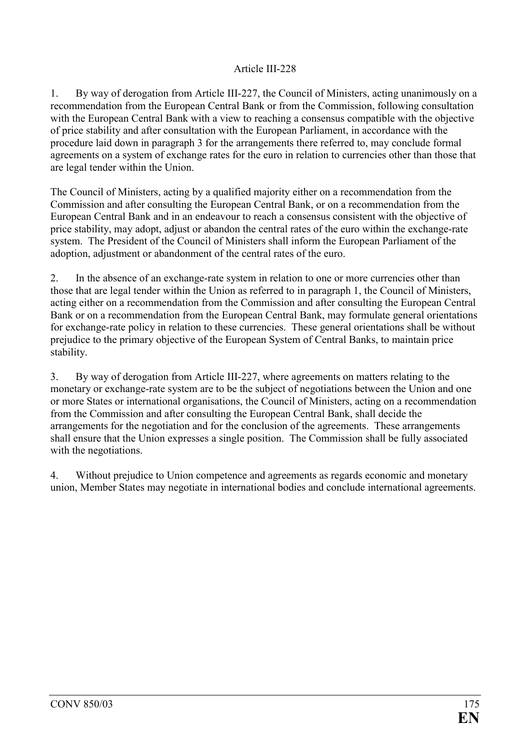1. By way of derogation from Article III-227, the Council of Ministers, acting unanimously on a recommendation from the European Central Bank or from the Commission, following consultation with the European Central Bank with a view to reaching a consensus compatible with the objective of price stability and after consultation with the European Parliament, in accordance with the procedure laid down in paragraph 3 for the arrangements there referred to, may conclude formal agreements on a system of exchange rates for the euro in relation to currencies other than those that are legal tender within the Union.

The Council of Ministers, acting by a qualified majority either on a recommendation from the Commission and after consulting the European Central Bank, or on a recommendation from the European Central Bank and in an endeavour to reach a consensus consistent with the objective of price stability, may adopt, adjust or abandon the central rates of the euro within the exchange-rate system. The President of the Council of Ministers shall inform the European Parliament of the adoption, adjustment or abandonment of the central rates of the euro.

2. In the absence of an exchange-rate system in relation to one or more currencies other than those that are legal tender within the Union as referred to in paragraph 1, the Council of Ministers, acting either on a recommendation from the Commission and after consulting the European Central Bank or on a recommendation from the European Central Bank, may formulate general orientations for exchange-rate policy in relation to these currencies. These general orientations shall be without prejudice to the primary objective of the European System of Central Banks, to maintain price stability.

3. By way of derogation from Article III-227, where agreements on matters relating to the monetary or exchange-rate system are to be the subject of negotiations between the Union and one or more States or international organisations, the Council of Ministers, acting on a recommendation from the Commission and after consulting the European Central Bank, shall decide the arrangements for the negotiation and for the conclusion of the agreements. These arrangements shall ensure that the Union expresses a single position. The Commission shall be fully associated with the negotiations.

4. Without prejudice to Union competence and agreements as regards economic and monetary union, Member States may negotiate in international bodies and conclude international agreements.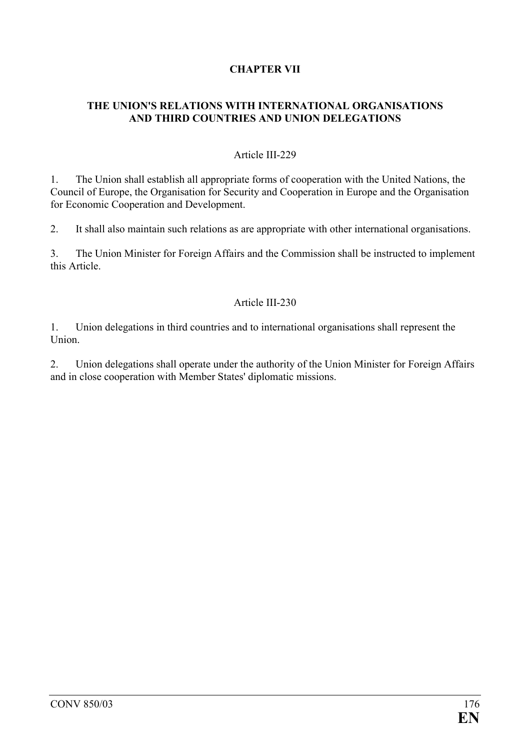# **CHAPTER VII**

#### **THE UNION'S RELATIONS WITH INTERNATIONAL ORGANISATIONS AND THIRD COUNTRIES AND UNION DELEGATIONS**

#### Article III-229

1. The Union shall establish all appropriate forms of cooperation with the United Nations, the Council of Europe, the Organisation for Security and Cooperation in Europe and the Organisation for Economic Cooperation and Development.

2. It shall also maintain such relations as are appropriate with other international organisations.

3. The Union Minister for Foreign Affairs and the Commission shall be instructed to implement this Article.

#### Article III-230

1. Union delegations in third countries and to international organisations shall represent the Union.

2. Union delegations shall operate under the authority of the Union Minister for Foreign Affairs and in close cooperation with Member States' diplomatic missions.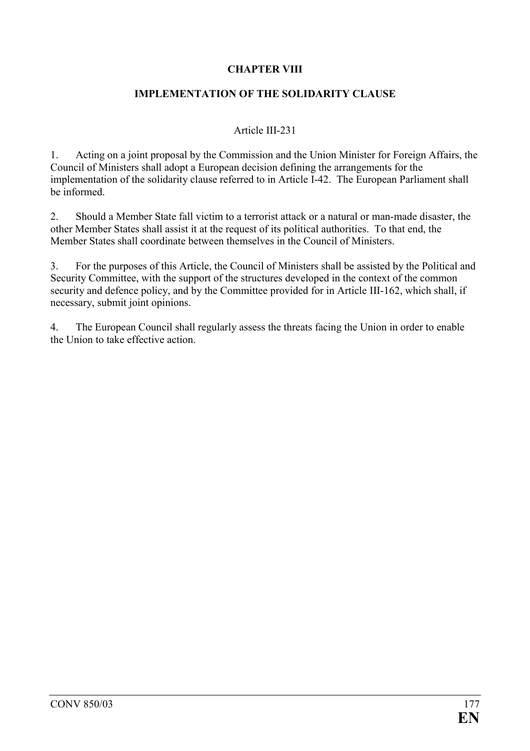## **CHAPTER VIII**

#### **IMPLEMENTATION OF THE SOLIDARITY CLAUSE**

#### Article III-231

1. Acting on a joint proposal by the Commission and the Union Minister for Foreign Affairs, the Council of Ministers shall adopt a European decision defining the arrangements for the implementation of the solidarity clause referred to in Article I-42. The European Parliament shall be informed.

2. Should a Member State fall victim to a terrorist attack or a natural or man-made disaster, the other Member States shall assist it at the request of its political authorities. To that end, the Member States shall coordinate between themselves in the Council of Ministers.

3. For the purposes of this Article, the Council of Ministers shall be assisted by the Political and Security Committee, with the support of the structures developed in the context of the common security and defence policy, and by the Committee provided for in Article III-162, which shall, if necessary, submit joint opinions.

4. The European Council shall regularly assess the threats facing the Union in order to enable the Union to take effective action.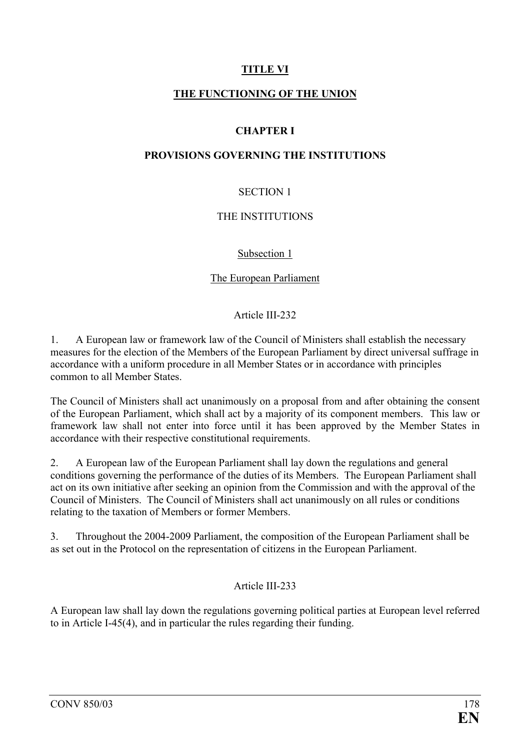# **TITLE VI**

# **THE FUNCTIONING OF THE UNION**

# **CHAPTER I**

# **PROVISIONS GOVERNING THE INSTITUTIONS**

# SECTION 1

# THE INSTITUTIONS

### Subsection 1

### The European Parliament

### Article III-232

1. A European law or framework law of the Council of Ministers shall establish the necessary measures for the election of the Members of the European Parliament by direct universal suffrage in accordance with a uniform procedure in all Member States or in accordance with principles common to all Member States.

The Council of Ministers shall act unanimously on a proposal from and after obtaining the consent of the European Parliament, which shall act by a majority of its component members. This law or framework law shall not enter into force until it has been approved by the Member States in accordance with their respective constitutional requirements.

2. A European law of the European Parliament shall lay down the regulations and general conditions governing the performance of the duties of its Members. The European Parliament shall act on its own initiative after seeking an opinion from the Commission and with the approval of the Council of Ministers. The Council of Ministers shall act unanimously on all rules or conditions relating to the taxation of Members or former Members.

3. Throughout the 2004-2009 Parliament, the composition of the European Parliament shall be as set out in the Protocol on the representation of citizens in the European Parliament.

# Article III-233

A European law shall lay down the regulations governing political parties at European level referred to in Article I-45(4), and in particular the rules regarding their funding.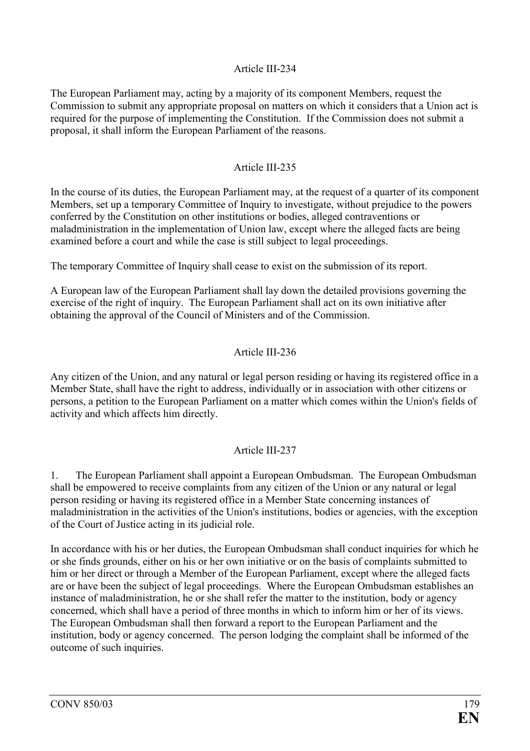The European Parliament may, acting by a majority of its component Members, request the Commission to submit any appropriate proposal on matters on which it considers that a Union act is required for the purpose of implementing the Constitution. If the Commission does not submit a proposal, it shall inform the European Parliament of the reasons.

#### Article III-235

In the course of its duties, the European Parliament may, at the request of a quarter of its component Members, set up a temporary Committee of Inquiry to investigate, without prejudice to the powers conferred by the Constitution on other institutions or bodies, alleged contraventions or maladministration in the implementation of Union law, except where the alleged facts are being examined before a court and while the case is still subject to legal proceedings.

The temporary Committee of Inquiry shall cease to exist on the submission of its report.

A European law of the European Parliament shall lay down the detailed provisions governing the exercise of the right of inquiry. The European Parliament shall act on its own initiative after obtaining the approval of the Council of Ministers and of the Commission.

### Article III-236

Any citizen of the Union, and any natural or legal person residing or having its registered office in a Member State, shall have the right to address, individually or in association with other citizens or persons, a petition to the European Parliament on a matter which comes within the Union's fields of activity and which affects him directly.

#### Article III-237

1. The European Parliament shall appoint a European Ombudsman. The European Ombudsman shall be empowered to receive complaints from any citizen of the Union or any natural or legal person residing or having its registered office in a Member State concerning instances of maladministration in the activities of the Union's institutions, bodies or agencies, with the exception of the Court of Justice acting in its judicial role.

In accordance with his or her duties, the European Ombudsman shall conduct inquiries for which he or she finds grounds, either on his or her own initiative or on the basis of complaints submitted to him or her direct or through a Member of the European Parliament, except where the alleged facts are or have been the subject of legal proceedings. Where the European Ombudsman establishes an instance of maladministration, he or she shall refer the matter to the institution, body or agency concerned, which shall have a period of three months in which to inform him or her of its views. The European Ombudsman shall then forward a report to the European Parliament and the institution, body or agency concerned. The person lodging the complaint shall be informed of the outcome of such inquiries.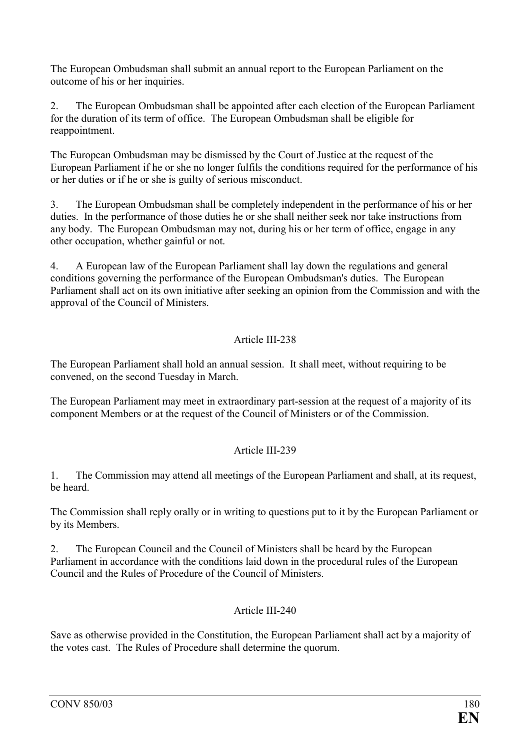The European Ombudsman shall submit an annual report to the European Parliament on the outcome of his or her inquiries.

2. The European Ombudsman shall be appointed after each election of the European Parliament for the duration of its term of office. The European Ombudsman shall be eligible for reappointment.

The European Ombudsman may be dismissed by the Court of Justice at the request of the European Parliament if he or she no longer fulfils the conditions required for the performance of his or her duties or if he or she is guilty of serious misconduct.

3. The European Ombudsman shall be completely independent in the performance of his or her duties. In the performance of those duties he or she shall neither seek nor take instructions from any body. The European Ombudsman may not, during his or her term of office, engage in any other occupation, whether gainful or not.

4. A European law of the European Parliament shall lay down the regulations and general conditions governing the performance of the European Ombudsman's duties. The European Parliament shall act on its own initiative after seeking an opinion from the Commission and with the approval of the Council of Ministers.

# Article III-238

The European Parliament shall hold an annual session. It shall meet, without requiring to be convened, on the second Tuesday in March.

The European Parliament may meet in extraordinary part-session at the request of a majority of its component Members or at the request of the Council of Ministers or of the Commission.

# Article III-239

1. The Commission may attend all meetings of the European Parliament and shall, at its request, be heard.

The Commission shall reply orally or in writing to questions put to it by the European Parliament or by its Members.

2. The European Council and the Council of Ministers shall be heard by the European Parliament in accordance with the conditions laid down in the procedural rules of the European Council and the Rules of Procedure of the Council of Ministers.

# Article III-240

Save as otherwise provided in the Constitution, the European Parliament shall act by a majority of the votes cast. The Rules of Procedure shall determine the quorum.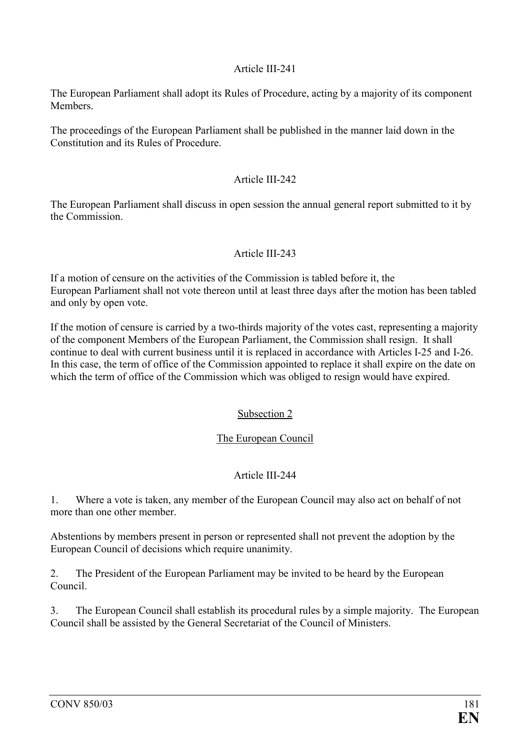The European Parliament shall adopt its Rules of Procedure, acting by a majority of its component **Members** 

The proceedings of the European Parliament shall be published in the manner laid down in the Constitution and its Rules of Procedure.

### Article III-242

The European Parliament shall discuss in open session the annual general report submitted to it by the Commission.

### Article III-243

If a motion of censure on the activities of the Commission is tabled before it, the European Parliament shall not vote thereon until at least three days after the motion has been tabled and only by open vote.

If the motion of censure is carried by a two-thirds majority of the votes cast, representing a majority of the component Members of the European Parliament, the Commission shall resign. It shall continue to deal with current business until it is replaced in accordance with Articles I-25 and I-26. In this case, the term of office of the Commission appointed to replace it shall expire on the date on which the term of office of the Commission which was obliged to resign would have expired.

# Subsection 2

#### The European Council

# Article III-244

1. Where a vote is taken, any member of the European Council may also act on behalf of not more than one other member.

Abstentions by members present in person or represented shall not prevent the adoption by the European Council of decisions which require unanimity.

2. The President of the European Parliament may be invited to be heard by the European Council.

3. The European Council shall establish its procedural rules by a simple majority. The European Council shall be assisted by the General Secretariat of the Council of Ministers.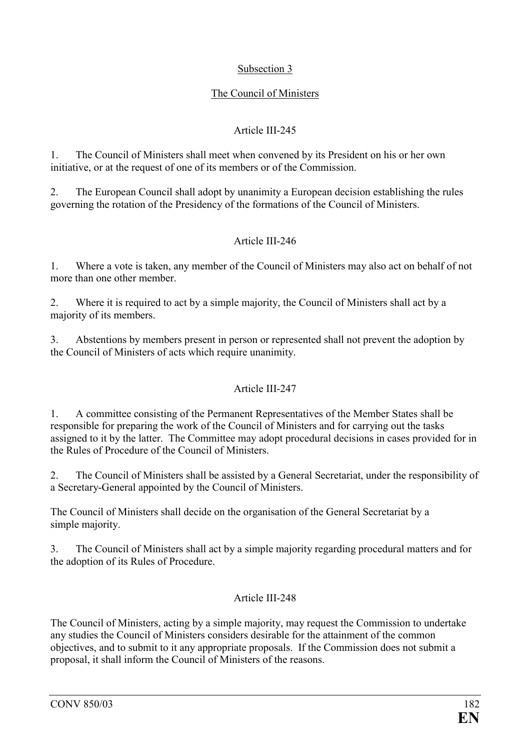# Subsection 3

# The Council of Ministers

# Article III-245

1. The Council of Ministers shall meet when convened by its President on his or her own initiative, or at the request of one of its members or of the Commission.

2. The European Council shall adopt by unanimity a European decision establishing the rules governing the rotation of the Presidency of the formations of the Council of Ministers.

# Article III-246

1. Where a vote is taken, any member of the Council of Ministers may also act on behalf of not more than one other member.

2. Where it is required to act by a simple majority, the Council of Ministers shall act by a majority of its members.

3. Abstentions by members present in person or represented shall not prevent the adoption by the Council of Ministers of acts which require unanimity.

# Article III-247

1. A committee consisting of the Permanent Representatives of the Member States shall be responsible for preparing the work of the Council of Ministers and for carrying out the tasks assigned to it by the latter. The Committee may adopt procedural decisions in cases provided for in the Rules of Procedure of the Council of Ministers.

2. The Council of Ministers shall be assisted by a General Secretariat, under the responsibility of a Secretary-General appointed by the Council of Ministers.

The Council of Ministers shall decide on the organisation of the General Secretariat by a simple majority.

3. The Council of Ministers shall act by a simple majority regarding procedural matters and for the adoption of its Rules of Procedure.

# Article III-248

The Council of Ministers, acting by a simple majority, may request the Commission to undertake any studies the Council of Ministers considers desirable for the attainment of the common objectives, and to submit to it any appropriate proposals. If the Commission does not submit a proposal, it shall inform the Council of Ministers of the reasons.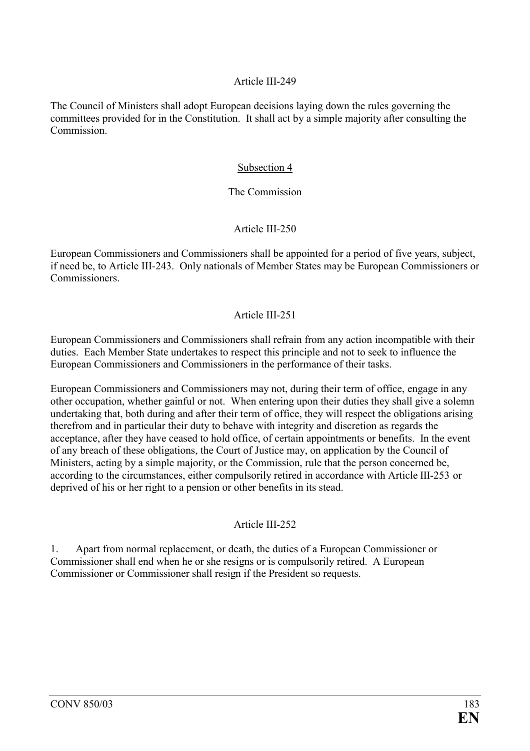The Council of Ministers shall adopt European decisions laying down the rules governing the committees provided for in the Constitution. It shall act by a simple majority after consulting the **Commission** 

#### Subsection 4

#### The Commission

### Article III-250

European Commissioners and Commissioners shall be appointed for a period of five years, subject, if need be, to Article III-243. Only nationals of Member States may be European Commissioners or Commissioners.

#### Article III-251

European Commissioners and Commissioners shall refrain from any action incompatible with their duties. Each Member State undertakes to respect this principle and not to seek to influence the European Commissioners and Commissioners in the performance of their tasks.

European Commissioners and Commissioners may not, during their term of office, engage in any other occupation, whether gainful or not. When entering upon their duties they shall give a solemn undertaking that, both during and after their term of office, they will respect the obligations arising therefrom and in particular their duty to behave with integrity and discretion as regards the acceptance, after they have ceased to hold office, of certain appointments or benefits. In the event of any breach of these obligations, the Court of Justice may, on application by the Council of Ministers, acting by a simple majority, or the Commission, rule that the person concerned be, according to the circumstances, either compulsorily retired in accordance with Article III-253 or deprived of his or her right to a pension or other benefits in its stead.

#### Article III-252

1. Apart from normal replacement, or death, the duties of a European Commissioner or Commissioner shall end when he or she resigns or is compulsorily retired. A European Commissioner or Commissioner shall resign if the President so requests.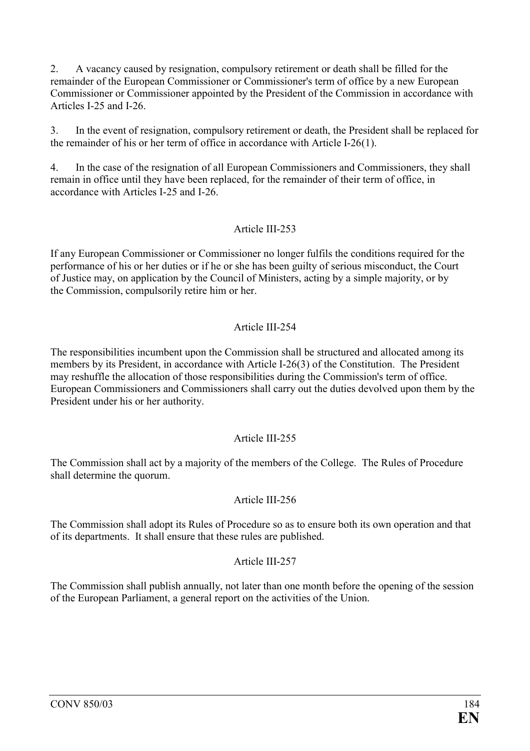2. A vacancy caused by resignation, compulsory retirement or death shall be filled for the remainder of the European Commissioner or Commissioner's term of office by a new European Commissioner or Commissioner appointed by the President of the Commission in accordance with Articles I-25 and I-26.

3. In the event of resignation, compulsory retirement or death, the President shall be replaced for the remainder of his or her term of office in accordance with Article I-26(1).

4. In the case of the resignation of all European Commissioners and Commissioners, they shall remain in office until they have been replaced, for the remainder of their term of office, in accordance with Articles I-25 and I-26.

# Article III-253

If any European Commissioner or Commissioner no longer fulfils the conditions required for the performance of his or her duties or if he or she has been guilty of serious misconduct, the Court of Justice may, on application by the Council of Ministers, acting by a simple majority, or by the Commission, compulsorily retire him or her.

# Article III-254

The responsibilities incumbent upon the Commission shall be structured and allocated among its members by its President, in accordance with Article I-26(3) of the Constitution. The President may reshuffle the allocation of those responsibilities during the Commission's term of office. European Commissioners and Commissioners shall carry out the duties devolved upon them by the President under his or her authority.

# Article III-255

The Commission shall act by a majority of the members of the College. The Rules of Procedure shall determine the quorum.

# Article III-256

The Commission shall adopt its Rules of Procedure so as to ensure both its own operation and that of its departments. It shall ensure that these rules are published.

# Article III-257

The Commission shall publish annually, not later than one month before the opening of the session of the European Parliament, a general report on the activities of the Union.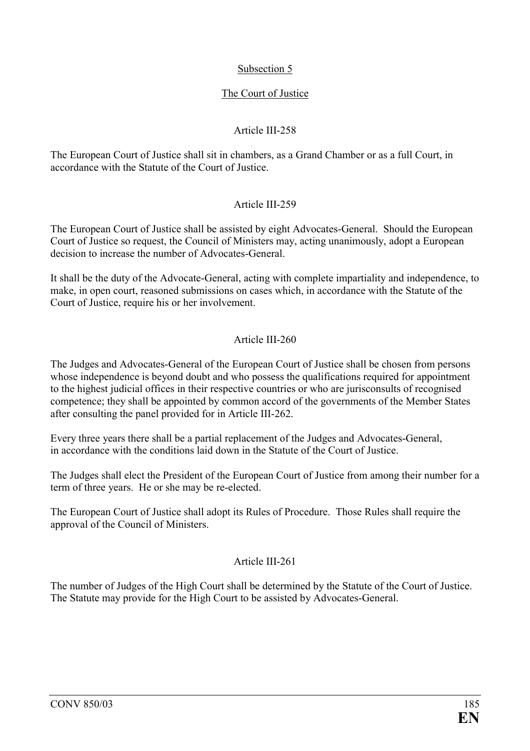# Subsection 5

# The Court of Justice

# Article III-258

The European Court of Justice shall sit in chambers, as a Grand Chamber or as a full Court, in accordance with the Statute of the Court of Justice.

# Article III-259

The European Court of Justice shall be assisted by eight Advocates-General. Should the European Court of Justice so request, the Council of Ministers may, acting unanimously, adopt a European decision to increase the number of Advocates-General.

It shall be the duty of the Advocate-General, acting with complete impartiality and independence, to make, in open court, reasoned submissions on cases which, in accordance with the Statute of the Court of Justice, require his or her involvement.

# Article III-260

The Judges and Advocates-General of the European Court of Justice shall be chosen from persons whose independence is beyond doubt and who possess the qualifications required for appointment to the highest judicial offices in their respective countries or who are jurisconsults of recognised competence; they shall be appointed by common accord of the governments of the Member States after consulting the panel provided for in Article III-262.

Every three years there shall be a partial replacement of the Judges and Advocates-General, in accordance with the conditions laid down in the Statute of the Court of Justice.

The Judges shall elect the President of the European Court of Justice from among their number for a term of three years. He or she may be re-elected.

The European Court of Justice shall adopt its Rules of Procedure. Those Rules shall require the approval of the Council of Ministers.

# Article III-261

The number of Judges of the High Court shall be determined by the Statute of the Court of Justice. The Statute may provide for the High Court to be assisted by Advocates-General.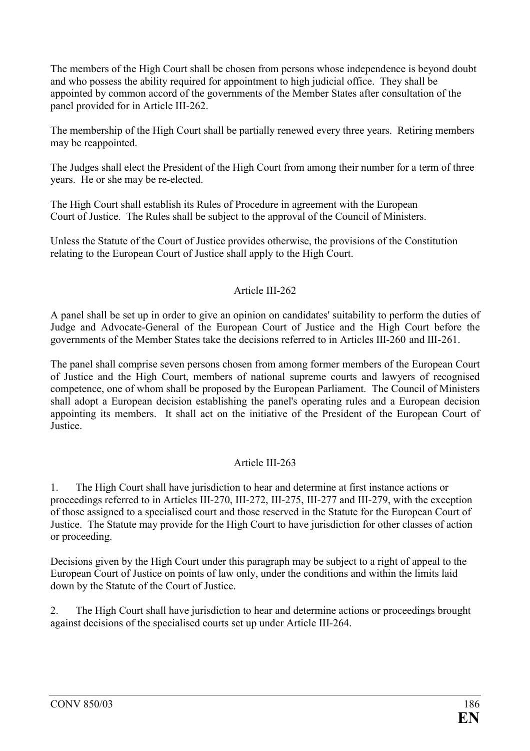The members of the High Court shall be chosen from persons whose independence is beyond doubt and who possess the ability required for appointment to high judicial office. They shall be appointed by common accord of the governments of the Member States after consultation of the panel provided for in Article III-262.

The membership of the High Court shall be partially renewed every three years. Retiring members may be reappointed.

The Judges shall elect the President of the High Court from among their number for a term of three years. He or she may be re-elected.

The High Court shall establish its Rules of Procedure in agreement with the European Court of Justice. The Rules shall be subject to the approval of the Council of Ministers.

Unless the Statute of the Court of Justice provides otherwise, the provisions of the Constitution relating to the European Court of Justice shall apply to the High Court.

# Article III-262

A panel shall be set up in order to give an opinion on candidates' suitability to perform the duties of Judge and Advocate-General of the European Court of Justice and the High Court before the governments of the Member States take the decisions referred to in Articles III-260 and III-261.

The panel shall comprise seven persons chosen from among former members of the European Court of Justice and the High Court, members of national supreme courts and lawyers of recognised competence, one of whom shall be proposed by the European Parliament. The Council of Ministers shall adopt a European decision establishing the panel's operating rules and a European decision appointing its members. It shall act on the initiative of the President of the European Court of **Justice** 

# Article III-263

1. The High Court shall have jurisdiction to hear and determine at first instance actions or proceedings referred to in Articles III-270, III-272, III-275, III-277 and III-279, with the exception of those assigned to a specialised court and those reserved in the Statute for the European Court of Justice. The Statute may provide for the High Court to have jurisdiction for other classes of action or proceeding.

Decisions given by the High Court under this paragraph may be subject to a right of appeal to the European Court of Justice on points of law only, under the conditions and within the limits laid down by the Statute of the Court of Justice.

2. The High Court shall have jurisdiction to hear and determine actions or proceedings brought against decisions of the specialised courts set up under Article III-264.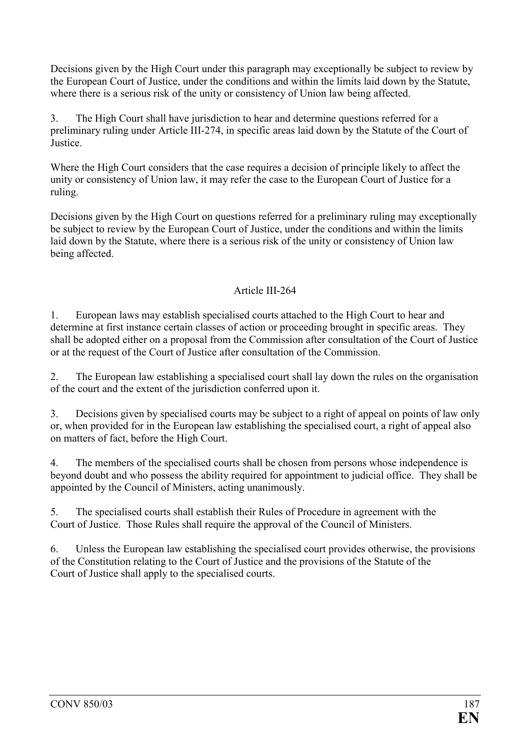Decisions given by the High Court under this paragraph may exceptionally be subject to review by the European Court of Justice, under the conditions and within the limits laid down by the Statute, where there is a serious risk of the unity or consistency of Union law being affected.

3. The High Court shall have jurisdiction to hear and determine questions referred for a preliminary ruling under Article III-274, in specific areas laid down by the Statute of the Court of **Justice** 

Where the High Court considers that the case requires a decision of principle likely to affect the unity or consistency of Union law, it may refer the case to the European Court of Justice for a ruling.

Decisions given by the High Court on questions referred for a preliminary ruling may exceptionally be subject to review by the European Court of Justice, under the conditions and within the limits laid down by the Statute, where there is a serious risk of the unity or consistency of Union law being affected.

# Article III-264

1. European laws may establish specialised courts attached to the High Court to hear and determine at first instance certain classes of action or proceeding brought in specific areas. They shall be adopted either on a proposal from the Commission after consultation of the Court of Justice or at the request of the Court of Justice after consultation of the Commission.

2. The European law establishing a specialised court shall lay down the rules on the organisation of the court and the extent of the jurisdiction conferred upon it.

3. Decisions given by specialised courts may be subject to a right of appeal on points of law only or, when provided for in the European law establishing the specialised court, a right of appeal also on matters of fact, before the High Court.

4. The members of the specialised courts shall be chosen from persons whose independence is beyond doubt and who possess the ability required for appointment to judicial office. They shall be appointed by the Council of Ministers, acting unanimously.

5. The specialised courts shall establish their Rules of Procedure in agreement with the Court of Justice. Those Rules shall require the approval of the Council of Ministers.

6. Unless the European law establishing the specialised court provides otherwise, the provisions of the Constitution relating to the Court of Justice and the provisions of the Statute of the Court of Justice shall apply to the specialised courts.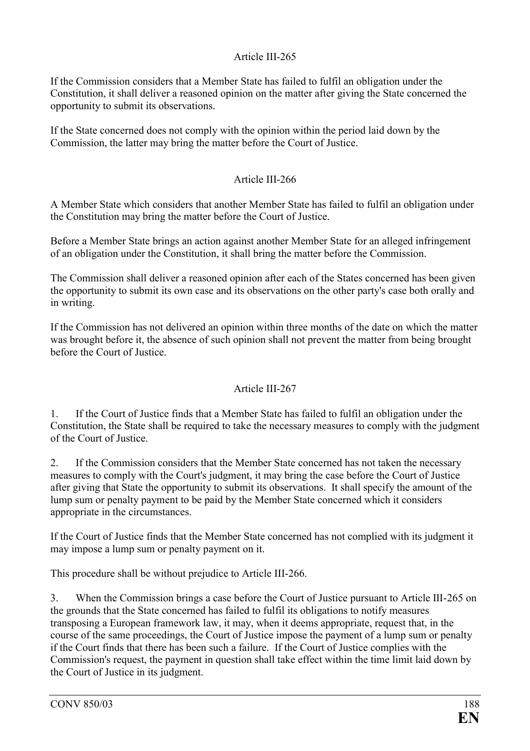If the Commission considers that a Member State has failed to fulfil an obligation under the Constitution, it shall deliver a reasoned opinion on the matter after giving the State concerned the opportunity to submit its observations.

If the State concerned does not comply with the opinion within the period laid down by the Commission, the latter may bring the matter before the Court of Justice.

# Article III-266

A Member State which considers that another Member State has failed to fulfil an obligation under the Constitution may bring the matter before the Court of Justice.

Before a Member State brings an action against another Member State for an alleged infringement of an obligation under the Constitution, it shall bring the matter before the Commission.

The Commission shall deliver a reasoned opinion after each of the States concerned has been given the opportunity to submit its own case and its observations on the other party's case both orally and in writing.

If the Commission has not delivered an opinion within three months of the date on which the matter was brought before it, the absence of such opinion shall not prevent the matter from being brought before the Court of Justice.

# Article III-267

1. If the Court of Justice finds that a Member State has failed to fulfil an obligation under the Constitution, the State shall be required to take the necessary measures to comply with the judgment of the Court of Justice.

2. If the Commission considers that the Member State concerned has not taken the necessary measures to comply with the Court's judgment, it may bring the case before the Court of Justice after giving that State the opportunity to submit its observations. It shall specify the amount of the lump sum or penalty payment to be paid by the Member State concerned which it considers appropriate in the circumstances.

If the Court of Justice finds that the Member State concerned has not complied with its judgment it may impose a lump sum or penalty payment on it.

This procedure shall be without prejudice to Article III-266.

3. When the Commission brings a case before the Court of Justice pursuant to Article III-265 on the grounds that the State concerned has failed to fulfil its obligations to notify measures transposing a European framework law, it may, when it deems appropriate, request that, in the course of the same proceedings, the Court of Justice impose the payment of a lump sum or penalty if the Court finds that there has been such a failure. If the Court of Justice complies with the Commission's request, the payment in question shall take effect within the time limit laid down by the Court of Justice in its judgment.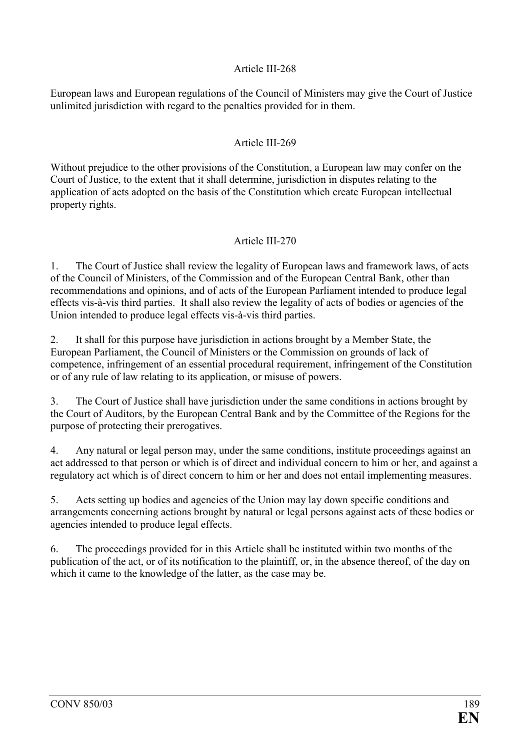European laws and European regulations of the Council of Ministers may give the Court of Justice unlimited jurisdiction with regard to the penalties provided for in them.

# Article III-269

Without prejudice to the other provisions of the Constitution, a European law may confer on the Court of Justice, to the extent that it shall determine, jurisdiction in disputes relating to the application of acts adopted on the basis of the Constitution which create European intellectual property rights.

### Article III-270

1. The Court of Justice shall review the legality of European laws and framework laws, of acts of the Council of Ministers, of the Commission and of the European Central Bank, other than recommendations and opinions, and of acts of the European Parliament intended to produce legal effects vis-à-vis third parties. It shall also review the legality of acts of bodies or agencies of the Union intended to produce legal effects vis-à-vis third parties.

2. It shall for this purpose have jurisdiction in actions brought by a Member State, the European Parliament, the Council of Ministers or the Commission on grounds of lack of competence, infringement of an essential procedural requirement, infringement of the Constitution or of any rule of law relating to its application, or misuse of powers.

3. The Court of Justice shall have jurisdiction under the same conditions in actions brought by the Court of Auditors, by the European Central Bank and by the Committee of the Regions for the purpose of protecting their prerogatives.

4. Any natural or legal person may, under the same conditions, institute proceedings against an act addressed to that person or which is of direct and individual concern to him or her, and against a regulatory act which is of direct concern to him or her and does not entail implementing measures.

5. Acts setting up bodies and agencies of the Union may lay down specific conditions and arrangements concerning actions brought by natural or legal persons against acts of these bodies or agencies intended to produce legal effects.

6. The proceedings provided for in this Article shall be instituted within two months of the publication of the act, or of its notification to the plaintiff, or, in the absence thereof, of the day on which it came to the knowledge of the latter, as the case may be.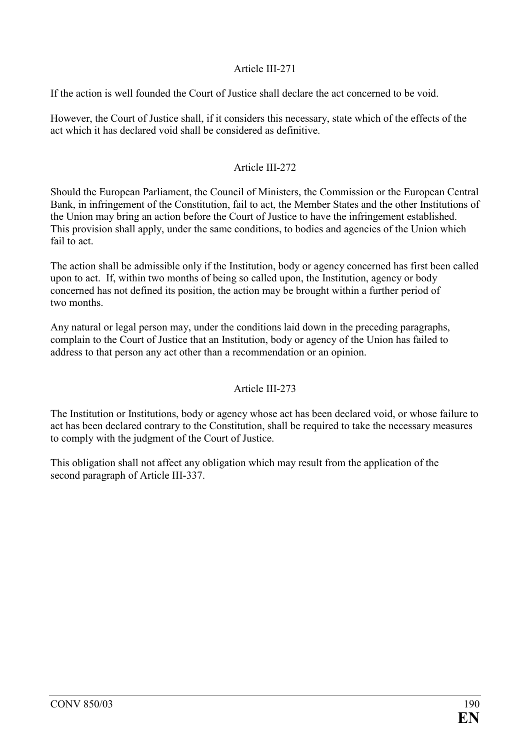If the action is well founded the Court of Justice shall declare the act concerned to be void.

However, the Court of Justice shall, if it considers this necessary, state which of the effects of the act which it has declared void shall be considered as definitive.

# Article III-272

Should the European Parliament, the Council of Ministers, the Commission or the European Central Bank, in infringement of the Constitution, fail to act, the Member States and the other Institutions of the Union may bring an action before the Court of Justice to have the infringement established. This provision shall apply, under the same conditions, to bodies and agencies of the Union which fail to act.

The action shall be admissible only if the Institution, body or agency concerned has first been called upon to act. If, within two months of being so called upon, the Institution, agency or body concerned has not defined its position, the action may be brought within a further period of two months.

Any natural or legal person may, under the conditions laid down in the preceding paragraphs, complain to the Court of Justice that an Institution, body or agency of the Union has failed to address to that person any act other than a recommendation or an opinion.

# Article III-273

The Institution or Institutions, body or agency whose act has been declared void, or whose failure to act has been declared contrary to the Constitution, shall be required to take the necessary measures to comply with the judgment of the Court of Justice.

This obligation shall not affect any obligation which may result from the application of the second paragraph of Article III-337.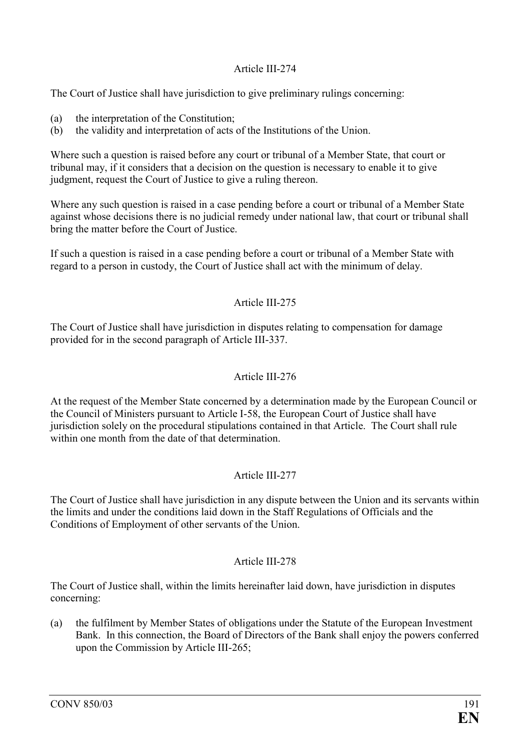The Court of Justice shall have jurisdiction to give preliminary rulings concerning:

- (a) the interpretation of the Constitution;
- (b) the validity and interpretation of acts of the Institutions of the Union.

Where such a question is raised before any court or tribunal of a Member State, that court or tribunal may, if it considers that a decision on the question is necessary to enable it to give judgment, request the Court of Justice to give a ruling thereon.

Where any such question is raised in a case pending before a court or tribunal of a Member State against whose decisions there is no judicial remedy under national law, that court or tribunal shall bring the matter before the Court of Justice.

If such a question is raised in a case pending before a court or tribunal of a Member State with regard to a person in custody, the Court of Justice shall act with the minimum of delay.

# Article III-275

The Court of Justice shall have jurisdiction in disputes relating to compensation for damage provided for in the second paragraph of Article III-337.

# Article III-276

At the request of the Member State concerned by a determination made by the European Council or the Council of Ministers pursuant to Article I-58, the European Court of Justice shall have jurisdiction solely on the procedural stipulations contained in that Article. The Court shall rule within one month from the date of that determination.

# Article III-277

The Court of Justice shall have jurisdiction in any dispute between the Union and its servants within the limits and under the conditions laid down in the Staff Regulations of Officials and the Conditions of Employment of other servants of the Union.

# Article III-278

The Court of Justice shall, within the limits hereinafter laid down, have jurisdiction in disputes concerning:

(a) the fulfilment by Member States of obligations under the Statute of the European Investment Bank. In this connection, the Board of Directors of the Bank shall enjoy the powers conferred upon the Commission by Article III-265;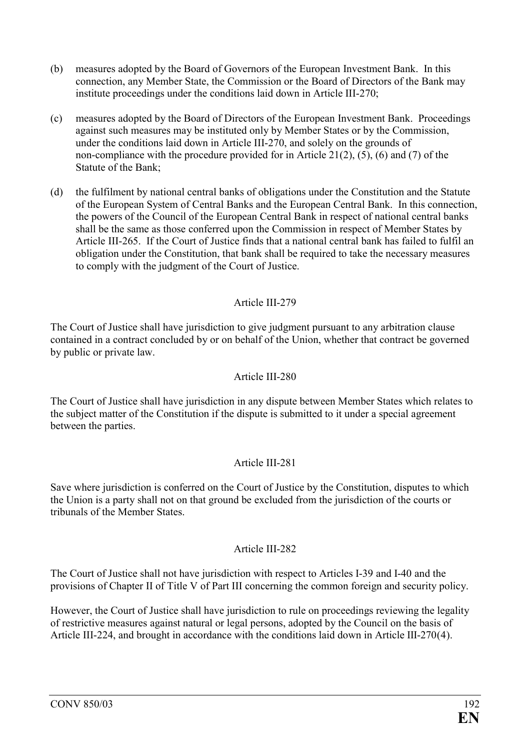- (b) measures adopted by the Board of Governors of the European Investment Bank. In this connection, any Member State, the Commission or the Board of Directors of the Bank may institute proceedings under the conditions laid down in Article III-270;
- (c) measures adopted by the Board of Directors of the European Investment Bank. Proceedings against such measures may be instituted only by Member States or by the Commission, under the conditions laid down in Article III-270, and solely on the grounds of non-compliance with the procedure provided for in Article 21(2), (5), (6) and (7) of the Statute of the Bank;
- (d) the fulfilment by national central banks of obligations under the Constitution and the Statute of the European System of Central Banks and the European Central Bank. In this connection, the powers of the Council of the European Central Bank in respect of national central banks shall be the same as those conferred upon the Commission in respect of Member States by Article III-265. If the Court of Justice finds that a national central bank has failed to fulfil an obligation under the Constitution, that bank shall be required to take the necessary measures to comply with the judgment of the Court of Justice.

The Court of Justice shall have jurisdiction to give judgment pursuant to any arbitration clause contained in a contract concluded by or on behalf of the Union, whether that contract be governed by public or private law.

#### Article III-280

The Court of Justice shall have jurisdiction in any dispute between Member States which relates to the subject matter of the Constitution if the dispute is submitted to it under a special agreement between the parties.

#### Article III-281

Save where jurisdiction is conferred on the Court of Justice by the Constitution, disputes to which the Union is a party shall not on that ground be excluded from the jurisdiction of the courts or tribunals of the Member States.

#### Article III-282

The Court of Justice shall not have jurisdiction with respect to Articles I-39 and I-40 and the provisions of Chapter II of Title V of Part III concerning the common foreign and security policy.

However, the Court of Justice shall have jurisdiction to rule on proceedings reviewing the legality of restrictive measures against natural or legal persons, adopted by the Council on the basis of Article III-224, and brought in accordance with the conditions laid down in Article III-270(4).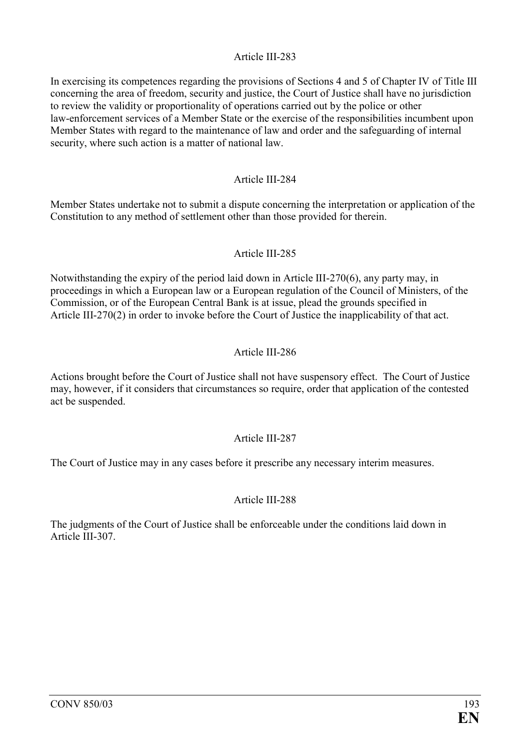In exercising its competences regarding the provisions of Sections 4 and 5 of Chapter IV of Title III concerning the area of freedom, security and justice, the Court of Justice shall have no jurisdiction to review the validity or proportionality of operations carried out by the police or other law-enforcement services of a Member State or the exercise of the responsibilities incumbent upon Member States with regard to the maintenance of law and order and the safeguarding of internal security, where such action is a matter of national law.

### Article III-284

Member States undertake not to submit a dispute concerning the interpretation or application of the Constitution to any method of settlement other than those provided for therein.

# Article III-285

Notwithstanding the expiry of the period laid down in Article III-270(6), any party may, in proceedings in which a European law or a European regulation of the Council of Ministers, of the Commission, or of the European Central Bank is at issue, plead the grounds specified in Article III-270(2) in order to invoke before the Court of Justice the inapplicability of that act.

### Article III-286

Actions brought before the Court of Justice shall not have suspensory effect. The Court of Justice may, however, if it considers that circumstances so require, order that application of the contested act be suspended.

#### Article III-287

The Court of Justice may in any cases before it prescribe any necessary interim measures.

#### Article III-288

The judgments of the Court of Justice shall be enforceable under the conditions laid down in Article III-307.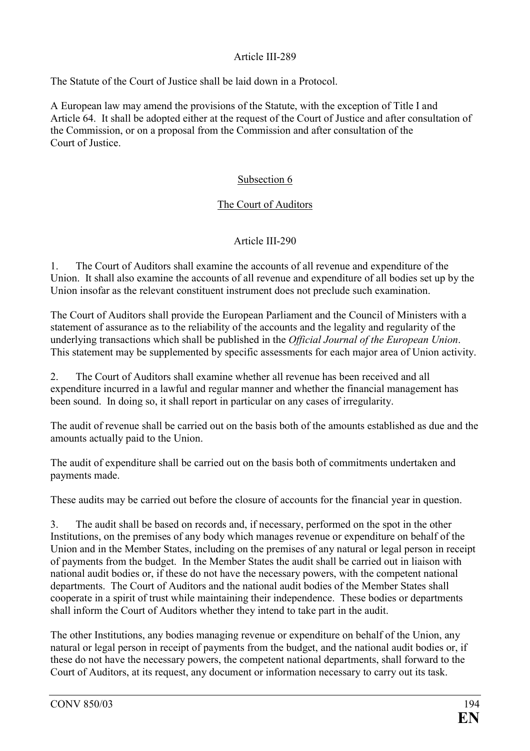The Statute of the Court of Justice shall be laid down in a Protocol.

A European law may amend the provisions of the Statute, with the exception of Title I and Article 64. It shall be adopted either at the request of the Court of Justice and after consultation of the Commission, or on a proposal from the Commission and after consultation of the Court of Justice.

# Subsection 6

# The Court of Auditors

# Article III-290

1. The Court of Auditors shall examine the accounts of all revenue and expenditure of the Union. It shall also examine the accounts of all revenue and expenditure of all bodies set up by the Union insofar as the relevant constituent instrument does not preclude such examination.

The Court of Auditors shall provide the European Parliament and the Council of Ministers with a statement of assurance as to the reliability of the accounts and the legality and regularity of the underlying transactions which shall be published in the *Official Journal of the European Union*. This statement may be supplemented by specific assessments for each major area of Union activity.

2. The Court of Auditors shall examine whether all revenue has been received and all expenditure incurred in a lawful and regular manner and whether the financial management has been sound. In doing so, it shall report in particular on any cases of irregularity.

The audit of revenue shall be carried out on the basis both of the amounts established as due and the amounts actually paid to the Union.

The audit of expenditure shall be carried out on the basis both of commitments undertaken and payments made.

These audits may be carried out before the closure of accounts for the financial year in question.

3. The audit shall be based on records and, if necessary, performed on the spot in the other Institutions, on the premises of any body which manages revenue or expenditure on behalf of the Union and in the Member States, including on the premises of any natural or legal person in receipt of payments from the budget. In the Member States the audit shall be carried out in liaison with national audit bodies or, if these do not have the necessary powers, with the competent national departments. The Court of Auditors and the national audit bodies of the Member States shall cooperate in a spirit of trust while maintaining their independence. These bodies or departments shall inform the Court of Auditors whether they intend to take part in the audit.

The other Institutions, any bodies managing revenue or expenditure on behalf of the Union, any natural or legal person in receipt of payments from the budget, and the national audit bodies or, if these do not have the necessary powers, the competent national departments, shall forward to the Court of Auditors, at its request, any document or information necessary to carry out its task.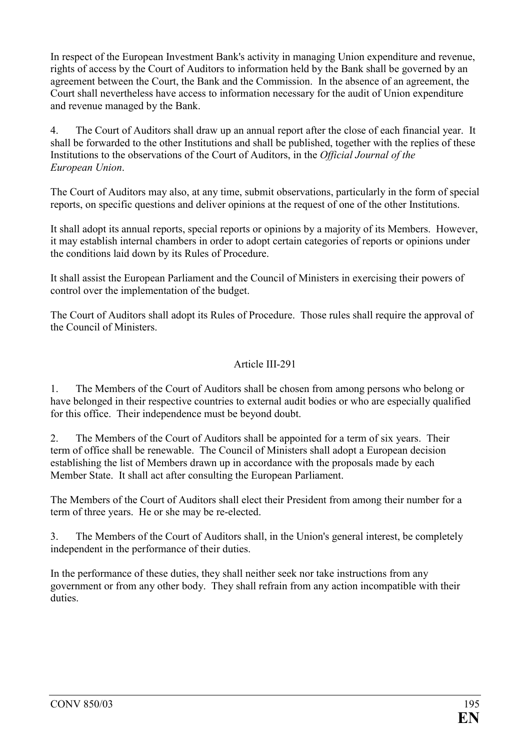In respect of the European Investment Bank's activity in managing Union expenditure and revenue, rights of access by the Court of Auditors to information held by the Bank shall be governed by an agreement between the Court, the Bank and the Commission. In the absence of an agreement, the Court shall nevertheless have access to information necessary for the audit of Union expenditure and revenue managed by the Bank.

4. The Court of Auditors shall draw up an annual report after the close of each financial year. It shall be forwarded to the other Institutions and shall be published, together with the replies of these Institutions to the observations of the Court of Auditors, in the *Official Journal of the European Union*.

The Court of Auditors may also, at any time, submit observations, particularly in the form of special reports, on specific questions and deliver opinions at the request of one of the other Institutions.

It shall adopt its annual reports, special reports or opinions by a majority of its Members. However, it may establish internal chambers in order to adopt certain categories of reports or opinions under the conditions laid down by its Rules of Procedure.

It shall assist the European Parliament and the Council of Ministers in exercising their powers of control over the implementation of the budget.

The Court of Auditors shall adopt its Rules of Procedure. Those rules shall require the approval of the Council of Ministers.

### Article III-291

1. The Members of the Court of Auditors shall be chosen from among persons who belong or have belonged in their respective countries to external audit bodies or who are especially qualified for this office. Their independence must be beyond doubt.

2. The Members of the Court of Auditors shall be appointed for a term of six years. Their term of office shall be renewable. The Council of Ministers shall adopt a European decision establishing the list of Members drawn up in accordance with the proposals made by each Member State. It shall act after consulting the European Parliament.

The Members of the Court of Auditors shall elect their President from among their number for a term of three years. He or she may be re-elected.

3. The Members of the Court of Auditors shall, in the Union's general interest, be completely independent in the performance of their duties.

In the performance of these duties, they shall neither seek nor take instructions from any government or from any other body. They shall refrain from any action incompatible with their duties.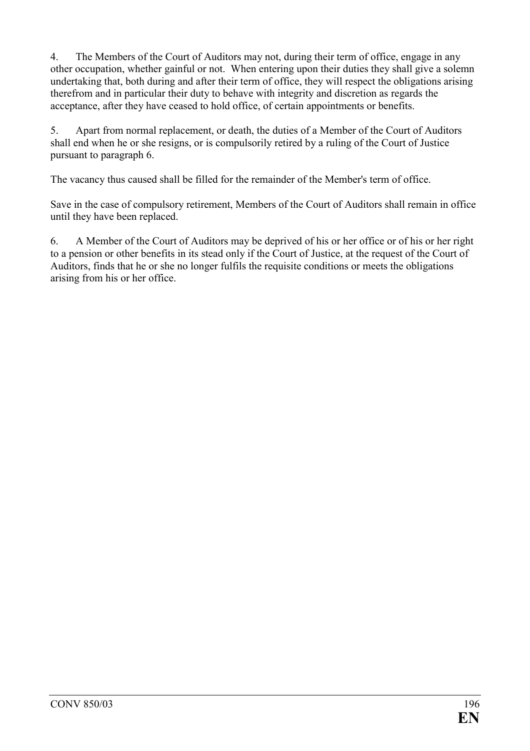4. The Members of the Court of Auditors may not, during their term of office, engage in any other occupation, whether gainful or not. When entering upon their duties they shall give a solemn undertaking that, both during and after their term of office, they will respect the obligations arising therefrom and in particular their duty to behave with integrity and discretion as regards the acceptance, after they have ceased to hold office, of certain appointments or benefits.

5. Apart from normal replacement, or death, the duties of a Member of the Court of Auditors shall end when he or she resigns, or is compulsorily retired by a ruling of the Court of Justice pursuant to paragraph 6.

The vacancy thus caused shall be filled for the remainder of the Member's term of office.

Save in the case of compulsory retirement, Members of the Court of Auditors shall remain in office until they have been replaced.

6. A Member of the Court of Auditors may be deprived of his or her office or of his or her right to a pension or other benefits in its stead only if the Court of Justice, at the request of the Court of Auditors, finds that he or she no longer fulfils the requisite conditions or meets the obligations arising from his or her office.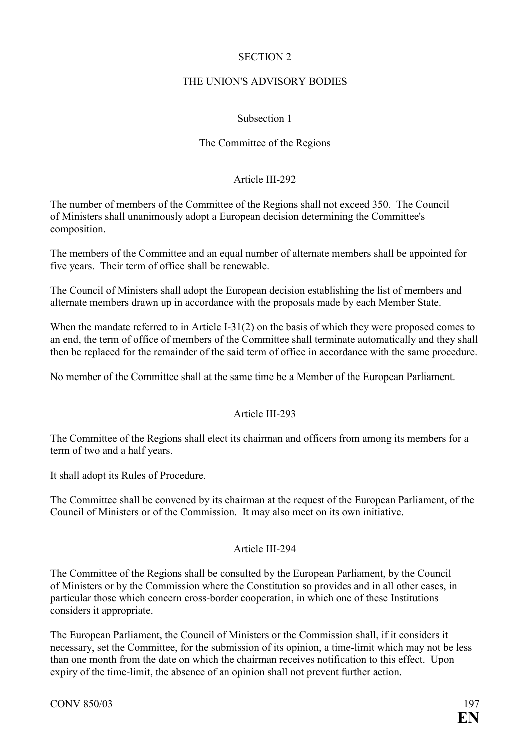# SECTION 2

# THE UNION'S ADVISORY BODIES

# Subsection 1

# The Committee of the Regions

### Article III-292

The number of members of the Committee of the Regions shall not exceed 350. The Council of Ministers shall unanimously adopt a European decision determining the Committee's composition.

The members of the Committee and an equal number of alternate members shall be appointed for five years. Their term of office shall be renewable.

The Council of Ministers shall adopt the European decision establishing the list of members and alternate members drawn up in accordance with the proposals made by each Member State.

When the mandate referred to in Article I-31(2) on the basis of which they were proposed comes to an end, the term of office of members of the Committee shall terminate automatically and they shall then be replaced for the remainder of the said term of office in accordance with the same procedure.

No member of the Committee shall at the same time be a Member of the European Parliament.

# Article III-293

The Committee of the Regions shall elect its chairman and officers from among its members for a term of two and a half years.

It shall adopt its Rules of Procedure.

The Committee shall be convened by its chairman at the request of the European Parliament, of the Council of Ministers or of the Commission. It may also meet on its own initiative.

# Article III-294

The Committee of the Regions shall be consulted by the European Parliament, by the Council of Ministers or by the Commission where the Constitution so provides and in all other cases, in particular those which concern cross-border cooperation, in which one of these Institutions considers it appropriate.

The European Parliament, the Council of Ministers or the Commission shall, if it considers it necessary, set the Committee, for the submission of its opinion, a time-limit which may not be less than one month from the date on which the chairman receives notification to this effect. Upon expiry of the time-limit, the absence of an opinion shall not prevent further action.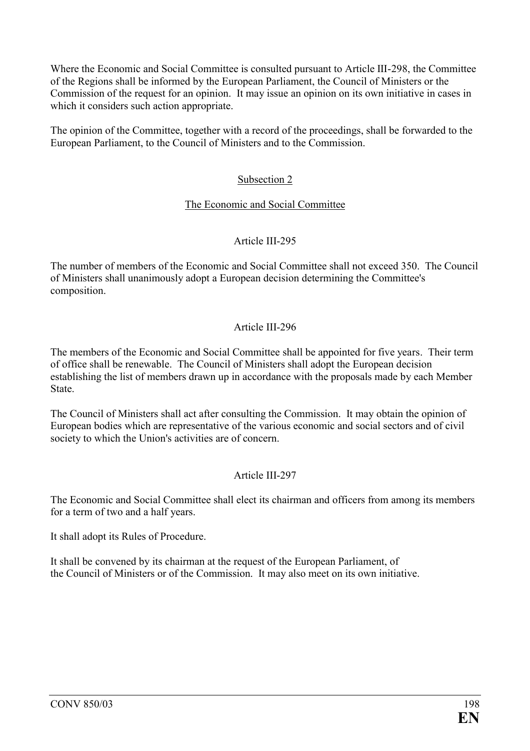Where the Economic and Social Committee is consulted pursuant to Article III-298, the Committee of the Regions shall be informed by the European Parliament, the Council of Ministers or the Commission of the request for an opinion. It may issue an opinion on its own initiative in cases in which it considers such action appropriate.

The opinion of the Committee, together with a record of the proceedings, shall be forwarded to the European Parliament, to the Council of Ministers and to the Commission.

### Subsection 2

#### The Economic and Social Committee

#### Article III-295

The number of members of the Economic and Social Committee shall not exceed 350. The Council of Ministers shall unanimously adopt a European decision determining the Committee's composition.

### Article III-296

The members of the Economic and Social Committee shall be appointed for five years. Their term of office shall be renewable. The Council of Ministers shall adopt the European decision establishing the list of members drawn up in accordance with the proposals made by each Member State.

The Council of Ministers shall act after consulting the Commission. It may obtain the opinion of European bodies which are representative of the various economic and social sectors and of civil society to which the Union's activities are of concern.

# Article III-297

The Economic and Social Committee shall elect its chairman and officers from among its members for a term of two and a half years.

It shall adopt its Rules of Procedure.

It shall be convened by its chairman at the request of the European Parliament, of the Council of Ministers or of the Commission. It may also meet on its own initiative.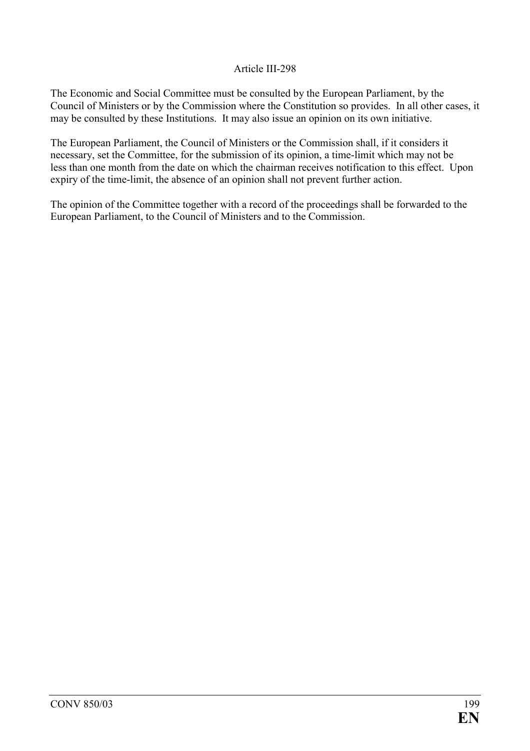The Economic and Social Committee must be consulted by the European Parliament, by the Council of Ministers or by the Commission where the Constitution so provides. In all other cases, it may be consulted by these Institutions. It may also issue an opinion on its own initiative.

The European Parliament, the Council of Ministers or the Commission shall, if it considers it necessary, set the Committee, for the submission of its opinion, a time-limit which may not be less than one month from the date on which the chairman receives notification to this effect. Upon expiry of the time-limit, the absence of an opinion shall not prevent further action.

The opinion of the Committee together with a record of the proceedings shall be forwarded to the European Parliament, to the Council of Ministers and to the Commission.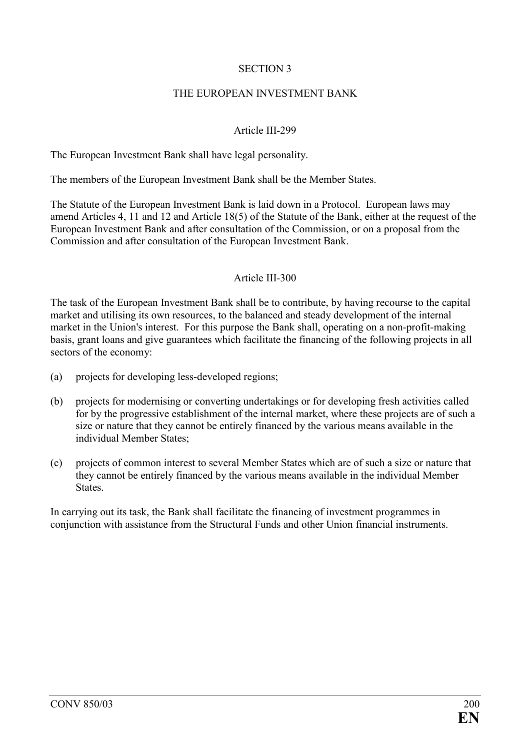# SECTION 3

### THE EUROPEAN INVESTMENT BANK

#### Article III-299

The European Investment Bank shall have legal personality.

The members of the European Investment Bank shall be the Member States.

The Statute of the European Investment Bank is laid down in a Protocol. European laws may amend Articles 4, 11 and 12 and Article 18(5) of the Statute of the Bank, either at the request of the European Investment Bank and after consultation of the Commission, or on a proposal from the Commission and after consultation of the European Investment Bank.

#### Article III-300

The task of the European Investment Bank shall be to contribute, by having recourse to the capital market and utilising its own resources, to the balanced and steady development of the internal market in the Union's interest. For this purpose the Bank shall, operating on a non-profit-making basis, grant loans and give guarantees which facilitate the financing of the following projects in all sectors of the economy:

- (a) projects for developing less-developed regions;
- (b) projects for modernising or converting undertakings or for developing fresh activities called for by the progressive establishment of the internal market, where these projects are of such a size or nature that they cannot be entirely financed by the various means available in the individual Member States;
- (c) projects of common interest to several Member States which are of such a size or nature that they cannot be entirely financed by the various means available in the individual Member **States**

In carrying out its task, the Bank shall facilitate the financing of investment programmes in conjunction with assistance from the Structural Funds and other Union financial instruments.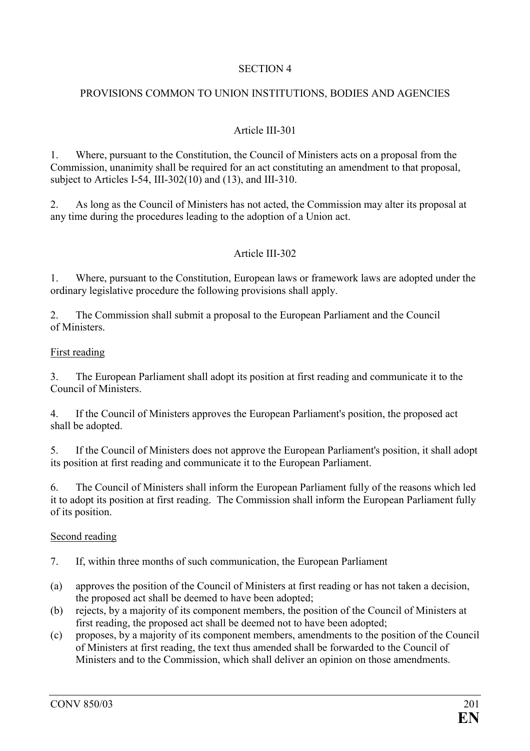# SECTION 4

### PROVISIONS COMMON TO UNION INSTITUTIONS, BODIES AND AGENCIES

### Article III-301

1. Where, pursuant to the Constitution, the Council of Ministers acts on a proposal from the Commission, unanimity shall be required for an act constituting an amendment to that proposal, subject to Articles I-54, III-302(10) and (13), and III-310.

2. As long as the Council of Ministers has not acted, the Commission may alter its proposal at any time during the procedures leading to the adoption of a Union act.

### Article III-302

1. Where, pursuant to the Constitution, European laws or framework laws are adopted under the ordinary legislative procedure the following provisions shall apply.

2. The Commission shall submit a proposal to the European Parliament and the Council of Ministers.

#### First reading

3. The European Parliament shall adopt its position at first reading and communicate it to the Council of Ministers.

4. If the Council of Ministers approves the European Parliament's position, the proposed act shall be adopted.

5. If the Council of Ministers does not approve the European Parliament's position, it shall adopt its position at first reading and communicate it to the European Parliament.

6. The Council of Ministers shall inform the European Parliament fully of the reasons which led it to adopt its position at first reading. The Commission shall inform the European Parliament fully of its position.

#### Second reading

- 7. If, within three months of such communication, the European Parliament
- (a) approves the position of the Council of Ministers at first reading or has not taken a decision, the proposed act shall be deemed to have been adopted;
- (b) rejects, by a majority of its component members, the position of the Council of Ministers at first reading, the proposed act shall be deemed not to have been adopted;
- (c) proposes, by a majority of its component members, amendments to the position of the Council of Ministers at first reading, the text thus amended shall be forwarded to the Council of Ministers and to the Commission, which shall deliver an opinion on those amendments.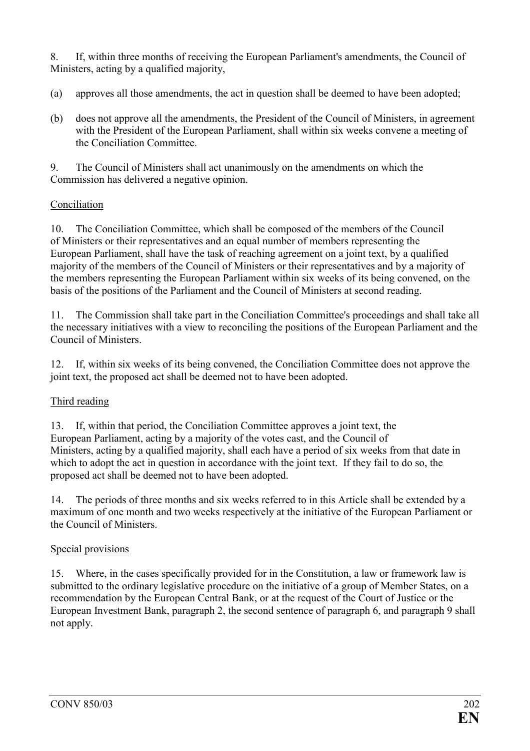8. If, within three months of receiving the European Parliament's amendments, the Council of Ministers, acting by a qualified majority,

- (a) approves all those amendments, the act in question shall be deemed to have been adopted;
- (b) does not approve all the amendments, the President of the Council of Ministers, in agreement with the President of the European Parliament, shall within six weeks convene a meeting of the Conciliation Committee.

9. The Council of Ministers shall act unanimously on the amendments on which the Commission has delivered a negative opinion.

# Conciliation

10. The Conciliation Committee, which shall be composed of the members of the Council of Ministers or their representatives and an equal number of members representing the European Parliament, shall have the task of reaching agreement on a joint text, by a qualified majority of the members of the Council of Ministers or their representatives and by a majority of the members representing the European Parliament within six weeks of its being convened, on the basis of the positions of the Parliament and the Council of Ministers at second reading.

11. The Commission shall take part in the Conciliation Committee's proceedings and shall take all the necessary initiatives with a view to reconciling the positions of the European Parliament and the Council of Ministers.

12. If, within six weeks of its being convened, the Conciliation Committee does not approve the joint text, the proposed act shall be deemed not to have been adopted.

# Third reading

13. If, within that period, the Conciliation Committee approves a joint text, the European Parliament, acting by a majority of the votes cast, and the Council of Ministers, acting by a qualified majority, shall each have a period of six weeks from that date in which to adopt the act in question in accordance with the joint text. If they fail to do so, the proposed act shall be deemed not to have been adopted.

14. The periods of three months and six weeks referred to in this Article shall be extended by a maximum of one month and two weeks respectively at the initiative of the European Parliament or the Council of Ministers.

# Special provisions

15. Where, in the cases specifically provided for in the Constitution, a law or framework law is submitted to the ordinary legislative procedure on the initiative of a group of Member States, on a recommendation by the European Central Bank, or at the request of the Court of Justice or the European Investment Bank, paragraph 2, the second sentence of paragraph 6, and paragraph 9 shall not apply.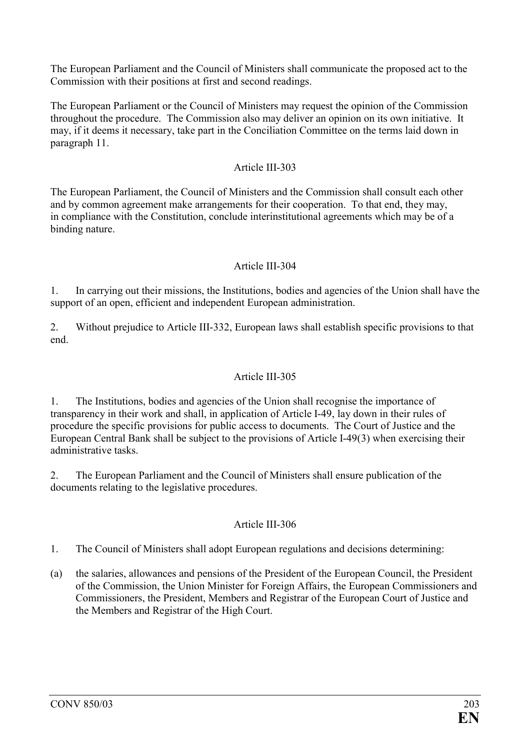The European Parliament and the Council of Ministers shall communicate the proposed act to the Commission with their positions at first and second readings.

The European Parliament or the Council of Ministers may request the opinion of the Commission throughout the procedure. The Commission also may deliver an opinion on its own initiative. It may, if it deems it necessary, take part in the Conciliation Committee on the terms laid down in paragraph 11.

# Article III-303

The European Parliament, the Council of Ministers and the Commission shall consult each other and by common agreement make arrangements for their cooperation. To that end, they may, in compliance with the Constitution, conclude interinstitutional agreements which may be of a binding nature.

# Article III-304

1. In carrying out their missions, the Institutions, bodies and agencies of the Union shall have the support of an open, efficient and independent European administration.

2. Without prejudice to Article III-332, European laws shall establish specific provisions to that end.

# Article III-305

1. The Institutions, bodies and agencies of the Union shall recognise the importance of transparency in their work and shall, in application of Article I-49, lay down in their rules of procedure the specific provisions for public access to documents. The Court of Justice and the European Central Bank shall be subject to the provisions of Article I-49(3) when exercising their administrative tasks.

2. The European Parliament and the Council of Ministers shall ensure publication of the documents relating to the legislative procedures.

# Article III-306

1. The Council of Ministers shall adopt European regulations and decisions determining:

(a) the salaries, allowances and pensions of the President of the European Council, the President of the Commission, the Union Minister for Foreign Affairs, the European Commissioners and Commissioners, the President, Members and Registrar of the European Court of Justice and the Members and Registrar of the High Court.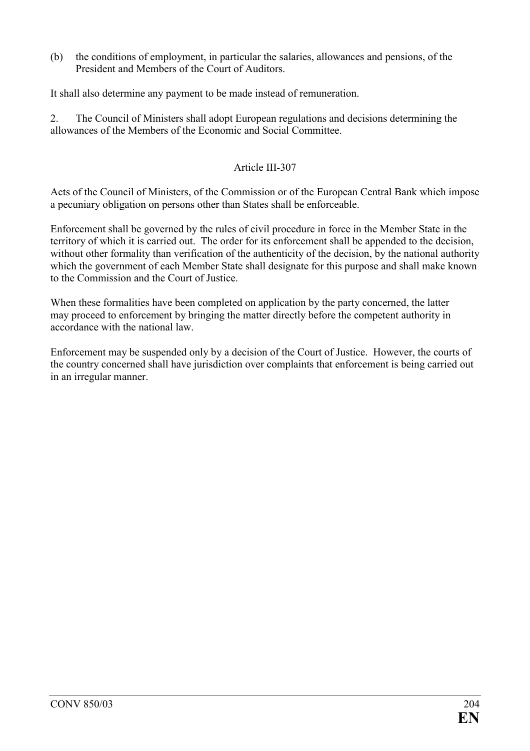(b) the conditions of employment, in particular the salaries, allowances and pensions, of the President and Members of the Court of Auditors.

It shall also determine any payment to be made instead of remuneration.

2. The Council of Ministers shall adopt European regulations and decisions determining the allowances of the Members of the Economic and Social Committee.

# Article III-307

Acts of the Council of Ministers, of the Commission or of the European Central Bank which impose a pecuniary obligation on persons other than States shall be enforceable.

Enforcement shall be governed by the rules of civil procedure in force in the Member State in the territory of which it is carried out. The order for its enforcement shall be appended to the decision, without other formality than verification of the authenticity of the decision, by the national authority which the government of each Member State shall designate for this purpose and shall make known to the Commission and the Court of Justice.

When these formalities have been completed on application by the party concerned, the latter may proceed to enforcement by bringing the matter directly before the competent authority in accordance with the national law.

Enforcement may be suspended only by a decision of the Court of Justice. However, the courts of the country concerned shall have jurisdiction over complaints that enforcement is being carried out in an irregular manner.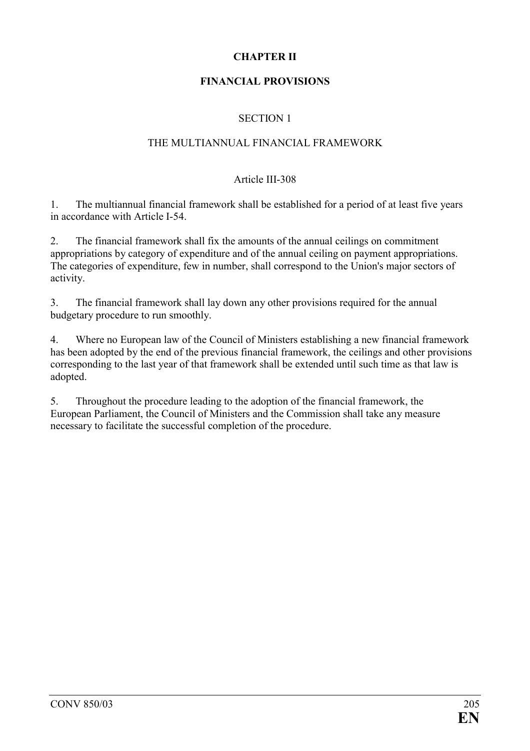# **CHAPTER II**

# **FINANCIAL PROVISIONS**

# SECTION 1

# THE MULTIANNUAL FINANCIAL FRAMEWORK

### Article III-308

1. The multiannual financial framework shall be established for a period of at least five years in accordance with Article I-54.

2. The financial framework shall fix the amounts of the annual ceilings on commitment appropriations by category of expenditure and of the annual ceiling on payment appropriations. The categories of expenditure, few in number, shall correspond to the Union's major sectors of activity.

3. The financial framework shall lay down any other provisions required for the annual budgetary procedure to run smoothly.

4. Where no European law of the Council of Ministers establishing a new financial framework has been adopted by the end of the previous financial framework, the ceilings and other provisions corresponding to the last year of that framework shall be extended until such time as that law is adopted.

5. Throughout the procedure leading to the adoption of the financial framework, the European Parliament, the Council of Ministers and the Commission shall take any measure necessary to facilitate the successful completion of the procedure.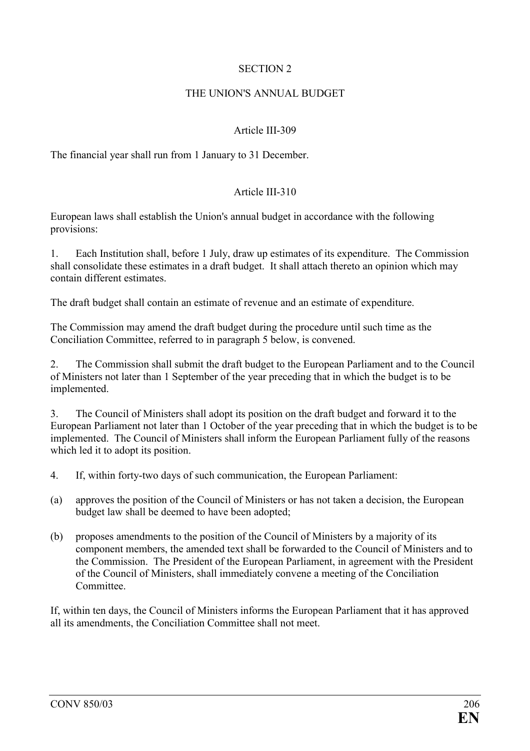# SECTION 2

# THE UNION'S ANNUAL BUDGET

# Article III-309

The financial year shall run from 1 January to 31 December.

# Article III-310

European laws shall establish the Union's annual budget in accordance with the following provisions:

1. Each Institution shall, before 1 July, draw up estimates of its expenditure. The Commission shall consolidate these estimates in a draft budget. It shall attach thereto an opinion which may contain different estimates.

The draft budget shall contain an estimate of revenue and an estimate of expenditure.

The Commission may amend the draft budget during the procedure until such time as the Conciliation Committee, referred to in paragraph 5 below, is convened.

2. The Commission shall submit the draft budget to the European Parliament and to the Council of Ministers not later than 1 September of the year preceding that in which the budget is to be implemented.

3. The Council of Ministers shall adopt its position on the draft budget and forward it to the European Parliament not later than 1 October of the year preceding that in which the budget is to be implemented. The Council of Ministers shall inform the European Parliament fully of the reasons which led it to adopt its position.

- 4. If, within forty-two days of such communication, the European Parliament:
- (a) approves the position of the Council of Ministers or has not taken a decision, the European budget law shall be deemed to have been adopted;
- (b) proposes amendments to the position of the Council of Ministers by a majority of its component members, the amended text shall be forwarded to the Council of Ministers and to the Commission. The President of the European Parliament, in agreement with the President of the Council of Ministers, shall immediately convene a meeting of the Conciliation **Committee**

If, within ten days, the Council of Ministers informs the European Parliament that it has approved all its amendments, the Conciliation Committee shall not meet.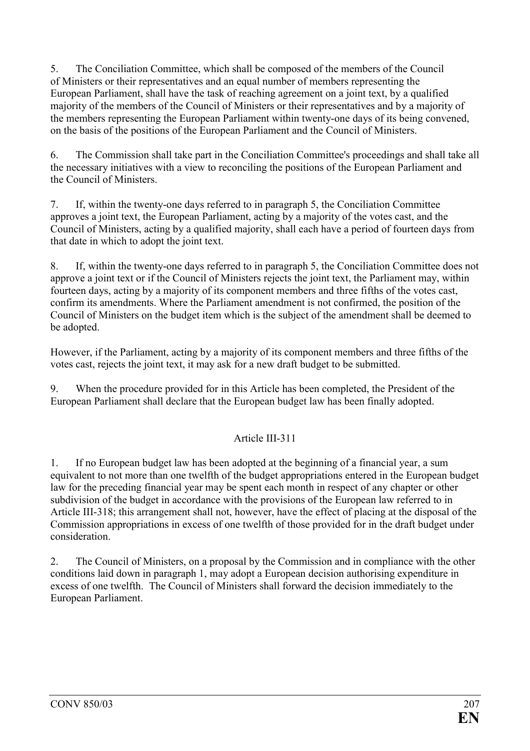5. The Conciliation Committee, which shall be composed of the members of the Council of Ministers or their representatives and an equal number of members representing the European Parliament, shall have the task of reaching agreement on a joint text, by a qualified majority of the members of the Council of Ministers or their representatives and by a majority of the members representing the European Parliament within twenty-one days of its being convened, on the basis of the positions of the European Parliament and the Council of Ministers.

6. The Commission shall take part in the Conciliation Committee's proceedings and shall take all the necessary initiatives with a view to reconciling the positions of the European Parliament and the Council of Ministers.

7. If, within the twenty-one days referred to in paragraph 5, the Conciliation Committee approves a joint text, the European Parliament, acting by a majority of the votes cast, and the Council of Ministers, acting by a qualified majority, shall each have a period of fourteen days from that date in which to adopt the joint text.

8. If, within the twenty-one days referred to in paragraph 5, the Conciliation Committee does not approve a joint text or if the Council of Ministers rejects the joint text, the Parliament may, within fourteen days, acting by a majority of its component members and three fifths of the votes cast, confirm its amendments. Where the Parliament amendment is not confirmed, the position of the Council of Ministers on the budget item which is the subject of the amendment shall be deemed to be adopted.

However, if the Parliament, acting by a majority of its component members and three fifths of the votes cast, rejects the joint text, it may ask for a new draft budget to be submitted.

9. When the procedure provided for in this Article has been completed, the President of the European Parliament shall declare that the European budget law has been finally adopted.

# Article III-311

1. If no European budget law has been adopted at the beginning of a financial year, a sum equivalent to not more than one twelfth of the budget appropriations entered in the European budget law for the preceding financial year may be spent each month in respect of any chapter or other subdivision of the budget in accordance with the provisions of the European law referred to in Article III-318; this arrangement shall not, however, have the effect of placing at the disposal of the Commission appropriations in excess of one twelfth of those provided for in the draft budget under consideration.

2. The Council of Ministers, on a proposal by the Commission and in compliance with the other conditions laid down in paragraph 1, may adopt a European decision authorising expenditure in excess of one twelfth. The Council of Ministers shall forward the decision immediately to the European Parliament.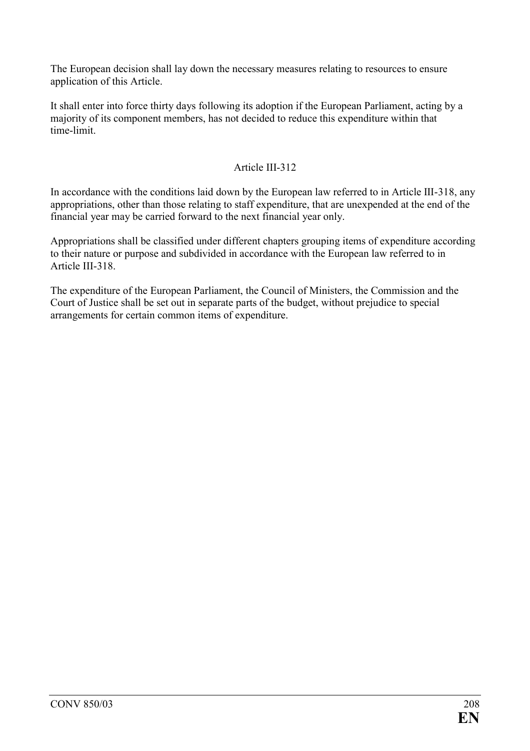The European decision shall lay down the necessary measures relating to resources to ensure application of this Article.

It shall enter into force thirty days following its adoption if the European Parliament, acting by a majority of its component members, has not decided to reduce this expenditure within that time-limit.

### Article III-312

In accordance with the conditions laid down by the European law referred to in Article III-318, any appropriations, other than those relating to staff expenditure, that are unexpended at the end of the financial year may be carried forward to the next financial year only.

Appropriations shall be classified under different chapters grouping items of expenditure according to their nature or purpose and subdivided in accordance with the European law referred to in Article III-318.

The expenditure of the European Parliament, the Council of Ministers, the Commission and the Court of Justice shall be set out in separate parts of the budget, without prejudice to special arrangements for certain common items of expenditure.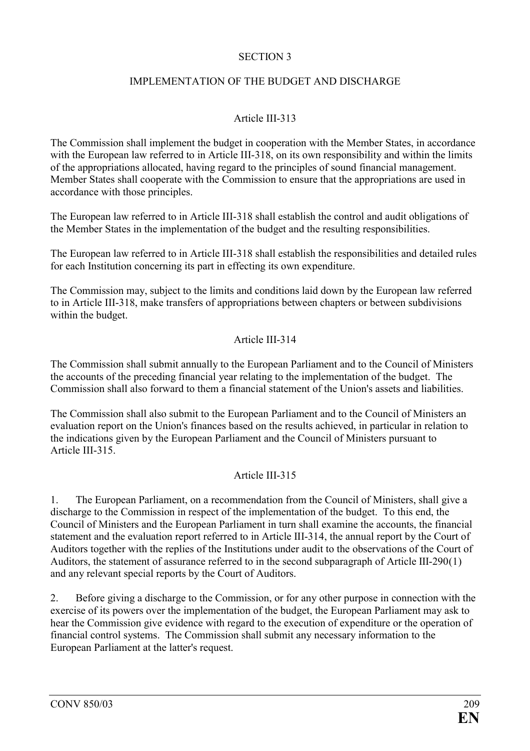# SECTION 3

# IMPLEMENTATION OF THE BUDGET AND DISCHARGE

# Article III-313

The Commission shall implement the budget in cooperation with the Member States, in accordance with the European law referred to in Article III-318, on its own responsibility and within the limits of the appropriations allocated, having regard to the principles of sound financial management. Member States shall cooperate with the Commission to ensure that the appropriations are used in accordance with those principles.

The European law referred to in Article III-318 shall establish the control and audit obligations of the Member States in the implementation of the budget and the resulting responsibilities.

The European law referred to in Article III-318 shall establish the responsibilities and detailed rules for each Institution concerning its part in effecting its own expenditure.

The Commission may, subject to the limits and conditions laid down by the European law referred to in Article III-318, make transfers of appropriations between chapters or between subdivisions within the budget.

# Article III-314

The Commission shall submit annually to the European Parliament and to the Council of Ministers the accounts of the preceding financial year relating to the implementation of the budget. The Commission shall also forward to them a financial statement of the Union's assets and liabilities.

The Commission shall also submit to the European Parliament and to the Council of Ministers an evaluation report on the Union's finances based on the results achieved, in particular in relation to the indications given by the European Parliament and the Council of Ministers pursuant to Article III-315.

# Article III-315

1. The European Parliament, on a recommendation from the Council of Ministers, shall give a discharge to the Commission in respect of the implementation of the budget. To this end, the Council of Ministers and the European Parliament in turn shall examine the accounts, the financial statement and the evaluation report referred to in Article III-314, the annual report by the Court of Auditors together with the replies of the Institutions under audit to the observations of the Court of Auditors, the statement of assurance referred to in the second subparagraph of Article III-290(1) and any relevant special reports by the Court of Auditors.

2. Before giving a discharge to the Commission, or for any other purpose in connection with the exercise of its powers over the implementation of the budget, the European Parliament may ask to hear the Commission give evidence with regard to the execution of expenditure or the operation of financial control systems. The Commission shall submit any necessary information to the European Parliament at the latter's request.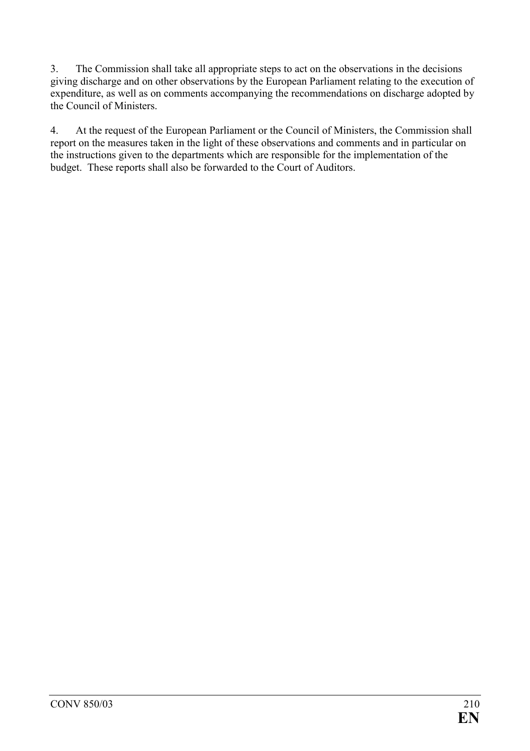3. The Commission shall take all appropriate steps to act on the observations in the decisions giving discharge and on other observations by the European Parliament relating to the execution of expenditure, as well as on comments accompanying the recommendations on discharge adopted by the Council of Ministers.

4. At the request of the European Parliament or the Council of Ministers, the Commission shall report on the measures taken in the light of these observations and comments and in particular on the instructions given to the departments which are responsible for the implementation of the budget. These reports shall also be forwarded to the Court of Auditors.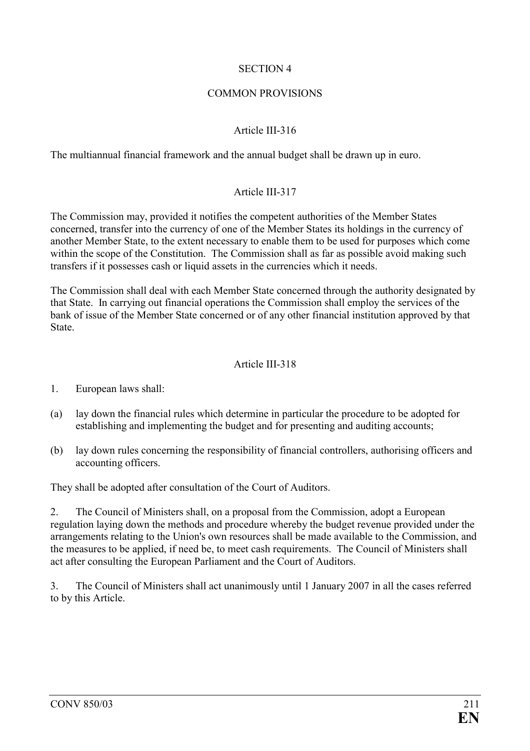# SECTION 4

### COMMON PROVISIONS

### Article III-316

The multiannual financial framework and the annual budget shall be drawn up in euro.

#### Article III-317

The Commission may, provided it notifies the competent authorities of the Member States concerned, transfer into the currency of one of the Member States its holdings in the currency of another Member State, to the extent necessary to enable them to be used for purposes which come within the scope of the Constitution. The Commission shall as far as possible avoid making such transfers if it possesses cash or liquid assets in the currencies which it needs.

The Commission shall deal with each Member State concerned through the authority designated by that State. In carrying out financial operations the Commission shall employ the services of the bank of issue of the Member State concerned or of any other financial institution approved by that State.

#### Article III-318

1. European laws shall:

- (a) lay down the financial rules which determine in particular the procedure to be adopted for establishing and implementing the budget and for presenting and auditing accounts;
- (b) lay down rules concerning the responsibility of financial controllers, authorising officers and accounting officers.

They shall be adopted after consultation of the Court of Auditors.

2. The Council of Ministers shall, on a proposal from the Commission, adopt a European regulation laying down the methods and procedure whereby the budget revenue provided under the arrangements relating to the Union's own resources shall be made available to the Commission, and the measures to be applied, if need be, to meet cash requirements. The Council of Ministers shall act after consulting the European Parliament and the Court of Auditors.

3. The Council of Ministers shall act unanimously until 1 January 2007 in all the cases referred to by this Article.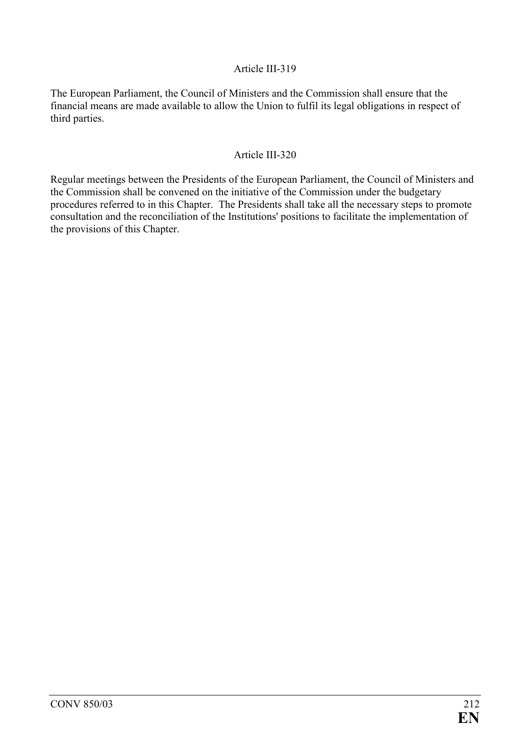The European Parliament, the Council of Ministers and the Commission shall ensure that the financial means are made available to allow the Union to fulfil its legal obligations in respect of third parties.

#### Article III-320

Regular meetings between the Presidents of the European Parliament, the Council of Ministers and the Commission shall be convened on the initiative of the Commission under the budgetary procedures referred to in this Chapter. The Presidents shall take all the necessary steps to promote consultation and the reconciliation of the Institutions' positions to facilitate the implementation of the provisions of this Chapter.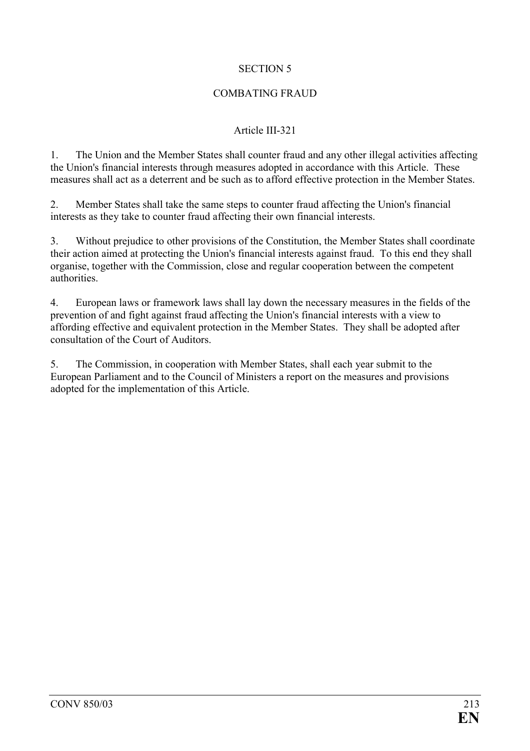# SECTION 5

# COMBATING FRAUD

# Article III-321

1. The Union and the Member States shall counter fraud and any other illegal activities affecting the Union's financial interests through measures adopted in accordance with this Article. These measures shall act as a deterrent and be such as to afford effective protection in the Member States.

2. Member States shall take the same steps to counter fraud affecting the Union's financial interests as they take to counter fraud affecting their own financial interests.

3. Without prejudice to other provisions of the Constitution, the Member States shall coordinate their action aimed at protecting the Union's financial interests against fraud. To this end they shall organise, together with the Commission, close and regular cooperation between the competent authorities.

4. European laws or framework laws shall lay down the necessary measures in the fields of the prevention of and fight against fraud affecting the Union's financial interests with a view to affording effective and equivalent protection in the Member States. They shall be adopted after consultation of the Court of Auditors.

5. The Commission, in cooperation with Member States, shall each year submit to the European Parliament and to the Council of Ministers a report on the measures and provisions adopted for the implementation of this Article.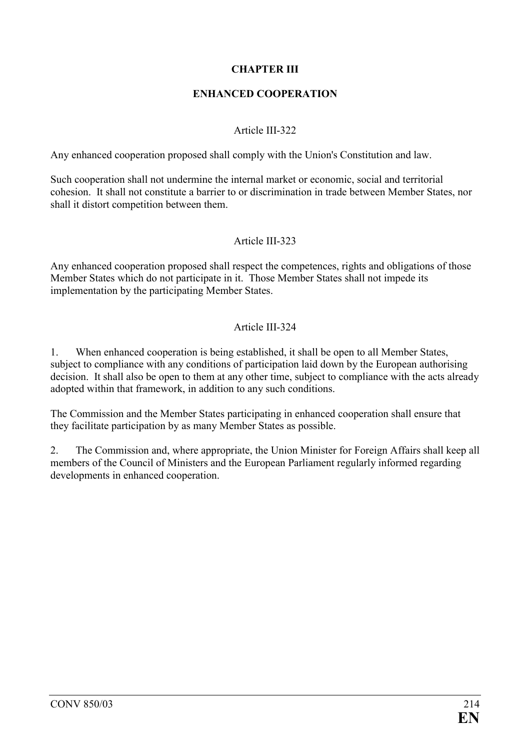# **CHAPTER III**

### **ENHANCED COOPERATION**

## Article III-322

Any enhanced cooperation proposed shall comply with the Union's Constitution and law.

Such cooperation shall not undermine the internal market or economic, social and territorial cohesion. It shall not constitute a barrier to or discrimination in trade between Member States, nor shall it distort competition between them.

#### Article III-323

Any enhanced cooperation proposed shall respect the competences, rights and obligations of those Member States which do not participate in it. Those Member States shall not impede its implementation by the participating Member States.

## Article III-324

1. When enhanced cooperation is being established, it shall be open to all Member States, subject to compliance with any conditions of participation laid down by the European authorising decision. It shall also be open to them at any other time, subject to compliance with the acts already adopted within that framework, in addition to any such conditions.

The Commission and the Member States participating in enhanced cooperation shall ensure that they facilitate participation by as many Member States as possible.

2. The Commission and, where appropriate, the Union Minister for Foreign Affairs shall keep all members of the Council of Ministers and the European Parliament regularly informed regarding developments in enhanced cooperation.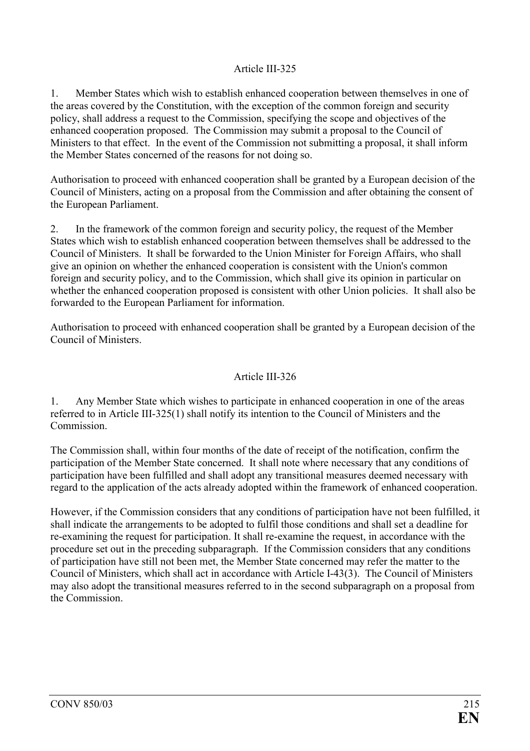1. Member States which wish to establish enhanced cooperation between themselves in one of the areas covered by the Constitution, with the exception of the common foreign and security policy, shall address a request to the Commission, specifying the scope and objectives of the enhanced cooperation proposed. The Commission may submit a proposal to the Council of Ministers to that effect. In the event of the Commission not submitting a proposal, it shall inform the Member States concerned of the reasons for not doing so.

Authorisation to proceed with enhanced cooperation shall be granted by a European decision of the Council of Ministers, acting on a proposal from the Commission and after obtaining the consent of the European Parliament.

2. In the framework of the common foreign and security policy, the request of the Member States which wish to establish enhanced cooperation between themselves shall be addressed to the Council of Ministers. It shall be forwarded to the Union Minister for Foreign Affairs, who shall give an opinion on whether the enhanced cooperation is consistent with the Union's common foreign and security policy, and to the Commission, which shall give its opinion in particular on whether the enhanced cooperation proposed is consistent with other Union policies. It shall also be forwarded to the European Parliament for information.

Authorisation to proceed with enhanced cooperation shall be granted by a European decision of the Council of Ministers.

# Article III-326

1. Any Member State which wishes to participate in enhanced cooperation in one of the areas referred to in Article III-325(1) shall notify its intention to the Council of Ministers and the Commission.

The Commission shall, within four months of the date of receipt of the notification, confirm the participation of the Member State concerned. It shall note where necessary that any conditions of participation have been fulfilled and shall adopt any transitional measures deemed necessary with regard to the application of the acts already adopted within the framework of enhanced cooperation.

However, if the Commission considers that any conditions of participation have not been fulfilled, it shall indicate the arrangements to be adopted to fulfil those conditions and shall set a deadline for re-examining the request for participation. It shall re-examine the request, in accordance with the procedure set out in the preceding subparagraph. If the Commission considers that any conditions of participation have still not been met, the Member State concerned may refer the matter to the Council of Ministers, which shall act in accordance with Article I-43(3). The Council of Ministers may also adopt the transitional measures referred to in the second subparagraph on a proposal from the Commission.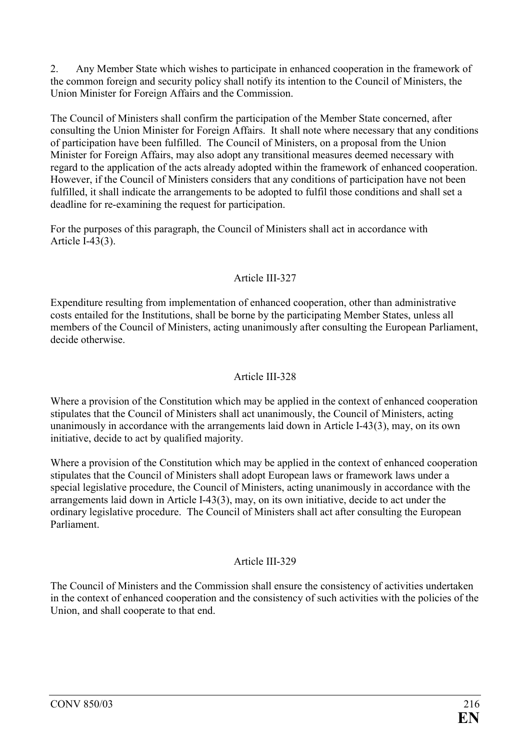2. Any Member State which wishes to participate in enhanced cooperation in the framework of the common foreign and security policy shall notify its intention to the Council of Ministers, the Union Minister for Foreign Affairs and the Commission.

The Council of Ministers shall confirm the participation of the Member State concerned, after consulting the Union Minister for Foreign Affairs. It shall note where necessary that any conditions of participation have been fulfilled. The Council of Ministers, on a proposal from the Union Minister for Foreign Affairs, may also adopt any transitional measures deemed necessary with regard to the application of the acts already adopted within the framework of enhanced cooperation. However, if the Council of Ministers considers that any conditions of participation have not been fulfilled, it shall indicate the arrangements to be adopted to fulfil those conditions and shall set a deadline for re-examining the request for participation.

For the purposes of this paragraph, the Council of Ministers shall act in accordance with Article I-43(3).

# Article III-327

Expenditure resulting from implementation of enhanced cooperation, other than administrative costs entailed for the Institutions, shall be borne by the participating Member States, unless all members of the Council of Ministers, acting unanimously after consulting the European Parliament, decide otherwise.

# Article III-328

Where a provision of the Constitution which may be applied in the context of enhanced cooperation stipulates that the Council of Ministers shall act unanimously, the Council of Ministers, acting unanimously in accordance with the arrangements laid down in Article I-43(3), may, on its own initiative, decide to act by qualified majority.

Where a provision of the Constitution which may be applied in the context of enhanced cooperation stipulates that the Council of Ministers shall adopt European laws or framework laws under a special legislative procedure, the Council of Ministers, acting unanimously in accordance with the arrangements laid down in Article I-43(3), may, on its own initiative, decide to act under the ordinary legislative procedure. The Council of Ministers shall act after consulting the European Parliament.

# Article III-329

The Council of Ministers and the Commission shall ensure the consistency of activities undertaken in the context of enhanced cooperation and the consistency of such activities with the policies of the Union, and shall cooperate to that end.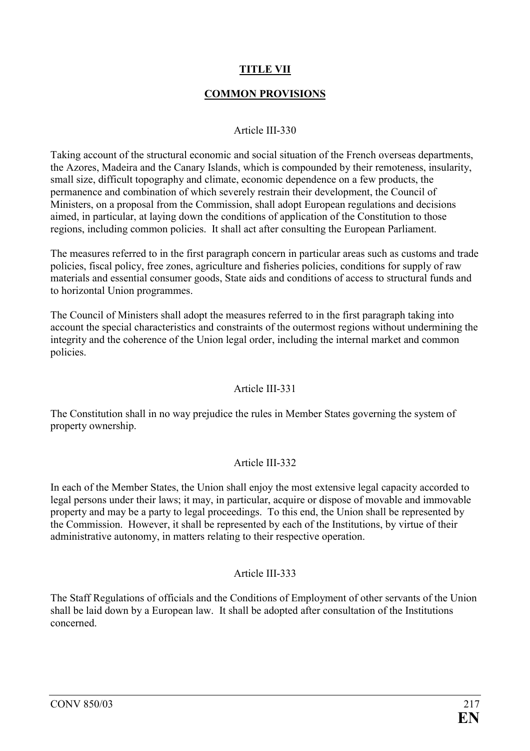# **TITLE VII**

# **COMMON PROVISIONS**

### Article III-330

Taking account of the structural economic and social situation of the French overseas departments, the Azores, Madeira and the Canary Islands, which is compounded by their remoteness, insularity, small size, difficult topography and climate, economic dependence on a few products, the permanence and combination of which severely restrain their development, the Council of Ministers, on a proposal from the Commission, shall adopt European regulations and decisions aimed, in particular, at laying down the conditions of application of the Constitution to those regions, including common policies. It shall act after consulting the European Parliament.

The measures referred to in the first paragraph concern in particular areas such as customs and trade policies, fiscal policy, free zones, agriculture and fisheries policies, conditions for supply of raw materials and essential consumer goods, State aids and conditions of access to structural funds and to horizontal Union programmes.

The Council of Ministers shall adopt the measures referred to in the first paragraph taking into account the special characteristics and constraints of the outermost regions without undermining the integrity and the coherence of the Union legal order, including the internal market and common policies.

#### Article III-331

The Constitution shall in no way prejudice the rules in Member States governing the system of property ownership.

#### Article III-332

In each of the Member States, the Union shall enjoy the most extensive legal capacity accorded to legal persons under their laws; it may, in particular, acquire or dispose of movable and immovable property and may be a party to legal proceedings. To this end, the Union shall be represented by the Commission. However, it shall be represented by each of the Institutions, by virtue of their administrative autonomy, in matters relating to their respective operation.

#### Article III-333

The Staff Regulations of officials and the Conditions of Employment of other servants of the Union shall be laid down by a European law. It shall be adopted after consultation of the Institutions concerned.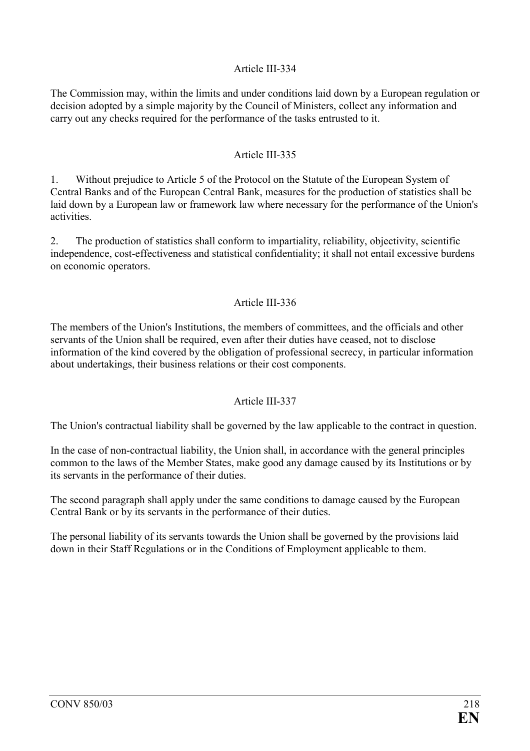The Commission may, within the limits and under conditions laid down by a European regulation or decision adopted by a simple majority by the Council of Ministers, collect any information and carry out any checks required for the performance of the tasks entrusted to it.

#### Article III-335

1. Without prejudice to Article 5 of the Protocol on the Statute of the European System of Central Banks and of the European Central Bank, measures for the production of statistics shall be laid down by a European law or framework law where necessary for the performance of the Union's activities.

2. The production of statistics shall conform to impartiality, reliability, objectivity, scientific independence, cost-effectiveness and statistical confidentiality; it shall not entail excessive burdens on economic operators.

#### Article III-336

The members of the Union's Institutions, the members of committees, and the officials and other servants of the Union shall be required, even after their duties have ceased, not to disclose information of the kind covered by the obligation of professional secrecy, in particular information about undertakings, their business relations or their cost components.

# Article III-337

The Union's contractual liability shall be governed by the law applicable to the contract in question.

In the case of non-contractual liability, the Union shall, in accordance with the general principles common to the laws of the Member States, make good any damage caused by its Institutions or by its servants in the performance of their duties.

The second paragraph shall apply under the same conditions to damage caused by the European Central Bank or by its servants in the performance of their duties.

The personal liability of its servants towards the Union shall be governed by the provisions laid down in their Staff Regulations or in the Conditions of Employment applicable to them.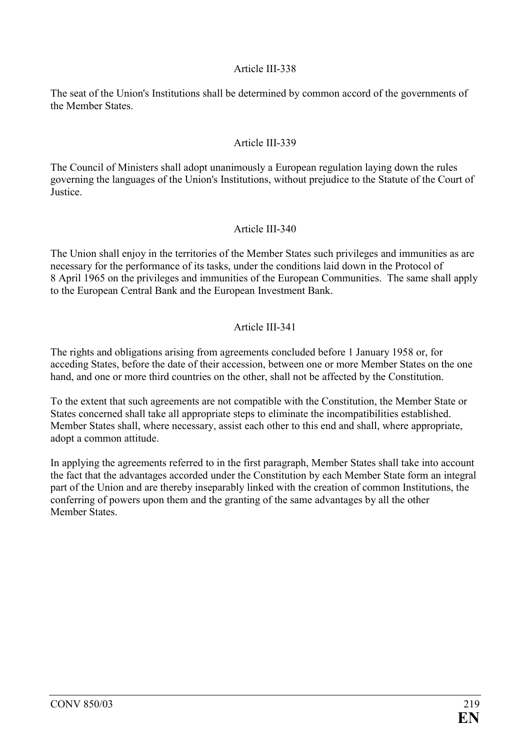The seat of the Union's Institutions shall be determined by common accord of the governments of the Member States.

### Article III-339

The Council of Ministers shall adopt unanimously a European regulation laying down the rules governing the languages of the Union's Institutions, without prejudice to the Statute of the Court of **Justice** 

## Article III-340

The Union shall enjoy in the territories of the Member States such privileges and immunities as are necessary for the performance of its tasks, under the conditions laid down in the Protocol of 8 April 1965 on the privileges and immunities of the European Communities. The same shall apply to the European Central Bank and the European Investment Bank.

## Article III-341

The rights and obligations arising from agreements concluded before 1 January 1958 or, for acceding States, before the date of their accession, between one or more Member States on the one hand, and one or more third countries on the other, shall not be affected by the Constitution.

To the extent that such agreements are not compatible with the Constitution, the Member State or States concerned shall take all appropriate steps to eliminate the incompatibilities established. Member States shall, where necessary, assist each other to this end and shall, where appropriate, adopt a common attitude.

In applying the agreements referred to in the first paragraph, Member States shall take into account the fact that the advantages accorded under the Constitution by each Member State form an integral part of the Union and are thereby inseparably linked with the creation of common Institutions, the conferring of powers upon them and the granting of the same advantages by all the other Member States.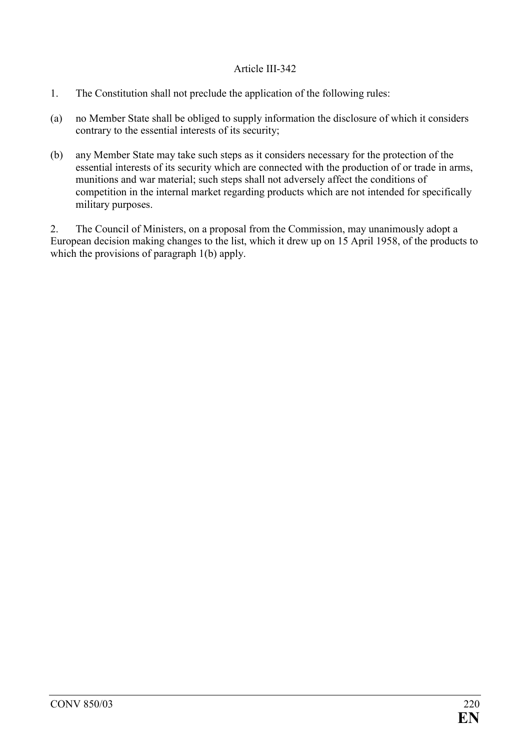- 1. The Constitution shall not preclude the application of the following rules:
- (a) no Member State shall be obliged to supply information the disclosure of which it considers contrary to the essential interests of its security;
- (b) any Member State may take such steps as it considers necessary for the protection of the essential interests of its security which are connected with the production of or trade in arms, munitions and war material; such steps shall not adversely affect the conditions of competition in the internal market regarding products which are not intended for specifically military purposes.

2. The Council of Ministers, on a proposal from the Commission, may unanimously adopt a European decision making changes to the list, which it drew up on 15 April 1958, of the products to which the provisions of paragraph 1(b) apply.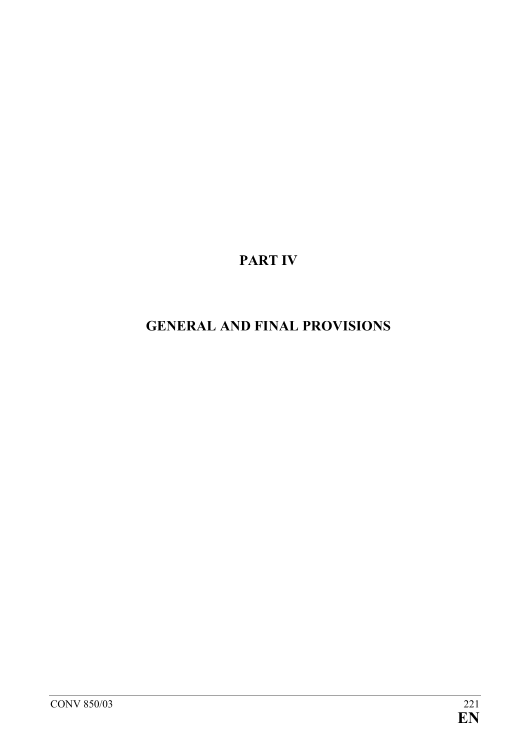# **PART IV**

# **GENERAL AND FINAL PROVISIONS**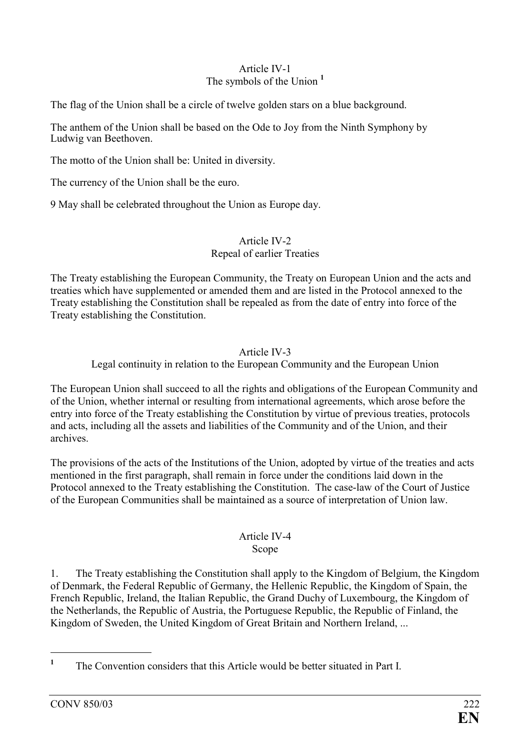# Article IV-1 The symbols of the Union **<sup>1</sup>**

The flag of the Union shall be a circle of twelve golden stars on a blue background.

The anthem of the Union shall be based on the Ode to Joy from the Ninth Symphony by Ludwig van Beethoven.

The motto of the Union shall be: United in diversity.

The currency of the Union shall be the euro.

9 May shall be celebrated throughout the Union as Europe day.

#### Article IV-2 Repeal of earlier Treaties

The Treaty establishing the European Community, the Treaty on European Union and the acts and treaties which have supplemented or amended them and are listed in the Protocol annexed to the Treaty establishing the Constitution shall be repealed as from the date of entry into force of the Treaty establishing the Constitution.

# Article IV-3

Legal continuity in relation to the European Community and the European Union

The European Union shall succeed to all the rights and obligations of the European Community and of the Union, whether internal or resulting from international agreements, which arose before the entry into force of the Treaty establishing the Constitution by virtue of previous treaties, protocols and acts, including all the assets and liabilities of the Community and of the Union, and their archives.

The provisions of the acts of the Institutions of the Union, adopted by virtue of the treaties and acts mentioned in the first paragraph, shall remain in force under the conditions laid down in the Protocol annexed to the Treaty establishing the Constitution. The case-law of the Court of Justice of the European Communities shall be maintained as a source of interpretation of Union law.

#### Article IV-4 Scope

1. The Treaty establishing the Constitution shall apply to the Kingdom of Belgium, the Kingdom of Denmark, the Federal Republic of Germany, the Hellenic Republic, the Kingdom of Spain, the French Republic, Ireland, the Italian Republic, the Grand Duchy of Luxembourg, the Kingdom of the Netherlands, the Republic of Austria, the Portuguese Republic, the Republic of Finland, the Kingdom of Sweden, the United Kingdom of Great Britain and Northern Ireland, ...

l

**<sup>1</sup>** The Convention considers that this Article would be better situated in Part I.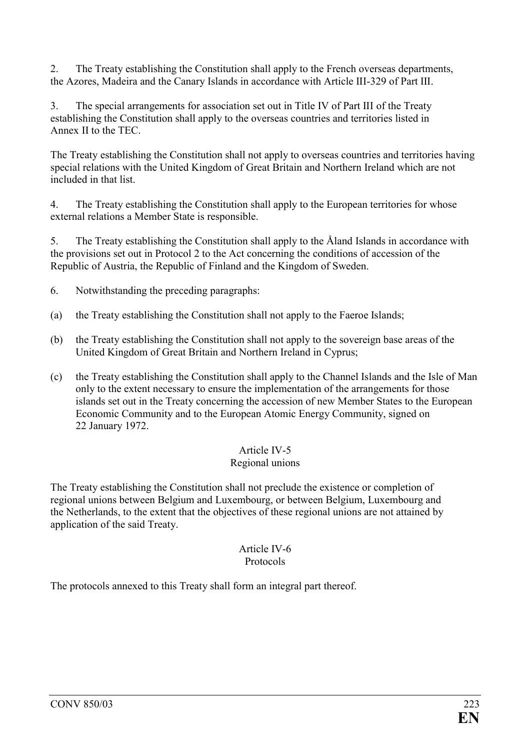2. The Treaty establishing the Constitution shall apply to the French overseas departments, the Azores, Madeira and the Canary Islands in accordance with Article III-329 of Part III.

3. The special arrangements for association set out in Title IV of Part III of the Treaty establishing the Constitution shall apply to the overseas countries and territories listed in Annex II to the TEC.

The Treaty establishing the Constitution shall not apply to overseas countries and territories having special relations with the United Kingdom of Great Britain and Northern Ireland which are not included in that list.

4. The Treaty establishing the Constitution shall apply to the European territories for whose external relations a Member State is responsible.

5. The Treaty establishing the Constitution shall apply to the Åland Islands in accordance with the provisions set out in Protocol 2 to the Act concerning the conditions of accession of the Republic of Austria, the Republic of Finland and the Kingdom of Sweden.

- 6. Notwithstanding the preceding paragraphs:
- (a) the Treaty establishing the Constitution shall not apply to the Faeroe Islands;
- (b) the Treaty establishing the Constitution shall not apply to the sovereign base areas of the United Kingdom of Great Britain and Northern Ireland in Cyprus;
- (c) the Treaty establishing the Constitution shall apply to the Channel Islands and the Isle of Man only to the extent necessary to ensure the implementation of the arrangements for those islands set out in the Treaty concerning the accession of new Member States to the European Economic Community and to the European Atomic Energy Community, signed on 22 January 1972.

#### Article IV-5 Regional unions

The Treaty establishing the Constitution shall not preclude the existence or completion of regional unions between Belgium and Luxembourg, or between Belgium, Luxembourg and the Netherlands, to the extent that the objectives of these regional unions are not attained by application of the said Treaty.

#### Article IV-6 Protocols

The protocols annexed to this Treaty shall form an integral part thereof.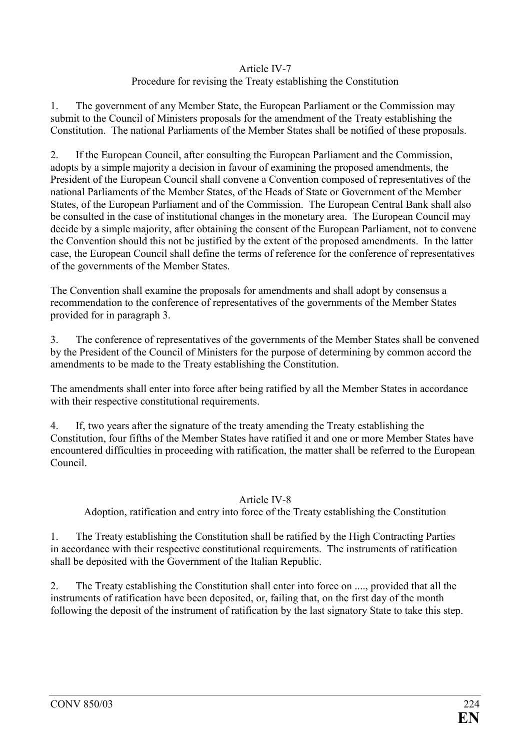# Article IV-7

# Procedure for revising the Treaty establishing the Constitution

1. The government of any Member State, the European Parliament or the Commission may submit to the Council of Ministers proposals for the amendment of the Treaty establishing the Constitution. The national Parliaments of the Member States shall be notified of these proposals.

2. If the European Council, after consulting the European Parliament and the Commission, adopts by a simple majority a decision in favour of examining the proposed amendments, the President of the European Council shall convene a Convention composed of representatives of the national Parliaments of the Member States, of the Heads of State or Government of the Member States, of the European Parliament and of the Commission. The European Central Bank shall also be consulted in the case of institutional changes in the monetary area. The European Council may decide by a simple majority, after obtaining the consent of the European Parliament, not to convene the Convention should this not be justified by the extent of the proposed amendments. In the latter case, the European Council shall define the terms of reference for the conference of representatives of the governments of the Member States.

The Convention shall examine the proposals for amendments and shall adopt by consensus a recommendation to the conference of representatives of the governments of the Member States provided for in paragraph 3.

3. The conference of representatives of the governments of the Member States shall be convened by the President of the Council of Ministers for the purpose of determining by common accord the amendments to be made to the Treaty establishing the Constitution.

The amendments shall enter into force after being ratified by all the Member States in accordance with their respective constitutional requirements.

4. If, two years after the signature of the treaty amending the Treaty establishing the Constitution, four fifths of the Member States have ratified it and one or more Member States have encountered difficulties in proceeding with ratification, the matter shall be referred to the European Council.

# Article IV-8

Adoption, ratification and entry into force of the Treaty establishing the Constitution

1. The Treaty establishing the Constitution shall be ratified by the High Contracting Parties in accordance with their respective constitutional requirements. The instruments of ratification shall be deposited with the Government of the Italian Republic.

2. The Treaty establishing the Constitution shall enter into force on ...., provided that all the instruments of ratification have been deposited, or, failing that, on the first day of the month following the deposit of the instrument of ratification by the last signatory State to take this step.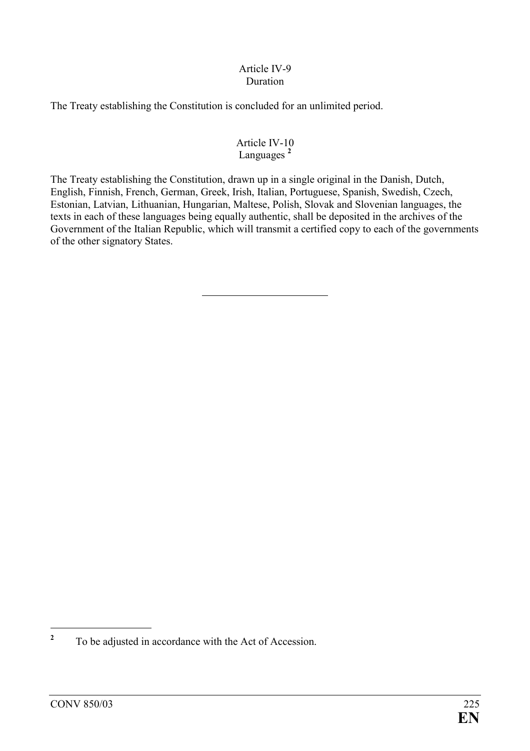### Article IV-9 Duration

The Treaty establishing the Constitution is concluded for an unlimited period.

 $\overline{a}$ 

## Article IV-10 Languages **<sup>2</sup>**

The Treaty establishing the Constitution, drawn up in a single original in the Danish, Dutch, English, Finnish, French, German, Greek, Irish, Italian, Portuguese, Spanish, Swedish, Czech, Estonian, Latvian, Lithuanian, Hungarian, Maltese, Polish, Slovak and Slovenian languages, the texts in each of these languages being equally authentic, shall be deposited in the archives of the Government of the Italian Republic, which will transmit a certified copy to each of the governments of the other signatory States.

 $\overline{a}$ 

<sup>&</sup>lt;sup>2</sup> To be adjusted in accordance with the Act of Accession.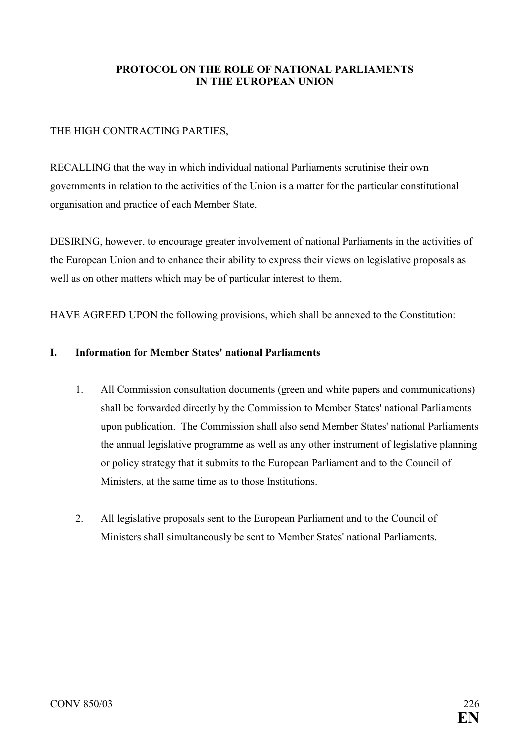## **PROTOCOL ON THE ROLE OF NATIONAL PARLIAMENTS IN THE EUROPEAN UNION**

## THE HIGH CONTRACTING PARTIES,

RECALLING that the way in which individual national Parliaments scrutinise their own governments in relation to the activities of the Union is a matter for the particular constitutional organisation and practice of each Member State,

DESIRING, however, to encourage greater involvement of national Parliaments in the activities of the European Union and to enhance their ability to express their views on legislative proposals as well as on other matters which may be of particular interest to them,

HAVE AGREED UPON the following provisions, which shall be annexed to the Constitution:

## **I. Information for Member States' national Parliaments**

- 1. All Commission consultation documents (green and white papers and communications) shall be forwarded directly by the Commission to Member States' national Parliaments upon publication. The Commission shall also send Member States' national Parliaments the annual legislative programme as well as any other instrument of legislative planning or policy strategy that it submits to the European Parliament and to the Council of Ministers, at the same time as to those Institutions.
- 2. All legislative proposals sent to the European Parliament and to the Council of Ministers shall simultaneously be sent to Member States' national Parliaments.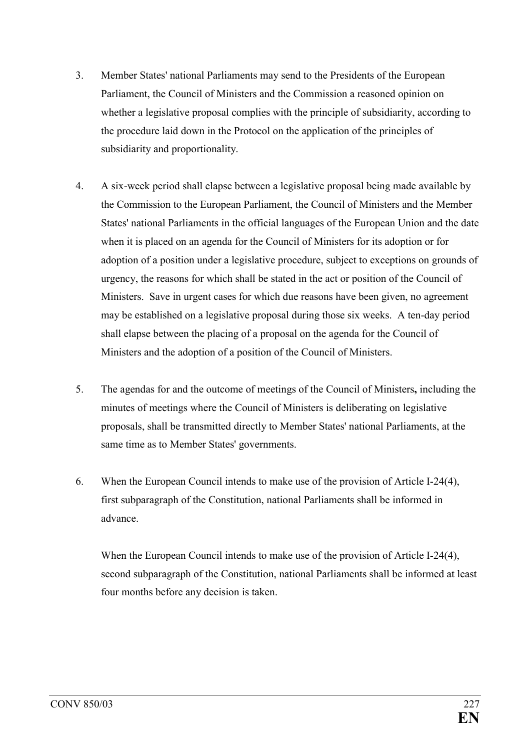- 3. Member States' national Parliaments may send to the Presidents of the European Parliament, the Council of Ministers and the Commission a reasoned opinion on whether a legislative proposal complies with the principle of subsidiarity, according to the procedure laid down in the Protocol on the application of the principles of subsidiarity and proportionality.
- 4. A six-week period shall elapse between a legislative proposal being made available by the Commission to the European Parliament, the Council of Ministers and the Member States' national Parliaments in the official languages of the European Union and the date when it is placed on an agenda for the Council of Ministers for its adoption or for adoption of a position under a legislative procedure, subject to exceptions on grounds of urgency, the reasons for which shall be stated in the act or position of the Council of Ministers. Save in urgent cases for which due reasons have been given, no agreement may be established on a legislative proposal during those six weeks. A ten-day period shall elapse between the placing of a proposal on the agenda for the Council of Ministers and the adoption of a position of the Council of Ministers.
- 5. The agendas for and the outcome of meetings of the Council of Ministers**,** including the minutes of meetings where the Council of Ministers is deliberating on legislative proposals, shall be transmitted directly to Member States' national Parliaments, at the same time as to Member States' governments.
- 6. When the European Council intends to make use of the provision of Article I-24(4), first subparagraph of the Constitution, national Parliaments shall be informed in advance.

When the European Council intends to make use of the provision of Article I-24(4), second subparagraph of the Constitution, national Parliaments shall be informed at least four months before any decision is taken.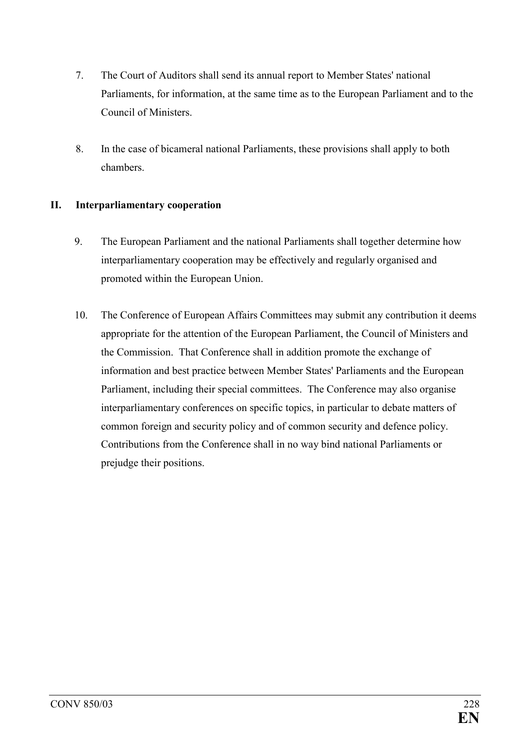- 7. The Court of Auditors shall send its annual report to Member States' national Parliaments, for information, at the same time as to the European Parliament and to the Council of Ministers.
- 8. In the case of bicameral national Parliaments, these provisions shall apply to both chambers.

# **II. Interparliamentary cooperation**

- 9. The European Parliament and the national Parliaments shall together determine how interparliamentary cooperation may be effectively and regularly organised and promoted within the European Union.
- 10. The Conference of European Affairs Committees may submit any contribution it deems appropriate for the attention of the European Parliament, the Council of Ministers and the Commission. That Conference shall in addition promote the exchange of information and best practice between Member States' Parliaments and the European Parliament, including their special committees. The Conference may also organise interparliamentary conferences on specific topics, in particular to debate matters of common foreign and security policy and of common security and defence policy. Contributions from the Conference shall in no way bind national Parliaments or prejudge their positions.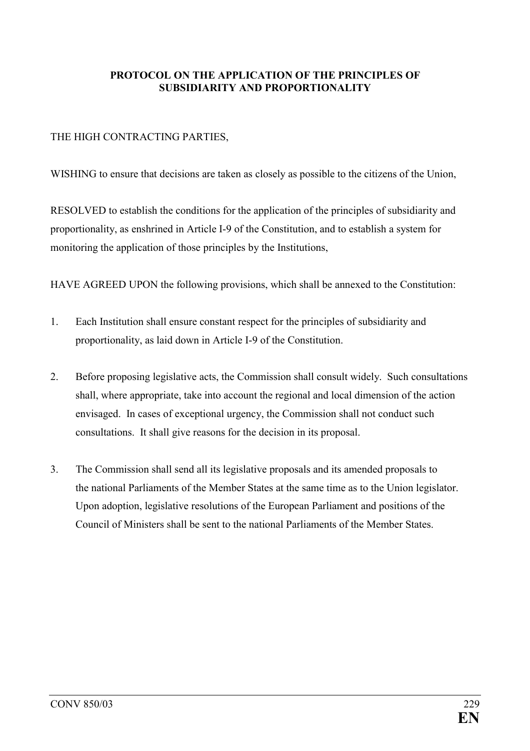# **PROTOCOL ON THE APPLICATION OF THE PRINCIPLES OF SUBSIDIARITY AND PROPORTIONALITY**

# THE HIGH CONTRACTING PARTIES,

WISHING to ensure that decisions are taken as closely as possible to the citizens of the Union,

RESOLVED to establish the conditions for the application of the principles of subsidiarity and proportionality, as enshrined in Article I-9 of the Constitution, and to establish a system for monitoring the application of those principles by the Institutions,

HAVE AGREED UPON the following provisions, which shall be annexed to the Constitution:

- 1. Each Institution shall ensure constant respect for the principles of subsidiarity and proportionality, as laid down in Article I-9 of the Constitution.
- 2. Before proposing legislative acts, the Commission shall consult widely. Such consultations shall, where appropriate, take into account the regional and local dimension of the action envisaged. In cases of exceptional urgency, the Commission shall not conduct such consultations. It shall give reasons for the decision in its proposal.
- 3. The Commission shall send all its legislative proposals and its amended proposals to the national Parliaments of the Member States at the same time as to the Union legislator. Upon adoption, legislative resolutions of the European Parliament and positions of the Council of Ministers shall be sent to the national Parliaments of the Member States.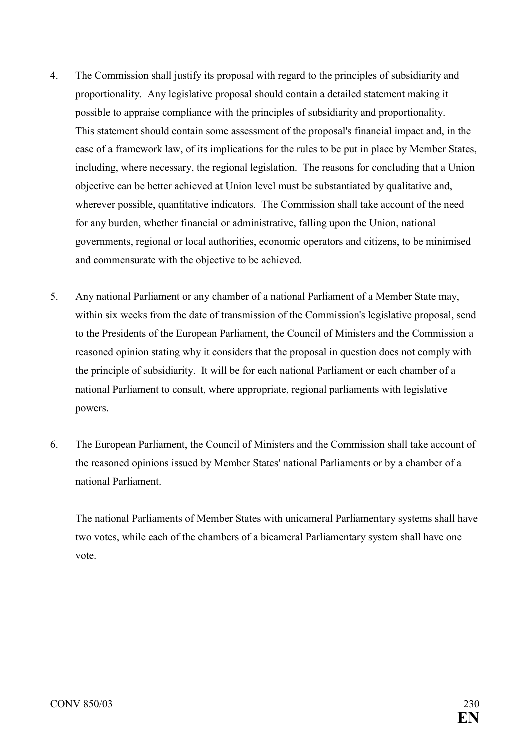- 4. The Commission shall justify its proposal with regard to the principles of subsidiarity and proportionality. Any legislative proposal should contain a detailed statement making it possible to appraise compliance with the principles of subsidiarity and proportionality. This statement should contain some assessment of the proposal's financial impact and, in the case of a framework law, of its implications for the rules to be put in place by Member States, including, where necessary, the regional legislation. The reasons for concluding that a Union objective can be better achieved at Union level must be substantiated by qualitative and, wherever possible, quantitative indicators. The Commission shall take account of the need for any burden, whether financial or administrative, falling upon the Union, national governments, regional or local authorities, economic operators and citizens, to be minimised and commensurate with the objective to be achieved.
- 5. Any national Parliament or any chamber of a national Parliament of a Member State may, within six weeks from the date of transmission of the Commission's legislative proposal, send to the Presidents of the European Parliament, the Council of Ministers and the Commission a reasoned opinion stating why it considers that the proposal in question does not comply with the principle of subsidiarity. It will be for each national Parliament or each chamber of a national Parliament to consult, where appropriate, regional parliaments with legislative powers.
- 6. The European Parliament, the Council of Ministers and the Commission shall take account of the reasoned opinions issued by Member States' national Parliaments or by a chamber of a national Parliament.

The national Parliaments of Member States with unicameral Parliamentary systems shall have two votes, while each of the chambers of a bicameral Parliamentary system shall have one vote.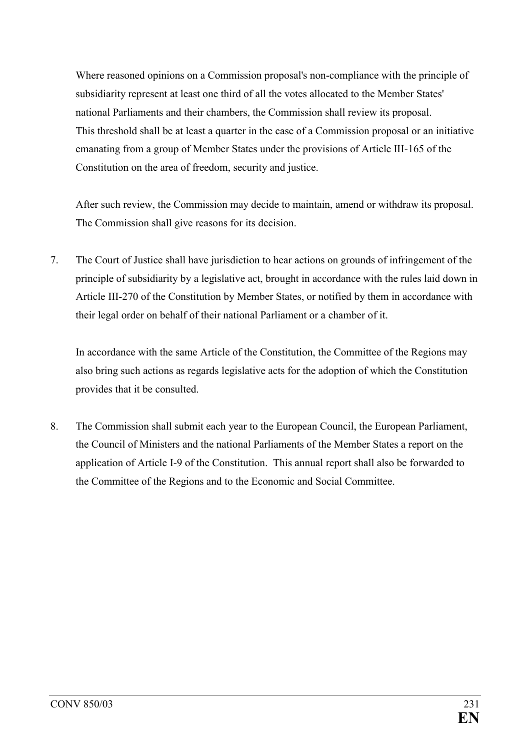Where reasoned opinions on a Commission proposal's non-compliance with the principle of subsidiarity represent at least one third of all the votes allocated to the Member States' national Parliaments and their chambers, the Commission shall review its proposal. This threshold shall be at least a quarter in the case of a Commission proposal or an initiative emanating from a group of Member States under the provisions of Article III-165 of the Constitution on the area of freedom, security and justice.

After such review, the Commission may decide to maintain, amend or withdraw its proposal. The Commission shall give reasons for its decision.

7. The Court of Justice shall have jurisdiction to hear actions on grounds of infringement of the principle of subsidiarity by a legislative act, brought in accordance with the rules laid down in Article III-270 of the Constitution by Member States, or notified by them in accordance with their legal order on behalf of their national Parliament or a chamber of it.

In accordance with the same Article of the Constitution, the Committee of the Regions may also bring such actions as regards legislative acts for the adoption of which the Constitution provides that it be consulted.

8. The Commission shall submit each year to the European Council, the European Parliament, the Council of Ministers and the national Parliaments of the Member States a report on the application of Article I-9 of the Constitution. This annual report shall also be forwarded to the Committee of the Regions and to the Economic and Social Committee.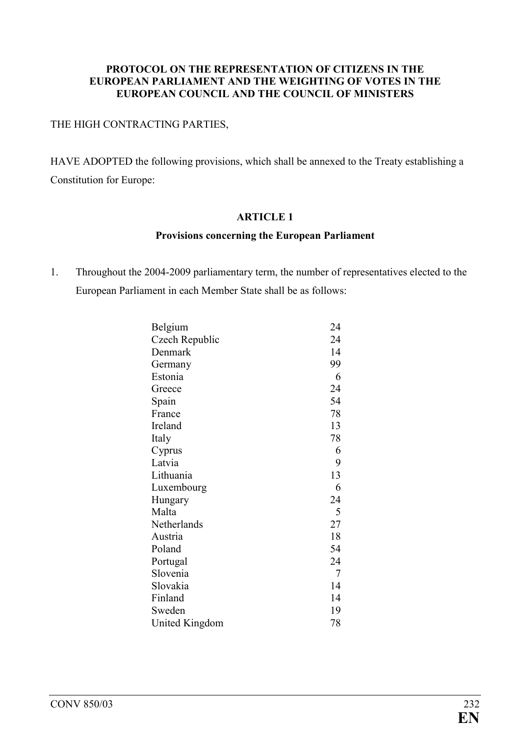#### **PROTOCOL ON THE REPRESENTATION OF CITIZENS IN THE EUROPEAN PARLIAMENT AND THE WEIGHTING OF VOTES IN THE EUROPEAN COUNCIL AND THE COUNCIL OF MINISTERS**

# THE HIGH CONTRACTING PARTIES,

HAVE ADOPTED the following provisions, which shall be annexed to the Treaty establishing a Constitution for Europe:

## **ARTICLE 1**

#### **Provisions concerning the European Parliament**

1. Throughout the 2004-2009 parliamentary term, the number of representatives elected to the European Parliament in each Member State shall be as follows:

| Belgium               | 24             |
|-----------------------|----------------|
| Czech Republic        | 24             |
| Denmark               | 14             |
| Germany               | 99             |
| Estonia               | 6              |
| Greece                | 24             |
| Spain                 | 54             |
| France                | 78             |
| Ireland               | 13             |
| Italy                 | 78             |
| Cyprus                | 6              |
| Latvia                | 9              |
| Lithuania             | 13             |
| Luxembourg            | 6              |
| Hungary               | 24             |
| Malta                 | 5              |
| Netherlands           | 27             |
| Austria               | 18             |
| Poland                | 54             |
| Portugal              | 24             |
| Slovenia              | $\overline{7}$ |
| Slovakia              | 14             |
| Finland               | 14             |
| Sweden                | 19             |
| <b>United Kingdom</b> | 78             |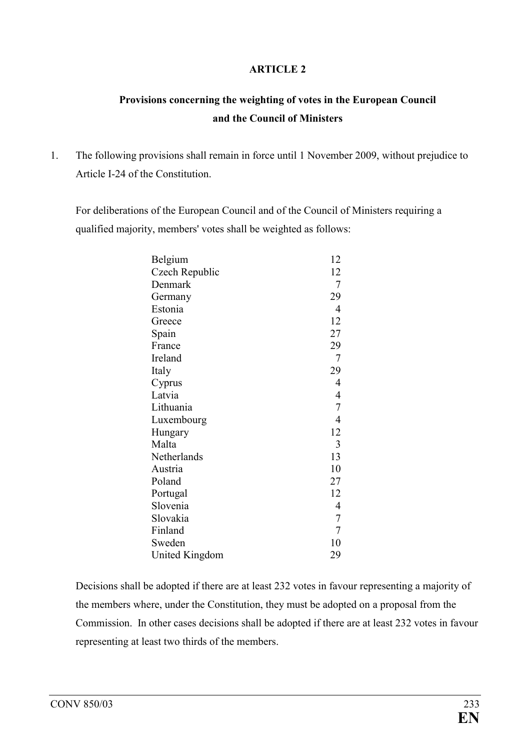# **ARTICLE 2**

# **Provisions concerning the weighting of votes in the European Council and the Council of Ministers**

1. The following provisions shall remain in force until 1 November 2009, without prejudice to Article I-24 of the Constitution.

For deliberations of the European Council and of the Council of Ministers requiring a qualified majority, members' votes shall be weighted as follows:

| Belgium        | 12                       |
|----------------|--------------------------|
| Czech Republic | 12                       |
| Denmark        | 7                        |
| Germany        | 29                       |
| Estonia        | $\overline{4}$           |
| Greece         | 12                       |
| Spain          | 27                       |
| France         | 29                       |
| Ireland        | $\overline{7}$           |
| Italy          | 29                       |
| Cyprus         | 4                        |
| Latvia         | $\overline{\mathcal{A}}$ |
| Lithuania      | $\boldsymbol{7}$         |
| Luxembourg     | $\overline{4}$           |
| Hungary        | 12                       |
| Malta          | 3                        |
| Netherlands    | 13                       |
| Austria        | 10                       |
| Poland         | 27                       |
| Portugal       | 12                       |
| Slovenia       | 4                        |
| Slovakia       | $\boldsymbol{7}$         |
| Finland        | 7                        |
| Sweden         | 10                       |
| United Kingdom | 29                       |

Decisions shall be adopted if there are at least 232 votes in favour representing a majority of the members where, under the Constitution, they must be adopted on a proposal from the Commission. In other cases decisions shall be adopted if there are at least 232 votes in favour representing at least two thirds of the members.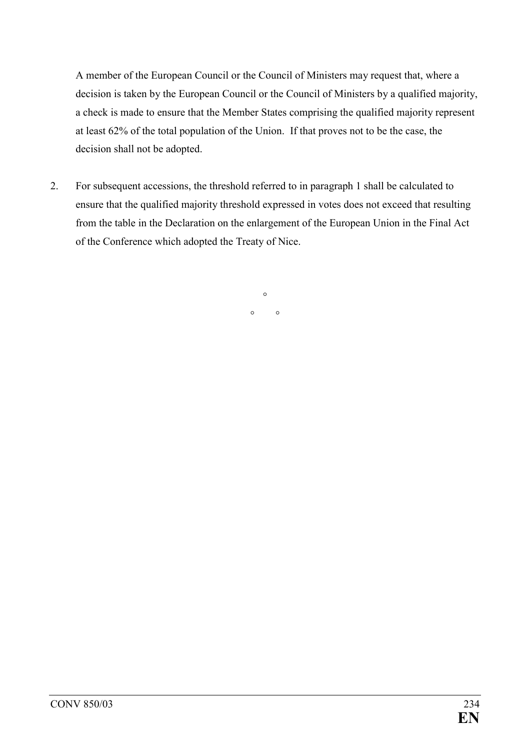A member of the European Council or the Council of Ministers may request that, where a decision is taken by the European Council or the Council of Ministers by a qualified majority, a check is made to ensure that the Member States comprising the qualified majority represent at least 62% of the total population of the Union. If that proves not to be the case, the decision shall not be adopted.

2. For subsequent accessions, the threshold referred to in paragraph 1 shall be calculated to ensure that the qualified majority threshold expressed in votes does not exceed that resulting from the table in the Declaration on the enlargement of the European Union in the Final Act of the Conference which adopted the Treaty of Nice.

> °  $\circ$   $\circ$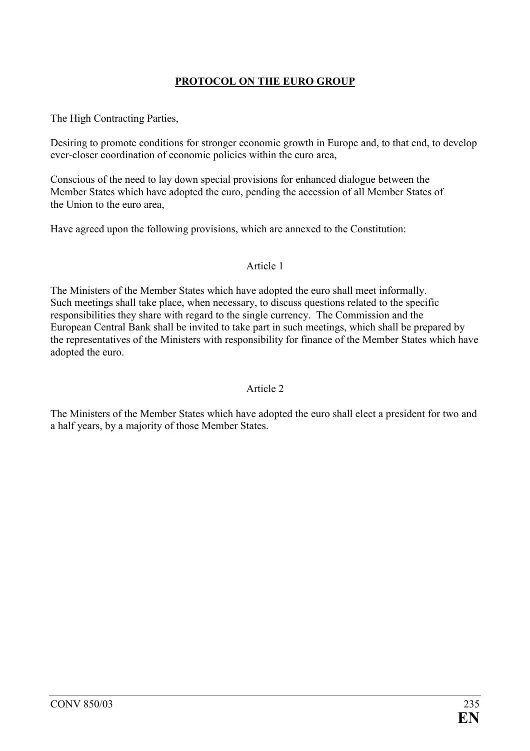# **PROTOCOL ON THE EURO GROUP**

The High Contracting Parties,

Desiring to promote conditions for stronger economic growth in Europe and, to that end, to develop ever-closer coordination of economic policies within the euro area,

Conscious of the need to lay down special provisions for enhanced dialogue between the Member States which have adopted the euro, pending the accession of all Member States of the Union to the euro area,

Have agreed upon the following provisions, which are annexed to the Constitution:

#### Article 1

The Ministers of the Member States which have adopted the euro shall meet informally. Such meetings shall take place, when necessary, to discuss questions related to the specific responsibilities they share with regard to the single currency. The Commission and the European Central Bank shall be invited to take part in such meetings, which shall be prepared by the representatives of the Ministers with responsibility for finance of the Member States which have adopted the euro.

#### Article 2

The Ministers of the Member States which have adopted the euro shall elect a president for two and a half years, by a majority of those Member States.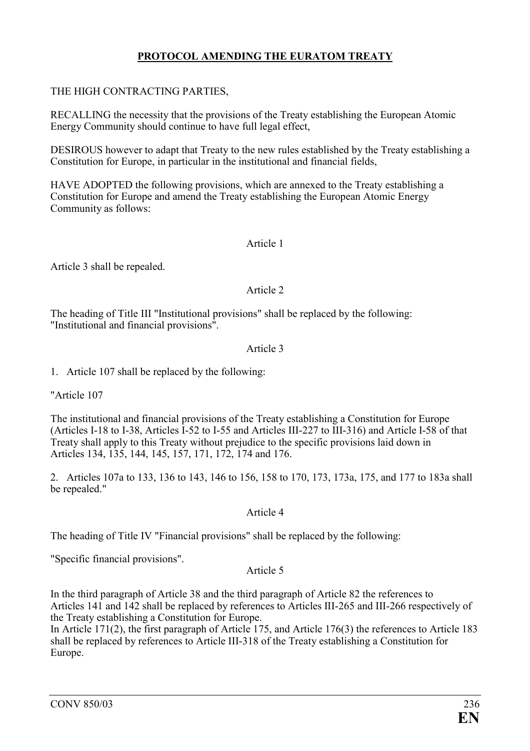# **PROTOCOL AMENDING THE EURATOM TREATY**

#### THE HIGH CONTRACTING PARTIES,

RECALLING the necessity that the provisions of the Treaty establishing the European Atomic Energy Community should continue to have full legal effect,

DESIROUS however to adapt that Treaty to the new rules established by the Treaty establishing a Constitution for Europe, in particular in the institutional and financial fields,

HAVE ADOPTED the following provisions, which are annexed to the Treaty establishing a Constitution for Europe and amend the Treaty establishing the European Atomic Energy Community as follows:

#### Article 1

Article 3 shall be repealed.

#### Article 2

The heading of Title III "Institutional provisions" shall be replaced by the following: "Institutional and financial provisions".

#### Article 3

1. Article 107 shall be replaced by the following:

"Article 107

The institutional and financial provisions of the Treaty establishing a Constitution for Europe (Articles I-18 to I-38, Articles I-52 to I-55 and Articles III-227 to III-316) and Article I-58 of that Treaty shall apply to this Treaty without prejudice to the specific provisions laid down in Articles 134, 135, 144, 145, 157, 171, 172, 174 and 176.

2. Articles 107a to 133, 136 to 143, 146 to 156, 158 to 170, 173, 173a, 175, and 177 to 183a shall be repealed."

#### Article 4

The heading of Title IV "Financial provisions" shall be replaced by the following:

"Specific financial provisions".

#### Article 5

In the third paragraph of Article 38 and the third paragraph of Article 82 the references to Articles 141 and 142 shall be replaced by references to Articles III-265 and III-266 respectively of the Treaty establishing a Constitution for Europe.

In Article 171(2), the first paragraph of Article 175, and Article 176(3) the references to Article 183 shall be replaced by references to Article III-318 of the Treaty establishing a Constitution for Europe.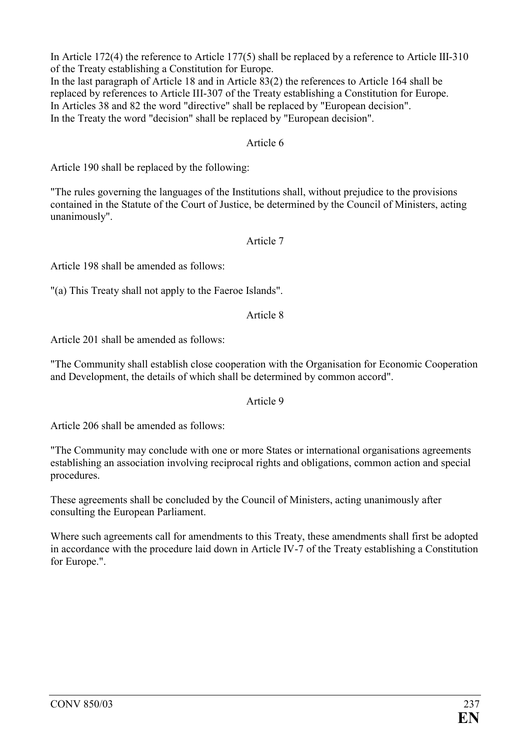In Article 172(4) the reference to Article 177(5) shall be replaced by a reference to Article III-310 of the Treaty establishing a Constitution for Europe. In the last paragraph of Article 18 and in Article 83(2) the references to Article 164 shall be replaced by references to Article III-307 of the Treaty establishing a Constitution for Europe. In Articles 38 and 82 the word "directive" shall be replaced by "European decision". In the Treaty the word "decision" shall be replaced by "European decision".

## Article 6

Article 190 shall be replaced by the following:

"The rules governing the languages of the Institutions shall, without prejudice to the provisions contained in the Statute of the Court of Justice, be determined by the Council of Ministers, acting unanimously".

## Article 7

Article 198 shall be amended as follows:

"(a) This Treaty shall not apply to the Faeroe Islands".

#### Article 8

Article 201 shall be amended as follows:

"The Community shall establish close cooperation with the Organisation for Economic Cooperation and Development, the details of which shall be determined by common accord".

#### Article 9

Article 206 shall be amended as follows:

"The Community may conclude with one or more States or international organisations agreements establishing an association involving reciprocal rights and obligations, common action and special procedures.

These agreements shall be concluded by the Council of Ministers, acting unanimously after consulting the European Parliament.

Where such agreements call for amendments to this Treaty, these amendments shall first be adopted in accordance with the procedure laid down in Article IV-7 of the Treaty establishing a Constitution for Europe.".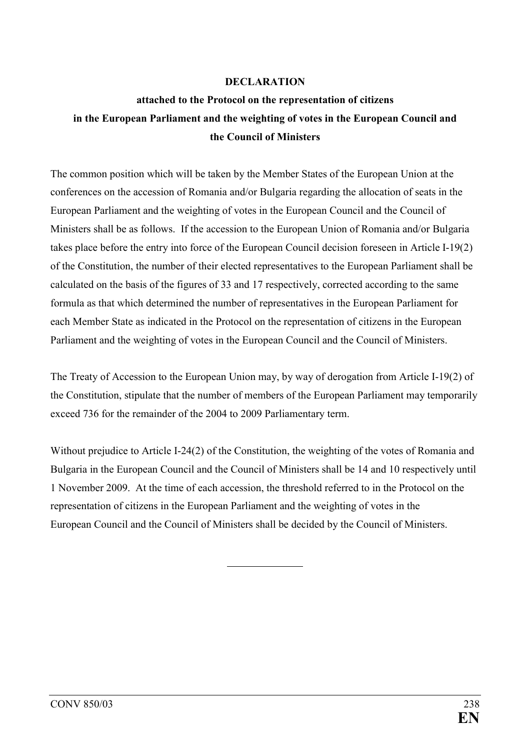# **DECLARATION**

# **attached to the Protocol on the representation of citizens in the European Parliament and the weighting of votes in the European Council and the Council of Ministers**

The common position which will be taken by the Member States of the European Union at the conferences on the accession of Romania and/or Bulgaria regarding the allocation of seats in the European Parliament and the weighting of votes in the European Council and the Council of Ministers shall be as follows. If the accession to the European Union of Romania and/or Bulgaria takes place before the entry into force of the European Council decision foreseen in Article I-19(2) of the Constitution, the number of their elected representatives to the European Parliament shall be calculated on the basis of the figures of 33 and 17 respectively, corrected according to the same formula as that which determined the number of representatives in the European Parliament for each Member State as indicated in the Protocol on the representation of citizens in the European Parliament and the weighting of votes in the European Council and the Council of Ministers.

The Treaty of Accession to the European Union may, by way of derogation from Article I-19(2) of the Constitution, stipulate that the number of members of the European Parliament may temporarily exceed 736 for the remainder of the 2004 to 2009 Parliamentary term.

Without prejudice to Article I-24(2) of the Constitution, the weighting of the votes of Romania and Bulgaria in the European Council and the Council of Ministers shall be 14 and 10 respectively until 1 November 2009. At the time of each accession, the threshold referred to in the Protocol on the representation of citizens in the European Parliament and the weighting of votes in the European Council and the Council of Ministers shall be decided by the Council of Ministers.

 $\overline{a}$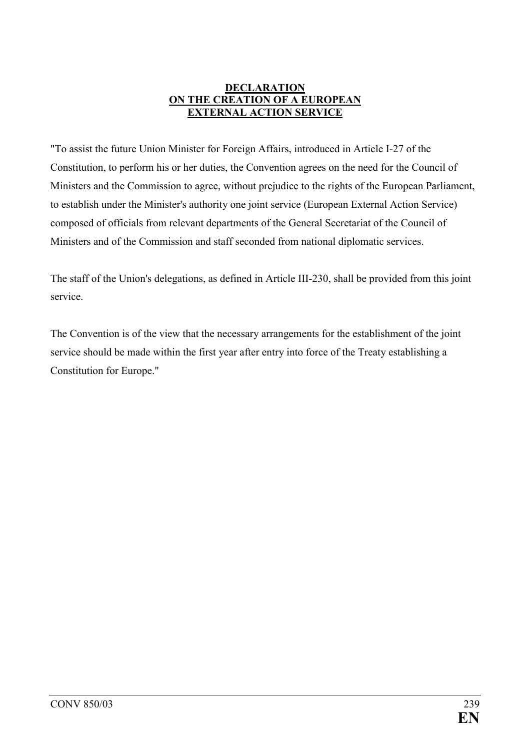## **DECLARATION ON THE CREATION OF A EUROPEAN EXTERNAL ACTION SERVICE**

"To assist the future Union Minister for Foreign Affairs, introduced in Article I-27 of the Constitution, to perform his or her duties, the Convention agrees on the need for the Council of Ministers and the Commission to agree, without prejudice to the rights of the European Parliament, to establish under the Minister's authority one joint service (European External Action Service) composed of officials from relevant departments of the General Secretariat of the Council of Ministers and of the Commission and staff seconded from national diplomatic services.

The staff of the Union's delegations, as defined in Article III-230, shall be provided from this joint service.

The Convention is of the view that the necessary arrangements for the establishment of the joint service should be made within the first year after entry into force of the Treaty establishing a Constitution for Europe."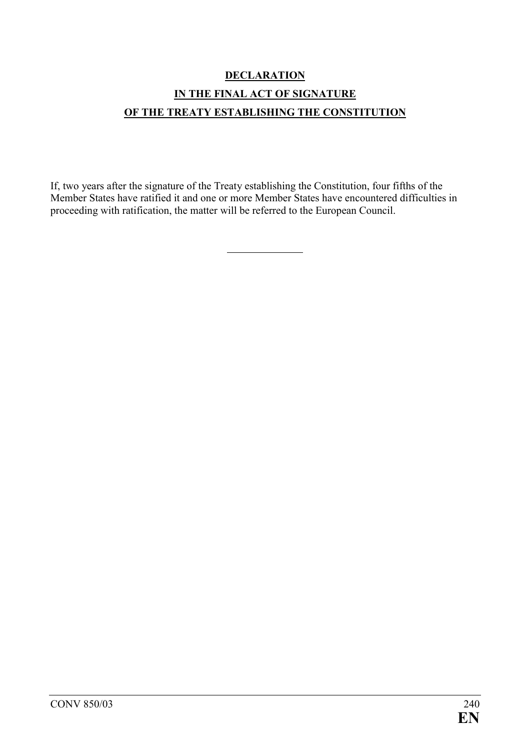# **DECLARATION IN THE FINAL ACT OF SIGNATURE OF THE TREATY ESTABLISHING THE CONSTITUTION**

If, two years after the signature of the Treaty establishing the Constitution, four fifths of the Member States have ratified it and one or more Member States have encountered difficulties in proceeding with ratification, the matter will be referred to the European Council.

l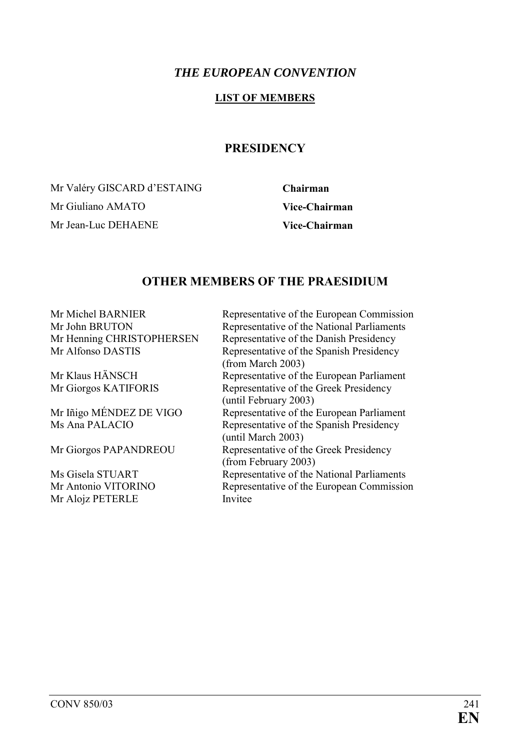# *THE EUROPEAN CONVENTION*

# **LIST OF MEMBERS**

# **PRESIDENCY**

Mr Valéry GISCARD d'ESTAING **Chairman** Mr Giuliano AMATO **Vice-Chairman** Mr Jean-Luc DEHAENE **Vice-Chairman**

# **OTHER MEMBERS OF THE PRAESIDIUM**

| Mr Michel BARNIER         | Representative of the European Commission  |
|---------------------------|--------------------------------------------|
| Mr John BRUTON            | Representative of the National Parliaments |
| Mr Henning CHRISTOPHERSEN | Representative of the Danish Presidency    |
| Mr Alfonso DASTIS         | Representative of the Spanish Presidency   |
|                           | (from March 2003)                          |
| Mr Klaus HÄNSCH           | Representative of the European Parliament  |
| Mr Giorgos KATIFORIS      | Representative of the Greek Presidency     |
|                           | (until February 2003)                      |
| Mr Iñigo MÉNDEZ DE VIGO   | Representative of the European Parliament  |
| Ms Ana PALACIO            | Representative of the Spanish Presidency   |
|                           | (until March 2003)                         |
| Mr Giorgos PAPANDREOU     | Representative of the Greek Presidency     |
|                           | (from February 2003)                       |
| Ms Gisela STUART          | Representative of the National Parliaments |
| Mr Antonio VITORINO       | Representative of the European Commission  |
| Mr Alojz PETERLE          | Invitee                                    |
|                           |                                            |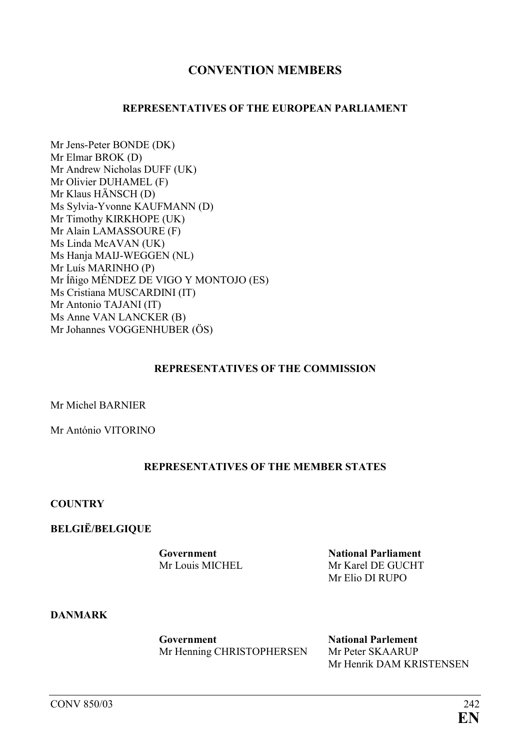# **CONVENTION MEMBERS**

#### **REPRESENTATIVES OF THE EUROPEAN PARLIAMENT**

Mr Jens-Peter BONDE (DK) Mr Elmar BROK (D) Mr Andrew Nicholas DUFF (UK) Mr Olivier DUHAMEL (F) Mr Klaus HÄNSCH (D) Ms Sylvia-Yvonne KAUFMANN (D) Mr Timothy KIRKHOPE (UK) Mr Alain LAMASSOURE (F) Ms Linda McAVAN (UK) Ms Hanja MAIJ-WEGGEN (NL) Mr Luís MARINHO (P) Mr Íñigo MÉNDEZ DE VIGO Y MONTOJO (ES) Ms Cristiana MUSCARDINI (IT) Mr Antonio TAJANI (IT) Ms Anne VAN LANCKER (B) Mr Johannes VOGGENHUBER (ÖS)

#### **REPRESENTATIVES OF THE COMMISSION**

Mr Michel BARNIER

Mr António VITORINO

#### **REPRESENTATIVES OF THE MEMBER STATES**

**COUNTRY**

#### **BELGIÀ/BELGIQUE**

**Government National Parliament** Mr Louis MICHEL Mr Karel DE GUCHT Mr Elio DI RUPO

**DANMARK**

**Government National Parlement** Mr Henning CHRISTOPHERSEN Mr Peter SKAARUP

Mr Henrik DAM KRISTENSEN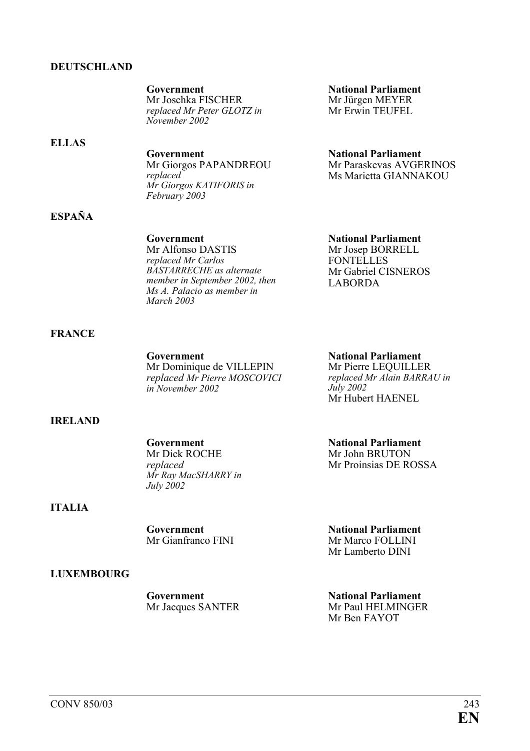#### **DEUTSCHLAND**

**Government National Parliament** Mr Joschka FISCHER *replaced Mr Peter GLOTZ in November 2002*

#### **ELLAS**

Mr Giorgos PAPANDREOU *replaced Mr Giorgos KATIFORIS in February 2003*

#### **ESPAÑA**

Mr Alfonso DASTIS *replaced Mr Carlos BASTARRECHE as alternate member in September 2002, then Ms A. Palacio as member in March 2003*

#### **FRANCE**

Mr Dominique de VILLEPIN *replaced Mr Pierre MOSCOVICI in November 2002*

#### **IRELAND**

Mr Dick ROCHE *replaced Mr Ray MacSHARRY in July 2002*

#### **ITALIA**

#### **LUXEMBOURG**

Mr Jürgen MEYER Mr Erwin TEUFEL

#### **Government National Parliament**

Mr Paraskevas AVGERINOS Ms Marietta GIANNAKOU

#### **Government National Parliament**

Mr Josep BORRELL **FONTELLES** Mr Gabriel CISNEROS LABORDA

#### **Government National Parliament**

Mr Pierre LEQUILLER *replaced Mr Alain BARRAU in July 2002* Mr Hubert HAENEL

# **Government National Parliament**

Mr John BRUTON Mr Proinsias DE ROSSA

**Government**<br>
Mr Gianfranco FINI<br>
Mr Marco FOLLINI Mr Marco FOLLINI Mr Lamberto DINI

**Government National Parliament** Mr Jacques SANTER Mr Paul HELMINGER Mr Ben FAYOT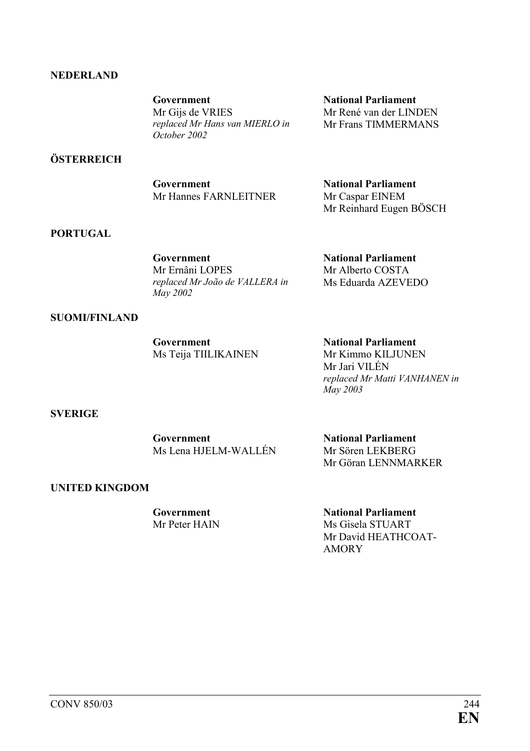#### **NEDERLAND**

**Government National Parliament** Mr Gijs de VRIES *replaced Mr Hans van MIERLO in October 2002*

Mr RenÈ van der LINDEN Mr Frans TIMMERMANS

### **ÖSTERREICH**

**Government National Parliament** Mr Hannes FARNLEITNER Mr Caspar EINEM

Mr Reinhard Eugen BÖSCH

#### **PORTUGAL**

**Government National Parliament** Mr Ernâni LOPES *replaced Mr Jo"o de VALLERA in May 2002*

Mr Alberto COSTA Ms Eduarda AZEVEDO

#### **SUOMI/FINLAND**

**Government National Parliament** Ms Teija TIILIKAINEN Mr Kimmo KILJUNEN

Mr Jari VILÉN *replaced Mr Matti VANHANEN in May 2003*

#### **SVERIGE**

**Government National Parliament** Ms Lena HJELM-WALLÉN Mr Sören LEKBERG

Mr Göran LENNMARKER

#### **UNITED KINGDOM**

# **Government National Parliament**

Mr Peter HAIN Ms Gisela STUART Mr David HEATHCOAT-AMORY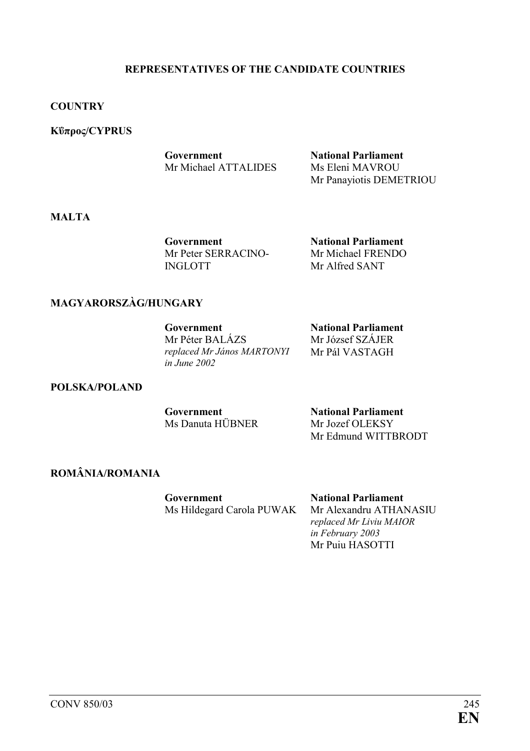### **REPRESENTATIVES OF THE CANDIDATE COUNTRIES**

#### **COUNTRY**

#### **Kΰπρoς/CYPRUS**

**Government National Parliament** Mr Michael ATTALIDES Ms Eleni MAVROU

Mr Panayiotis DEMETRIOU

#### **MALTA**

**Government National Parliament** Mr Peter SERRACINO-INGLOTT

Mr Michael FRENDO Mr Alfred SANT

# **MAGYARORSZÀG/HUNGARY**

**Government National Parliament** Mr Péter BALÁZS  $replaced Mr János MARTONYI$ *in June 2002*

Mr József SZÁJER Mr Pál VASTAGH

#### **POLSKA/POLAND**

Ms Danuta HÜBNER Mr Jozef OLEKSY

**Government National Parliament** Mr Edmund WITTBRODT

**ROMÂNIA/ROMANIA** 

**Government National Parliament** Ms Hildegard Carola PUWAK Mr Alexandru ATHANASIU

# *replaced Mr Liviu MAIOR in February 2003* Mr Puiu HASOTTI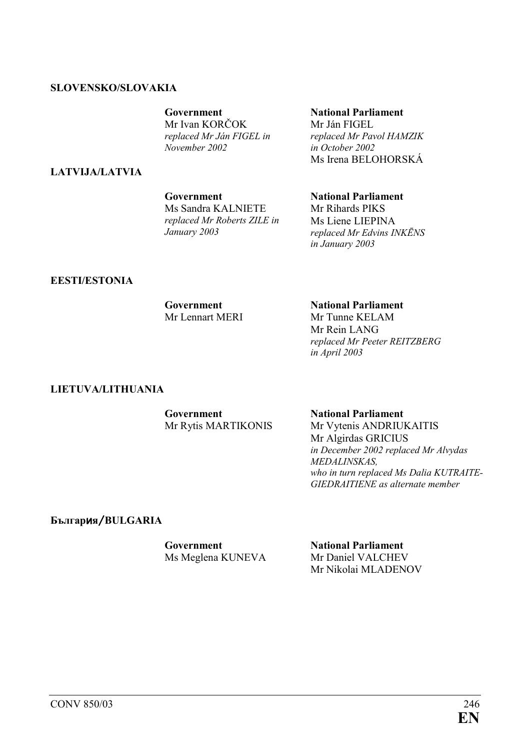#### **SLOVENSKO/SLOVAKIA**

**Government National Parliament** Mr Ivan KORČOK  $replaced Mr$  Ján FIGEL in *November 2002*

# **LATVIJA/LATVIA**

**Government National Parliament** Ms Sandra KALNIETE *replaced Mr Roberts ZILE in January 2003*

Mr Ján FIGEL *replaced Mr Pavol HAMZIK in October 2002* Ms Irena BELOHORSKÁ

Mr Rihards PIKS Ms Liene LIEPINA *replaced Mr Edvins INKĒNS in January 2003*

#### **EESTI/ESTONIA**

Mr Lennart MERI Mr Tunne KELAM

#### **Government National Parliament**

Mr Rein LANG *replaced Mr Peeter REITZBERG in April 2003*

#### **LIETUVA/LITHUANIA**

### **Government National Parliament**

Mr Rytis MARTIKONIS Mr Vytenis ANDRIUKAITIS Mr Algirdas GRICIUS *in December 2002 replaced Mr Alvydas MEDALINSKAS, who in turn replaced Ms Dalia KUTRAITE-GIEDRAITIENE as alternate member*

#### **Бългap**и**я**/**BULGARIA**

**Government National Parliament** Ms Meglena KUNEVA Mr Daniel VALCHEV

Mr Nikolai MLADENOV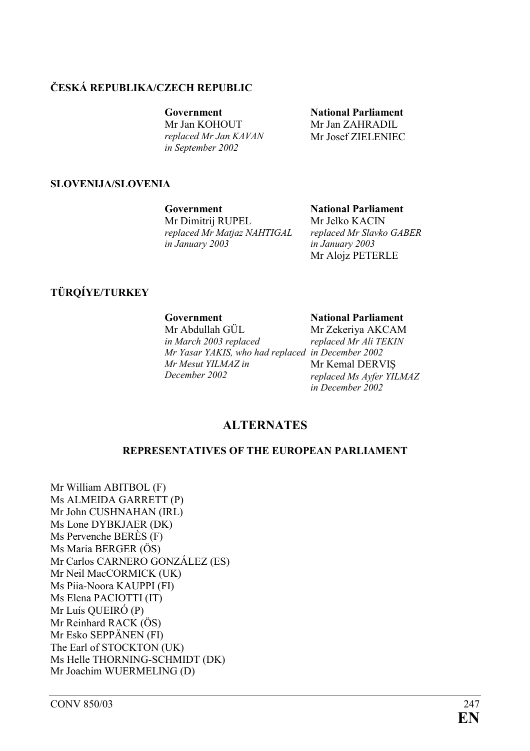# **ČESK£ REPUBLIKA/CZECH REPUBLIC**

**Government National Parliament** Mr Jan KOHOUT *replaced Mr Jan KAVAN in September 2002*

Mr Jan ZAHRADIL Mr Josef ZIELENIEC

#### **SLOVENIJA/SLOVENIA**

**Government National Parliament** Mr Dimitrij RUPEL *replaced Mr Matjaz NAHTIGAL in January 2003*

Mr Jelko KACIN *replaced Mr Slavko GABER in January 2003* Mr Alojz PETERLE

# **TÜROÍYE/TURKEY**

Mr Abdullah GÜL *in March 2003 replaced Mr Yasar YAKIS, who had replaced in December 2002 Mr Mesut YILMAZ in December 2002*

# **Government National Parliament**

Mr Zekeriya AKCAM *replaced Mr Ali TEKIN* Mr Kemal DERVIŞ *replaced Ms Ayfer YILMAZ in December 2002*

# **ALTERNATES**

#### **REPRESENTATIVES OF THE EUROPEAN PARLIAMENT**

Mr William ABITBOL (F) Ms ALMEIDA GARRETT (P) Mr John CUSHNAHAN (IRL) Ms Lone DYBKJAER (DK)  $Ms$  Pervenche BERÈS  $(F)$ Ms Maria BERGER (ÖS) Mr Carlos CARNERO GONZÁLEZ (ES) Mr Neil MacCORMICK (UK) Ms Piia-Noora KAUPPI (FI) Ms Elena PACIOTTI (IT) Mr Luís QUEIRÓ (P) Mr Reinhard RACK (ÖS) Mr Esko SEPPÄNEN (FI) The Earl of STOCKTON (UK) Ms Helle THORNING-SCHMIDT (DK) Mr Joachim WUERMELING (D)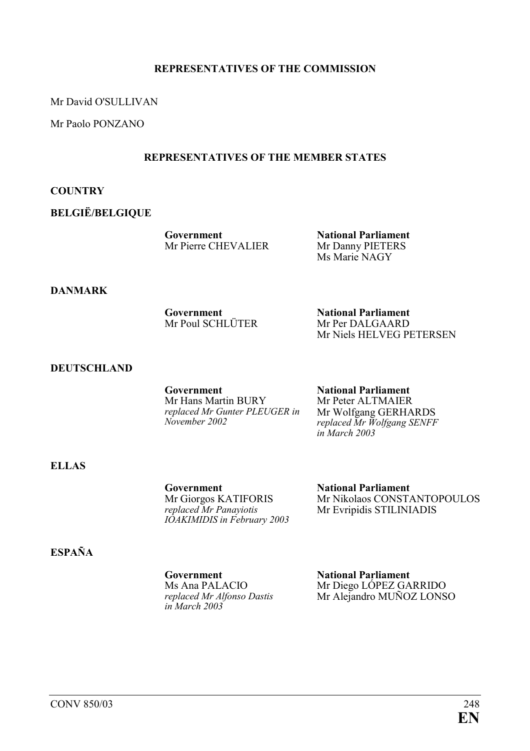#### **REPRESENTATIVES OF THE COMMISSION**

Mr David O'SULLIVAN

Mr Paolo PONZANO

#### **REPRESENTATIVES OF THE MEMBER STATES**

#### **COUNTRY**

#### **BELGIË/BELGIQUE**

**Government National Parliament** Mr Pierre CHEVALIER Mr Danny PIETERS

Ms Marie NAGY

#### **DANMARK**

**Government National Parliament** Mr Poul SCHLÜTER Mr Per DALGAARD

Mr Niels HELVEG PETERSEN

#### **DEUTSCHLAND**

**Government National Parliament** Mr Hans Martin BURY *replaced Mr Gunter PLEUGER in November 2002*

Mr Peter ALTMAIER Mr Wolfgang GERHARDS *replaced Mr Wolfgang SENFF in March 2003*

**ELLAS**

**Government National Parliament** Mr Giorgos KATIFORIS *replaced Mr Panayiotis IOAKIMIDIS in February 2003*

Mr Nikolaos CONSTANTOPOULOS Mr Evripidis STILINIADIS

#### **ESPAÑA**

**Government National Parliament** Ms Ana PALACIO *replaced Mr Alfonso Dastis in March 2003*

Mr Diego LÓPEZ GARRIDO Mr Alejandro MUÑOZ LONSO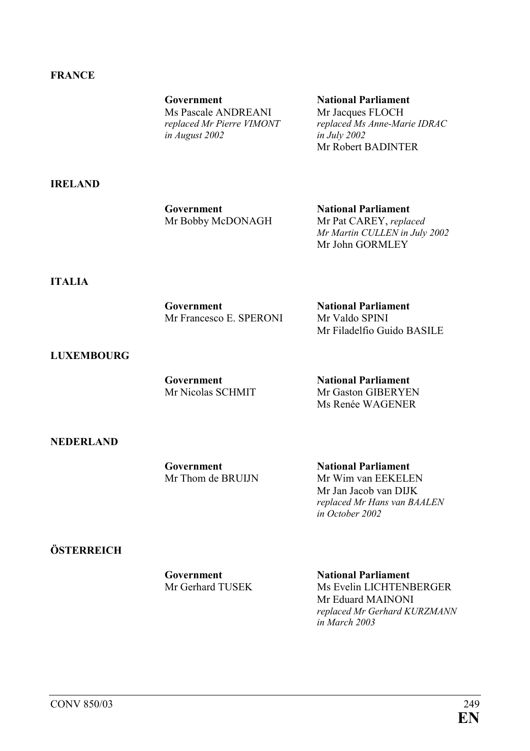#### **FRANCE**

**Government National Parliament** Ms Pascale ANDREANI *replaced Mr Pierre VIMONT in August 2002*

Mr Jacques FLOCH *replaced Ms Anne-Marie IDRAC in July 2002* Mr Robert BADINTER

**IRELAND**

**Government National Parliament**

Mr Bobby McDONAGH Mr Pat CAREY, *replaced Mr Martin CULLEN in July 2002* Mr John GORMLEY

**ITALIA**

**Government National Parliament** Mr Francesco E. SPERONI Mr Valdo SPINI

#### **LUXEMBOURG**

Mr Nicolas SCHMIT Mr Gaston GIBERYEN

**Government National Parliament**

Mr Filadelfio Guido BASILE

Ms Renée WAGENER

#### **NEDERLAND**

**Government National Parliament**

# Mr Thom de BRUIJN Mr Wim van EEKELEN Mr Jan Jacob van DIJK *replaced Mr Hans van BAALEN in October 2002*

**ÖSTERREICH** 

**Government National Parliament** Mr Gerhard TUSEK Ms Evelin LICHTENBERGER Mr Eduard MAINONI *replaced Mr Gerhard KURZMANN in March 2003*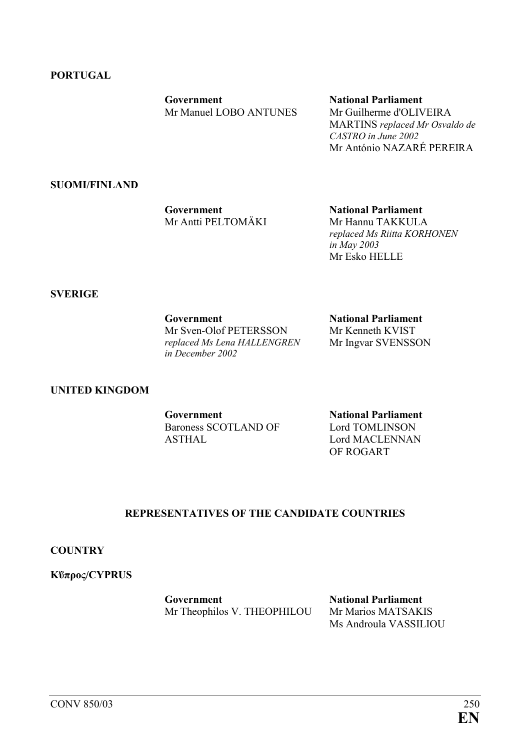### **PORTUGAL**

**Government National Parliament** Mr Manuel LOBO ANTUNES Mr Guilherme d'OLIVEIRA

MARTINS *replaced Mr Osvaldo de CASTRO in June 2002* Mr António NAZARÉ PEREIRA

**SUOMI/FINLAND**

**Government**<br>
Mr Antti PELTOMÄKI<br>
Mr Hannu TAKKULA

Mr Hannu TAKKULA *replaced Ms Riitta KORHONEN in May 2003* Mr Esko HELLE

#### **SVERIGE**

**Government National Parliament** Mr Sven-Olof PETERSSON *replaced Ms Lena HALLENGREN in December 2002*

Mr Kenneth KVIST Mr Ingvar SVENSSON

#### **UNITED KINGDOM**

**Government National Parliament** Baroness SCOTLAND OF ASTHAL

Lord TOMLINSON Lord MACLENNAN OF ROGART

#### **REPRESENTATIVES OF THE CANDIDATE COUNTRIES**

**COUNTRY**

**Kΰπρoς/CYPRUS**

**Government National Parliament** Mr Theophilos V. THEOPHILOU Mr Marios MATSAKIS

Ms Androula VASSILIOU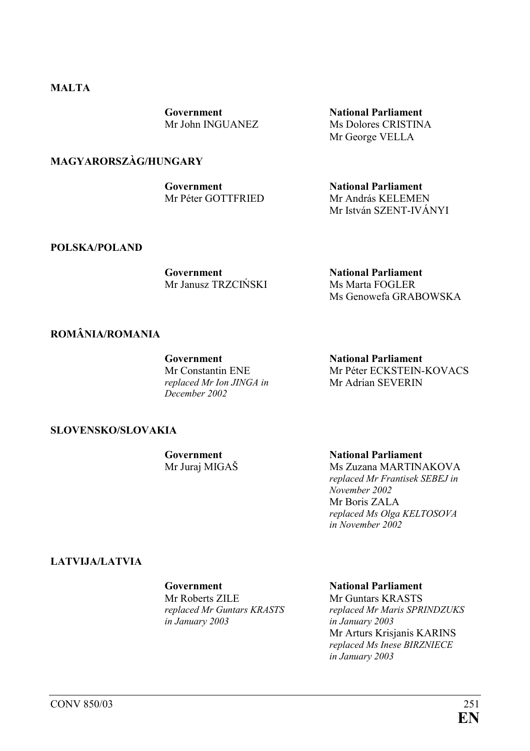# **MALTA**

**Government National Parliament**

Mr John INGUANEZ Ms Dolores CRISTINA Mr George VELLA

### MAGYARORSZÀG/HUNGARY

**Government National Parliament** Mr Péter GOTTFRIED Mr András KELEMEN

Mr István SZENT-IVÁNYI

#### **POLSKA/POLAND**

**Government National Parliament** Mr Janusz TRZCIŃSKI Ms Marta FOGLER

Ms Genowefa GRABOWSKA

## **ROMÂNIA/ROMANIA**

Mr Constantin ENE *replaced Mr Ion JINGA in December 2002*

#### **SLOVENSKO/SLOVAKIA**

**Government National Parliament**

#### **Government National Parliament** Mr Péter ECKSTEIN-KOVACS Mr Adrian SEVERIN

### Mr Juraj MIGAŠ Ms Zuzana MARTINAKOVA *replaced Mr Frantisek SEBEJ in November 2002* Mr Boris ZALA *replaced Ms Olga KELTOSOVA in November 2002*

### **LATVIJA/LATVIA**

**Government National Parliament** Mr Roberts ZILE *replaced Mr Guntars KRASTS in January 2003*

Mr Guntars KRASTS *replaced Mr Maris SPRINDZUKS in January 2003* Mr Arturs Krisjanis KARINS *replaced Ms Inese BIRZNIECE in January 2003*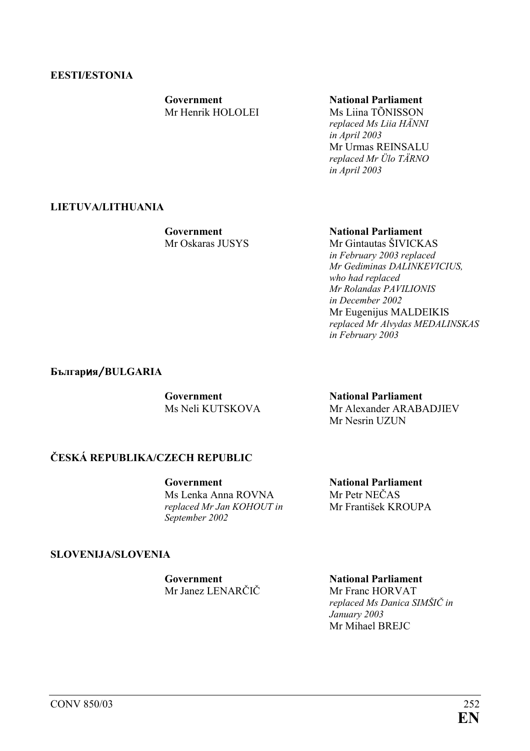#### **EESTI/ESTONIA**

**Government National Parliament** Mr Henrik HOLOLEI Ms Liina TÕNISSON

*replaced Ms Liia HÄNNI in April 2003* Mr Urmas REINSALU *replaced Mr ‹lo TÄRNO in April 2003*

#### **LIETUVA/LITHUANIA**

### **Government National Parliament**

Mr Oskaras JUSYS Mr Gintautas äIVICKAS *in February 2003 replaced Mr Gediminas DALINKEVICIUS, who had replaced Mr Rolandas PAVILIONIS in December 2002* Mr Eugenijus MALDEIKIS *replaced Mr Alvydas MEDALINSKAS in February 2003*

#### **Бългap**и**я**/**BULGARIA**

**Government National Parliament**

Ms Neli KUTSKOVA Mr Alexander ARABADJIEV Mr Nesrin UZUN

## **ČESK£ REPUBLIKA/CZECH REPUBLIC**

**Government National Parliament** Ms Lenka Anna ROVNA *replaced Mr Jan KOHOUT in September 2002*

#### **SLOVENIJA/SLOVENIA**

**Government National Parliament** Mr Janez LENARČIČ Mr Franc HORVAT

Mr Petr NEČAS Mr Frantiöek KROUPA

*replaced Ms Danica SIMäIČ in January 2003* Mr Mihael BREJC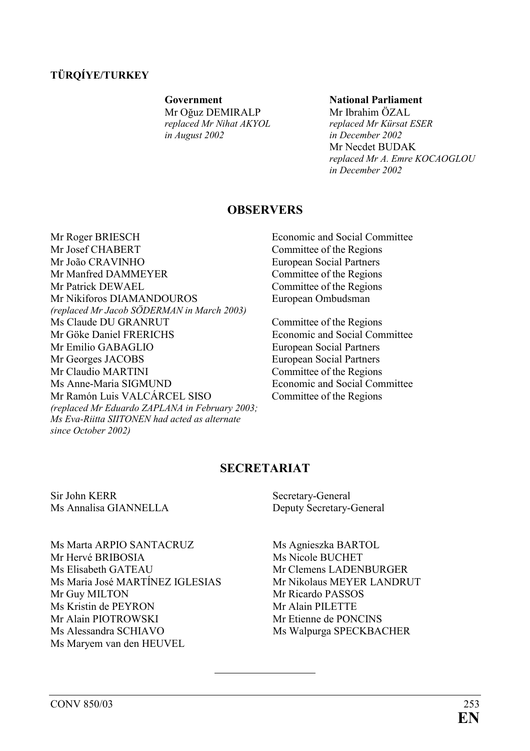## **TÜRQÍYE/TURKEY**

**Government National Parliament** Mr Oğuz DEMIRALP *replaced Mr Nihat AKYOL in August 2002*

Mr Ibrahim ÖZAL  $replaced$ *Mr Kürsat ESER in December 2002* Mr Necdet BUDAK *replaced Mr A. Emre KOCAOGLOU in December 2002*

## **OBSERVERS**

Mr Roger BRIESCH Economic and Social Committee Mr Josef CHABERT Committee of the Regions Mr João CRAVINHO European Social Partners Mr Manfred DAMMEYER Committee of the Regions Mr Patrick DEWAEL Committee of the Regions Mr Nikiforos DIAMANDOUROS *(replaced Mr Jacob S÷DERMAN in March 2003)* Ms Claude DU GRANRUT Committee of the Regions Mr Göke Daniel FRERICHS Economic and Social Committee Mr Emilio GABAGLIO European Social Partners Mr Georges JACOBS European Social Partners Mr Claudio MARTINI Committee of the Regions Ms Anne-Maria SIGMUND Economic and Social Committee Mr Ramón Luis VALCÁRCEL SISO *(replaced Mr Eduardo ZAPLANA in February 2003; Ms Eva-Riitta SIITONEN had acted as alternate since October 2002)*

European Ombudsman

Committee of the Regions

## **SECRETARIAT**

l

Sir John KERR Secretary-General Ms Annalisa GIANNELLA Deputy Secretary-General

Ms Marta ARPIO SANTACRUZ Ms Agnieszka BARTOL Mr Hervé BRIBOSIA Ms Nicole BUCHET Ms Elisabeth GATEAU Mr Clemens LADENBURGER Ms Maria José MARTÍNEZ IGLESIAS Mr Nikolaus MEYER LANDRUT Mr Guy MILTON Mr Ricardo PASSOS Ms Kristin de PEYRON Mr Alain PILETTE Mr Alain PIOTROWSKI Mr Etienne de PONCINS Ms Alessandra SCHIAVO Ms Walpurga SPECKBACHER Ms Maryem van den HEUVEL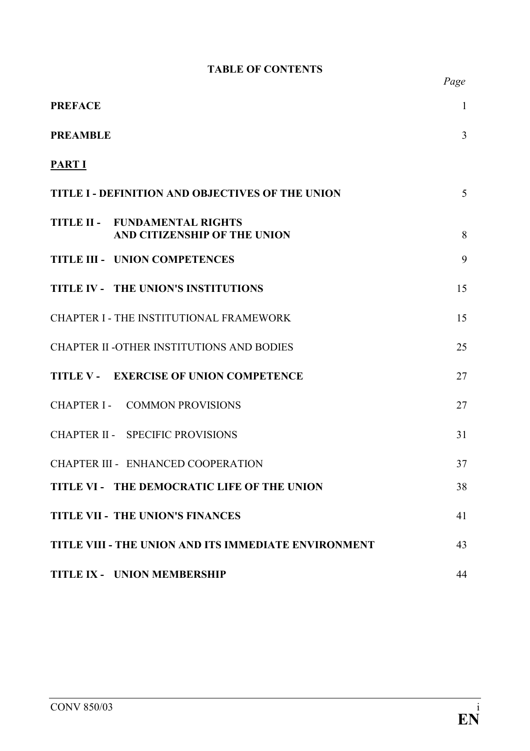## **TABLE OF CONTENTS**

| <b>PREFACE</b>                                                | $\mathbf{1}$   |
|---------------------------------------------------------------|----------------|
| <b>PREAMBLE</b>                                               | $\overline{3}$ |
| <b>PART I</b>                                                 |                |
| <b>TITLE I - DEFINITION AND OBJECTIVES OF THE UNION</b>       | 5              |
| TITLE II - FUNDAMENTAL RIGHTS<br>AND CITIZENSHIP OF THE UNION | 8              |
| <b>TITLE III - UNION COMPETENCES</b>                          | 9              |
| TITLE IV - THE UNION'S INSTITUTIONS                           | 15             |
| <b>CHAPTER I - THE INSTITUTIONAL FRAMEWORK</b>                | 15             |
| <b>CHAPTER II -OTHER INSTITUTIONS AND BODIES</b>              | 25             |
| TITLE V - EXERCISE OF UNION COMPETENCE                        | 27             |
| CHAPTER I - COMMON PROVISIONS                                 | 27             |
| <b>CHAPTER II - SPECIFIC PROVISIONS</b>                       | 31             |
| <b>CHAPTER III - ENHANCED COOPERATION</b>                     | 37             |
| TITLE VI - THE DEMOCRATIC LIFE OF THE UNION                   | 38             |
| <b>TITLE VII - THE UNION'S FINANCES</b>                       | 41             |
| TITLE VIII - THE UNION AND ITS IMMEDIATE ENVIRONMENT          | 43             |
| TITLE IX - UNION MEMBERSHIP                                   | 44             |

*Page*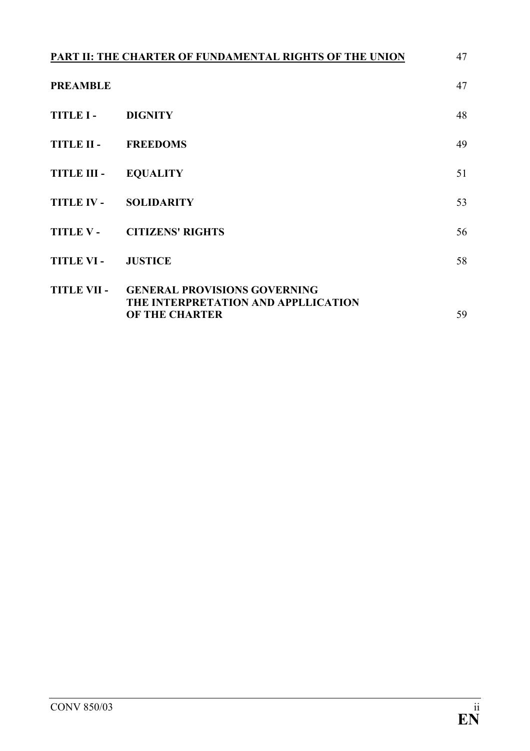|                     | PART II: THE CHARTER OF FUNDAMENTAL RIGHTS OF THE UNION                                             | 47 |
|---------------------|-----------------------------------------------------------------------------------------------------|----|
| <b>PREAMBLE</b>     |                                                                                                     | 47 |
| TITLE I-            | <b>DIGNITY</b>                                                                                      | 48 |
| TITLE II - FREEDOMS |                                                                                                     | 49 |
| TITLE III-          | <b>EQUALITY</b>                                                                                     | 51 |
| TITLE IV -          | <b>SOLIDARITY</b>                                                                                   | 53 |
|                     | TITLE V - CITIZENS' RIGHTS                                                                          | 56 |
| <b>TITLE VI-</b>    | <b>JUSTICE</b>                                                                                      | 58 |
| <b>TITLE VII -</b>  | <b>GENERAL PROVISIONS GOVERNING</b><br>THE INTERPRETATION AND APPLLICATION<br><b>OF THE CHARTER</b> | 59 |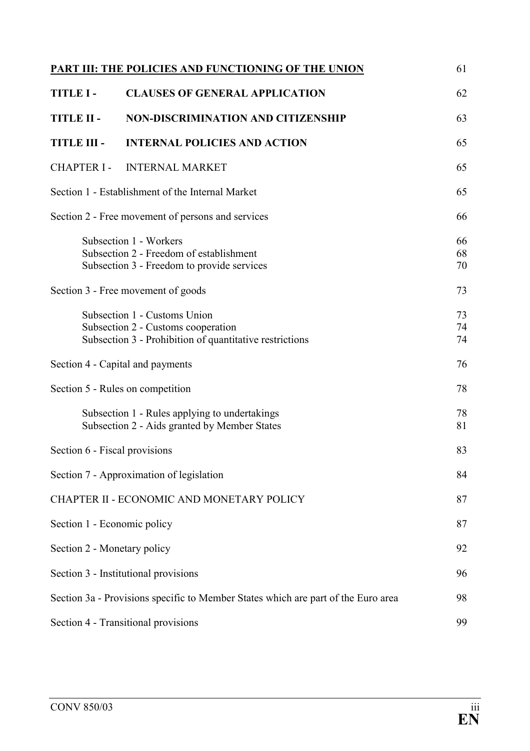|                               | <b>PART III: THE POLICIES AND FUNCTIONING OF THE UNION</b>                                                                    | 61             |
|-------------------------------|-------------------------------------------------------------------------------------------------------------------------------|----------------|
| TITLE I-                      | <b>CLAUSES OF GENERAL APPLICATION</b>                                                                                         | 62             |
| TITLE II -                    | <b>NON-DISCRIMINATION AND CITIZENSHIP</b>                                                                                     | 63             |
| TITLE III-                    | <b>INTERNAL POLICIES AND ACTION</b>                                                                                           | 65             |
| <b>CHAPTER I-</b>             | <b>INTERNAL MARKET</b>                                                                                                        | 65             |
|                               | Section 1 - Establishment of the Internal Market                                                                              | 65             |
|                               | Section 2 - Free movement of persons and services                                                                             | 66             |
|                               | Subsection 1 - Workers<br>Subsection 2 - Freedom of establishment<br>Subsection 3 - Freedom to provide services               | 66<br>68<br>70 |
|                               | Section 3 - Free movement of goods                                                                                            | 73             |
|                               | Subsection 1 - Customs Union<br>Subsection 2 - Customs cooperation<br>Subsection 3 - Prohibition of quantitative restrictions | 73<br>74<br>74 |
|                               | Section 4 - Capital and payments                                                                                              | 76             |
|                               | Section 5 - Rules on competition                                                                                              | 78             |
|                               | Subsection 1 - Rules applying to undertakings<br>Subsection 2 - Aids granted by Member States                                 | 78<br>81       |
| Section 6 - Fiscal provisions |                                                                                                                               | 83             |
|                               | Section 7 - Approximation of legislation                                                                                      | 84             |
|                               | CHAPTER II - ECONOMIC AND MONETARY POLICY                                                                                     | 87             |
| Section 1 - Economic policy   |                                                                                                                               | 87             |
| Section 2 - Monetary policy   |                                                                                                                               | 92             |
|                               | Section 3 - Institutional provisions                                                                                          | 96             |
|                               | Section 3a - Provisions specific to Member States which are part of the Euro area                                             | 98             |
|                               | Section 4 - Transitional provisions                                                                                           | 99             |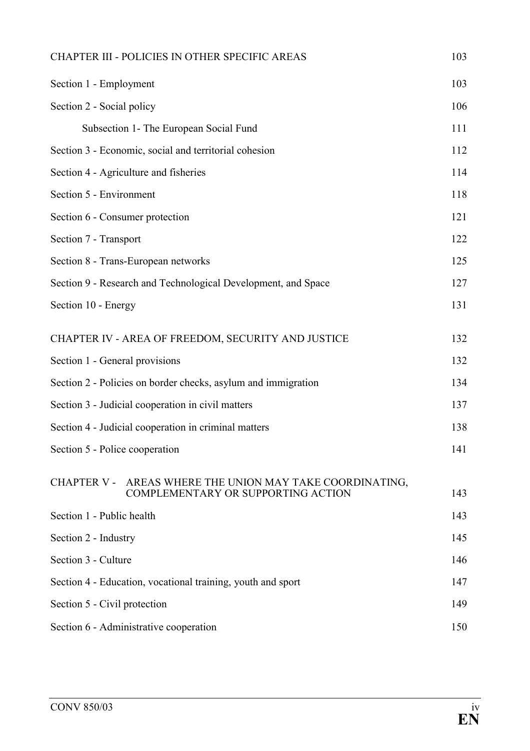| CHAPTER III - POLICIES IN OTHER SPECIFIC AREAS                                                        | 103 |
|-------------------------------------------------------------------------------------------------------|-----|
| Section 1 - Employment                                                                                | 103 |
| Section 2 - Social policy                                                                             | 106 |
| Subsection 1- The European Social Fund                                                                | 111 |
| Section 3 - Economic, social and territorial cohesion                                                 | 112 |
| Section 4 - Agriculture and fisheries                                                                 | 114 |
| Section 5 - Environment                                                                               | 118 |
| Section 6 - Consumer protection                                                                       | 121 |
| Section 7 - Transport                                                                                 | 122 |
| Section 8 - Trans-European networks                                                                   | 125 |
| Section 9 - Research and Technological Development, and Space                                         | 127 |
| Section 10 - Energy                                                                                   | 131 |
| CHAPTER IV - AREA OF FREEDOM, SECURITY AND JUSTICE                                                    | 132 |
| Section 1 - General provisions                                                                        | 132 |
| Section 2 - Policies on border checks, asylum and immigration                                         | 134 |
| Section 3 - Judicial cooperation in civil matters                                                     | 137 |
| Section 4 - Judicial cooperation in criminal matters                                                  | 138 |
| Section 5 - Police cooperation                                                                        | 141 |
| CHAPTER V - AREAS WHERE THE UNION MAY TAKE COORDINATING,<br><b>COMPLEMENTARY OR SUPPORTING ACTION</b> | 143 |
| Section 1 - Public health                                                                             | 143 |
| Section 2 - Industry                                                                                  | 145 |
| Section 3 - Culture                                                                                   | 146 |
| Section 4 - Education, vocational training, youth and sport                                           | 147 |
| Section 5 - Civil protection                                                                          | 149 |
| Section 6 - Administrative cooperation                                                                | 150 |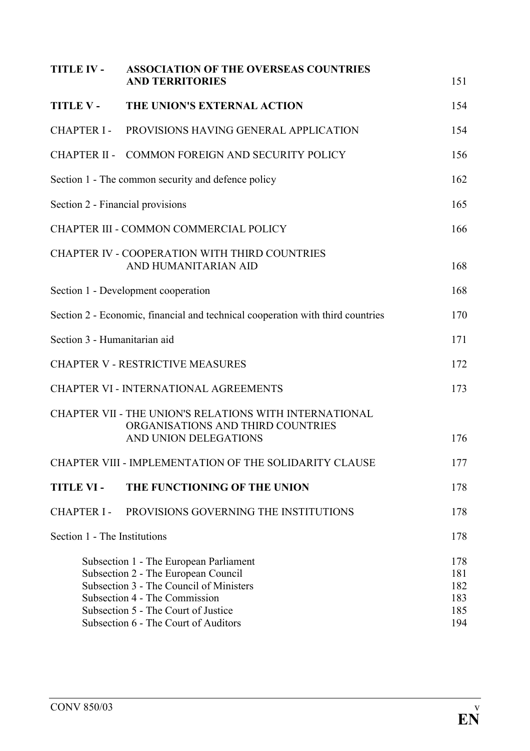| <b>TITLE IV -</b>                | <b>ASSOCIATION OF THE OVERSEAS COUNTRIES</b><br><b>AND TERRITORIES</b>                                                                                                                                                                   | 151                                    |
|----------------------------------|------------------------------------------------------------------------------------------------------------------------------------------------------------------------------------------------------------------------------------------|----------------------------------------|
| <b>TITLE V -</b>                 | THE UNION'S EXTERNAL ACTION                                                                                                                                                                                                              | 154                                    |
| <b>CHAPTER I-</b>                | PROVISIONS HAVING GENERAL APPLICATION                                                                                                                                                                                                    | 154                                    |
|                                  | CHAPTER II - COMMON FOREIGN AND SECURITY POLICY                                                                                                                                                                                          | 156                                    |
|                                  | Section 1 - The common security and defence policy                                                                                                                                                                                       | 162                                    |
| Section 2 - Financial provisions |                                                                                                                                                                                                                                          | 165                                    |
|                                  | CHAPTER III - COMMON COMMERCIAL POLICY                                                                                                                                                                                                   | 166                                    |
|                                  | <b>CHAPTER IV - COOPERATION WITH THIRD COUNTRIES</b><br>AND HUMANITARIAN AID                                                                                                                                                             | 168                                    |
|                                  | Section 1 - Development cooperation                                                                                                                                                                                                      | 168                                    |
|                                  | Section 2 - Economic, financial and technical cooperation with third countries                                                                                                                                                           | 170                                    |
| Section 3 - Humanitarian aid     |                                                                                                                                                                                                                                          | 171                                    |
|                                  | <b>CHAPTER V - RESTRICTIVE MEASURES</b>                                                                                                                                                                                                  | 172                                    |
|                                  | <b>CHAPTER VI - INTERNATIONAL AGREEMENTS</b>                                                                                                                                                                                             | 173                                    |
|                                  | CHAPTER VII - THE UNION'S RELATIONS WITH INTERNATIONAL<br>ORGANISATIONS AND THIRD COUNTRIES<br>AND UNION DELEGATIONS                                                                                                                     | 176                                    |
|                                  | CHAPTER VIII - IMPLEMENTATION OF THE SOLIDARITY CLAUSE                                                                                                                                                                                   | 177                                    |
| <b>TITLE VI-</b>                 | THE FUNCTIONING OF THE UNION                                                                                                                                                                                                             | 178                                    |
| <b>CHAPTER I-</b>                | PROVISIONS GOVERNING THE INSTITUTIONS                                                                                                                                                                                                    | 178                                    |
| Section 1 - The Institutions     |                                                                                                                                                                                                                                          | 178                                    |
|                                  | Subsection 1 - The European Parliament<br>Subsection 2 - The European Council<br>Subsection 3 - The Council of Ministers<br>Subsection 4 - The Commission<br>Subsection 5 - The Court of Justice<br>Subsection 6 - The Court of Auditors | 178<br>181<br>182<br>183<br>185<br>194 |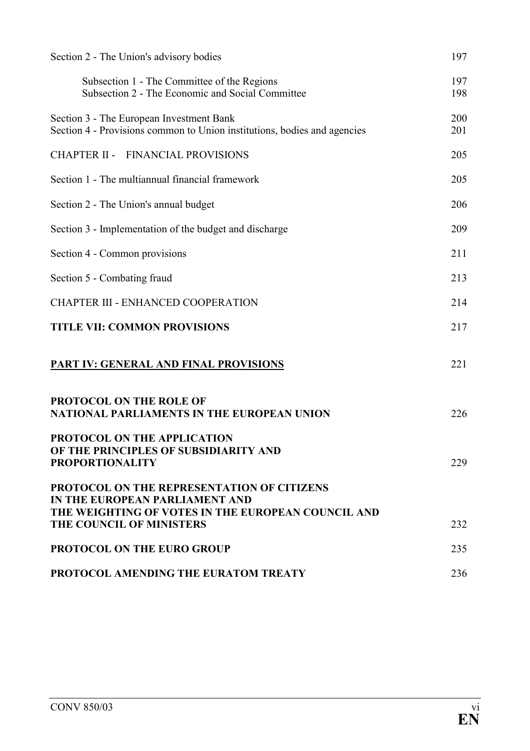| Section 2 - The Union's advisory bodies                                                                              | 197        |
|----------------------------------------------------------------------------------------------------------------------|------------|
| Subsection 1 - The Committee of the Regions<br>Subsection 2 - The Economic and Social Committee                      | 197<br>198 |
| Section 3 - The European Investment Bank<br>Section 4 - Provisions common to Union institutions, bodies and agencies | 200<br>201 |
| <b>CHAPTER II - FINANCIAL PROVISIONS</b>                                                                             | 205        |
| Section 1 - The multiannual financial framework                                                                      | 205        |
| Section 2 - The Union's annual budget                                                                                | 206        |
| Section 3 - Implementation of the budget and discharge                                                               | 209        |
| Section 4 - Common provisions                                                                                        | 211        |
| Section 5 - Combating fraud                                                                                          | 213        |
| <b>CHAPTER III - ENHANCED COOPERATION</b>                                                                            | 214        |
| <b>TITLE VII: COMMON PROVISIONS</b>                                                                                  | 217        |
| <b>PART IV: GENERAL AND FINAL PROVISIONS</b>                                                                         | 221        |
| PROTOCOL ON THE ROLE OF<br>NATIONAL PARLIAMENTS IN THE EUROPEAN UNION                                                | 226        |
| PROTOCOL ON THE APPLICATION<br>OF THE PRINCIPLES OF SUBSIDIARITY AND<br><b>PROPORTIONALITY</b>                       | 229        |
| <b>PROTOCOL ON THE REPRESENTATION OF CITIZENS</b><br>IN THE EUROPEAN PARLIAMENT AND                                  |            |
| THE WEIGHTING OF VOTES IN THE EUROPEAN COUNCIL AND<br>THE COUNCIL OF MINISTERS                                       | 232        |
| PROTOCOL ON THE EURO GROUP                                                                                           | 235        |
| PROTOCOL AMENDING THE EURATOM TREATY                                                                                 | 236        |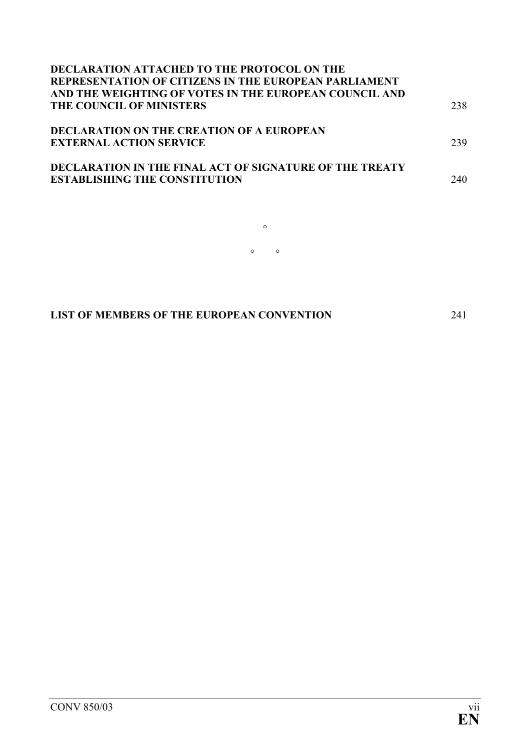| DECLARATION ATTACHED TO THE PROTOCOL ON THE<br><b>REPRESENTATION OF CITIZENS IN THE EUROPEAN PARLIAMENT</b> |     |
|-------------------------------------------------------------------------------------------------------------|-----|
| AND THE WEIGHTING OF VOTES IN THE EUROPEAN COUNCIL AND<br><b>THE COUNCIL OF MINISTERS</b>                   | 238 |
| <b>DECLARATION ON THE CREATION OF A EUROPEAN</b><br><b>EXTERNAL ACTION SERVICE</b>                          | 239 |
| <b>DECLARATION IN THE FINAL ACT OF SIGNATURE OF THE TREATY</b><br><b>ESTABLISHING THE CONSTITUTION</b>      | 240 |

 $\circ$   $\circ$ 

 $\circ$ 

| <b>LIST OF MEMBERS OF THE EUROPEAN CONVENTION</b> |  |
|---------------------------------------------------|--|
|                                                   |  |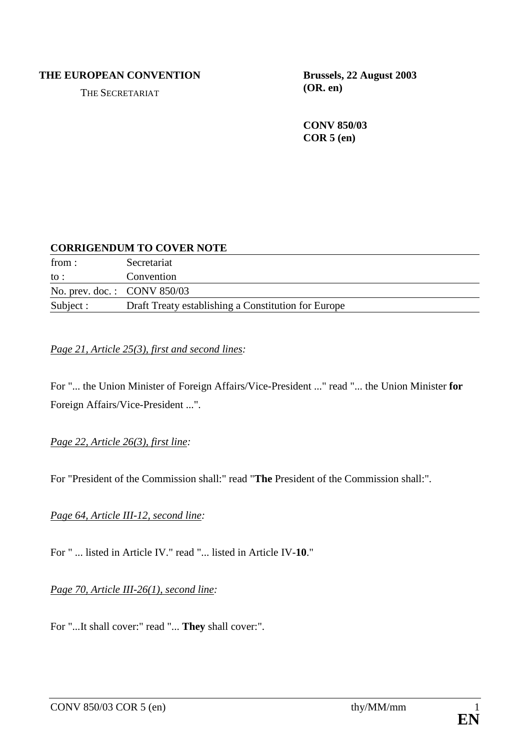### **THE EUROPEAN CONVENTION**

THE SECRETARIAT

**Brussels, 22 August 2003 (OR. en)**

**CONV 850/03 COR 5 (en)**

## **CORRIGENDUM TO COVER NOTE**

| from:                       | Secretariat                                         |
|-----------------------------|-----------------------------------------------------|
| to :                        | Convention                                          |
| No. prev. doc.: CONV 850/03 |                                                     |
| Subject :                   | Draft Treaty establishing a Constitution for Europe |

## *Page 21, Article 25(3), first and second lines:*

For "... the Union Minister of Foreign Affairs/Vice-President ..." read "... the Union Minister **for** Foreign Affairs/Vice-President ...".

*Page 22, Article 26(3), first line:*

For "President of the Commission shall:" read "**The** President of the Commission shall:".

## *Page 64, Article III-12, second line:*

For " ... listed in Article IV." read "... listed in Article IV-**10**."

## *Page 70, Article III-26(1), second line:*

For "...It shall cover:" read "... **They** shall cover:".